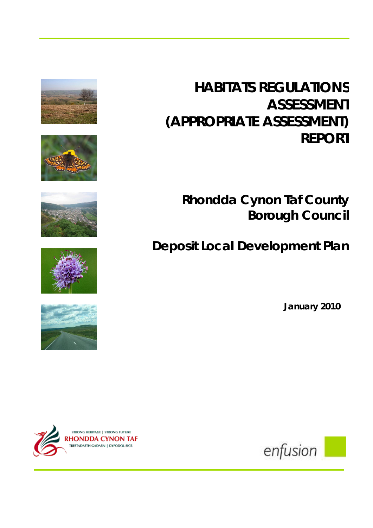









**HABITATS REGULATIONS ASSESSMENT (APPROPRIATE ASSESSMENT) REPORT** 

**Rhondda Cynon Taf County Borough Council** 

**Deposit Local Development Plan**

**January 2010**



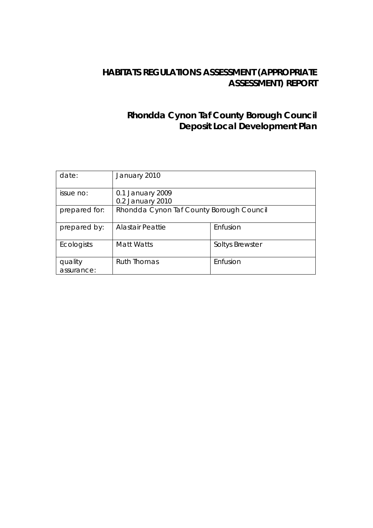# **HABITATS REGULATIONS ASSESSMENT (APPROPRIATE ASSESSMENT) REPORT**

# **Rhondda Cynon Taf County Borough Council Deposit Local Development Plan**

| date:                 | January 2010                             |                        |
|-----------------------|------------------------------------------|------------------------|
| issue no:             | 0.1 January 2009<br>0.2 January 2010     |                        |
| prepared for:         | Rhondda Cynon Taf County Borough Council |                        |
| prepared by:          | <b>Alastair Peattie</b>                  | Enfusion               |
| <b>Ecologists</b>     | <b>Matt Watts</b>                        | <b>Soltys Brewster</b> |
| quality<br>assurance: | <b>Ruth Thomas</b>                       | Enfusion               |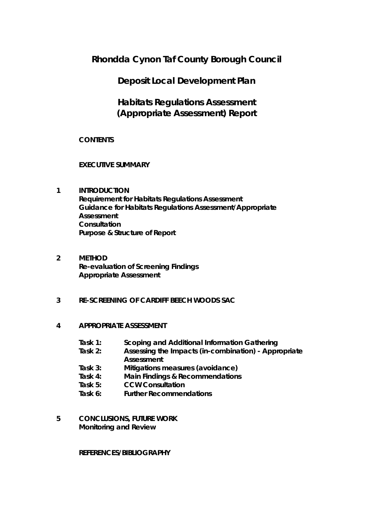# **Rhondda Cynon Taf County Borough Council**

**Deposit Local Development Plan**

**Habitats Regulations Assessment (Appropriate Assessment) Report**

## **CONTENTS**

### **EXECUTIVE SUMMARY**

- **1 INTRODUCTION Requirement for Habitats Regulations Assessment Guidance for Habitats Regulations Assessment/Appropriate Assessment Consultation Purpose & Structure of Report**
- **2 METHOD Re-evaluation of Screening Findings Appropriate Assessment**
- **3 RE-SCREENING OF CARDIFF BEECH WOODS SAC**
- **4 APPROPRIATE ASSESSMENT**
	- **Task 1: Scoping and Additional Information Gathering**
	- **Task 2: Assessing the Impacts (in-combination) Appropriate Assessment**
	- **Task 3: Mitigations measures (avoidance)**
	- **Task 4: Main Findings & Recommendations**
	- **Task 5: CCW Consultation**
	- **Task 6: Further Recommendations**
- **5 CONCLUSIONS, FUTURE WORK Monitoring and Review**

**REFERENCES/BIBLIOGRAPHY**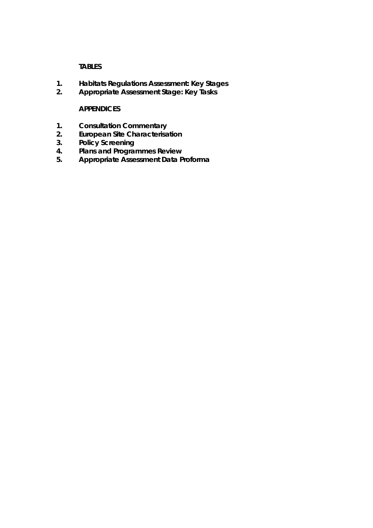# **TABLES**

- **1. Habitats Regulations Assessment: Key Stages**
- **2. Appropriate Assessment Stage: Key Tasks**

# **APPENDICES**

- **1. Consultation Commentary**
- **2. European Site Characterisation**
- **3. Policy Screening**
- **4. Plans and Programmes Review**
- **5. Appropriate Assessment Data Proforma**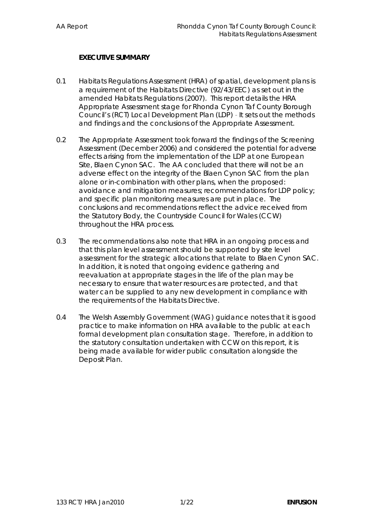## **EXECUTIVE SUMMARY**

- 0.1 Habitats Regulations Assessment (HRA) of spatial, development plans is a requirement of the Habitats Directive (92/43/EEC) as set out in the amended Habitats Regulations (2007). This report details the HRA Appropriate Assessment stage for Rhonda Cynon Taf County Borough Council's (RCT) Local Development Plan (LDP) - It sets out the methods and findings and the conclusions of the Appropriate Assessment.
- 0.2 The Appropriate Assessment took forward the findings of the Screening Assessment (December 2006) and considered the potential for adverse effects arising from the implementation of the LDP at one European Site, Blaen Cynon SAC. The AA concluded that there will not be an adverse effect on the integrity of the Blaen Cynon SAC from the plan alone or in-combination with other plans, when the proposed: avoidance and mitigation measures; recommendations for LDP policy; and specific plan monitoring measures are put in place. The conclusions and recommendations reflect the advice received from the Statutory Body, the Countryside Council for Wales (CCW) throughout the HRA process.
- 0.3 The recommendations also note that HRA in an ongoing process and that this plan level assessment should be supported by site level assessment for the strategic allocations that relate to Blaen Cynon SAC. In addition, it is noted that ongoing evidence gathering and reevaluation at appropriate stages in the life of the plan may be necessary to ensure that water resources are protected, and that water can be supplied to any new development in compliance with the requirements of the Habitats Directive.
- 0.4 The Welsh Assembly Government (WAG) guidance notes that it is good practice to make information on HRA available to the public at each formal development plan consultation stage. Therefore, in addition to the statutory consultation undertaken with CCW on this report, it is being made available for wider public consultation alongside the Deposit Plan.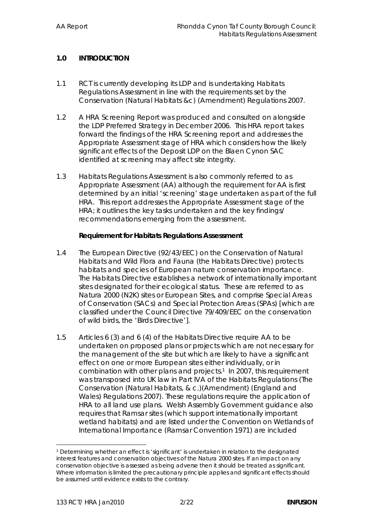### **1.0 INTRODUCTION**

- 1.1 RCT is currently developing its LDP and is undertaking Habitats Regulations Assessment in line with the requirements set by the Conservation (Natural Habitats &c) (Amendment) Regulations 2007.
- 1.2 A HRA Screening Report was produced and consulted on alongside the LDP Preferred Strategy in December 2006. This HRA report takes forward the findings of the HRA Screening report and addresses the Appropriate Assessment stage of HRA which considers how the likely significant effects of the Deposit LDP on the Blaen Cynon SAC identified at screening may affect site integrity.
- 1.3 Habitats Regulations Assessment is also commonly referred to as Appropriate Assessment (AA) although the requirement for AA is first determined by an initial 'screening' stage undertaken as part of the full HRA. This report addresses the Appropriate Assessment stage of the HRA; it outlines the key tasks undertaken and the key findings/ recommendations emerging from the assessment.

**Requirement for Habitats Regulations Assessment**

- 1.4 The European Directive (92/43/EEC) on the Conservation of Natural Habitats and Wild Flora and Fauna (the Habitats Directive) protects habitats and species of European nature conservation importance. The Habitats Directive establishes a network of internationally important sites designated for their ecological status. These are referred to as Natura 2000 (N2K) sites or European Sites, and comprise Special Areas of Conservation (SACs) and Special Protection Areas (SPAs) [which are classified under the Council Directive 79/409/EEC on the conservation of wild birds, the 'Birds Directive'].
- 1.5 Articles 6 (3) and 6 (4) of the Habitats Directive require AA to be undertaken on proposed plans or projects which are not necessary for the management of the site but which are likely to have a significant effect on one or more European sites either individually, or in combination with other plans and projects.<sup>1</sup> In 2007, this requirement was transposed into UK law in Part IVA of the Habitats Regulations (The Conservation (Natural Habitats, & c.)(Amendment) (England and Wales) Regulations 2007). These regulations require the application of HRA to all land use plans. Welsh Assembly Government guidance also requires that Ramsar sites (which support internationally important wetland habitats) and are listed under the Convention on Wetlands of International Importance (Ramsar Convention 1971) are included

<sup>1</sup> Determining whether an effect is 'significant' is undertaken in relation to the designated interest features and conservation objectives of the Natura 2000 sites. If an impact on any conservation objective is assessed as being adverse then it should be treated as significant. Where information is limited the precautionary principle applies and significant effects should be assumed until evidence exists to the contrary.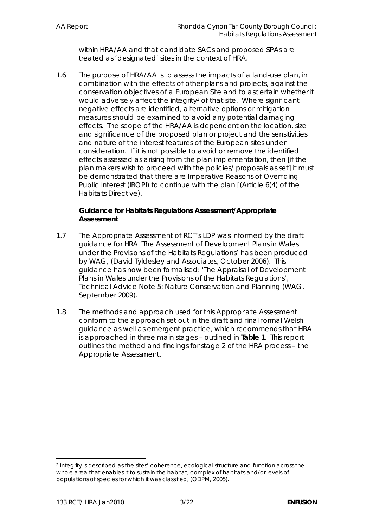within HRA/AA and that candidate SACs and proposed SPAs are treated as 'designated' sites in the context of HRA.

1.6 The purpose of HRA/AA is to assess the impacts of a land-use plan, in combination with the effects of other plans and projects, against the conservation objectives of a European Site and to ascertain whether it would adversely affect the integrity<sup>2</sup> of that site. Where significant negative effects are identified, alternative options or mitigation measures should be examined to avoid any potential damaging effects. The scope of the HRA/AA is dependent on the location, size and significance of the proposed plan or project and the sensitivities and nature of the interest features of the European sites under consideration. If it is not possible to avoid or remove the identified effects assessed as arising from the plan implementation, then [if the plan makers wish to proceed with the policies/ proposals as set] it must be demonstrated that there are Imperative Reasons of Overriding Public Interest (IROPI) to continue with the plan [(Article 6(4) of the Habitats Directive).

**Guidance for Habitats Regulations Assessment/Appropriate Assessment** 

- 1.7 The Appropriate Assessment of RCT's LDP was informed by the draft guidance for HRA 'The Assessment of Development Plans in Wales under the Provisions of the Habitats Regulations' has been produced by WAG, (David Tyldesley and Associates, October 2006). This guidance has now been formalised: 'The Appraisal of Development Plans in Wales under the Provisions of the Habitats Regulations', Technical Advice Note 5: Nature Conservation and Planning (WAG, September 2009).
- 1.8 The methods and approach used for this Appropriate Assessment conform to the approach set out in the draft and final formal Welsh guidance as well as emergent practice, which recommends that HRA is approached in three main stages – outlined in **Table 1**. This report outlines the method and findings for stage 2 of the HRA process – the Appropriate Assessment.

<sup>2</sup> Integrity is described as the sites' coherence, ecological structure and function across the whole area that enables it to sustain the habitat, complex of habitats and/or levels of populations of species for which it was classified, (ODPM, 2005).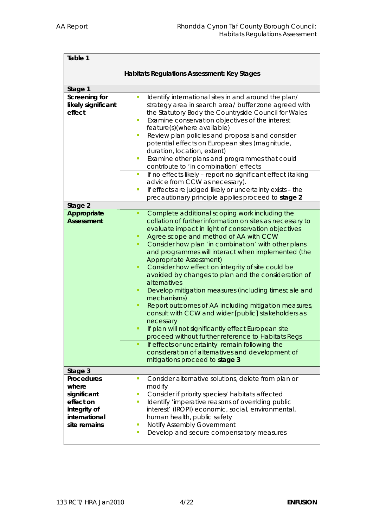| Table 1                                                                                          |                                                                                                                                                                                                                                                                                                                                                                                                                                                                                                                                                                                                                                                                                                                                                                                                                                                                                                                                                 |
|--------------------------------------------------------------------------------------------------|-------------------------------------------------------------------------------------------------------------------------------------------------------------------------------------------------------------------------------------------------------------------------------------------------------------------------------------------------------------------------------------------------------------------------------------------------------------------------------------------------------------------------------------------------------------------------------------------------------------------------------------------------------------------------------------------------------------------------------------------------------------------------------------------------------------------------------------------------------------------------------------------------------------------------------------------------|
|                                                                                                  | Habitats Regulations Assessment: Key Stages                                                                                                                                                                                                                                                                                                                                                                                                                                                                                                                                                                                                                                                                                                                                                                                                                                                                                                     |
| Stage 1                                                                                          |                                                                                                                                                                                                                                                                                                                                                                                                                                                                                                                                                                                                                                                                                                                                                                                                                                                                                                                                                 |
| Screening for<br>likely significant<br>effect                                                    | Identify international sites in and around the plan/<br>×,<br>strategy area in search area/ buffer zone agreed with<br>the Statutory Body the Countryside Council for Wales<br>Examine conservation objectives of the interest<br>$\blacksquare$<br>feature(s)(where available)<br>Review plan policies and proposals and consider<br>П<br>potential effects on European sites (magnitude,<br>duration, location, extent)<br>Examine other plans and programmes that could<br>п<br>contribute to 'in combination' effects<br>If no effects likely - report no significant effect (taking<br>$\mathcal{L}_{\mathcal{A}}$                                                                                                                                                                                                                                                                                                                         |
|                                                                                                  | advice from CCW as necessary).<br>$\overline{\phantom{a}}$                                                                                                                                                                                                                                                                                                                                                                                                                                                                                                                                                                                                                                                                                                                                                                                                                                                                                      |
|                                                                                                  | If effects are judged likely or uncertainty exists - the<br>precautionary principle applies proceed to stage 2                                                                                                                                                                                                                                                                                                                                                                                                                                                                                                                                                                                                                                                                                                                                                                                                                                  |
| Stage 2                                                                                          |                                                                                                                                                                                                                                                                                                                                                                                                                                                                                                                                                                                                                                                                                                                                                                                                                                                                                                                                                 |
| Appropriate<br>Assessment                                                                        | Complete additional scoping work including the<br>٠<br>collation of further information on sites as necessary to<br>evaluate impact in light of conservation objectives<br>Agree scope and method of AA with CCW<br>٠<br>Consider how plan 'in combination' with other plans<br>٠<br>and programmes will interact when implemented (the<br><b>Appropriate Assessment)</b><br>Consider how effect on integrity of site could be<br>٠<br>avoided by changes to plan and the consideration of<br>alternatives<br>Develop mitigation measures (including timescale and<br>٠<br>mechanisms)<br>Report outcomes of AA including mitigation measures,<br>٠<br>consult with CCW and wider [public] stakeholders as<br>necessary<br>If plan will not significantly effect European site<br>proceed without further reference to Habitats Regs<br>If effects or uncertainty remain following the<br>٠<br>consideration of alternatives and development of |
|                                                                                                  | mitigations proceed to stage 3                                                                                                                                                                                                                                                                                                                                                                                                                                                                                                                                                                                                                                                                                                                                                                                                                                                                                                                  |
| Stage 3                                                                                          |                                                                                                                                                                                                                                                                                                                                                                                                                                                                                                                                                                                                                                                                                                                                                                                                                                                                                                                                                 |
| Procedures<br>where<br>significant<br>effect on<br>integrity of<br>international<br>site remains | Consider alternative solutions, delete from plan or<br>$\overline{\phantom{a}}$<br>modify<br>Consider if priority species/ habitats affected<br>П<br>Identify 'imperative reasons of overriding public<br>$\mathcal{L}_{\mathcal{A}}$<br>interest' (IROPI) economic, social, environmental,<br>human health, public safety<br>Notify Assembly Government<br>п<br>Develop and secure compensatory measures<br>ш                                                                                                                                                                                                                                                                                                                                                                                                                                                                                                                                  |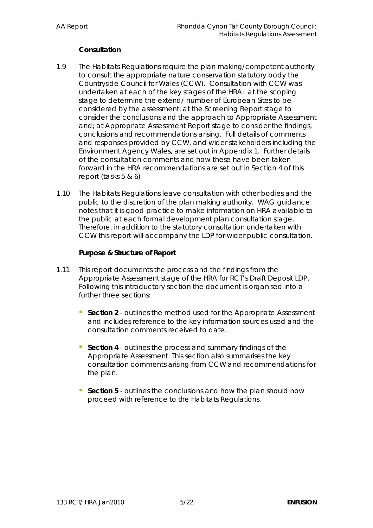## **Consultation**

- 1.9 The Habitats Regulations require the plan making/competent authority to consult the appropriate nature conservation statutory body the Countryside Council for Wales (CCW). Consultation with CCW was undertaken at each of the key stages of the HRA: at the scoping stage to determine the extend/ number of European Sites to be considered by the assessment; at the Screening Report stage to consider the conclusions and the approach to Appropriate Assessment and; at Appropriate Assessment Report stage to consider the findings, conclusions and recommendations arising. Full details of comments and responses provided by CCW, and wider stakeholders including the Environment Agency Wales, are set out in Appendix 1. Further details of the consultation comments and how these have been taken forward in the HRA recommendations are set out in Section 4 of this report (tasks 5 & 6)
- 1.10 The Habitats Regulations leave consultation with other bodies and the public to the discretion of the plan making authority. WAG guidance notes that it is good practice to make information on HRA available to the public at each formal development plan consultation stage. Therefore, in addition to the statutory consultation undertaken with CCW this report will accompany the LDP for wider public consultation.

**Purpose & Structure of Report**

- 1.11 This report documents the process and the findings from the Appropriate Assessment stage of the HRA for RCT's Draft Deposit LDP. Following this introductory section the document is organised into a further three sections:
	- **Section 2 outlines the method used for the Appropriate Assessment** and includes reference to the key information sources used and the consultation comments received to date.
	- **Section 4**  outlines the process and summary findings of the Appropriate Assessment. This section also summarises the key consultation comments arising from CCW and recommendations for the plan.
	- **Section 5**  outlines the conclusions and how the plan should now proceed with reference to the Habitats Regulations.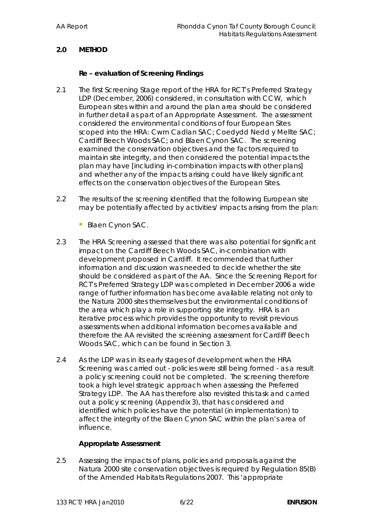## **2.0 METHOD**

**Re – evaluation of Screening Findings**

- 2.1 The first Screening Stage report of the HRA for RCT's Preferred Strategy LDP (December, 2006) considered, in consultation with CCW, which European sites within and around the plan area should be considered in further detail as part of an Appropriate Assessment. The assessment considered the environmental conditions of four European Sites scoped into the HRA: Cwm Cadlan SAC; Coedydd Nedd y Mellte SAC; Cardiff Beech Woods SAC; and Blaen Cynon SAC. The screening examined the conservation objectives and the factors required to maintain site integrity, and then considered the potential impacts the plan may have [including in-combination impacts with other plans] and whether any of the impacts arising could have likely significant effects on the conservation objectives of the European Sites.
- 2.2 The results of the screening identified that the following European site may be potentially affected by activities/ impacts arising from the plan:
	- Blaen Cynon SAC.
- 2.3 The HRA Screening assessed that there was also potential for significant impact on the Cardiff Beech Woods SAC, in-combination with development proposed in Cardiff. It recommended that further information and discussion was needed to decide whether the site should be considered as part of the AA. Since the Screening Report for RCT's Preferred Strategy LDP was completed in December 2006 a wide range of further information has become available relating not only to the Natura 2000 sites themselves but the environmental conditions of the area which play a role in supporting site integrity. HRA is an iterative process which provides the opportunity to revisit previous assessments when additional information becomes available and therefore the AA revisited the screening assessment for Cardiff Beech Woods SAC, which can be found in Section 3.
- 2.4 As the LDP was in its early stages of development when the HRA Screening was carried out - policies were still being formed - as a result a policy screening could not be completed. The screening therefore took a high level strategic approach when assessing the Preferred Strategy LDP. The AA has therefore also revisited this task and carried out a policy screening (Appendix 3), that has considered and identified which policies have the potential (in implementation) to affect the integrity of the Blaen Cynon SAC within the plan's area of influence.

# **Appropriate Assessment**

2.5 Assessing the impacts of plans, policies and proposals against the Natura 2000 site conservation objectives is required by Regulation 85(B) of the Amended Habitats Regulations 2007. This 'appropriate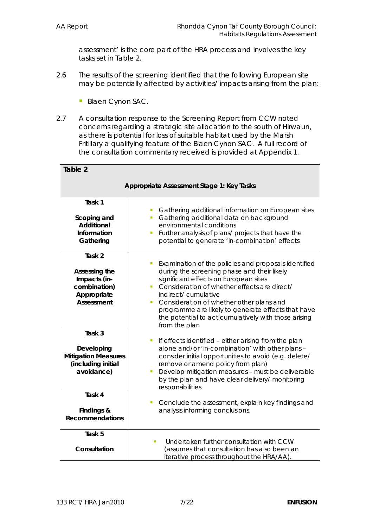assessment' is the core part of the HRA process and involves the key tasks set in Table 2.

- 2.6 The results of the screening identified that the following European site may be potentially affected by activities/ impacts arising from the plan:
	- Blaen Cynon SAC.
- 2.7 A consultation response to the Screening Report from CCW noted concerns regarding a strategic site allocation to the south of Hirwaun, as there is potential for loss of suitable habitat used by the Marsh Fritillary a qualifying feature of the Blaen Cynon SAC. A full record of the consultation commentary received is provided at Appendix 1.

| Table 2                                                                                |                                                                                                                                                                                                                                                                                                                                                                                                           |  |  |
|----------------------------------------------------------------------------------------|-----------------------------------------------------------------------------------------------------------------------------------------------------------------------------------------------------------------------------------------------------------------------------------------------------------------------------------------------------------------------------------------------------------|--|--|
|                                                                                        | Appropriate Assessment Stage 1: Key Tasks                                                                                                                                                                                                                                                                                                                                                                 |  |  |
| Task 1<br>Scoping and<br>Additional<br>Information<br>Gathering                        | Gathering additional information on European sites<br>П<br>Gathering additional data on background<br>T.<br>environmental conditions<br>Further analysis of plans/ projects that have the<br>I.<br>potential to generate 'in-combination' effects                                                                                                                                                         |  |  |
| Task 2<br>Assessing the<br>Impacts (in-<br>combination)<br>Appropriate<br>Assessment   | Examination of the policies and proposals identified<br>during the screening phase and their likely<br>significant effects on European sites<br>Consideration of whether effects are direct/<br>Ē,<br>indirect/cumulative<br>Consideration of whether other plans and<br>п<br>programme are likely to generate effects that have<br>the potential to act cumulatively with those arising<br>from the plan |  |  |
| Task 3<br>Developing<br><b>Mitigation Measures</b><br>(including initial<br>avoidance) | If effects identified - either arising from the plan<br>I.<br>alone and/or 'in-combination' with other plans -<br>consider initial opportunities to avoid (e.g. delete/<br>remove or amend policy from plan)<br>Develop mitigation measures - must be deliverable<br>I.<br>by the plan and have clear delivery/ monitoring<br>responsibilities                                                            |  |  |
| Task 4<br>Findings &<br>Recommendations                                                | Conclude the assessment, explain key findings and<br>I.<br>analysis informing conclusions.                                                                                                                                                                                                                                                                                                                |  |  |
| Task 5<br>Consultation                                                                 | Undertaken further consultation with CCW<br>a,<br>(assumes that consultation has also been an<br>iterative process throughout the HRA/AA).                                                                                                                                                                                                                                                                |  |  |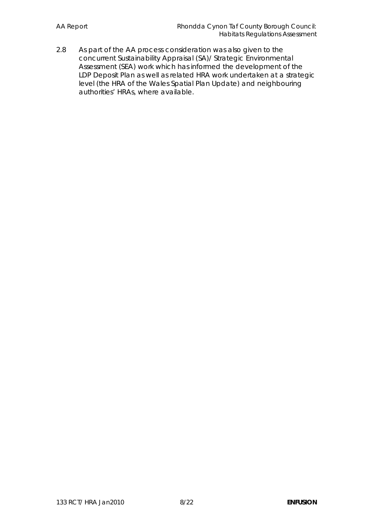2.8 As part of the AA process consideration was also given to the concurrent Sustainability Appraisal (SA)/ Strategic Environmental Assessment (SEA) work which has informed the development of the LDP Deposit Plan as well as related HRA work undertaken at a strategic level (the HRA of the Wales Spatial Plan Update) and neighbouring authorities' HRAs, where available.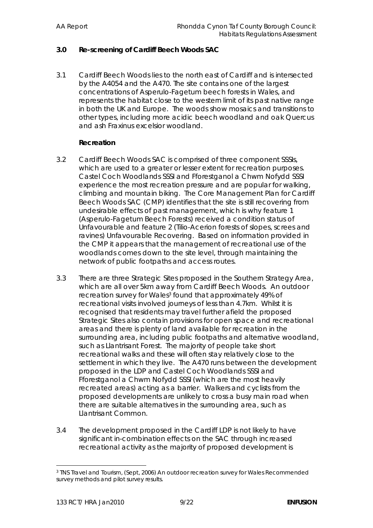## **3.0 Re-screening of Cardiff Beech Woods SAC**

3.1 Cardiff Beech Woods lies to the north east of Cardiff and is intersected by the A4054 and the A470. The site contains one of the largest concentrations of *Asperulo-Fagetum* beech forests in Wales, and represents the habitat close to the western limit of its past native range in both the UK and Europe. The woods show mosaics and transitions to other types, including more acidic beech woodland and oak Quercus and ash *Fraxinus excelsior* woodland.

### **Recreation**

- 3.2 Cardiff Beech Woods SAC is comprised of three component SSSIs, which are used to a greater or lesser extent for recreation purposes. Castel Coch Woodlands SSSI and Fforestganol a Chwm Nofydd SSSI experience the most recreation pressure and are popular for walking, climbing and mountain biking. The Core Management Plan for Cardiff Beech Woods SAC (CMP) identifies that the site is still recovering from undesirable effects of past management, which is why feature 1 (*Asperulo-Fagetum* Beech Forests) received a condition status of Unfavourable and feature 2 (*Tilio-Acerion* forests of slopes, screes and ravines) Unfavourable Recovering. Based on information provided in the CMP it appears that the management of recreational use of the woodlands comes down to the site level, through maintaining the network of public footpaths and access routes.
- 3.3 There are three Strategic Sites proposed in the Southern Strategy Area, which are all over 5km away from Cardiff Beech Woods. An outdoor recreation survey for Wales<sup>3</sup> found that approximately 49% of recreational visits involved journeys of less than 4.7km. Whilst it is recognised that residents may travel further afield the proposed Strategic Sites also contain provisions for open space and recreational areas and there is plenty of land available for recreation in the surrounding area, including public footpaths and alternative woodland, such as Llantrisant Forest. The majority of people take short recreational walks and these will often stay relatively close to the settlement in which they live. The A470 runs between the development proposed in the LDP and Castel Coch Woodlands SSSI and Fforestganol a Chwm Nofydd SSSI (which are the most heavily recreated areas) acting as a barrier. Walkers and cyclists from the proposed developments are unlikely to cross a busy main road when there are suitable alternatives in the surrounding area, such as Llantrisant Common.
- 3.4 The development proposed in the Cardiff LDP is not likely to have significant in-combination effects on the SAC through increased recreational activity as the majority of proposed development is

<sup>3</sup> TNS Travel and Tourism, (Sept, 2006) An outdoor recreation survey for Wales Recommended survey methods and pilot survey results.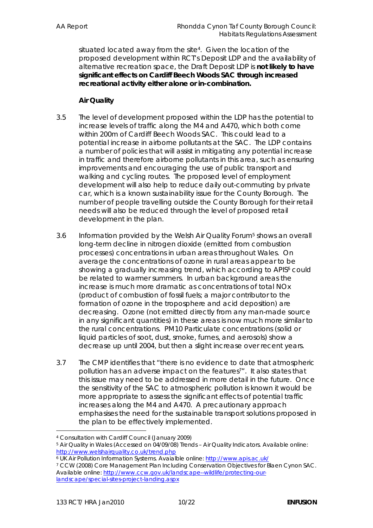situated located away from the site<sup>4</sup>. Given the location of the proposed development within RCT's Deposit LDP and the availability of alternative recreation space, the Draft Deposit LDP is **not likely to have significant effects on Cardiff Beech Woods SAC through increased recreational activity either alone or in-combination.**

### **Air Quality**

- 3.5 The level of development proposed within the LDP has the potential to increase levels of traffic along the M4 and A470, which both come within 200m of Cardiff Beech Woods SAC. This could lead to a potential increase in airborne pollutants at the SAC. The LDP contains a number of policies that will assist in mitigating any potential increase in traffic and therefore airborne pollutants in this area, such as ensuring improvements and encouraging the use of public transport and walking and cycling routes. The proposed level of employment development will also help to reduce daily out-commuting by private car, which is a known sustainability issue for the County Borough. The number of people travelling outside the County Borough for their retail needs will also be reduced through the level of proposed retail development in the plan.
- 3.6 Information provided by the Welsh Air Quality Forum<sup>5</sup> shows an overall long-term decline in nitrogen dioxide (emitted from combustion processes) concentrations in urban areas throughout Wales. On average the concentrations of ozone in rural areas appear to be showing a gradually increasing trend, which according to APIS<sup>6</sup> could be related to warmer summers. In urban background areas the increase is much more dramatic as concentrations of total NOx (product of combustion of fossil fuels; a major contributor to the formation of ozone in the troposphere and acid deposition) are decreasing. Ozone (not emitted directly from any man-made source in any significant quantities) in these areas is now much more similar to the rural concentrations. PM10 Particulate concentrations (solid or liquid particles of soot, dust, smoke, fumes, and aerosols) show a decrease up until 2004, but then a slight increase over recent years.
- 3.7 The CMP identifies that "there is no evidence to date that atmospheric pollution has an adverse impact on the features<sup>7</sup>". It also states that this issue may need to be addressed in more detail in the future. Once the sensitivity of the SAC to atmospheric pollution is known it would be more appropriate to assess the significant effects of potential traffic increases along the M4 and A470. A precautionary approach emphasises the need for the sustainable transport solutions proposed in the plan to be effectively implemented.

7 CCW (2008) Core Management Plan Including Conservation Objectives for Blaen Cynon SAC. Available online: http://www.ccw.gov.uk/landscape--wildlife/protecting-ourlandscape/special-sites-project-landing.aspx

<sup>4</sup> Consultation with Cardiff Council (January 2009)

<sup>5</sup> Air Quality in Wales (Accessed on 04/09/08) Trends – Air Quality Indicators. Available online: http://www.welshairquality.co.uk/trend.php

<sup>6</sup> UK Air Pollution Information Systems. Avaialble online: http://www.apis.ac.uk/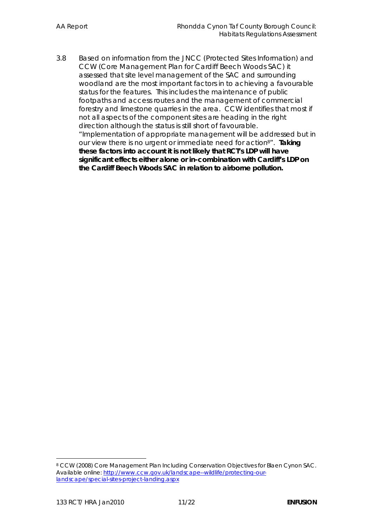3.8 Based on information from the JNCC (Protected Sites Information) and CCW (Core Management Plan for Cardiff Beech Woods SAC) it assessed that site level management of the SAC and surrounding woodland are the most important factors in to achieving a favourable status for the features. This includes the maintenance of public footpaths and access routes and the management of commercial forestry and limestone quarries in the area. CCW identifies that most if not all aspects of the component sites are heading in the right direction although the status is still short of favourable. "Implementation of appropriate management will be addressed but in our view there is no urgent or immediate need for action8". **Taking these factors into account it is not likely that RCT's LDP will have significant effects either alone or in-combination with Cardiff's LDP on the Cardiff Beech Woods SAC in relation to airborne pollution.**

 $\overline{a}$ 8 CCW (2008) Core Management Plan Including Conservation Objectives for Blaen Cynon SAC. Available online: http://www.ccw.gov.uk/landscape--wildlife/protecting-ourlandscape/special-sites-project-landing.aspx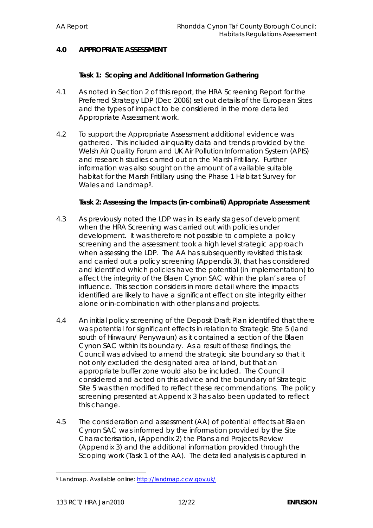## **4.0 APPROPRIATE ASSESSMENT**

**Task 1: Scoping and Additional Information Gathering**

- 4.1 As noted in Section 2 of this report, the HRA Screening Report for the Preferred Strategy LDP (Dec 2006) set out details of the European Sites and the types of impact to be considered in the more detailed Appropriate Assessment work.
- 4.2 To support the Appropriate Assessment additional evidence was gathered. This included air quality data and trends provided by the Welsh Air Quality Forum and UK Air Pollution Information System (APIS) and research studies carried out on the Marsh Fritillary. Further information was also sought on the amount of available suitable habitat for the Marsh Fritillary using the Phase 1 Habitat Survey for Wales and Landmap<sup>9</sup>.

**Task 2: Assessing the Impacts (in-combinati) Appropriate Assessment**

- 4.3 As previously noted the LDP was in its early stages of development when the HRA Screening was carried out with policies under development. It was therefore not possible to complete a policy screening and the assessment took a high level strategic approach when assessing the LDP. The AA has subsequently revisited this task and carried out a policy screening (Appendix 3), that has considered and identified which policies have the potential (in implementation) to affect the integrity of the Blaen Cynon SAC within the plan's area of influence. This section considers in more detail where the impacts identified are likely to have a significant effect on site integrity either alone or in-combination with other plans and projects.
- 4.4 An initial policy screening of the Deposit Draft Plan identified that there was potential for significant effects in relation to Strategic Site 5 (land south of Hirwaun/ Penywaun) as it contained a section of the Blaen Cynon SAC within its boundary. As a result of these findings, the Council was advised to amend the strategic site boundary so that it not only excluded the designated area of land, but that an appropriate buffer zone would also be included. The Council considered and acted on this advice and the boundary of Strategic Site 5 was then modified to reflect these recommendations. The policy screening presented at Appendix 3 has also been updated to reflect this change.
- 4.5 The consideration and assessment (AA) of potential effects at Blaen Cynon SAC was informed by the information provided by the Site Characterisation, (Appendix 2) the Plans and Projects Review (Appendix 3) and the additional information provided through the Scoping work (Task 1 of the AA). The detailed analysis is captured in

<sup>9</sup> Landmap. Available online: http://landmap.ccw.gov.uk/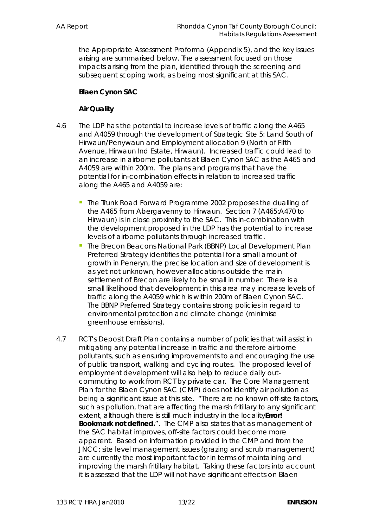the Appropriate Assessment Proforma (Appendix 5), and the key issues arising are summarised below. The assessment focused on those impacts arising from the plan, identified through the screening and subsequent scoping work, as being most significant at this SAC.

**Blaen Cynon SAC**

*Air Quality*

- 4.6 The LDP has the potential to increase levels of traffic along the A465 and A4059 through the development of Strategic Site 5: Land South of Hirwaun/Penywaun and Employment allocation 9 (North of Fifth Avenue, Hirwaun Ind Estate, Hirwaun). Increased traffic could lead to an increase in airborne pollutants at Blaen Cynon SAC as the A465 and A4059 are within 200m. The plans and programs that have the potential for in-combination effects in relation to increased traffic along the A465 and A4059 are:
	- The Trunk Road Forward Programme 2002 proposes the dualling of the A465 from Abergavenny to Hirwaun. Section 7 (A465:A470 to Hirwaun) is in close proximity to the SAC. This in-combination with the development proposed in the LDP has the potential to increase levels of airborne pollutants through increased traffic.
	- **The Brecon Beacons National Park (BBNP) Local Development Plan** Preferred Strategy identifies the potential for a small amount of growth in Peneryn, the precise location and size of development is as yet not unknown, however allocations outside the main settlement of Brecon are likely to be small in number. There is a small likelihood that development in this area may increase levels of traffic along the A4059 which is within 200m of Blaen Cynon SAC. The BBNP Preferred Strategy contains strong policies in regard to environmental protection and climate change (minimise greenhouse emissions).
- 4.7 RCT's Deposit Draft Plan contains a number of policies that will assist in mitigating any potential increase in traffic and therefore airborne pollutants, such as ensuring improvements to and encouraging the use of public transport, walking and cycling routes. The proposed level of employment development will also help to reduce daily outcommuting to work from RCT by private car. The Core Management Plan for the Blaen Cynon SAC (CMP) does not identify air pollution as being a significant issue at this site. "There are no known off-site factors, such as pollution, that are affecting the marsh fritillary to any significant extent, although there is still much industry in the locality**Error! Bookmark not defined.**". The CMP also states that as management of the SAC habitat improves, off-site factors could become more apparent. Based on information provided in the CMP and from the JNCC; site level management issues (grazing and scrub management) are currently the most important factor in terms of maintaining and improving the marsh fritillary habitat. Taking these factors into account it is assessed that the LDP will not have significant effects on Blaen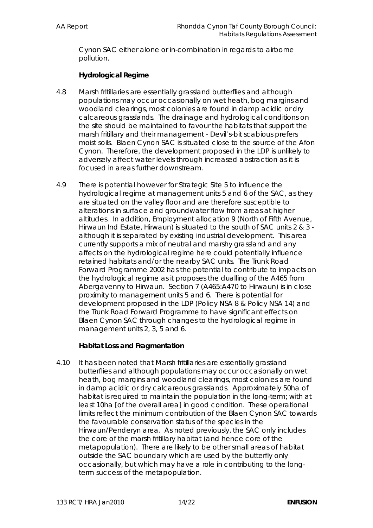Cynon SAC either alone or in-combination in regards to airborne pollution.

*Hydrological Regime*

- 4.8 Marsh fritillaries are essentially grassland butterflies and although populations may occur occasionally on wet heath, bog margins and woodland clearings, most colonies are found in damp acidic or dry calcareous grasslands. The drainage and hydrological conditions on the site should be maintained to favour the habitats that support the marsh fritillary and their management - Devil's-bit scabious prefers moist soils. Blaen Cynon SAC is situated close to the source of the Afon Cynon. Therefore, the development proposed in the LDP is unlikely to adversely affect water levels through increased abstraction as it is focused in areas further downstream.
- 4.9 There is potential however for Strategic Site 5 to influence the hydrological regime at management units 5 and 6 of the SAC, as they are situated on the valley floor and are therefore susceptible to alterations in surface and groundwater flow from areas at higher altitudes. In addition, Employment allocation 9 (North of Fifth Avenue, Hirwaun Ind Estate, Hirwaun) is situated to the south of SAC units 2 & 3 although it is separated by existing industrial development. This area currently supports a mix of neutral and marshy grassland and any affects on the hydrological regime here could potentially influence retained habitats and/or the nearby SAC units. The Trunk Road Forward Programme 2002 has the potential to contribute to impacts on the hydrological regime as it proposes the dualling of the A465 from Abergavenny to Hirwaun. Section 7 (A465:A470 to Hirwaun) is in close proximity to management units 5 and 6. There is potential for development proposed in the LDP (Policy NSA 8 & Policy NSA 14) and the Trunk Road Forward Programme to have significant effects on Blaen Cynon SAC through changes to the hydrological regime in management units 2, 3, 5 and 6.

*Habitat Loss and Fragmentation*

4.10 It has been noted that Marsh fritillaries are essentially grassland butterflies and although populations may occur occasionally on wet heath, bog margins and woodland clearings, most colonies are found in damp acidic or dry calcareous grasslands. Approximately 50ha of habitat is required to maintain the population in the long-term; with at least 10ha [of the overall area] in good condition. These operational limits reflect the minimum contribution of the Blaen Cynon SAC towards the favourable conservation status of the species in the Hirwaun/Penderyn area. As noted previously, the SAC only includes the core of the marsh fritillary habitat (and hence core of the metapopulation). There are likely to be other small areas of habitat outside the SAC boundary which are used by the butterfly only occasionally, but which may have a role in contributing to the longterm success of the metapopulation.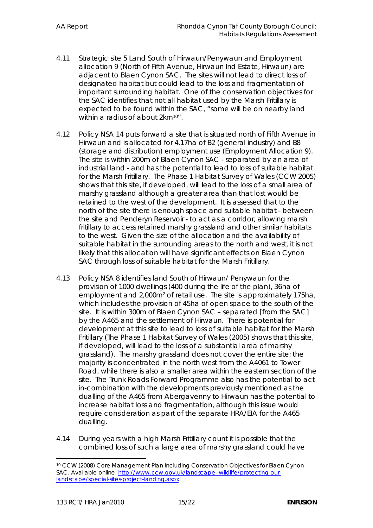- 4.11 Strategic site 5 Land South of Hirwaun/Penywaun and Employment allocation 9 (North of Fifth Avenue, Hirwaun Ind Estate, Hirwaun) are adjacent to Blaen Cynon SAC. The sites will not lead to direct loss of designated habitat but could lead to the loss and fragmentation of important surrounding habitat. One of the conservation objectives for the SAC identifies that not all habitat used by the Marsh Fritillary is expected to be found within the SAC, "some will be on nearby land within a radius of about 2km10".
- 4.12 Policy NSA 14 puts forward a site that is situated north of Fifth Avenue in Hirwaun and is allocated for 4.17ha of B2 (general industry) and B8 (storage and distribution) employment use (Employment Allocation 9). The site is within 200m of Blaen Cynon SAC - separated by an area of industrial land - and has the potential to lead to loss of suitable habitat for the Marsh Fritillary. The Phase 1 Habitat Survey of Wales (CCW 2005) shows that this site, if developed, will lead to the loss of a small area of marshy grassland although a greater area than that lost would be retained to the west of the development. It is assessed that to the north of the site there is enough space and suitable habitat - between the site and Penderyn Reservoir - to act as a corridor, allowing marsh fritillary to access retained marshy grassland and other similar habitats to the west. Given the size of the allocation and the availability of suitable habitat in the surrounding areas to the north and west, it is not likely that this allocation will have significant effects on Blaen Cynon SAC through loss of suitable habitat for the Marsh Fritillary.
- 4.13 Policy NSA 8 identifies land South of Hirwaun/ Penywaun for the provision of 1000 dwellings (400 during the life of the plan), 36ha of employment and 2,000m² of retail use. The site is approximately 175ha, which includes the provision of 45ha of open space to the south of the site. It is within 300m of Blaen Cynon SAC – separated [from the SAC] by the A465 and the settlement of Hirwaun. There is potential for development at this site to lead to loss of suitable habitat for the Marsh Fritillary (The Phase 1 Habitat Survey of Wales (2005) shows that this site, if developed, will lead to the loss of a substantial area of marshy grassland). The marshy grassland does not cover the entire site; the majority is concentrated in the north west from the A4061 to Tower Road, while there is also a smaller area within the eastern section of the site. The Trunk Roads Forward Programme also has the potential to act in-combination with the developments previously mentioned as the dualling of the A465 from Abergavenny to Hirwaun has the potential to increase habitat loss and fragmentation, although this issue would require consideration as part of the separate HRA/EIA for the A465 dualling.
- 4.14 During years with a high Marsh Fritillary count it is possible that the combined loss of such a large area of marshy grassland could have

<sup>10</sup> CCW (2008) Core Management Plan Including Conservation Objectives for Blaen Cynon SAC. Available online: http://www.ccw.gov.uk/landscape--wildlife/protecting-ourlandscape/special-sites-project-landing.aspx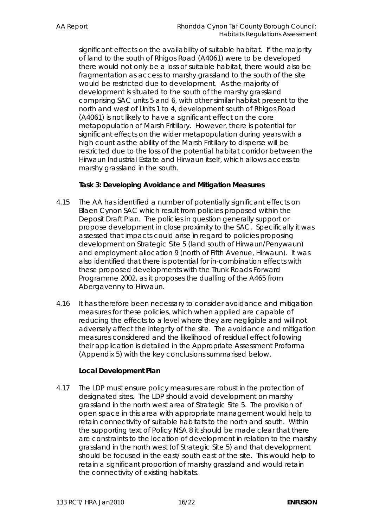significant effects on the availability of suitable habitat. If the majority of land to the south of Rhigos Road (A4061) were to be developed there would not only be a loss of suitable habitat, there would also be fragmentation as access to marshy grassland to the south of the site would be restricted due to development. As the majority of development is situated to the south of the marshy grassland comprising SAC units 5 and 6, with other similar habitat present to the north and west of Units 1 to 4, development south of Rhigos Road (A4061) is not likely to have a significant effect on the core metapopulation of Marsh Fritillary. However, there is potential for significant effects on the wider metapopulation during years with a high count as the ability of the Marsh Fritillary to disperse will be restricted due to the loss of the potential habitat corridor between the Hirwaun Industrial Estate and Hirwaun itself, which allows access to marshy grassland in the south.

**Task 3: Developing Avoidance and Mitigation Measures** 

- 4.15 The AA has identified a number of potentially significant effects on Blaen Cynon SAC which result from policies proposed within the Deposit Draft Plan. The policies in question generally support or propose development in close proximity to the SAC. Specifically it was assessed that impacts could arise in regard to policies proposing development on Strategic Site 5 (land south of Hirwaun/Penywaun) and employment allocation 9 (north of Fifth Avenue, Hirwaun). It was also identified that there is potential for in-combination effects with these proposed developments with the Trunk Roads Forward Programme 2002, as it proposes the dualling of the A465 from Abergavenny to Hirwaun.
- 4.16 It has therefore been necessary to consider avoidance and mitigation measures for these policies, which when applied are capable of reducing the effects to a level where they are negligible and will not adversely affect the integrity of the site. The avoidance and mitigation measures considered and the likelihood of residual effect following their application is detailed in the Appropriate Assessment Proforma (Appendix 5) with the key conclusions summarised below.

*Local Development Plan*

4.17 The LDP must ensure policy measures are robust in the protection of designated sites. The LDP should avoid development on marshy grassland in the north west area of Strategic Site 5. The provision of open space in this area with appropriate management would help to retain connectivity of suitable habitats to the north and south. Within the supporting text of Policy NSA 8 it should be made clear that there are constraints to the location of development in relation to the marshy grassland in the north west (of Strategic Site 5) and that development should be focused in the east/ south east of the site. This would help to retain a significant proportion of marshy grassland and would retain the connectivity of existing habitats.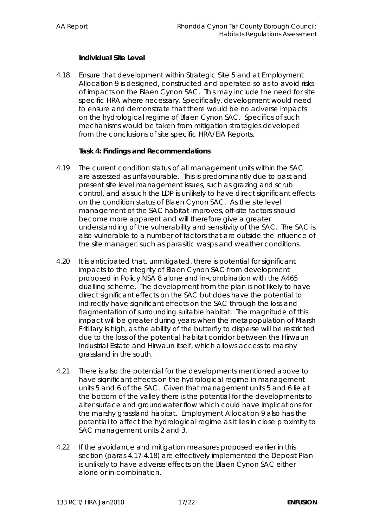### *Individual Site Level*

4.18 Ensure that development within Strategic Site 5 and at Employment Allocation 9 is designed, constructed and operated so as to avoid risks of impacts on the Blaen Cynon SAC. This may include the need for site specific HRA where necessary. Specifically, development would need to ensure and demonstrate that there would be no adverse impacts on the hydrological regime of Blaen Cynon SAC. Specifics of such mechanisms would be taken from mitigation strategies developed from the conclusions of site specific HRA/EIA Reports.

**Task 4: Findings and Recommendations** 

- 4.19 The current condition status of all management units within the SAC are assessed as unfavourable. This is predominantly due to past and present site level management issues, such as grazing and scrub control, and as such the LDP is unlikely to have direct significant effects on the condition status of Blaen Cynon SAC. As the site level management of the SAC habitat improves, off-site factors should become more apparent and will therefore give a greater understanding of the vulnerability and sensitivity of the SAC. The SAC is also vulnerable to a number of factors that are outside the influence of the site manager, such as parasitic wasps and weather conditions.
- 4.20 It is anticipated that, unmitigated, there is potential for significant impacts to the integrity of Blaen Cynon SAC from development proposed in Policy NSA 8 alone and in-combination with the A465 dualling scheme. The development from the plan is not likely to have direct significant effects on the SAC but does have the potential to indirectly have significant effects on the SAC through the loss and fragmentation of surrounding suitable habitat. The magnitude of this impact will be greater during years when the metapopulation of Marsh Fritillary is high, as the ability of the butterfly to disperse will be restricted due to the loss of the potential habitat corridor between the Hirwaun Industrial Estate and Hirwaun itself, which allows access to marshy grassland in the south.
- 4.21 There is also the potential for the developments mentioned above to have significant effects on the hydrological regime in management units 5 and 6 of the SAC. Given that management units 5 and 6 lie at the bottom of the valley there is the potential for the developments to alter surface and groundwater flow which could have implications for the marshy grassland habitat. Employment Allocation 9 also has the potential to affect the hydrological regime as it lies in close proximity to SAC management units 2 and 3.
- 4.22 If the avoidance and mitigation measures proposed earlier in this section (paras 4.17-4.18) are effectively implemented the Deposit Plan is unlikely to have adverse effects on the Blaen Cynon SAC either alone or in-combination.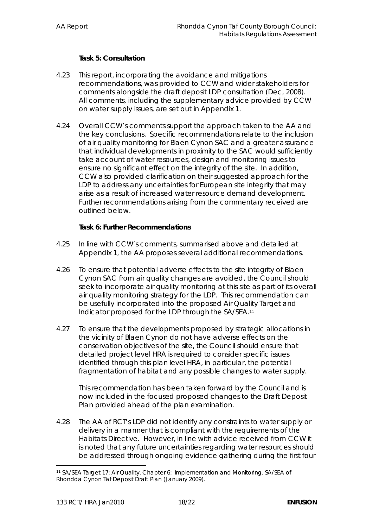**Task 5: Consultation**

- 4.23 This report, incorporating the avoidance and mitigations recommendations, was provided to CCW and wider stakeholders for comments alongside the draft deposit LDP consultation (Dec, 2008). All comments, including the supplementary advice provided by CCW on water supply issues, are set out in Appendix 1.
- 4.24 Overall CCW's comments support the approach taken to the AA and the key conclusions. Specific recommendations relate to the inclusion of air quality monitoring for Blaen Cynon SAC and a greater assurance that individual developments in proximity to the SAC would sufficiently take account of water resources, design and monitoring issues to ensure no significant effect on the integrity of the site. In addition, CCW also provided clarification on their suggested approach for the LDP to address any uncertainties for European site integrity that may arise as a result of increased water resource demand development. Further recommendations arising from the commentary received are outlined below.

**Task 6: Further Recommendations** 

- 4.25 In line with CCW's comments, summarised above and detailed at Appendix 1, the AA proposes several additional recommendations.
- 4.26 To ensure that potential adverse effects to the site integrity of Blaen Cynon SAC from air quality changes are avoided, the Council should seek to incorporate air quality monitoring at this site as part of its overall air quality monitoring strategy for the LDP. This recommendation can be usefully incorporated into the proposed Air Quality Target and Indicator proposed for the LDP through the SA/SEA.11
- 4.27 To ensure that the developments proposed by strategic allocations in the vicinity of Blaen Cynon do not have adverse effects on the conservation objectives of the site, the Council should ensure that detailed project level HRA is required to consider specific issues identified through this plan level HRA, in particular, the potential fragmentation of habitat and any possible changes to water supply.

*This recommendation has been taken forward by the Council and is now included in the focused proposed changes to the Draft Deposit Plan provided ahead of the plan examination.*

4.28 The AA of RCT's LDP did not identify any constraints to water supply or delivery in a manner that is compliant with the requirements of the Habitats Directive. However, in line with advice received from CCW it is noted that any future uncertainties regarding water resources should be addressed through ongoing evidence gathering during the first four

<sup>11</sup> SA/SEA Target 17: Air Quality. Chapter 6: Implementation and Monitoring. SA/SEA of Rhondda Cynon Taf Deposit Draft Plan (January 2009).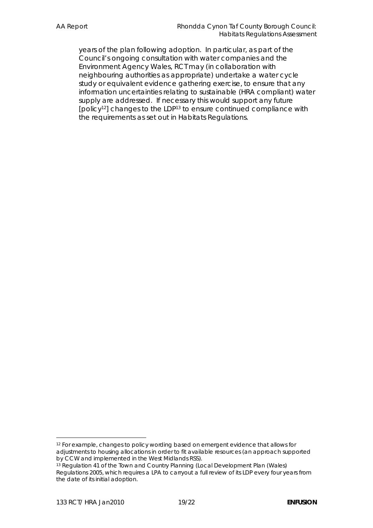years of the plan following adoption. In particular, as part of the Council's ongoing consultation with water companies and the Environment Agency Wales, RCT may (in collaboration with neighbouring authorities as appropriate) undertake a water cycle study or equivalent evidence gathering exercise, to ensure that any information uncertainties relating to sustainable (HRA compliant) water supply are addressed. If necessary this would support any future [policy<sup>12</sup>] changes to the LDP<sup>13</sup> to ensure continued compliance with the requirements as set out in Habitats Regulations.

<sup>12</sup> For example, changes to policy wording based on emergent evidence that allows for adjustments to housing allocations in order to fit available resources (an approach supported by CCW and implemented in the West Midlands RSS).

<sup>&</sup>lt;sup>13</sup> Regulation 41 of the Town and Country Planning (Local Development Plan (Wales) Regulations 2005, which requires a LPA to carryout a full review of its LDP every four years from the date of its initial adoption.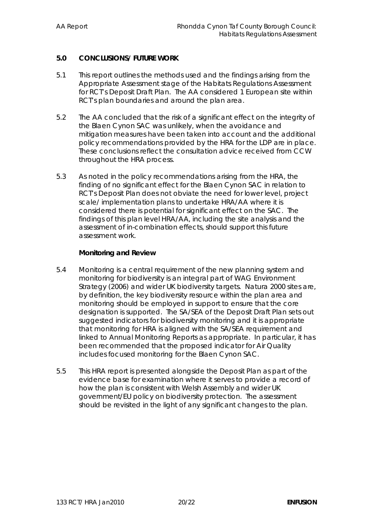### **5.0 CONCLUSIONS/ FUTURE WORK**

- 5.1 This report outlines the methods used and the findings arising from the Appropriate Assessment stage of the Habitats Regulations Assessment for RCT's Deposit Draft Plan. The AA considered 1 European site within RCT's plan boundaries and around the plan area.
- 5.2 The AA concluded that the risk of a significant effect on the integrity of the Blaen Cynon SAC was unlikely, when the avoidance and mitigation measures have been taken into account and the additional policy recommendations provided by the HRA for the LDP are in place. These conclusions reflect the consultation advice received from CCW throughout the HRA process.
- 5.3 As noted in the policy recommendations arising from the HRA, the finding of no significant effect for the Blaen Cynon SAC in relation to RCT's Deposit Plan does not obviate the need for lower level, project scale/ implementation plans to undertake HRA/AA where it is considered there is potential for significant effect on the SAC. The findings of this plan level HRA/AA, including the site analysis and the assessment of in-combination effects, should support this future assessment work.

### **Monitoring and Review**

- 5.4 Monitoring is a central requirement of the new planning system and monitoring for biodiversity is an integral part of WAG Environment Strategy (2006) and wider UK biodiversity targets. Natura 2000 sites are, by definition, the key biodiversity resource within the plan area and monitoring should be employed in support to ensure that the core designation is supported. The SA/SEA of the Deposit Draft Plan sets out suggested indicators for biodiversity monitoring and it is appropriate that monitoring for HRA is aligned with the SA/SEA requirement and linked to Annual Monitoring Reports as appropriate. In particular, it has been recommended that the proposed indicator for Air Quality includes focused monitoring for the Blaen Cynon SAC.
- 5.5 This HRA report is presented alongside the Deposit Plan as part of the evidence base for examination where it serves to provide a record of how the plan is consistent with Welsh Assembly and wider UK government/EU policy on biodiversity protection. The assessment should be revisited in the light of any significant changes to the plan.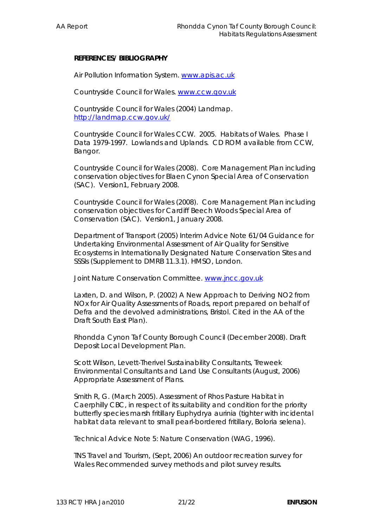### **REFERENCES/ BIBLIOGRAPHY**

Air Pollution Information System. www.apis.ac.uk

Countryside Council for Wales. www.ccw.gov.uk

Countryside Council for Wales (2004) Landmap. http://landmap.ccw.gov.uk/

Countryside Council for Wales CCW. 2005. *Habitats of Wales. Phase I Data 1979-1997. Lowlands and Uplands*. CD ROM available from CCW, Bangor.

Countryside Council for Wales (2008). Core Management Plan including conservation objectives for Blaen Cynon Special Area of Conservation (SAC). Version1, February 2008.

Countryside Council for Wales (2008). Core Management Plan including conservation objectives for Cardiff Beech Woods Special Area of Conservation (SAC). Version1, January 2008.

Department of Transport (2005) Interim Advice Note 61/04 Guidance for Undertaking Environmental Assessment of Air Quality for Sensitive Ecosystems in Internationally Designated Nature Conservation Sites and SSSIs (Supplement to DMRB 11.3.1). HMSO, London.

Joint Nature Conservation Committee. www.jncc.gov.uk

Laxten, D. and Wilson, P. (2002) A New Approach to Deriving NO2 from NOx for Air Quality Assessments of Roads, report prepared on behalf of Defra and the devolved administrations, Bristol. Cited in the AA of the Draft South East Plan).

Rhondda Cynon Taf County Borough Council (December 2008). Draft Deposit Local Development Plan.

Scott Wilson, Levett-Therivel Sustainability Consultants, Treweek Environmental Consultants and Land Use Consultants (August, 2006) Appropriate Assessment of Plans.

Smith R, G. (March 2005). Assessment of Rhos Pasture Habitat in Caerphilly CBC, in respect of its suitability and condition for the priority butterfly species marsh fritillary *Euphydrya aurinia* (tighter with incidental habitat data relevant to small pearl-bordered fritillary, *Boloria selena*).

Technical Advice Note 5: Nature Conservation (WAG, 1996).

TNS Travel and Tourism, (Sept, 2006) An outdoor recreation survey for Wales Recommended survey methods and pilot survey results.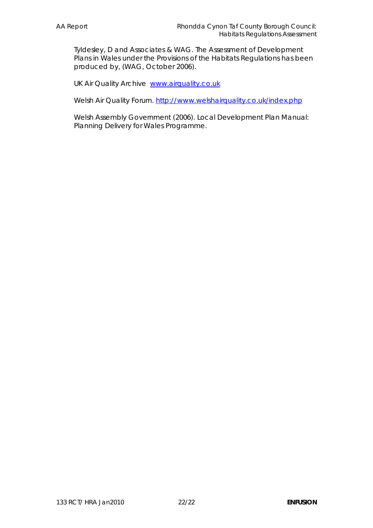Tyldesley, D and Associates & WAG. The Assessment of Development Plans in Wales under the Provisions of the Habitats Regulations has been produced by, (WAG, October 2006).

UK Air Quality Archive www.airquality.co.uk

Welsh Air Quality Forum. http://www.welshairquality.co.uk/index.php

Welsh Assembly Government (2006). Local Development Plan Manual: Planning Delivery for Wales Programme.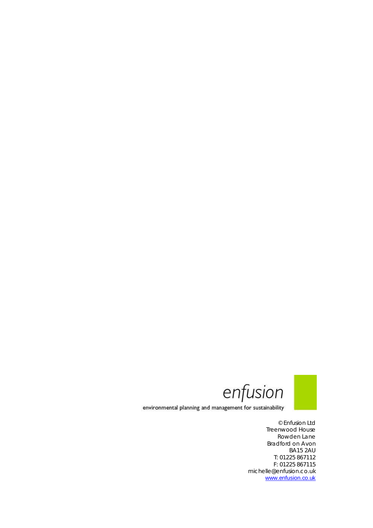

environmental planning and management for sustainability

© Enfusion Ltd Treenwood House Rowden Lane Bradford on Avon BA15 2AU T: 01225 867112 F: 01225 867115 michelle@enfusion.co.uk www.enfusion.co.uk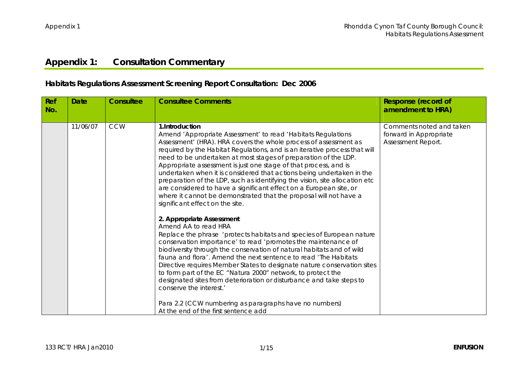# **Appendix 1: Consultation Commentary**

**Habitats Regulations Assessment Screening Report Consultation: Dec 2006**

| Ref<br>No. | <b>Date</b> | Consultee  | <b>Consultee Comments</b>                                                                                                                                                                                                                                                                                                                                                                                                                                                                                                                                                                                                                                                                                                                                                                                                                                                                                                                                                                                                                                                                                                                                                                                                                                                                                                                                      | Response (record of<br>amendment to HRA)                                 |
|------------|-------------|------------|----------------------------------------------------------------------------------------------------------------------------------------------------------------------------------------------------------------------------------------------------------------------------------------------------------------------------------------------------------------------------------------------------------------------------------------------------------------------------------------------------------------------------------------------------------------------------------------------------------------------------------------------------------------------------------------------------------------------------------------------------------------------------------------------------------------------------------------------------------------------------------------------------------------------------------------------------------------------------------------------------------------------------------------------------------------------------------------------------------------------------------------------------------------------------------------------------------------------------------------------------------------------------------------------------------------------------------------------------------------|--------------------------------------------------------------------------|
|            | 11/06/07    | <b>CCW</b> | 1.Introduction<br>Amend 'Appropriate Assessment' to read 'Habitats Regulations<br>Assessment' (HRA). HRA covers the whole process of assessment as<br>required by the Habitat Regulations, and is an iterative process that will<br>need to be undertaken at most stages of preparation of the LDP.<br>Appropriate assessment is just one stage of that process, and is<br>undertaken when it is considered that actions being undertaken in the<br>preparation of the LDP, such as identifying the vision, site allocation etc<br>are considered to have a significant effect on a European site, or<br>where it cannot be demonstrated that the proposal will not have a<br>significant effect on the site.<br>2. Appropriate Assessment<br>Amend AA to read HRA<br>Replace the phrase 'protects habitats and species of European nature<br>conservation importance' to read 'promotes the maintenance of<br>biodiversity through the conservation of natural habitats and of wild<br>fauna and flora'. Amend the next sentence to read 'The Habitats<br>Directive requires Member States to designate nature conservation sites<br>to form part of the EC "Natura 2000" network, to protect the<br>designated sites from deterioration or disturbance and take steps to<br>conserve the interest.<br>Para 2.2 (CCW numbering as paragraphs have no numbers) | Comments noted and taken<br>forward in Appropriate<br>Assessment Report. |
|            |             |            | At the end of the first sentence add                                                                                                                                                                                                                                                                                                                                                                                                                                                                                                                                                                                                                                                                                                                                                                                                                                                                                                                                                                                                                                                                                                                                                                                                                                                                                                                           |                                                                          |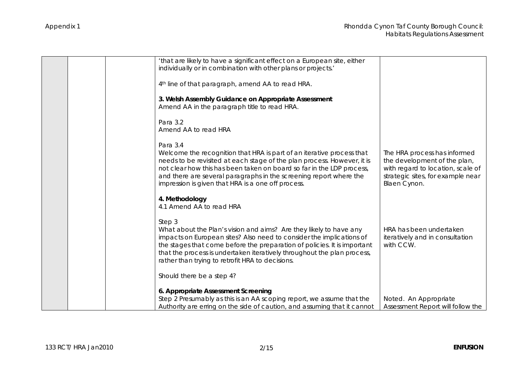|  | 'that are likely to have a significant effect on a European site, either<br>individually or in combination with other plans or projects.'                                                                                                                                                                                                                         |                                                                                                                                                        |
|--|-------------------------------------------------------------------------------------------------------------------------------------------------------------------------------------------------------------------------------------------------------------------------------------------------------------------------------------------------------------------|--------------------------------------------------------------------------------------------------------------------------------------------------------|
|  | 4 <sup>th</sup> line of that paragraph, amend AA to read HRA.                                                                                                                                                                                                                                                                                                     |                                                                                                                                                        |
|  | 3. Welsh Assembly Guidance on Appropriate Assessment<br>Amend AA in the paragraph title to read HRA.                                                                                                                                                                                                                                                              |                                                                                                                                                        |
|  | Para 3.2<br>Amend AA to read HRA                                                                                                                                                                                                                                                                                                                                  |                                                                                                                                                        |
|  | Para 3.4<br>Welcome the recognition that HRA is part of an iterative process that<br>needs to be revisited at each stage of the plan process. However, it is<br>not clear how this has been taken on board so far in the LDP process,<br>and there are several paragraphs in the screening report where the<br>impression is given that HRA is a one off process. | The HRA process has informed<br>the development of the plan,<br>with regard to location, scale of<br>strategic sites, for example near<br>Blaen Cynon. |
|  | 4. Methodology<br>4.1 Amend AA to read HRA                                                                                                                                                                                                                                                                                                                        |                                                                                                                                                        |
|  | Step 3<br>What about the Plan's vision and aims? Are they likely to have any<br>impacts on European sites? Also need to consider the implications of<br>the stages that come before the preparation of policies. It is important<br>that the process is undertaken iteratively throughout the plan process,<br>rather than trying to retrofit HRA to decisions.   | HRA has been undertaken<br>iteratively and in consultation<br>with CCW.                                                                                |
|  | Should there be a step 4?                                                                                                                                                                                                                                                                                                                                         |                                                                                                                                                        |
|  | 6. Appropriate Assessment Screening<br>Step 2 Presumably as this is an AA scoping report, we assume that the<br>Authority are erring on the side of caution, and assuming that it cannot                                                                                                                                                                          | Noted. An Appropriate<br>Assessment Report will follow the                                                                                             |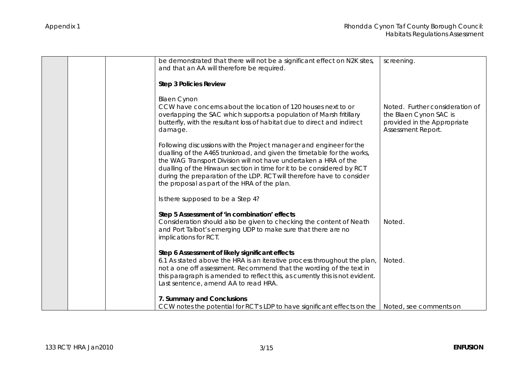|  | be demonstrated that there will not be a significant effect on N2K sites,<br>and that an AA will therefore be required.                                                                                                                                                                                                                                                                                               | screening.                                                                                                     |
|--|-----------------------------------------------------------------------------------------------------------------------------------------------------------------------------------------------------------------------------------------------------------------------------------------------------------------------------------------------------------------------------------------------------------------------|----------------------------------------------------------------------------------------------------------------|
|  | <b>Step 3 Policies Review</b>                                                                                                                                                                                                                                                                                                                                                                                         |                                                                                                                |
|  | <b>Blaen Cynon</b><br>CCW have concerns about the location of 120 houses next to or<br>overlapping the SAC which supports a population of Marsh fritillary<br>butterfly, with the resultant loss of habitat due to direct and indirect<br>damage.                                                                                                                                                                     | Noted. Further consideration of<br>the Blaen Cynon SAC is<br>provided in the Appropriate<br>Assessment Report. |
|  | Following discussions with the Project manager and engineer for the<br>dualling of the A465 trunkroad, and given the timetable for the works,<br>the WAG Transport Division will not have undertaken a HRA of the<br>dualling of the Hirwaun section in time for it to be considered by RCT<br>during the preparation of the LDP. RCT will therefore have to consider<br>the proposal as part of the HRA of the plan. |                                                                                                                |
|  | Is there supposed to be a Step 4?                                                                                                                                                                                                                                                                                                                                                                                     |                                                                                                                |
|  | Step 5 Assessment of 'in combination' effects<br>Consideration should also be given to checking the content of Neath<br>and Port Talbot's emerging UDP to make sure that there are no<br>implications for RCT.                                                                                                                                                                                                        | Noted.                                                                                                         |
|  | Step 6 Assessment of likely significant effects<br>6.1 As stated above the HRA is an iterative process throughout the plan,<br>not a one off assessment. Recommend that the wording of the text in<br>this paragraph is amended to reflect this, as currently this is not evident.<br>Last sentence, amend AA to read HRA.                                                                                            | Noted.                                                                                                         |
|  | 7. Summary and Conclusions<br>CCW notes the potential for RCT's LDP to have significant effects on the                                                                                                                                                                                                                                                                                                                | Noted, see comments on                                                                                         |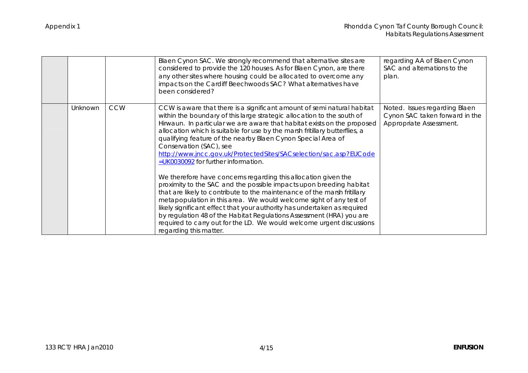|         |            | Blaen Cynon SAC. We strongly recommend that alternative sites are<br>considered to provide the 120 houses. As for Blaen Cynon, are there<br>any other sites where housing could be allocated to overcome any<br>impacts on the Cardiff Beechwoods SAC? What alternatives have<br>been considered?                                                                                                                                                                                                                                                                                                                                                                                                                                                                                                                                                                                                                                                                                                                                                                       | regarding AA of Blaen Cynon<br>SAC and alternations to the<br>plan.                        |
|---------|------------|-------------------------------------------------------------------------------------------------------------------------------------------------------------------------------------------------------------------------------------------------------------------------------------------------------------------------------------------------------------------------------------------------------------------------------------------------------------------------------------------------------------------------------------------------------------------------------------------------------------------------------------------------------------------------------------------------------------------------------------------------------------------------------------------------------------------------------------------------------------------------------------------------------------------------------------------------------------------------------------------------------------------------------------------------------------------------|--------------------------------------------------------------------------------------------|
| Unknown | <b>CCW</b> | CCW is aware that there is a significant amount of semi natural habitat<br>within the boundary of this large strategic allocation to the south of<br>Hirwaun. In particular we are aware that habitat exists on the proposed<br>allocation which is suitable for use by the marsh fritillary butterflies, a<br>qualifying feature of the nearby Blaen Cynon Special Area of<br>Conservation (SAC), see<br>http://www.jncc.gov.uk/ProtectedSites/SACselection/sac.asp?EUCode<br>$=$ UK0030092 for further information.<br>We therefore have concerns regarding this allocation given the<br>proximity to the SAC and the possible impacts upon breeding habitat<br>that are likely to contribute to the maintenance of the marsh fritillary<br>metapopulation in this area. We would welcome sight of any test of<br>likely significant effect that your authority has undertaken as required<br>by regulation 48 of the Habitat Regulations Assessment (HRA) you are<br>required to carry out for the LD. We would welcome urgent discussions<br>regarding this matter. | Noted. Issues regarding Blaen<br>Cynon SAC taken forward in the<br>Appropriate Assessment. |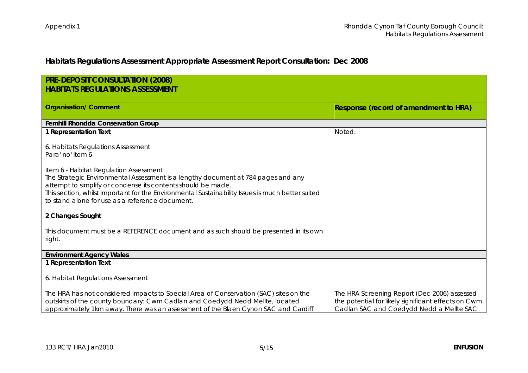# **Habitats Regulations Assessment Appropriate Assessment Report Consultation: Dec 2008**

| PRE-DEPOSIT CONSULTATION (2008)                                                                                                                     |                                                     |  |  |
|-----------------------------------------------------------------------------------------------------------------------------------------------------|-----------------------------------------------------|--|--|
| <b>HABITATS REGULATIONS ASSESSMENT</b>                                                                                                              |                                                     |  |  |
|                                                                                                                                                     |                                                     |  |  |
| <b>Organisation/ Comment</b>                                                                                                                        | Response (record of amendment to HRA)               |  |  |
|                                                                                                                                                     |                                                     |  |  |
| Fernhill Rhondda Conservation Group                                                                                                                 |                                                     |  |  |
| 1 Representation Text                                                                                                                               | Noted.                                              |  |  |
|                                                                                                                                                     |                                                     |  |  |
| 6. Habitats Regulations Assessment<br>Para' no' item 6                                                                                              |                                                     |  |  |
|                                                                                                                                                     |                                                     |  |  |
| Item 6 - Habitat Regulation Assessment                                                                                                              |                                                     |  |  |
| The Strategic Environmental Assessment is a lengthy document at 784 pages and any                                                                   |                                                     |  |  |
| attempt to simplify or condense its contents should be made.                                                                                        |                                                     |  |  |
| This section, whilst important for the Environmental Sustainability Issues is much better suited<br>to stand alone for use as a reference document. |                                                     |  |  |
|                                                                                                                                                     |                                                     |  |  |
| 2 Changes Sought                                                                                                                                    |                                                     |  |  |
|                                                                                                                                                     |                                                     |  |  |
| This document must be a REFERENCE document and as such should be presented in its own                                                               |                                                     |  |  |
| right.                                                                                                                                              |                                                     |  |  |
| <b>Environment Agency Wales</b>                                                                                                                     |                                                     |  |  |
| 1 Representation Text                                                                                                                               |                                                     |  |  |
|                                                                                                                                                     |                                                     |  |  |
| 6. Habitat Regulations Assessment                                                                                                                   |                                                     |  |  |
|                                                                                                                                                     |                                                     |  |  |
| The HRA has not considered impacts to Special Area of Conservation (SAC) sites on the                                                               | The HRA Screening Report (Dec 2006) assessed        |  |  |
| outskirts of the county boundary: Cwm Cadlan and Coedydd Nedd Mellte, located                                                                       | the potential for likely significant effects on Cwm |  |  |
| approximately 1km away. There was an assessment of the Blaen Cynon SAC and Cardiff                                                                  | Cadlan SAC and Coedydd Nedd a Mellte SAC            |  |  |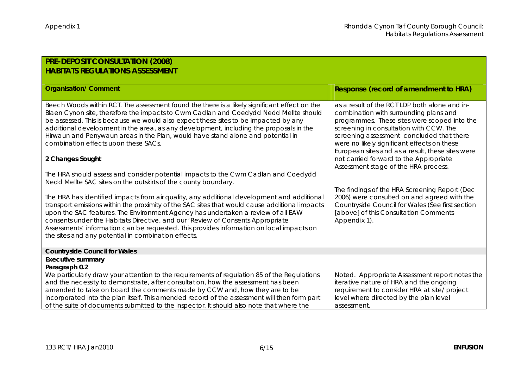| PRE-DEPOSIT CONSULTATION (2008)                                                                                                                                                                                                                                                                                                                                                                                                                                                                                                                                                                                                                                                                                                                                                                                                                                                                                                                                                                                                                                                                                                                                                                      |                                                                                                                                                                                                                                                                                                                                                                                                                                                                                                                                                                                                                                   |  |  |
|------------------------------------------------------------------------------------------------------------------------------------------------------------------------------------------------------------------------------------------------------------------------------------------------------------------------------------------------------------------------------------------------------------------------------------------------------------------------------------------------------------------------------------------------------------------------------------------------------------------------------------------------------------------------------------------------------------------------------------------------------------------------------------------------------------------------------------------------------------------------------------------------------------------------------------------------------------------------------------------------------------------------------------------------------------------------------------------------------------------------------------------------------------------------------------------------------|-----------------------------------------------------------------------------------------------------------------------------------------------------------------------------------------------------------------------------------------------------------------------------------------------------------------------------------------------------------------------------------------------------------------------------------------------------------------------------------------------------------------------------------------------------------------------------------------------------------------------------------|--|--|
| <b>HABITATS REGULATIONS ASSESSMENT</b>                                                                                                                                                                                                                                                                                                                                                                                                                                                                                                                                                                                                                                                                                                                                                                                                                                                                                                                                                                                                                                                                                                                                                               |                                                                                                                                                                                                                                                                                                                                                                                                                                                                                                                                                                                                                                   |  |  |
|                                                                                                                                                                                                                                                                                                                                                                                                                                                                                                                                                                                                                                                                                                                                                                                                                                                                                                                                                                                                                                                                                                                                                                                                      |                                                                                                                                                                                                                                                                                                                                                                                                                                                                                                                                                                                                                                   |  |  |
| <b>Organisation/ Comment</b>                                                                                                                                                                                                                                                                                                                                                                                                                                                                                                                                                                                                                                                                                                                                                                                                                                                                                                                                                                                                                                                                                                                                                                         | Response (record of amendment to HRA)                                                                                                                                                                                                                                                                                                                                                                                                                                                                                                                                                                                             |  |  |
| Beech Woods within RCT. The assessment found the there is a likely significant effect on the<br>Blaen Cynon site, therefore the impacts to Cwm Cadlan and Coedydd Nedd Mellte should<br>be assessed. This is because we would also expect these sites to be impacted by any<br>additional development in the area, as any development, including the proposals in the<br>Hirwaun and Penywaun areas in the Plan, would have stand alone and potential in<br>combination effects upon these SACs.<br>2 Changes Sought<br>The HRA should assess and consider potential impacts to the Cwm Cadlan and Coedydd<br>Nedd Mellte SAC sites on the outskirts of the county boundary.<br>The HRA has identified impacts from air quality, any additional development and additional<br>transport emissions within the proximity of the SAC sites that would cause additional impacts<br>upon the SAC features. The Environment Agency has undertaken a review of all EAW<br>consents under the Habitats Directive, and our 'Review of Consents Appropriate<br>Assessments' information can be requested. This provides information on local impacts on<br>the sites and any potential in combination effects. | as a result of the RCT LDP both alone and in-<br>combination with surrounding plans and<br>programmes. These sites were scoped into the<br>screening in consultation with CCW. The<br>screening assessment concluded that there<br>were no likely significant effects on these<br>European sites and as a result, these sites were<br>not carried forward to the Appropriate<br>Assessment stage of the HRA process.<br>The findings of the HRA Screening Report (Dec<br>2006) were consulted on and agreed with the<br>Countryside Council for Wales (See first section<br>[above] of this Consultation Comments<br>Appendix 1). |  |  |
| <b>Countryside Council for Wales</b>                                                                                                                                                                                                                                                                                                                                                                                                                                                                                                                                                                                                                                                                                                                                                                                                                                                                                                                                                                                                                                                                                                                                                                 |                                                                                                                                                                                                                                                                                                                                                                                                                                                                                                                                                                                                                                   |  |  |
| Executive summary<br>Paragraph 0.2                                                                                                                                                                                                                                                                                                                                                                                                                                                                                                                                                                                                                                                                                                                                                                                                                                                                                                                                                                                                                                                                                                                                                                   |                                                                                                                                                                                                                                                                                                                                                                                                                                                                                                                                                                                                                                   |  |  |
| We particularly draw your attention to the requirements of regulation 85 of the Regulations<br>and the necessity to demonstrate, after consultation, how the assessment has been                                                                                                                                                                                                                                                                                                                                                                                                                                                                                                                                                                                                                                                                                                                                                                                                                                                                                                                                                                                                                     | Noted. Appropriate Assessment report notes the<br>iterative nature of HRA and the ongoing                                                                                                                                                                                                                                                                                                                                                                                                                                                                                                                                         |  |  |
| amended to take on board the comments made by CCW and, how they are to be                                                                                                                                                                                                                                                                                                                                                                                                                                                                                                                                                                                                                                                                                                                                                                                                                                                                                                                                                                                                                                                                                                                            | requirement to consider HRA at site/ project                                                                                                                                                                                                                                                                                                                                                                                                                                                                                                                                                                                      |  |  |
| incorporated into the plan itself. This amended record of the assessment will then form part                                                                                                                                                                                                                                                                                                                                                                                                                                                                                                                                                                                                                                                                                                                                                                                                                                                                                                                                                                                                                                                                                                         | level where directed by the plan level                                                                                                                                                                                                                                                                                                                                                                                                                                                                                                                                                                                            |  |  |
| of the suite of documents submitted to the inspector. It should also note that where the                                                                                                                                                                                                                                                                                                                                                                                                                                                                                                                                                                                                                                                                                                                                                                                                                                                                                                                                                                                                                                                                                                             | assessment.                                                                                                                                                                                                                                                                                                                                                                                                                                                                                                                                                                                                                       |  |  |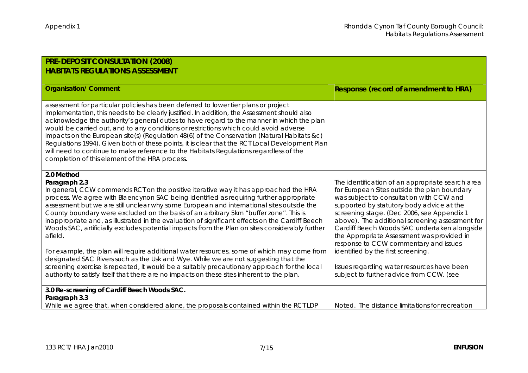| PRE-DEPOSIT CONSULTATION (2008)                                                                                                                                                                                                                                                                                                                                                                                                                                                                                                                                                                                                                                                                                                                                                                                                                                                                                                                                                                        |                                                                                                                                                                                                                                                                                                                                                                                                                                                                                                                                                                   |  |
|--------------------------------------------------------------------------------------------------------------------------------------------------------------------------------------------------------------------------------------------------------------------------------------------------------------------------------------------------------------------------------------------------------------------------------------------------------------------------------------------------------------------------------------------------------------------------------------------------------------------------------------------------------------------------------------------------------------------------------------------------------------------------------------------------------------------------------------------------------------------------------------------------------------------------------------------------------------------------------------------------------|-------------------------------------------------------------------------------------------------------------------------------------------------------------------------------------------------------------------------------------------------------------------------------------------------------------------------------------------------------------------------------------------------------------------------------------------------------------------------------------------------------------------------------------------------------------------|--|
| <b>HABITATS REGULATIONS ASSESSMENT</b>                                                                                                                                                                                                                                                                                                                                                                                                                                                                                                                                                                                                                                                                                                                                                                                                                                                                                                                                                                 |                                                                                                                                                                                                                                                                                                                                                                                                                                                                                                                                                                   |  |
| <b>Organisation/ Comment</b>                                                                                                                                                                                                                                                                                                                                                                                                                                                                                                                                                                                                                                                                                                                                                                                                                                                                                                                                                                           | Response (record of amendment to HRA)                                                                                                                                                                                                                                                                                                                                                                                                                                                                                                                             |  |
| assessment for particular policies has been deferred to lower tier plans or project<br>implementation, this needs to be clearly justified. In addition, the Assessment should also<br>acknowledge the authority's general duties to have regard to the manner in which the plan<br>would be carried out, and to any conditions or restrictions which could avoid adverse<br>impacts on the European site(s) (Regulation 48(6) of the Conservation (Natural Habitats &c)<br>Regulations 1994). Given both of these points, it is clear that the RCT Local Development Plan<br>will need to continue to make reference to the Habitats Regulations regardless of the<br>completion of this element of the HRA process.                                                                                                                                                                                                                                                                                   |                                                                                                                                                                                                                                                                                                                                                                                                                                                                                                                                                                   |  |
| 2.0 Method<br>Paragraph 2.3<br>In general, CCW commends RCT on the positive iterative way it has approached the HRA<br>process. We agree with Blaencynon SAC being identified as requiring further appropriate<br>assessment but we are still unclear why some European and international sites outside the<br>County boundary were excluded on the basis of an arbitrary 5km "buffer zone". This is<br>inappropriate and, as illustrated in the evaluation of significant effects on the Cardiff Beech<br>Woods SAC, artificially excludes potential impacts from the Plan on sites considerably further<br>afield.<br>For example, the plan will require additional water resources, some of which may come from<br>designated SAC Rivers such as the Usk and Wye. While we are not suggesting that the<br>screening exercise is repeated, it would be a suitably precautionary approach for the local<br>authority to satisfy itself that there are no impacts on these sites inherent to the plan. | The identification of an appropriate search area<br>for European Sites outside the plan boundary<br>was subject to consultation with CCW and<br>supported by statutory body advice at the<br>screening stage. (Dec 2006, see Appendix 1<br>above). The additional screening assessment for<br>Cardiff Beech Woods SAC undertaken alongside<br>the Appropriate Assessment was provided in<br>response to CCW commentary and issues<br>identified by the first screening.<br>Issues regarding water resources have been<br>subject to further advice from CCW. (see |  |
| 3.0 Re-screening of Cardiff Beech Woods SAC.<br>Paragraph 3.3<br>While we agree that, when considered alone, the proposals contained within the RCT LDP                                                                                                                                                                                                                                                                                                                                                                                                                                                                                                                                                                                                                                                                                                                                                                                                                                                | Noted. The distance limitations for recreation                                                                                                                                                                                                                                                                                                                                                                                                                                                                                                                    |  |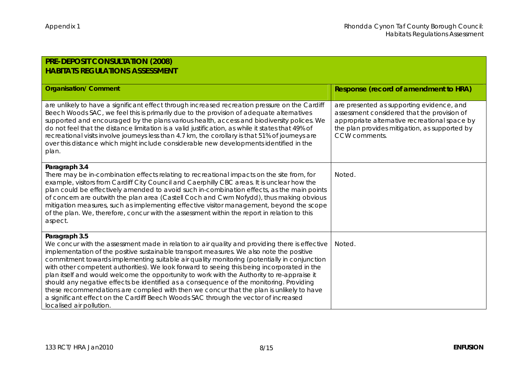| PRE-DEPOSIT CONSULTATION (2008)                                                                                                                                                                                                                                                                                                                                                                                                                                                                                                                                                                                                                                                                                                                                                                                   |                                                                                                                                                                                                             |  |  |
|-------------------------------------------------------------------------------------------------------------------------------------------------------------------------------------------------------------------------------------------------------------------------------------------------------------------------------------------------------------------------------------------------------------------------------------------------------------------------------------------------------------------------------------------------------------------------------------------------------------------------------------------------------------------------------------------------------------------------------------------------------------------------------------------------------------------|-------------------------------------------------------------------------------------------------------------------------------------------------------------------------------------------------------------|--|--|
| <b>HABITATS REGULATIONS ASSESSMENT</b>                                                                                                                                                                                                                                                                                                                                                                                                                                                                                                                                                                                                                                                                                                                                                                            |                                                                                                                                                                                                             |  |  |
| <b>Organisation/ Comment</b>                                                                                                                                                                                                                                                                                                                                                                                                                                                                                                                                                                                                                                                                                                                                                                                      | Response (record of amendment to HRA)                                                                                                                                                                       |  |  |
| are unlikely to have a significant effect through increased recreation pressure on the Cardiff<br>Beech Woods SAC, we feel this is primarily due to the provision of adequate alternatives<br>supported and encouraged by the plans various health, access and biodiversity polices. We<br>do not feel that the distance limitation is a valid justification, as while it states that 49% of<br>recreational visits involve journeys less than 4.7 km, the corollary is that 51% of journeys are<br>over this distance which might include considerable new developments identified in the<br>plan.                                                                                                                                                                                                               | are presented as supporting evidence, and<br>assessment considered that the provision of<br>appropriate alternative recreational space by<br>the plan provides mitigation, as supported by<br>CCW comments. |  |  |
| Paragraph 3.4<br>There may be in-combination effects relating to recreational impacts on the site from, for<br>example, visitors from Cardiff City Council and Caerphilly CBC areas. It is unclear how the<br>plan could be effectively amended to avoid such in-combination effects, as the main points<br>of concern are outwith the plan area (Castell Coch and Cwm Nofydd), thus making obvious<br>mitigation measures, such as implementing effective visitor management, beyond the scope<br>of the plan. We, therefore, concur with the assessment within the report in relation to this<br>aspect.                                                                                                                                                                                                        | Noted.                                                                                                                                                                                                      |  |  |
| Paragraph 3.5<br>We concur with the assessment made in relation to air quality and providing there is effective<br>implementation of the positive sustainable transport measures. We also note the positive<br>commitment towards implementing suitable air quality monitoring (potentially in conjunction<br>with other competent authorities). We look forward to seeing this being incorporated in the<br>plan itself and would welcome the opportunity to work with the Authority to re-appraise it<br>should any negative effects be identified as a consequence of the monitoring. Providing<br>these recommendations are complied with then we concur that the plan is unlikely to have<br>a significant effect on the Cardiff Beech Woods SAC through the vector of increased<br>localised air pollution. | Noted.                                                                                                                                                                                                      |  |  |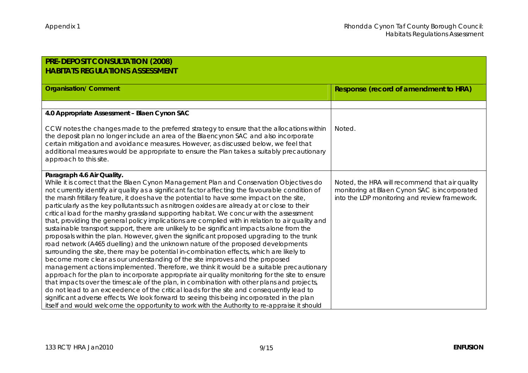| PRE-DEPOSIT CONSULTATION (2008)                                                                                                                                                                                                                                                                                                                                                                                                                                                                                                                                                                                                                                                                                                                                                                                                                                                                                                                                                                                                                                                                                                                                                                                                                                                                                                                                                                                                                                                                                                                                                                                                                                        |                                                                                                                                                  |  |  |
|------------------------------------------------------------------------------------------------------------------------------------------------------------------------------------------------------------------------------------------------------------------------------------------------------------------------------------------------------------------------------------------------------------------------------------------------------------------------------------------------------------------------------------------------------------------------------------------------------------------------------------------------------------------------------------------------------------------------------------------------------------------------------------------------------------------------------------------------------------------------------------------------------------------------------------------------------------------------------------------------------------------------------------------------------------------------------------------------------------------------------------------------------------------------------------------------------------------------------------------------------------------------------------------------------------------------------------------------------------------------------------------------------------------------------------------------------------------------------------------------------------------------------------------------------------------------------------------------------------------------------------------------------------------------|--------------------------------------------------------------------------------------------------------------------------------------------------|--|--|
| <b>HABITATS REGULATIONS ASSESSMENT</b>                                                                                                                                                                                                                                                                                                                                                                                                                                                                                                                                                                                                                                                                                                                                                                                                                                                                                                                                                                                                                                                                                                                                                                                                                                                                                                                                                                                                                                                                                                                                                                                                                                 |                                                                                                                                                  |  |  |
| <b>Organisation/ Comment</b>                                                                                                                                                                                                                                                                                                                                                                                                                                                                                                                                                                                                                                                                                                                                                                                                                                                                                                                                                                                                                                                                                                                                                                                                                                                                                                                                                                                                                                                                                                                                                                                                                                           | Response (record of amendment to HRA)                                                                                                            |  |  |
|                                                                                                                                                                                                                                                                                                                                                                                                                                                                                                                                                                                                                                                                                                                                                                                                                                                                                                                                                                                                                                                                                                                                                                                                                                                                                                                                                                                                                                                                                                                                                                                                                                                                        |                                                                                                                                                  |  |  |
|                                                                                                                                                                                                                                                                                                                                                                                                                                                                                                                                                                                                                                                                                                                                                                                                                                                                                                                                                                                                                                                                                                                                                                                                                                                                                                                                                                                                                                                                                                                                                                                                                                                                        |                                                                                                                                                  |  |  |
| 4.0 Appropriate Assessment - Blaen Cynon SAC                                                                                                                                                                                                                                                                                                                                                                                                                                                                                                                                                                                                                                                                                                                                                                                                                                                                                                                                                                                                                                                                                                                                                                                                                                                                                                                                                                                                                                                                                                                                                                                                                           |                                                                                                                                                  |  |  |
| CCW notes the changes made to the preferred strategy to ensure that the allocations within<br>the deposit plan no longer include an area of the Blaencynon SAC and also incorporate<br>certain mitigation and avoidance measures. However, as discussed below, we feel that<br>additional measures would be appropriate to ensure the Plan takes a suitably precautionary<br>approach to this site.                                                                                                                                                                                                                                                                                                                                                                                                                                                                                                                                                                                                                                                                                                                                                                                                                                                                                                                                                                                                                                                                                                                                                                                                                                                                    | Noted.                                                                                                                                           |  |  |
| Paragraph 4.6 Air Quality.<br>While it is correct that the Blaen Cynon Management Plan and Conservation Objectives do<br>not currently identify air quality as a significant factor affecting the favourable condition of<br>the marsh fritillary feature, it does have the potential to have some impact on the site,<br>particularly as the key pollutants such as nitrogen oxides are already at or close to their<br>critical load for the marshy grassland supporting habitat. We concur with the assessment<br>that, providing the general policy implications are complied with in relation to air quality and<br>sustainable transport support, there are unlikely to be significant impacts alone from the<br>proposals within the plan. However, given the significant proposed upgrading to the trunk<br>road network (A465 duelling) and the unknown nature of the proposed developments<br>surrounding the site, there may be potential in-combination effects, which are likely to<br>become more clear as our understanding of the site improves and the proposed<br>management actions implemented. Therefore, we think it would be a suitable precautionary<br>approach for the plan to incorporate appropriate air quality monitoring for the site to ensure<br>that impacts over the timescale of the plan, in combination with other plans and projects,<br>do not lead to an exceedence of the critical loads for the site and consequently lead to<br>significant adverse effects. We look forward to seeing this being incorporated in the plan<br>itself and would welcome the opportunity to work with the Authority to re-appraise it should | Noted, the HRA will recommend that air quality<br>monitoring at Blaen Cynon SAC is incorporated<br>into the LDP monitoring and review framework. |  |  |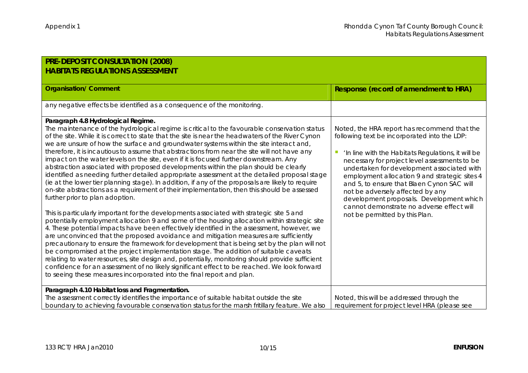| PRE-DEPOSIT CONSULTATION (2008)                                                                                                                                                                                                                                                                                                                                                                                                                                                                                                                                                                                                                                                                                                                                                                                                                                                                                                                                                                                                                                                                                                                                                                                                                                                                                                                                                                                                                                                                                                                                                                                                                                                                                                                                                                               |                                                                                                                                                                                                                                                                                                                                                                                                                                                                                                                 |
|---------------------------------------------------------------------------------------------------------------------------------------------------------------------------------------------------------------------------------------------------------------------------------------------------------------------------------------------------------------------------------------------------------------------------------------------------------------------------------------------------------------------------------------------------------------------------------------------------------------------------------------------------------------------------------------------------------------------------------------------------------------------------------------------------------------------------------------------------------------------------------------------------------------------------------------------------------------------------------------------------------------------------------------------------------------------------------------------------------------------------------------------------------------------------------------------------------------------------------------------------------------------------------------------------------------------------------------------------------------------------------------------------------------------------------------------------------------------------------------------------------------------------------------------------------------------------------------------------------------------------------------------------------------------------------------------------------------------------------------------------------------------------------------------------------------|-----------------------------------------------------------------------------------------------------------------------------------------------------------------------------------------------------------------------------------------------------------------------------------------------------------------------------------------------------------------------------------------------------------------------------------------------------------------------------------------------------------------|
| <b>HABITATS REGULATIONS ASSESSMENT</b>                                                                                                                                                                                                                                                                                                                                                                                                                                                                                                                                                                                                                                                                                                                                                                                                                                                                                                                                                                                                                                                                                                                                                                                                                                                                                                                                                                                                                                                                                                                                                                                                                                                                                                                                                                        |                                                                                                                                                                                                                                                                                                                                                                                                                                                                                                                 |
| <b>Organisation/ Comment</b>                                                                                                                                                                                                                                                                                                                                                                                                                                                                                                                                                                                                                                                                                                                                                                                                                                                                                                                                                                                                                                                                                                                                                                                                                                                                                                                                                                                                                                                                                                                                                                                                                                                                                                                                                                                  | Response (record of amendment to HRA)                                                                                                                                                                                                                                                                                                                                                                                                                                                                           |
| any negative effects be identified as a consequence of the monitoring.                                                                                                                                                                                                                                                                                                                                                                                                                                                                                                                                                                                                                                                                                                                                                                                                                                                                                                                                                                                                                                                                                                                                                                                                                                                                                                                                                                                                                                                                                                                                                                                                                                                                                                                                        |                                                                                                                                                                                                                                                                                                                                                                                                                                                                                                                 |
| Paragraph 4.8 Hydrological Regime.<br>The maintenance of the hydrological regime is critical to the favourable conservation status<br>of the site. While it is correct to state that the site is near the headwaters of the River Cynon<br>we are unsure of how the surface and groundwater systems within the site interact and,<br>therefore, it is incautious to assume that abstractions from near the site will not have any<br>impact on the water levels on the site, even if it is focused further downstream. Any<br>abstraction associated with proposed developments within the plan should be clearly<br>identified as needing further detailed appropriate assessment at the detailed proposal stage<br>(ie at the lower tier planning stage). In addition, if any of the proposals are likely to require<br>on-site abstractions as a requirement of their implementation, then this should be assessed<br>further prior to plan adoption.<br>This is particularly important for the developments associated with strategic site 5 and<br>potentially employment allocation 9 and some of the housing allocation within strategic site<br>4. These potential impacts have been effectively identified in the assessment, however, we<br>are unconvinced that the proposed avoidance and mitigation measures are sufficiently<br>precautionary to ensure the framework for development that is being set by the plan will not<br>be compromised at the project implementation stage. The addition of suitable caveats<br>relating to water resources, site design and, potentially, monitoring should provide sufficient<br>confidence for an assessment of no likely significant effect to be reached. We look forward<br>to seeing these measures incorporated into the final report and plan. | Noted, the HRA report has recommend that the<br>following text be incorporated into the LDP:<br>'In line with the Habitats Regulations, it will be<br>necessary for project level assessments to be<br>undertaken for development associated with<br>employment allocation 9 and strategic sites 4<br>and 5, to ensure that Blaen Cynon SAC will<br>not be adversely affected by any<br>development proposals. Development which<br>cannot demonstrate no adverse effect will<br>not be permitted by this Plan. |
| Paragraph 4.10 Habitat loss and Fragmentation.<br>The assessment correctly identifies the importance of suitable habitat outside the site<br>boundary to achieving favourable conservation status for the marsh fritillary feature. We also                                                                                                                                                                                                                                                                                                                                                                                                                                                                                                                                                                                                                                                                                                                                                                                                                                                                                                                                                                                                                                                                                                                                                                                                                                                                                                                                                                                                                                                                                                                                                                   | Noted, this will be addressed through the<br>requirement for project level HRA (please see                                                                                                                                                                                                                                                                                                                                                                                                                      |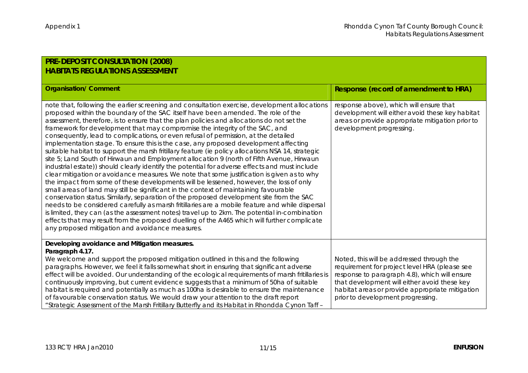| PRE-DEPOSIT CONSULTATION (2008)<br><b>HABITATS REGULATIONS ASSESSMENT</b>                                                                                                                                                                                                                                                                                                                                                                                                                                                                                                                                                                                                                                                                                                                                                                                                                                                                                                                                                                                                                                                                                                                                                                                                                                                                                                                                                                                                                                                                                                             |                                                                                                                                                                                                                                                                                     |
|---------------------------------------------------------------------------------------------------------------------------------------------------------------------------------------------------------------------------------------------------------------------------------------------------------------------------------------------------------------------------------------------------------------------------------------------------------------------------------------------------------------------------------------------------------------------------------------------------------------------------------------------------------------------------------------------------------------------------------------------------------------------------------------------------------------------------------------------------------------------------------------------------------------------------------------------------------------------------------------------------------------------------------------------------------------------------------------------------------------------------------------------------------------------------------------------------------------------------------------------------------------------------------------------------------------------------------------------------------------------------------------------------------------------------------------------------------------------------------------------------------------------------------------------------------------------------------------|-------------------------------------------------------------------------------------------------------------------------------------------------------------------------------------------------------------------------------------------------------------------------------------|
| <b>Organisation/ Comment</b>                                                                                                                                                                                                                                                                                                                                                                                                                                                                                                                                                                                                                                                                                                                                                                                                                                                                                                                                                                                                                                                                                                                                                                                                                                                                                                                                                                                                                                                                                                                                                          | Response (record of amendment to HRA)                                                                                                                                                                                                                                               |
| note that, following the earlier screening and consultation exercise, development allocations<br>proposed within the boundary of the SAC itself have been amended. The role of the<br>assessment, therefore, is to ensure that the plan policies and allocations do not set the<br>framework for development that may compromise the integrity of the SAC, and<br>consequently, lead to complications, or even refusal of permission, at the detailed<br>implementation stage. To ensure this is the case, any proposed development affecting<br>suitable habitat to support the marsh fritillary feature (ie policy allocations NSA 14, strategic<br>site 5; Land South of Hirwaun and Employment allocation 9 (north of Fifth Avenue, Hirwaun<br>industrial estate)) should clearly identify the potential for adverse effects and must include<br>clear mitigation or avoidance measures. We note that some justification is given as to why<br>the impact from some of these developments will be lessened, however, the loss of only<br>small areas of land may still be significant in the context of maintaining favourable<br>conservation status. Similarly, separation of the proposed development site from the SAC<br>needs to be considered carefully as marsh fritillaries are a mobile feature and while dispersal<br>is limited, they can (as the assessment notes) travel up to 2km. The potential in-combination<br>effects that may result from the proposed duelling of the A465 which will further complicate<br>any proposed mitigation and avoidance measures. | response above), which will ensure that<br>development will either avoid these key habitat<br>areas or provide appropriate mitigation prior to<br>development progressing.                                                                                                          |
| Developing avoidance and Mitigation measures.<br>Paragraph 4.17.<br>We welcome and support the proposed mitigation outlined in this and the following<br>paragraphs. However, we feel it falls somewhat short in ensuring that significant adverse<br>effect will be avoided. Our understanding of the ecological requirements of marsh fritillaries is<br>continuously improving, but current evidence suggests that a minimum of 50ha of suitable<br>habitat is required and potentially as much as 100ha is desirable to ensure the maintenance<br>of favourable conservation status. We would draw your attention to the draft report<br>"Strategic Assessment of the Marsh Fritillary Butterfly and its Habitat in Rhondda Cynon Taff-                                                                                                                                                                                                                                                                                                                                                                                                                                                                                                                                                                                                                                                                                                                                                                                                                                           | Noted, this will be addressed through the<br>requirement for project level HRA (please see<br>response to paragraph 4.8), which will ensure<br>that development will either avoid these key<br>habitat areas or provide appropriate mitigation<br>prior to development progressing. |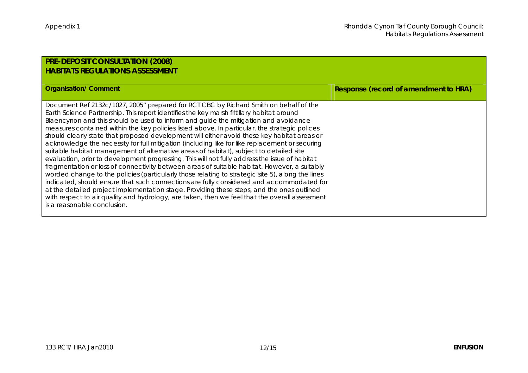## **PRE-DEPOSIT CONSULTATION (2008) HABITATS REGULATIONS ASSESSMENT**

| <b>Organisation/Comment</b>                                                                                                                                                                                                                                                                                                                                                                                                                                                                                                                                                                                                                                                                                                                                                                                                                                                                                                                                                                                                                                                                                                                                                                                                                                                                            | Response (record of amendment to HRA) |
|--------------------------------------------------------------------------------------------------------------------------------------------------------------------------------------------------------------------------------------------------------------------------------------------------------------------------------------------------------------------------------------------------------------------------------------------------------------------------------------------------------------------------------------------------------------------------------------------------------------------------------------------------------------------------------------------------------------------------------------------------------------------------------------------------------------------------------------------------------------------------------------------------------------------------------------------------------------------------------------------------------------------------------------------------------------------------------------------------------------------------------------------------------------------------------------------------------------------------------------------------------------------------------------------------------|---------------------------------------|
|                                                                                                                                                                                                                                                                                                                                                                                                                                                                                                                                                                                                                                                                                                                                                                                                                                                                                                                                                                                                                                                                                                                                                                                                                                                                                                        |                                       |
| Document Ref 2132c/1027, 2005" prepared for RCT CBC by Richard Smith on behalf of the<br>Earth Science Partnership. This report identifies the key marsh fritillary habitat around<br>Blaencynon and this should be used to inform and guide the mitigation and avoidance<br>measures contained within the key policies listed above. In particular, the strategic polices<br>should clearly state that proposed development will either avoid these key habitat areas or<br>acknowledge the necessity for full mitigation (including like for like replacement or securing<br>suitable habitat management of alternative areas of habitat), subject to detailed site<br>evaluation, prior to development progressing. This will not fully address the issue of habitat<br>fragmentation or loss of connectivity between areas of suitable habitat. However, a suitably<br>worded change to the policies (particularly those relating to strategic site 5), along the lines<br>indicated, should ensure that such connections are fully considered and accommodated for<br>at the detailed project implementation stage. Providing these steps, and the ones outlined<br>with respect to air quality and hydrology, are taken, then we feel that the overall assessment<br>is a reasonable conclusion. |                                       |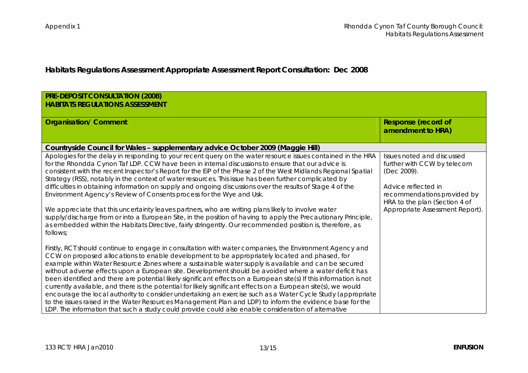**Habitats Regulations Assessment Appropriate Assessment Report Consultation: Dec 2008**

| PRE-DEPOSIT CONSULTATION (2008)<br><b>HABITATS REGULATIONS ASSESSMENT</b>                                                                                                                                                                                                                                                                                                                                                                                                                                                                                                                                                                                                                                                                                                                                                                                                                                                                                                                           |                                                                                                                                                                                                    |
|-----------------------------------------------------------------------------------------------------------------------------------------------------------------------------------------------------------------------------------------------------------------------------------------------------------------------------------------------------------------------------------------------------------------------------------------------------------------------------------------------------------------------------------------------------------------------------------------------------------------------------------------------------------------------------------------------------------------------------------------------------------------------------------------------------------------------------------------------------------------------------------------------------------------------------------------------------------------------------------------------------|----------------------------------------------------------------------------------------------------------------------------------------------------------------------------------------------------|
| <b>Organisation/Comment</b>                                                                                                                                                                                                                                                                                                                                                                                                                                                                                                                                                                                                                                                                                                                                                                                                                                                                                                                                                                         | Response (record of<br>amendment to HRA)                                                                                                                                                           |
| Countryside Council for Wales - supplementary advice October 2009 (Maggie Hill)                                                                                                                                                                                                                                                                                                                                                                                                                                                                                                                                                                                                                                                                                                                                                                                                                                                                                                                     |                                                                                                                                                                                                    |
| Apologies for the delay in responding to your recent query on the water resource issues contained in the HRA<br>for the Rhondda Cynon Taf LDP. CCW have been in internal discussions to ensure that our advice is<br>consistent with the recent Inspector's Report for the EiP of the Phase 2 of the West Midlands Regional Spatial<br>Strategy (RSS), notably in the context of water resources. This issue has been further complicated by<br>difficulties in obtaining information on supply and ongoing discussions over the results of Stage 4 of the<br>Environment Agency's Review of Consents process for the Wye and Usk.<br>We appreciate that this uncertainty leaves partners, who are writing plans likely to involve water<br>supply/discharge from or into a European Site, in the position of having to apply the Precautionary Principle,<br>as embedded within the Habitats Directive, fairly stringently. Our recommended position is, therefore, as<br>follows;                 | Issues noted and discussed<br>further with CCW by telecom<br>(Dec 2009).<br>Advice reflected in<br>recommendations provided by<br>HRA to the plan (Section 4 of<br>Appropriate Assessment Report). |
| Firstly, RCT should continue to engage in consultation with water companies, the Environment Agency and<br>CCW on proposed allocations to enable development to be appropriately located and phased, for<br>example within Water Resource Zones where a sustainable water supply is available and can be secured<br>without adverse effects upon a European site. Development should be avoided where a water deficit has<br>been identified and there are potential likely significant effects on a European site(s) If this information is not<br>currently available, and there is the potential for likely significant effects on a European site(s), we would<br>encourage the local authority to consider undertaking an exercise such as a Water Cycle Study (appropriate<br>to the issues raised in the Water Resources Management Plan and LDP) to inform the evidence base for the<br>LDP. The information that such a study could provide could also enable consideration of alternative |                                                                                                                                                                                                    |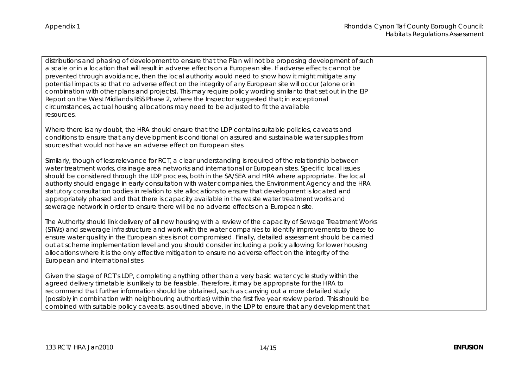| distributions and phasing of development to ensure that the Plan will not be proposing development of such<br>a scale or in a location that will result in adverse effects on a European site. If adverse effects cannot be<br>prevented through avoidance, then the local authority would need to show how it might mitigate any<br>potential impacts so that no adverse effect on the integrity of any European site will occur (alone or in<br>combination with other plans and projects). This may require policy wording similar to that set out in the EIP<br>Report on the West Midlands RSS Phase 2, where the Inspector suggested that; in exceptional<br>circumstances, actual housing allocations may need to be adjusted to fit the available<br>resources. |  |
|-------------------------------------------------------------------------------------------------------------------------------------------------------------------------------------------------------------------------------------------------------------------------------------------------------------------------------------------------------------------------------------------------------------------------------------------------------------------------------------------------------------------------------------------------------------------------------------------------------------------------------------------------------------------------------------------------------------------------------------------------------------------------|--|
| Where there is any doubt, the HRA should ensure that the LDP contains suitable policies, caveats and<br>conditions to ensure that any development is conditional on assured and sustainable water supplies from<br>sources that would not have an adverse effect on European sites.                                                                                                                                                                                                                                                                                                                                                                                                                                                                                     |  |
| Similarly, though of less relevance for RCT, a clear understanding is required of the relationship between<br>water treatment works, drainage area networks and international or European sites. Specific local issues<br>should be considered through the LDP process, both in the SA/SEA and HRA where appropriate. The local<br>authority should engage in early consultation with water companies, the Environment Agency and the HRA<br>statutory consultation bodies in relation to site allocations to ensure that development is located and<br>appropriately phased and that there is capacity available in the waste water treatment works and<br>sewerage network in order to ensure there will be no adverse effects on a European site.                    |  |
| The Authority should link delivery of all new housing with a review of the capacity of Sewage Treatment Works<br>(STWs) and sewerage infrastructure and work with the water companies to identify improvements to these to<br>ensure water quality in the European sites is not compromised. Finally, detailed assessment should be carried<br>out at scheme implementation level and you should consider including a policy allowing for lower housing<br>allocations where it is the only effective mitigation to ensure no adverse effect on the integrity of the<br>European and international sites.                                                                                                                                                               |  |
| Given the stage of RCT's LDP, completing anything other than a very basic water cycle study within the<br>agreed delivery timetable is unlikely to be feasible. Therefore, it may be appropriate for the HRA to<br>recommend that further information should be obtained, such as carrying out a more detailed study<br>(possibly in combination with neighbouring authorities) within the first five year review period. This should be<br>combined with suitable policy caveats, as outlined above, in the LDP to ensure that any development that                                                                                                                                                                                                                    |  |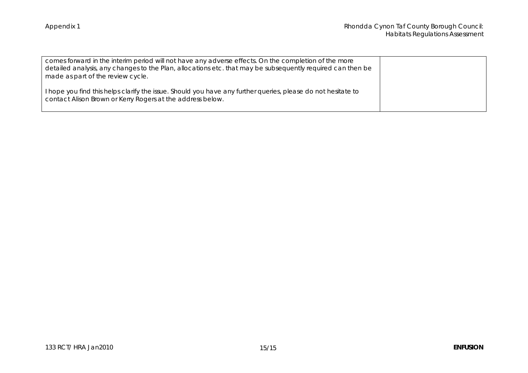| comes forward in the interim period will not have any adverse effects. On the completion of the more<br>detailed analysis, any changes to the Plan, allocations etc. that may be subsequently required can then be<br>made as part of the review cycle. |  |
|---------------------------------------------------------------------------------------------------------------------------------------------------------------------------------------------------------------------------------------------------------|--|
| I hope you find this helps clarify the issue. Should you have any further queries, please do not hesitate to<br>contact Alison Brown or Kerry Rogers at the address below.                                                                              |  |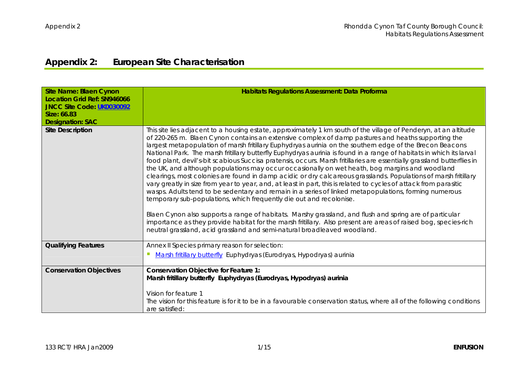## **Appendix 2: European Site Characterisation**

| Site Name: Blaen Cynon<br>Location Grid Ref: SN946066 | Habitats Regulations Assessment: Data Proforma                                                                                                                                                                                                                                                                                                                                                                                                                                                                                                                                                                                                                                                                                                                                                                                                                                                                                                                                                                                                                                                                                                                                                                                                                                                                                                                                                                            |
|-------------------------------------------------------|---------------------------------------------------------------------------------------------------------------------------------------------------------------------------------------------------------------------------------------------------------------------------------------------------------------------------------------------------------------------------------------------------------------------------------------------------------------------------------------------------------------------------------------------------------------------------------------------------------------------------------------------------------------------------------------------------------------------------------------------------------------------------------------------------------------------------------------------------------------------------------------------------------------------------------------------------------------------------------------------------------------------------------------------------------------------------------------------------------------------------------------------------------------------------------------------------------------------------------------------------------------------------------------------------------------------------------------------------------------------------------------------------------------------------|
| JNCC Site Code: UK0030092                             |                                                                                                                                                                                                                                                                                                                                                                                                                                                                                                                                                                                                                                                                                                                                                                                                                                                                                                                                                                                                                                                                                                                                                                                                                                                                                                                                                                                                                           |
| Size: 66.83<br><b>Designation: SAC</b>                |                                                                                                                                                                                                                                                                                                                                                                                                                                                                                                                                                                                                                                                                                                                                                                                                                                                                                                                                                                                                                                                                                                                                                                                                                                                                                                                                                                                                                           |
| Site Description                                      | This site lies adjacent to a housing estate, approximately 1 km south of the village of Penderyn, at an altitude<br>of 220-265 m. Blaen Cynon contains an extensive complex of damp pastures and heaths supporting the<br>largest metapopulation of marsh fritillary Euphydryas aurinia on the southern edge of the Brecon Beacons<br>National Park. The marsh fritillary butterfly Euphydryas aurinia is found in a range of habitats in which its larval<br>food plant, devil's-bit scabious Succisa pratensis, occurs. Marsh fritillaries are essentially grassland butterflies in<br>the UK, and although populations may occur occasionally on wet heath, bog margins and woodland<br>clearings, most colonies are found in damp acidic or dry calcareous grasslands. Populations of marsh fritillary<br>vary greatly in size from year to year, and, at least in part, this is related to cycles of attack from parasitic<br>wasps. Adults tend to be sedentary and remain in a series of linked metapopulations, forming numerous<br>temporary sub-populations, which frequently die out and recolonise.<br>Blaen Cynon also supports a range of habitats. Marshy grassland, and flush and spring are of particular<br>importance as they provide habitat for the marsh fritillary. Also present are areas of raised bog, species-rich<br>neutral grassland, acid grassland and semi-natural broadleaved woodland. |
| <b>Qualifying Features</b>                            | Annex II Species primary reason for selection:<br>Marsh fritillary butterfly Euphydryas (Eurodryas, Hypodryas) aurinia                                                                                                                                                                                                                                                                                                                                                                                                                                                                                                                                                                                                                                                                                                                                                                                                                                                                                                                                                                                                                                                                                                                                                                                                                                                                                                    |
|                                                       |                                                                                                                                                                                                                                                                                                                                                                                                                                                                                                                                                                                                                                                                                                                                                                                                                                                                                                                                                                                                                                                                                                                                                                                                                                                                                                                                                                                                                           |
| <b>Conservation Objectives</b>                        | Conservation Objective for Feature 1:<br>Marsh fritillary butterfly Euphydryas (Eurodryas, Hypodryas) aurinia                                                                                                                                                                                                                                                                                                                                                                                                                                                                                                                                                                                                                                                                                                                                                                                                                                                                                                                                                                                                                                                                                                                                                                                                                                                                                                             |
|                                                       | Vision for feature 1<br>The vision for this feature is for it to be in a favourable conservation status, where all of the following conditions<br>are satisfied:                                                                                                                                                                                                                                                                                                                                                                                                                                                                                                                                                                                                                                                                                                                                                                                                                                                                                                                                                                                                                                                                                                                                                                                                                                                          |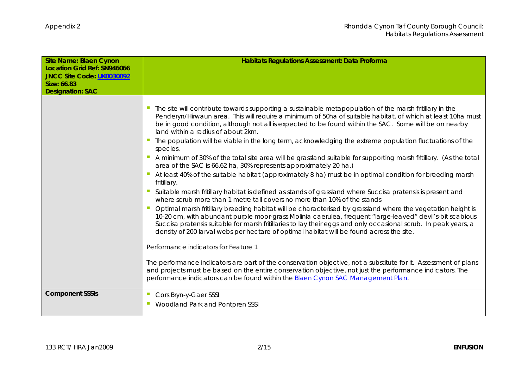| Site Name: Blaen Cynon<br>Location Grid Ref: SN946066<br>JNCC Site Code: UK0030092<br>Size: 66.83<br><b>Designation: SAC</b> | Habitats Regulations Assessment: Data Proforma                                                                                                                                                                                                                                                                                                                                                                                                                                                                                                                                                                                                                                                                                                                                                                                                                                                                                                                                                                                                                                                                                                                                                                                                                                                                                                                                                                                                                                                                                                                                                                                                                                                                                                                                                                     |
|------------------------------------------------------------------------------------------------------------------------------|--------------------------------------------------------------------------------------------------------------------------------------------------------------------------------------------------------------------------------------------------------------------------------------------------------------------------------------------------------------------------------------------------------------------------------------------------------------------------------------------------------------------------------------------------------------------------------------------------------------------------------------------------------------------------------------------------------------------------------------------------------------------------------------------------------------------------------------------------------------------------------------------------------------------------------------------------------------------------------------------------------------------------------------------------------------------------------------------------------------------------------------------------------------------------------------------------------------------------------------------------------------------------------------------------------------------------------------------------------------------------------------------------------------------------------------------------------------------------------------------------------------------------------------------------------------------------------------------------------------------------------------------------------------------------------------------------------------------------------------------------------------------------------------------------------------------|
|                                                                                                                              | The site will contribute towards supporting a sustainable metapopulation of the marsh fritillary in the<br>Penderyn/Hirwaun area. This will require a minimum of 50ha of suitable habitat, of which at least 10ha must<br>be in good condition, although not all is expected to be found within the SAC. Some will be on nearby<br>land within a radius of about 2km.<br>The population will be viable in the long term, acknowledging the extreme population fluctuations of the<br>species.<br>A minimum of 30% of the total site area will be grassland suitable for supporting marsh fritillary. (As the total<br>area of the SAC is 66.62 ha, 30% represents approximately 20 ha.)<br>At least 40% of the suitable habitat (approximately 8 ha) must be in optimal condition for breeding marsh<br>fritillary.<br>Suitable marsh fritillary habitat is defined as stands of grassland where Succisa pratensis is present and<br>where scrub more than 1 metre tall covers no more than 10% of the stands<br>Optimal marsh fritillary breeding habitat will be characterised by grassland where the vegetation height is<br>10-20 cm, with abundant purple moor-grass Molinia caerulea, frequent "large-leaved" devil's-bit scabious<br>Succisa pratensis suitable for marsh fritillaries to lay their eggs and only occasional scrub. In peak years, a<br>density of 200 larval webs per hectare of optimal habitat will be found across the site.<br>Performance indicators for Feature 1<br>The performance indicators are part of the conservation objective, not a substitute for it. Assessment of plans<br>and projects must be based on the entire conservation objective, not just the performance indicators. The<br>performance indicators can be found within the Blaen Cynon SAC Management Plan. |
| <b>Component SSSIs</b>                                                                                                       | Cors Bryn-y-Gaer SSSI<br>Woodland Park and Pontpren SSSI                                                                                                                                                                                                                                                                                                                                                                                                                                                                                                                                                                                                                                                                                                                                                                                                                                                                                                                                                                                                                                                                                                                                                                                                                                                                                                                                                                                                                                                                                                                                                                                                                                                                                                                                                           |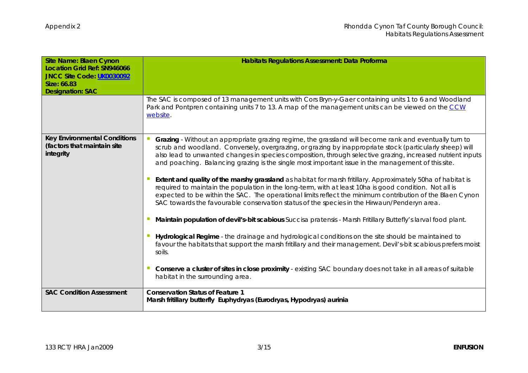| Site Name: Blaen Cynon<br>Location Grid Ref: SN946066<br>JNCC Site Code: UK0030092<br>Size: 66.83<br><b>Designation: SAC</b> | Habitats Regulations Assessment: Data Proforma<br>The SAC is composed of 13 management units with Cors Bryn-y-Gaer containing units 1 to 6 and Woodland                                                                                                                                                                                                                                                                                                                                                                                                                                                                                                                                                                                                                                                                                                                                                                                                                                                                                                                                                                                                                                                                                                                                                                                                                               |
|------------------------------------------------------------------------------------------------------------------------------|---------------------------------------------------------------------------------------------------------------------------------------------------------------------------------------------------------------------------------------------------------------------------------------------------------------------------------------------------------------------------------------------------------------------------------------------------------------------------------------------------------------------------------------------------------------------------------------------------------------------------------------------------------------------------------------------------------------------------------------------------------------------------------------------------------------------------------------------------------------------------------------------------------------------------------------------------------------------------------------------------------------------------------------------------------------------------------------------------------------------------------------------------------------------------------------------------------------------------------------------------------------------------------------------------------------------------------------------------------------------------------------|
|                                                                                                                              | Park and Pontpren containing units 7 to 13. A map of the management units can be viewed on the CCW<br>website.                                                                                                                                                                                                                                                                                                                                                                                                                                                                                                                                                                                                                                                                                                                                                                                                                                                                                                                                                                                                                                                                                                                                                                                                                                                                        |
| Key Environmental Conditions<br>(factors that maintain site<br>integrity                                                     | Grazing - Without an appropriate grazing regime, the grassland will become rank and eventually turn to<br>scrub and woodland. Conversely, overgrazing, or grazing by inappropriate stock (particularly sheep) will<br>also lead to unwanted changes in species composition, through selective grazing, increased nutrient inputs<br>and poaching. Balancing grazing is the single most important issue in the management of this site.<br>Extent and quality of the marshy grassland as habitat for marsh fritillary. Approximately 50ha of habitat is<br>required to maintain the population in the long-term, with at least 10ha is good condition. Not all is<br>expected to be within the SAC. The operational limits reflect the minimum contribution of the Blaen Cynon<br>SAC towards the favourable conservation status of the species in the Hirwaun/Penderyn area.<br>Maintain population of devil's-bit scabious Succisa pratensis - Marsh Fritillary Buttefly's larval food plant.<br>Hydrological Regime - the drainage and hydrological conditions on the site should be maintained to<br>favour the habitats that support the marsh fritillary and their management. Devil's-bit scabious prefers moist<br>soils.<br>Conserve a cluster of sites in close proximity - existing SAC boundary does not take in all areas of suitable<br>habitat in the surrounding area. |
| <b>SAC Condition Assessment</b>                                                                                              | <b>Conservation Status of Feature 1</b><br>Marsh fritillary butterfly Euphydryas (Eurodryas, Hypodryas) aurinia                                                                                                                                                                                                                                                                                                                                                                                                                                                                                                                                                                                                                                                                                                                                                                                                                                                                                                                                                                                                                                                                                                                                                                                                                                                                       |
|                                                                                                                              |                                                                                                                                                                                                                                                                                                                                                                                                                                                                                                                                                                                                                                                                                                                                                                                                                                                                                                                                                                                                                                                                                                                                                                                                                                                                                                                                                                                       |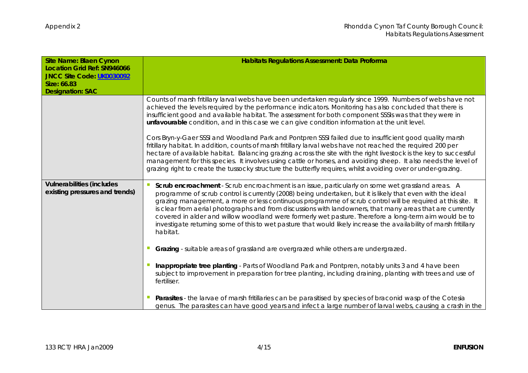| Site Name: Blaen Cynon<br>Location Grid Ref: SN946066<br>JNCC Site Code: UK0030092<br>Size: 66.83<br><b>Designation: SAC</b> | Habitats Regulations Assessment: Data Proforma                                                                                                                                                                                                                                                                                                                                                                                                                                                                                                                                                                                                                                                                                                                                                                                                                                                                                                                                                                        |
|------------------------------------------------------------------------------------------------------------------------------|-----------------------------------------------------------------------------------------------------------------------------------------------------------------------------------------------------------------------------------------------------------------------------------------------------------------------------------------------------------------------------------------------------------------------------------------------------------------------------------------------------------------------------------------------------------------------------------------------------------------------------------------------------------------------------------------------------------------------------------------------------------------------------------------------------------------------------------------------------------------------------------------------------------------------------------------------------------------------------------------------------------------------|
|                                                                                                                              | Counts of marsh fritillary larval webs have been undertaken regularly since 1999. Numbers of webs have not<br>achieved the levels required by the performance indicators. Monitoring has also concluded that there is<br>insufficient good and available habitat. The assessment for both component SSSIs was that they were in<br>unfavourable condition, and in this case we can give condition information at the unit level.<br>Cors Bryn-y-Gaer SSSI and Woodland Park and Pontpren SSSI failed due to insufficient good quality marsh<br>fritillary habitat. In addition, counts of marsh fritillary larval webs have not reached the required 200 per<br>hectare of available habitat. Balancing grazing across the site with the right livestock is the key to successful<br>management for this species. It involves using cattle or horses, and avoiding sheep. It also needs the level of<br>grazing right to create the tussocky structure the butterfly requires, whilst avoiding over or under-grazing. |
| Vulnerabilities (includes<br>existing pressures and trends)                                                                  | Scrub encroachment - Scrub encroachment is an issue, particularly on some wet grassland areas. A<br>programme of scrub control is currently (2008) being undertaken, but it is likely that even with the ideal<br>grazing management, a more or less continuous programme of scrub control will be required at this site. It<br>is clear from aerial photographs and from discussions with landowners, that many areas that are currently<br>covered in alder and willow woodland were formerly wet pasture. Therefore a long-term aim would be to<br>investigate returning some of this to wet pasture that would likely increase the availability of marsh fritillary<br>habitat.<br>Grazing - suitable areas of grassland are overgrazed while others are undergrazed.                                                                                                                                                                                                                                             |
|                                                                                                                              | Inappropriate tree planting - Parts of Woodland Park and Pontpren, notably units 3 and 4 have been<br>subject to improvement in preparation for tree planting, including draining, planting with trees and use of<br>fertiliser.<br>Parasites - the larvae of marsh fritillaries can be parasitised by species of braconid wasp of the Cotesia<br>genus. The parasites can have good years and infect a large number of larval webs, causing a crash in the                                                                                                                                                                                                                                                                                                                                                                                                                                                                                                                                                           |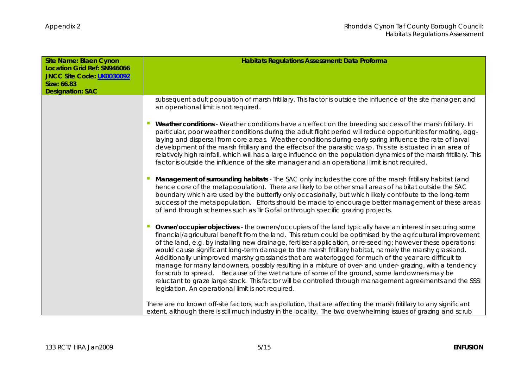| Site Name: Blaen Cynon                                   | Habitats Regulations Assessment: Data Proforma                                                                                                                                                                                                                                                                                                                                                                                                                                                                                                                                                                                                                                                                                                                                                                                                                                                                                             |
|----------------------------------------------------------|--------------------------------------------------------------------------------------------------------------------------------------------------------------------------------------------------------------------------------------------------------------------------------------------------------------------------------------------------------------------------------------------------------------------------------------------------------------------------------------------------------------------------------------------------------------------------------------------------------------------------------------------------------------------------------------------------------------------------------------------------------------------------------------------------------------------------------------------------------------------------------------------------------------------------------------------|
| Location Grid Ref: SN946066<br>JNCC Site Code: UK0030092 |                                                                                                                                                                                                                                                                                                                                                                                                                                                                                                                                                                                                                                                                                                                                                                                                                                                                                                                                            |
| Size: 66.83                                              |                                                                                                                                                                                                                                                                                                                                                                                                                                                                                                                                                                                                                                                                                                                                                                                                                                                                                                                                            |
| <b>Designation: SAC</b>                                  |                                                                                                                                                                                                                                                                                                                                                                                                                                                                                                                                                                                                                                                                                                                                                                                                                                                                                                                                            |
|                                                          | subsequent adult population of marsh fritillary. This factor is outside the influence of the site manager; and<br>an operational limit is not required.                                                                                                                                                                                                                                                                                                                                                                                                                                                                                                                                                                                                                                                                                                                                                                                    |
|                                                          | Weather conditions - Weather conditions have an effect on the breeding success of the marsh fritillary. In<br>particular, poor weather conditions during the adult flight period will reduce opportunities for mating, egg-<br>laying and dispersal from core areas. Weather conditions during early spring influence the rate of larval<br>development of the marsh fritillary and the effects of the parasitic wasp. This site is situated in an area of<br>relatively high rainfall, which will has a large influence on the population dynamics of the marsh fritillary. This<br>factor is outside the influence of the site manager and an operational limit is not required.                                                                                                                                                                                                                                                         |
|                                                          | Management of surrounding habitats - The SAC only includes the core of the marsh fritillary habitat (and<br>hence core of the metapopulation). There are likely to be other small areas of habitat outside the SAC<br>boundary which are used by the butterfly only occasionally, but which likely contribute to the long-term<br>success of the metapopulation. Efforts should be made to encourage better management of these areas<br>of land through schemes such as Tir Gofal or through specific grazing projects.                                                                                                                                                                                                                                                                                                                                                                                                                   |
|                                                          | Owner/occupier objectives - the owners/occupiers of the land typically have an interest in securing some<br>financial/agricultural benefit from the land. This return could be optimised by the agricultural improvement<br>of the land, e.g. by installing new drainage, fertiliser application, or re-seeding; however these operations<br>would cause significant long-term damage to the marsh fritillary habitat, namely the marshy grassland.<br>Additionally unimproved marshy grasslands that are waterlogged for much of the year are difficult to<br>manage for many landowners, possibly resulting in a mixture of over- and under- grazing, with a tendency<br>for scrub to spread. Because of the wet nature of some of the ground, some landowners may be<br>reluctant to graze large stock. This factor will be controlled through management agreements and the SSSI<br>legislation. An operational limit is not required. |
|                                                          | There are no known off-site factors, such as pollution, that are affecting the marsh fritillary to any significant<br>extent, although there is still much industry in the locality. The two overwhelming issues of grazing and scrub                                                                                                                                                                                                                                                                                                                                                                                                                                                                                                                                                                                                                                                                                                      |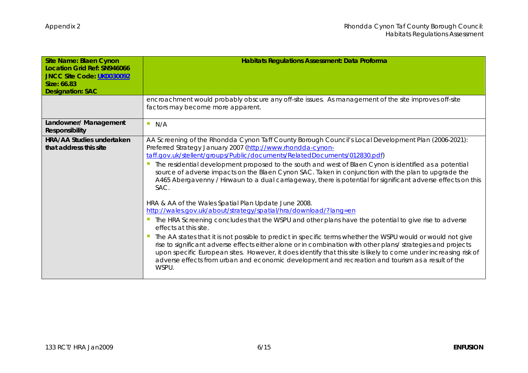| Site Name: Blaen Cynon<br>Location Grid Ref: SN946066<br>JNCC Site Code: UK0030092<br>Size: 66.83<br><b>Designation: SAC</b> | Habitats Regulations Assessment: Data Proforma                                                                                                                                                                                                                                                                                                                                                                                                                                                                                                                                                                                                                                                                                                                                                                                                                                                                                                                                                                                                                                                                                                                                                                                                                                                                         |
|------------------------------------------------------------------------------------------------------------------------------|------------------------------------------------------------------------------------------------------------------------------------------------------------------------------------------------------------------------------------------------------------------------------------------------------------------------------------------------------------------------------------------------------------------------------------------------------------------------------------------------------------------------------------------------------------------------------------------------------------------------------------------------------------------------------------------------------------------------------------------------------------------------------------------------------------------------------------------------------------------------------------------------------------------------------------------------------------------------------------------------------------------------------------------------------------------------------------------------------------------------------------------------------------------------------------------------------------------------------------------------------------------------------------------------------------------------|
|                                                                                                                              | encroachment would probably obscure any off-site issues. As management of the site improves off-site<br>factors may become more apparent.                                                                                                                                                                                                                                                                                                                                                                                                                                                                                                                                                                                                                                                                                                                                                                                                                                                                                                                                                                                                                                                                                                                                                                              |
| Landowner/Management<br>Responsibility                                                                                       | $\mathcal{L}_{\mathcal{A}}$<br>N/A                                                                                                                                                                                                                                                                                                                                                                                                                                                                                                                                                                                                                                                                                                                                                                                                                                                                                                                                                                                                                                                                                                                                                                                                                                                                                     |
| HRA/AA Studies undertaken<br>that address this site                                                                          | AA Screening of the Rhondda Cynon Taff County Borough Council's Local Development Plan (2006-2021):<br>Preferred Strategy January 2007 (http://www.rhondda-cynon-<br>taff.gov.uk/stellent/groups/Public/documents/RelatedDocuments/012830.pdf)<br>The residential development proposed to the south and west of Blaen Cynon is identified as a potential<br>source of adverse impacts on the Blaen Cynon SAC. Taken in conjunction with the plan to upgrade the<br>A465 Abergavenny / Hirwaun to a dual carriageway, there is potential for significant adverse effects on this<br>SAC.<br>HRA & AA of the Wales Spatial Plan Update June 2008.<br>http://wales.gov.uk/about/strategy/spatial/hra/download/?lang=en<br>The HRA Screening concludes that the WSPU and other plans have the potential to give rise to adverse<br>effects at this site.<br>The AA states that it is not possible to predict in specific terms whether the WSPU would or would not give<br>rise to significant adverse effects either alone or in combination with other plans/ strategies and projects<br>upon specific European sites. However, it does identify that this site is likely to come under increasing risk of<br>adverse effects from urban and economic development and recreation and tourism as a result of the<br>WSPU. |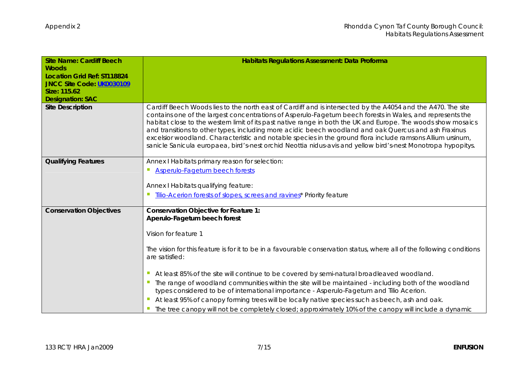| <b>Site Name: Cardiff Beech</b>    | Habitats Regulations Assessment: Data Proforma                                                                                                                                                                                                                                                                                                                                                                                                                                                                                                                                                                                                                                    |
|------------------------------------|-----------------------------------------------------------------------------------------------------------------------------------------------------------------------------------------------------------------------------------------------------------------------------------------------------------------------------------------------------------------------------------------------------------------------------------------------------------------------------------------------------------------------------------------------------------------------------------------------------------------------------------------------------------------------------------|
| <b>Woods</b>                       |                                                                                                                                                                                                                                                                                                                                                                                                                                                                                                                                                                                                                                                                                   |
| <b>Location Grid Ref: ST118824</b> |                                                                                                                                                                                                                                                                                                                                                                                                                                                                                                                                                                                                                                                                                   |
| JNCC Site Code: UK0030109          |                                                                                                                                                                                                                                                                                                                                                                                                                                                                                                                                                                                                                                                                                   |
| Size: 115.62                       |                                                                                                                                                                                                                                                                                                                                                                                                                                                                                                                                                                                                                                                                                   |
| <b>Designation: SAC</b>            |                                                                                                                                                                                                                                                                                                                                                                                                                                                                                                                                                                                                                                                                                   |
| <b>Site Description</b>            | Cardiff Beech Woods lies to the north east of Cardiff and is intersected by the A4054 and the A470. The site<br>contains one of the largest concentrations of Asperulo-Fagetum beech forests in Wales, and represents the<br>habitat close to the western limit of its past native range in both the UK and Europe. The woods show mosaics<br>and transitions to other types, including more acidic beech woodland and oak Quercus and ash Fraxinus<br>excelsior woodland. Characteristic and notable species in the ground flora include ramsons Allium ursinum,<br>sanicle Sanicula europaea, bird's-nest orchid Neottia nidus-avis and yellow bird's-nest Monotropa hypopitys. |
| <b>Qualifying Features</b>         | Annex I Habitats primary reason for selection:                                                                                                                                                                                                                                                                                                                                                                                                                                                                                                                                                                                                                                    |
|                                    | Asperulo-Fagetum beech forests                                                                                                                                                                                                                                                                                                                                                                                                                                                                                                                                                                                                                                                    |
|                                    |                                                                                                                                                                                                                                                                                                                                                                                                                                                                                                                                                                                                                                                                                   |
|                                    | Annex I Habitats qualifying feature:                                                                                                                                                                                                                                                                                                                                                                                                                                                                                                                                                                                                                                              |
|                                    | Tilio-Acerion forests of slopes, screes and ravines* Priority feature                                                                                                                                                                                                                                                                                                                                                                                                                                                                                                                                                                                                             |
| <b>Conservation Objectives</b>     | Conservation Objective for Feature 1:                                                                                                                                                                                                                                                                                                                                                                                                                                                                                                                                                                                                                                             |
|                                    | Aperulo-Fagetum beech forest                                                                                                                                                                                                                                                                                                                                                                                                                                                                                                                                                                                                                                                      |
|                                    | Vision for feature 1                                                                                                                                                                                                                                                                                                                                                                                                                                                                                                                                                                                                                                                              |
|                                    | The vision for this feature is for it to be in a favourable conservation status, where all of the following conditions<br>are satisfied:                                                                                                                                                                                                                                                                                                                                                                                                                                                                                                                                          |
|                                    | At least 85% of the site will continue to be covered by semi-natural broadleaved woodland.                                                                                                                                                                                                                                                                                                                                                                                                                                                                                                                                                                                        |
|                                    | The range of woodland communities within the site will be maintained - including both of the woodland<br>types considered to be of international importance - Asperulo-Fagetum and Tilio Acerion.                                                                                                                                                                                                                                                                                                                                                                                                                                                                                 |
|                                    | At least 95% of canopy forming trees will be locally native species such as beech, ash and oak.                                                                                                                                                                                                                                                                                                                                                                                                                                                                                                                                                                                   |
|                                    | The tree canopy will not be completely closed; approximately 10% of the canopy will include a dynamic                                                                                                                                                                                                                                                                                                                                                                                                                                                                                                                                                                             |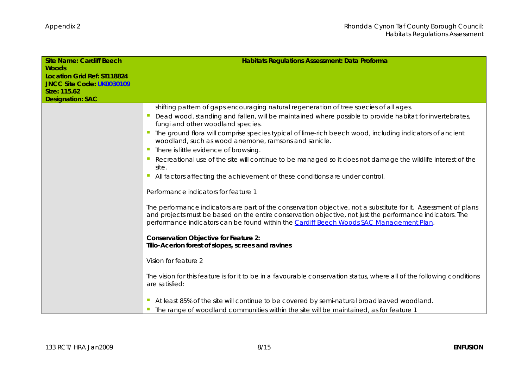| <b>Site Name: Cardiff Beech</b>         | Habitats Regulations Assessment: Data Proforma                                                                                                                                                                                                                                                                          |
|-----------------------------------------|-------------------------------------------------------------------------------------------------------------------------------------------------------------------------------------------------------------------------------------------------------------------------------------------------------------------------|
| Woods                                   |                                                                                                                                                                                                                                                                                                                         |
| Location Grid Ref: ST118824             |                                                                                                                                                                                                                                                                                                                         |
| JNCC Site Code. UK0030109               |                                                                                                                                                                                                                                                                                                                         |
| Size: 115.62<br><b>Designation: SAC</b> |                                                                                                                                                                                                                                                                                                                         |
|                                         | shifting pattern of gaps encouraging natural regeneration of tree species of all ages.                                                                                                                                                                                                                                  |
|                                         | Dead wood, standing and fallen, will be maintained where possible to provide habitat for invertebrates,                                                                                                                                                                                                                 |
|                                         | fungi and other woodland species.                                                                                                                                                                                                                                                                                       |
|                                         | The ground flora will comprise species typical of lime-rich beech wood, including indicators of ancient<br>woodland, such as wood anemone, ramsons and sanicle.                                                                                                                                                         |
|                                         | There is little evidence of browsing.                                                                                                                                                                                                                                                                                   |
|                                         | Recreational use of the site will continue to be managed so it does not damage the wildlife interest of the<br>site.                                                                                                                                                                                                    |
|                                         | All factors affecting the achievement of these conditions are under control.                                                                                                                                                                                                                                            |
|                                         | Performance indicators for feature 1                                                                                                                                                                                                                                                                                    |
|                                         | The performance indicators are part of the conservation objective, not a substitute for it. Assessment of plans<br>and projects must be based on the entire conservation objective, not just the performance indicators. The<br>performance indicators can be found within the Cardiff Beech Woods SAC Management Plan. |
|                                         | Conservation Objective for Feature 2:<br>Tilio-Acerion forest of slopes, screes and ravines                                                                                                                                                                                                                             |
|                                         | Vision for feature 2                                                                                                                                                                                                                                                                                                    |
|                                         | The vision for this feature is for it to be in a favourable conservation status, where all of the following conditions<br>are satisfied:                                                                                                                                                                                |
|                                         | At least 85% of the site will continue to be covered by semi-natural broadleaved woodland.                                                                                                                                                                                                                              |
|                                         | The range of woodland communities within the site will be maintained, as for feature 1                                                                                                                                                                                                                                  |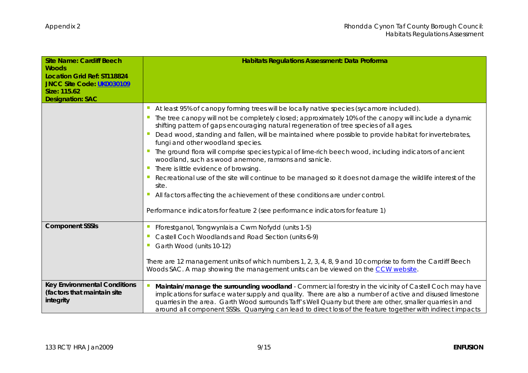| <b>Site Name: Cardiff Beech</b><br><b>Woods</b><br>Location Grid Ref: ST118824<br>JNCC Site Code: UK0030109<br>Size: 115.62 | Habitats Regulations Assessment: Data Proforma                                                                                                                                                                                                                                                                                                                                                                                                                                                                                                                                                                                                                                                                                                                                                                                                                                                                                                     |
|-----------------------------------------------------------------------------------------------------------------------------|----------------------------------------------------------------------------------------------------------------------------------------------------------------------------------------------------------------------------------------------------------------------------------------------------------------------------------------------------------------------------------------------------------------------------------------------------------------------------------------------------------------------------------------------------------------------------------------------------------------------------------------------------------------------------------------------------------------------------------------------------------------------------------------------------------------------------------------------------------------------------------------------------------------------------------------------------|
| <b>Designation: SAC</b>                                                                                                     |                                                                                                                                                                                                                                                                                                                                                                                                                                                                                                                                                                                                                                                                                                                                                                                                                                                                                                                                                    |
|                                                                                                                             | At least 95% of canopy forming trees will be locally native species (sycamore included).<br>The tree canopy will not be completely closed; approximately 10% of the canopy will include a dynamic<br>shifting pattern of gaps encouraging natural regeneration of tree species of all ages.<br>Dead wood, standing and fallen, will be maintained where possible to provide habitat for invertebrates,<br>fungi and other woodland species.<br>The ground flora will comprise species typical of lime-rich beech wood, including indicators of ancient<br>woodland, such as wood anemone, ramsons and sanicle.<br>There is little evidence of browsing.<br>Recreational use of the site will continue to be managed so it does not damage the wildlife interest of the<br>site.<br>All factors affecting the achievement of these conditions are under control.<br>Performance indicators for feature 2 (see performance indicators for feature 1) |
| <b>Component SSSIs</b>                                                                                                      | Fforestganol, Tongwynlais a Cwm Nofydd (units 1-5)                                                                                                                                                                                                                                                                                                                                                                                                                                                                                                                                                                                                                                                                                                                                                                                                                                                                                                 |
|                                                                                                                             | Castell Coch Woodlands and Road Section (units 6-9)                                                                                                                                                                                                                                                                                                                                                                                                                                                                                                                                                                                                                                                                                                                                                                                                                                                                                                |
|                                                                                                                             | Garth Wood (units 10-12)                                                                                                                                                                                                                                                                                                                                                                                                                                                                                                                                                                                                                                                                                                                                                                                                                                                                                                                           |
|                                                                                                                             | There are 12 management units of which numbers 1, 2, 3, 4, 8, 9 and 10 comprise to form the Cardiff Beech<br>Woods SAC. A map showing the management units can be viewed on the CCW website.                                                                                                                                                                                                                                                                                                                                                                                                                                                                                                                                                                                                                                                                                                                                                       |
| Key Environmental Conditions<br>(factors that maintain site<br>integrity                                                    | Maintain/manage the surrounding woodland - Commercial forestry in the vicinity of Castell Coch may have<br>implications for surface water supply and quality. There are also a number of active and disused limestone<br>quarries in the area. Garth Wood surrounds Taff's Well Quarry but there are other, smaller quarries in and<br>around all component SSSIs. Quarrying can lead to direct loss of the feature together with indirect impacts                                                                                                                                                                                                                                                                                                                                                                                                                                                                                                 |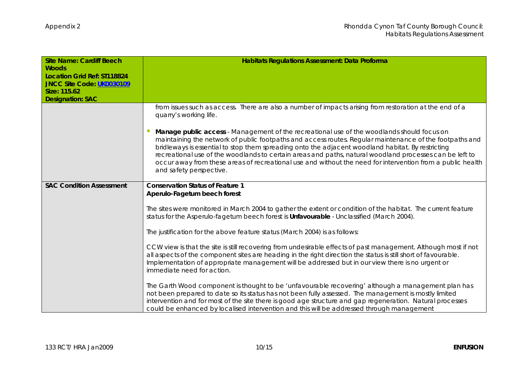| <b>Site Name: Cardiff Beech</b> | Habitats Regulations Assessment: Data Proforma                                                                                                                                                                                                                                                                                                                                                                                                                                                                                                                 |
|---------------------------------|----------------------------------------------------------------------------------------------------------------------------------------------------------------------------------------------------------------------------------------------------------------------------------------------------------------------------------------------------------------------------------------------------------------------------------------------------------------------------------------------------------------------------------------------------------------|
| <b>Woods</b>                    |                                                                                                                                                                                                                                                                                                                                                                                                                                                                                                                                                                |
| Location Grid Ref: ST118824     |                                                                                                                                                                                                                                                                                                                                                                                                                                                                                                                                                                |
| JNCC Site Code. UK0030109       |                                                                                                                                                                                                                                                                                                                                                                                                                                                                                                                                                                |
| Size: 115.62                    |                                                                                                                                                                                                                                                                                                                                                                                                                                                                                                                                                                |
| <b>Designation: SAC</b>         |                                                                                                                                                                                                                                                                                                                                                                                                                                                                                                                                                                |
|                                 | from issues such as access. There are also a number of impacts arising from restoration at the end of a<br>quarry's working life.                                                                                                                                                                                                                                                                                                                                                                                                                              |
|                                 | Manage public access - Management of the recreational use of the woodlands should focus on<br>maintaining the network of public footpaths and access routes. Regular maintenance of the footpaths and<br>bridleways is essential to stop them spreading onto the adjacent woodland habitat. By restricting<br>recreational use of the woodlands to certain areas and paths, natural woodland processes can be left to<br>occur away from these areas of recreational use and without the need for intervention from a public health<br>and safety perspective. |
| <b>SAC Condition Assessment</b> | Conservation Status of Feature 1                                                                                                                                                                                                                                                                                                                                                                                                                                                                                                                               |
|                                 | Aperulo-Fagetum beech forest                                                                                                                                                                                                                                                                                                                                                                                                                                                                                                                                   |
|                                 |                                                                                                                                                                                                                                                                                                                                                                                                                                                                                                                                                                |
|                                 | The sites were monitored in March 2004 to gather the extent or condition of the habitat. The current feature<br>status for the Asperulo-fagetum beech forest is Unfavourable - Unclassified (March 2004).                                                                                                                                                                                                                                                                                                                                                      |
|                                 | The justification for the above feature status (March 2004) is as follows:                                                                                                                                                                                                                                                                                                                                                                                                                                                                                     |
|                                 | CCW view is that the site is still recovering from undesirable effects of past management. Although most if not<br>all aspects of the component sites are heading in the right direction the status is still short of favourable.<br>Implementation of appropriate management will be addressed but in our view there is no urgent or<br>immediate need for action.                                                                                                                                                                                            |
|                                 | The Garth Wood component is thought to be 'unfavourable recovering' although a management plan has<br>not been prepared to date so its status has not been fully assessed. The management is mostly limited<br>intervention and for most of the site there is good age structure and gap regeneration. Natural processes<br>could be enhanced by localised intervention and this will be addressed through management                                                                                                                                          |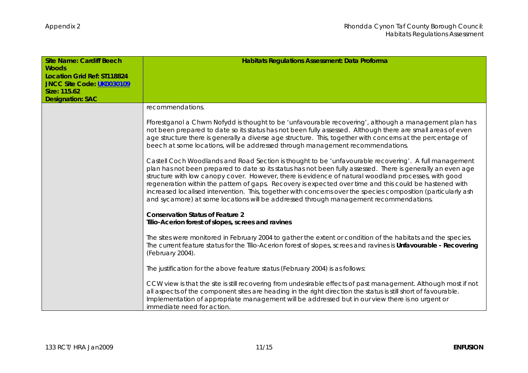| <b>Site Name: Cardiff Beech</b> | Habitats Regulations Assessment: Data Proforma                                                                                                                                                                                                                                                                                                                                                                                                                                                                                                                                                                                                     |
|---------------------------------|----------------------------------------------------------------------------------------------------------------------------------------------------------------------------------------------------------------------------------------------------------------------------------------------------------------------------------------------------------------------------------------------------------------------------------------------------------------------------------------------------------------------------------------------------------------------------------------------------------------------------------------------------|
| <b>Woods</b>                    |                                                                                                                                                                                                                                                                                                                                                                                                                                                                                                                                                                                                                                                    |
| Location Grid Ref: ST118824     |                                                                                                                                                                                                                                                                                                                                                                                                                                                                                                                                                                                                                                                    |
| JNCC Site Code. UK0030109       |                                                                                                                                                                                                                                                                                                                                                                                                                                                                                                                                                                                                                                                    |
| Size: 115.62                    |                                                                                                                                                                                                                                                                                                                                                                                                                                                                                                                                                                                                                                                    |
| <b>Designation: SAC</b>         |                                                                                                                                                                                                                                                                                                                                                                                                                                                                                                                                                                                                                                                    |
|                                 | recommendations.                                                                                                                                                                                                                                                                                                                                                                                                                                                                                                                                                                                                                                   |
|                                 | Fforestganol a Chwm Nofydd is thought to be 'unfavourable recovering', although a management plan has<br>not been prepared to date so its status has not been fully assessed. Although there are small areas of even<br>age structure there is generally a diverse age structure. This, together with concerns at the percentage of<br>beech at some locations, will be addressed through management recommendations.                                                                                                                                                                                                                              |
|                                 | Castell Coch Woodlands and Road Section is thought to be 'unfavourable recovering'. A full management<br>plan has not been prepared to date so its status has not been fully assessed. There is generally an even age<br>structure with low canopy cover. However, there is evidence of natural woodland processes, with good<br>regeneration within the pattern of gaps. Recovery is expected over time and this could be hastened with<br>increased localised intervention. This, together with concerns over the species composition (particularly ash<br>and sycamore) at some locations will be addressed through management recommendations. |
|                                 | <b>Conservation Status of Feature 2</b><br>Tilio-Acerion forest of slopes, screes and ravines                                                                                                                                                                                                                                                                                                                                                                                                                                                                                                                                                      |
|                                 | The sites were monitored in February 2004 to gather the extent or condition of the habitats and the species.<br>The current feature status for the Tilio-Acerion forest of slopes, screes and ravines is Unfavourable - Recovering<br>(February 2004).                                                                                                                                                                                                                                                                                                                                                                                             |
|                                 | The justification for the above feature status (February 2004) is as follows:                                                                                                                                                                                                                                                                                                                                                                                                                                                                                                                                                                      |
|                                 | CCW view is that the site is still recovering from undesirable effects of past management. Although most if not<br>all aspects of the component sites are heading in the right direction the status is still short of favourable.<br>Implementation of appropriate management will be addressed but in our view there is no urgent or<br>immediate need for action.                                                                                                                                                                                                                                                                                |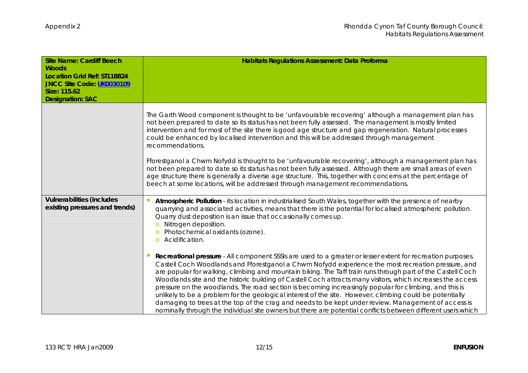| <b>Site Name: Cardiff Beech</b>                             | Habitats Regulations Assessment: Data Proforma                                                                                                                                                                                                                                                                                                                                                                                                                                                                                                                                                                                                                                                                                                                                                                                                                                               |
|-------------------------------------------------------------|----------------------------------------------------------------------------------------------------------------------------------------------------------------------------------------------------------------------------------------------------------------------------------------------------------------------------------------------------------------------------------------------------------------------------------------------------------------------------------------------------------------------------------------------------------------------------------------------------------------------------------------------------------------------------------------------------------------------------------------------------------------------------------------------------------------------------------------------------------------------------------------------|
| <b>Woods</b>                                                |                                                                                                                                                                                                                                                                                                                                                                                                                                                                                                                                                                                                                                                                                                                                                                                                                                                                                              |
| Location Grid Ref: ST118824                                 |                                                                                                                                                                                                                                                                                                                                                                                                                                                                                                                                                                                                                                                                                                                                                                                                                                                                                              |
| JNCC Site Code: UK0030109                                   |                                                                                                                                                                                                                                                                                                                                                                                                                                                                                                                                                                                                                                                                                                                                                                                                                                                                                              |
| Size: 115.62                                                |                                                                                                                                                                                                                                                                                                                                                                                                                                                                                                                                                                                                                                                                                                                                                                                                                                                                                              |
| <b>Designation: SAC</b>                                     |                                                                                                                                                                                                                                                                                                                                                                                                                                                                                                                                                                                                                                                                                                                                                                                                                                                                                              |
|                                                             | The Garth Wood component is thought to be 'unfavourable recovering' although a management plan has<br>not been prepared to date so its status has not been fully assessed. The management is mostly limited<br>intervention and for most of the site there is good age structure and gap regeneration. Natural processes<br>could be enhanced by localised intervention and this will be addressed through management<br>recommendations.                                                                                                                                                                                                                                                                                                                                                                                                                                                    |
|                                                             | Fforestganol a Chwm Nofydd is thought to be 'unfavourable recovering', although a management plan has<br>not been prepared to date so its status has not been fully assessed. Although there are small areas of even<br>age structure there is generally a diverse age structure. This, together with concerns at the percentage of<br>beech at some locations, will be addressed through management recommendations.                                                                                                                                                                                                                                                                                                                                                                                                                                                                        |
| Vulnerabilities (includes<br>existing pressures and trends) | Atmospheric Pollution - its location in industrialised South Wales, together with the presence of nearby<br>quarrying and associated activities, means that there is the potential for localised atmospheric pollution.<br>Quarry dust deposition is an issue that occasionally comes up.<br>o Nitrogen deposition.<br>Photochemical oxidants (ozone).<br>Acidification.<br>$\Omega$                                                                                                                                                                                                                                                                                                                                                                                                                                                                                                         |
|                                                             | Recreational pressure - All component SSSIs are used to a greater or lesser extent for recreation purposes.<br>Castell Coch Woodlands and Fforestganol a Chwm Nofydd experience the most recreation pressure, and<br>are popular for walking, climbing and mountain biking. The Taff train runs through part of the Castell Coch<br>Woodlands site and the historic building of Castell Coch attracts many visitors, which increases the access<br>pressure on the woodlands. The road section is becoming increasingly popular for climbing, and this is<br>unlikely to be a problem for the geological interest of the site. However, climbing could be potentially<br>damaging to trees at the top of the crag and needs to be kept under review. Management of access is<br>nominally through the individual site owners but there are potential conflicts between different users which |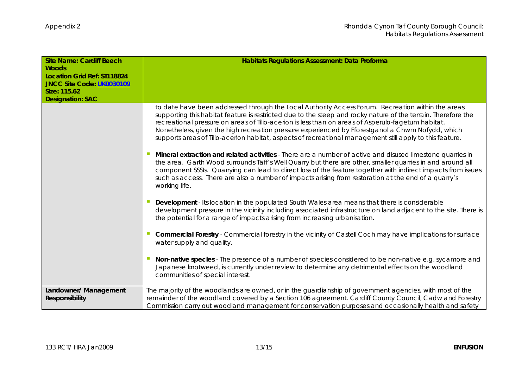| <b>Site Name: Cardiff Beech</b>         | Habitats Regulations Assessment: Data Proforma                                                                                                                                                                                                                                                                                                                                                                                                                                                                                                                                                                                                                                                                                                                                 |
|-----------------------------------------|--------------------------------------------------------------------------------------------------------------------------------------------------------------------------------------------------------------------------------------------------------------------------------------------------------------------------------------------------------------------------------------------------------------------------------------------------------------------------------------------------------------------------------------------------------------------------------------------------------------------------------------------------------------------------------------------------------------------------------------------------------------------------------|
| <b>Woods</b>                            |                                                                                                                                                                                                                                                                                                                                                                                                                                                                                                                                                                                                                                                                                                                                                                                |
| Location Grid Ref: ST118824             |                                                                                                                                                                                                                                                                                                                                                                                                                                                                                                                                                                                                                                                                                                                                                                                |
| JNCC Site Code. UK0030109               |                                                                                                                                                                                                                                                                                                                                                                                                                                                                                                                                                                                                                                                                                                                                                                                |
| Size: 115.62<br><b>Designation: SAC</b> |                                                                                                                                                                                                                                                                                                                                                                                                                                                                                                                                                                                                                                                                                                                                                                                |
|                                         | to date have been addressed through the Local Authority Access Forum. Recreation within the areas                                                                                                                                                                                                                                                                                                                                                                                                                                                                                                                                                                                                                                                                              |
|                                         | supporting this habitat feature is restricted due to the steep and rocky nature of the terrain. Therefore the<br>recreational pressure on areas of Tilio-acerion is less than on areas of Asperulo-fagetum habitat.<br>Nonetheless, given the high recreation pressure experienced by Fforestganol a Chwm Nofydd, which<br>supports areas of Tilio-acerion habitat, aspects of recreational management still apply to this feature.<br>Mineral extraction and related activities - There are a number of active and disused limestone quarries in<br>the area. Garth Wood surrounds Taff's Well Quarry but there are other, smaller quarries in and around all<br>component SSSIs. Quarrying can lead to direct loss of the feature together with indirect impacts from issues |
|                                         | such as access. There are also a number of impacts arising from restoration at the end of a quarry's<br>working life.                                                                                                                                                                                                                                                                                                                                                                                                                                                                                                                                                                                                                                                          |
|                                         | Development - Its location in the populated South Wales area means that there is considerable<br>development pressure in the vicinity including associated infrastructure on land adjacent to the site. There is<br>the potential for a range of impacts arising from increasing urbanisation.                                                                                                                                                                                                                                                                                                                                                                                                                                                                                 |
|                                         | Commercial Forestry - Commercial forestry in the vicinity of Castell Coch may have implications for surface<br>water supply and quality.                                                                                                                                                                                                                                                                                                                                                                                                                                                                                                                                                                                                                                       |
|                                         | Non-native species - The presence of a number of species considered to be non-native e.g. sycamore and<br>Japanese knotweed, is currently under review to determine any detrimental effects on the woodland<br>communities of special interest.                                                                                                                                                                                                                                                                                                                                                                                                                                                                                                                                |
| Landowner/Management                    | The majority of the woodlands are owned, or in the guardianship of government agencies, with most of the                                                                                                                                                                                                                                                                                                                                                                                                                                                                                                                                                                                                                                                                       |
| Responsibility                          | remainder of the woodland covered by a Section 106 agreement. Cardiff County Council, Cadw and Forestry                                                                                                                                                                                                                                                                                                                                                                                                                                                                                                                                                                                                                                                                        |
|                                         | Commission carry out woodland management for conservation purposes and occasionally health and safety                                                                                                                                                                                                                                                                                                                                                                                                                                                                                                                                                                                                                                                                          |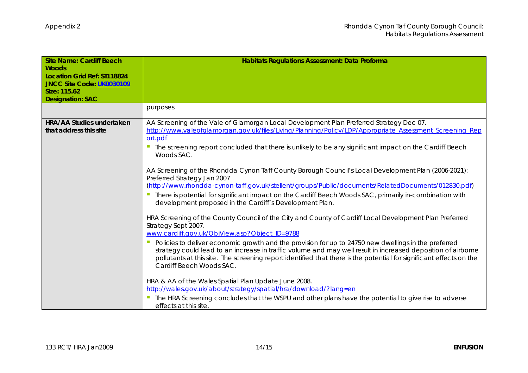| <b>Site Name: Cardiff Beech</b> | Habitats Regulations Assessment: Data Proforma                                                                                                                                 |
|---------------------------------|--------------------------------------------------------------------------------------------------------------------------------------------------------------------------------|
| <b>Woods</b>                    |                                                                                                                                                                                |
| Location Grid Ref: ST118824     |                                                                                                                                                                                |
| JNCC Site Code: UK0030109       |                                                                                                                                                                                |
| Size: 115.62                    |                                                                                                                                                                                |
| <b>Designation: SAC</b>         |                                                                                                                                                                                |
|                                 | purposes.                                                                                                                                                                      |
| HRA/AA Studies undertaken       | AA Screening of the Vale of Glamorgan Local Development Plan Preferred Strategy Dec 07.                                                                                        |
| that address this site          | http://www.valeofglamorgan.gov.uk/files/Living/Planning/Policy/LDP/Appropriate_Assessment_Screening_Rep                                                                        |
|                                 | ort.pdf                                                                                                                                                                        |
|                                 | The screening report concluded that there is unlikely to be any significant impact on the Cardiff Beech<br>Woods SAC.                                                          |
|                                 |                                                                                                                                                                                |
|                                 | AA Screening of the Rhondda Cynon Taff County Borough Council's Local Development Plan (2006-2021):                                                                            |
|                                 | Preferred Strategy Jan 2007                                                                                                                                                    |
|                                 | (http://www.rhondda-cynon-taff.gov.uk/stellent/groups/Public/documents/RelatedDocuments/012830.pdf)                                                                            |
|                                 | There is potential for significant impact on the Cardiff Beech Woods SAC, primarily in-combination with<br>development proposed in the Cardiff's Development Plan.             |
|                                 | HRA Screening of the County Council of the City and County of Cardiff Local Development Plan Preferred<br>Strategy Sept 2007.<br>www.cardiff.gov.uk/ObjView.asp?Object_ID=9788 |
|                                 | Policies to deliver economic growth and the provision for up to 24750 new dwellings in the preferred                                                                           |
|                                 | strategy could lead to an increase in traffic volume and may well result in increased deposition of airborne                                                                   |
|                                 | pollutants at this site. The screening report identified that there is the potential for significant effects on the<br>Cardiff Beech Woods SAC.                                |
|                                 |                                                                                                                                                                                |
|                                 | HRA & AA of the Wales Spatial Plan Update June 2008.                                                                                                                           |
|                                 | http://wales.gov.uk/about/strategy/spatial/hra/download/?lang=en                                                                                                               |
|                                 | The HRA Screening concludes that the WSPU and other plans have the potential to give rise to adverse                                                                           |
|                                 | effects at this site.                                                                                                                                                          |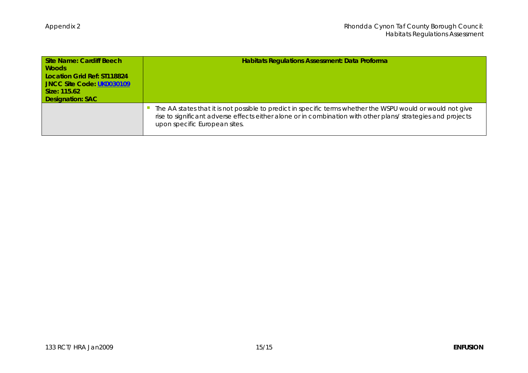| <b>Site Name: Cardiff Beech</b><br><b>Woods</b><br>Location Grid Ref: ST118824<br>JNCC Site Code: UK0030109<br>Size: 115.62<br><b>Designation: SAC</b> | Habitats Regulations Assessment: Data Proforma                                                                                                                                                                                                              |
|--------------------------------------------------------------------------------------------------------------------------------------------------------|-------------------------------------------------------------------------------------------------------------------------------------------------------------------------------------------------------------------------------------------------------------|
|                                                                                                                                                        | The AA states that it is not possible to predict in specific terms whether the WSPU would or would not give<br>rise to significant adverse effects either alone or in combination with other plans/strategies and projects<br>upon specific European sites. |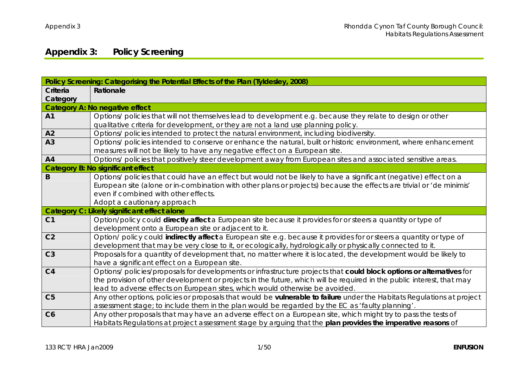## **Appendix 3: Policy Screening**

|                | Policy Screening: Categorising the Potential Effects of the Plan (Tyldesley, 2008)                                     |
|----------------|------------------------------------------------------------------------------------------------------------------------|
| Criteria       | Rationale                                                                                                              |
| Category       |                                                                                                                        |
|                | Category A: No negative effect                                                                                         |
| A <sub>1</sub> | Options/ policies that will not themselves lead to development e.g. because they relate to design or other             |
|                | qualitative criteria for development, or they are not a land use planning policy.                                      |
| A2             | Options/ policies intended to protect the natural environment, including biodiversity.                                 |
| A3             | Options/ policies intended to conserve or enhance the natural, built or historic environment, where enhancement        |
|                | measures will not be likely to have any negative effect on a European site.                                            |
| A4             | Options/ policies that positively steer development away from European sites and associated sensitive areas.           |
|                | Category B: No significant effect                                                                                      |
| B              | Options/ policies that could have an effect but would not be likely to have a significant (negative) effect on a       |
|                | European site (alone or in-combination with other plans or projects) because the effects are trivial or 'de minimis'   |
|                | even if combined with other effects.                                                                                   |
|                | Adopt a cautionary approach                                                                                            |
|                | Category C: Likely significant effect alone                                                                            |
| C <sub>1</sub> | Option/policy could directly affect a European site because it provides for or steers a quantity or type of            |
|                | development onto a European site or adjacent to it.                                                                    |
| C <sub>2</sub> | Option/ policy could indirectly affect a European site e.g. because it provides for or steers a quantity or type of    |
|                | development that may be very close to it, or ecologically, hydrologically or physically connected to it.               |
| C <sub>3</sub> | Proposals for a quantity of development that, no matter where it is located, the development would be likely to        |
|                | have a significant effect on a European site.                                                                          |
| C <sub>4</sub> | Options/ policies/proposals for developments or infrastructure projects that could block options or alternatives for   |
|                | the provision of other development or projects in the future, which will be required in the public interest, that may  |
|                | lead to adverse effects on European sites, which would otherwise be avoided.                                           |
| C <sub>5</sub> | Any other options, policies or proposals that would be vulnerable to failure under the Habitats Regulations at project |
|                | assessment stage; to include them in the plan would be regarded by the EC as 'faulty planning'.                        |
| C <sub>6</sub> | Any other proposals that may have an adverse effect on a European site, which might try to pass the tests of           |
|                | Habitats Regulations at project assessment stage by arguing that the plan provides the imperative reasons of           |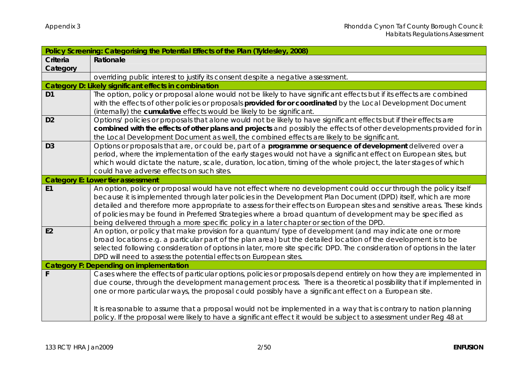|                | Policy Screening: Categorising the Potential Effects of the Plan (Tyldesley, 2008)                                                                                                                                                                                                                                                                                                                                                                                                                                                                                  |
|----------------|---------------------------------------------------------------------------------------------------------------------------------------------------------------------------------------------------------------------------------------------------------------------------------------------------------------------------------------------------------------------------------------------------------------------------------------------------------------------------------------------------------------------------------------------------------------------|
| Criteria       | Rationale                                                                                                                                                                                                                                                                                                                                                                                                                                                                                                                                                           |
| Category       |                                                                                                                                                                                                                                                                                                                                                                                                                                                                                                                                                                     |
|                | overriding public interest to justify its consent despite a negative assessment.                                                                                                                                                                                                                                                                                                                                                                                                                                                                                    |
|                | Category D: Likely significant effects in combination                                                                                                                                                                                                                                                                                                                                                                                                                                                                                                               |
| D <sub>1</sub> | The option, policy or proposal alone would not be likely to have significant effects but if its effects are combined<br>with the effects of other policies or proposals provided for or coordinated by the Local Development Document<br>(internally) the cumulative effects would be likely to be significant.                                                                                                                                                                                                                                                     |
| D <sub>2</sub> | Options/ policies or proposals that alone would not be likely to have significant effects but if their effects are<br>combined with the effects of other plans and projects and possibly the effects of other developments provided for in<br>the Local Development Document as well, the combined effects are likely to be significant.                                                                                                                                                                                                                            |
| D <sub>3</sub> | Options or proposals that are, or could be, part of a programme or sequence of development delivered over a<br>period, where the implementation of the early stages would not have a significant effect on European sites, but<br>which would dictate the nature, scale, duration, location, timing of the whole project, the later stages of which<br>could have adverse effects on such sites.                                                                                                                                                                    |
|                | Category E: Lower tier assessment                                                                                                                                                                                                                                                                                                                                                                                                                                                                                                                                   |
| E1             | An option, policy or proposal would have not effect where no development could occur through the policy itself<br>because it is implemented through later policies in the Development Plan Document (DPD) itself, which are more<br>detailed and therefore more appropriate to assess for their effects on European sites and sensitive areas. These kinds<br>of policies may be found in Preferred Strategies where a broad quantum of development may be specified as<br>being delivered through a more specific policy in a later chapter or section of the DPD. |
| E <sub>2</sub> | An option, or policy that make provision for a quantum/type of development (and may indicate one or more<br>broad locations e.g. a particular part of the plan area) but the detailed location of the development is to be<br>selected following consideration of options in later, more site specific DPD. The consideration of options in the later<br>DPD will need to assess the potential effects on European sites.                                                                                                                                           |
|                | Category F: Depending on implementation                                                                                                                                                                                                                                                                                                                                                                                                                                                                                                                             |
|                | Cases where the effects of particular options, policies or proposals depend entirely on how they are implemented in<br>due course, through the development management process. There is a theoretical possibility that if implemented in<br>one or more particular ways, the proposal could possibly have a significant effect on a European site.<br>It is reasonable to assume that a proposal would not be implemented in a way that is contrary to nation planning                                                                                              |
|                | policy. If the proposal were likely to have a significant effect it would be subject to assessment under Reg 48 at                                                                                                                                                                                                                                                                                                                                                                                                                                                  |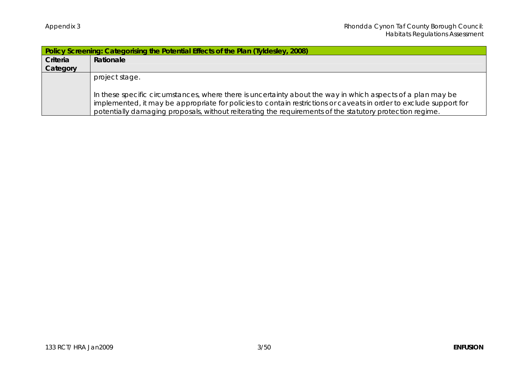|          | Policy Screening: Categorising the Potential Effects of the Plan (Tyldesley, 2008)                                 |
|----------|--------------------------------------------------------------------------------------------------------------------|
| Criteria | Rationale                                                                                                          |
| Category |                                                                                                                    |
|          | project stage.                                                                                                     |
|          |                                                                                                                    |
|          | In these specific circumstances, where there is uncertainty about the way in which aspects of a plan may be        |
|          | implemented, it may be appropriate for policies to contain restrictions or caveats in order to exclude support for |
|          | potentially damaging proposals, without reiterating the requirements of the statutory protection regime.           |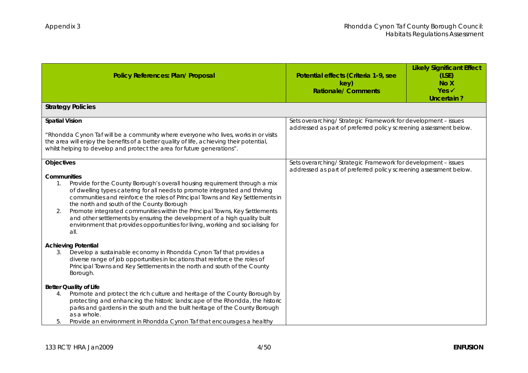| Policy References: Plan/ Proposal                                                                                                                                                                                                                                                                                                                                                                                                                                                                                                                                                      | Potential effects (Criteria 1-9, see<br>key)<br><b>Rationale/Comments</b>                                                          | <b>Likely Significant Effect</b><br>(LSE)<br>No X<br>Yes ✔<br>Uncertain? |
|----------------------------------------------------------------------------------------------------------------------------------------------------------------------------------------------------------------------------------------------------------------------------------------------------------------------------------------------------------------------------------------------------------------------------------------------------------------------------------------------------------------------------------------------------------------------------------------|------------------------------------------------------------------------------------------------------------------------------------|--------------------------------------------------------------------------|
| <b>Strategy Policies</b>                                                                                                                                                                                                                                                                                                                                                                                                                                                                                                                                                               |                                                                                                                                    |                                                                          |
| <b>Spatial Vision</b><br>"Rhondda Cynon Taf will be a community where everyone who lives, works in or visits<br>the area will enjoy the benefits of a better quality of life, achieving their potential,<br>whilst helping to develop and protect the area for future generations".                                                                                                                                                                                                                                                                                                    | Sets overarching/Strategic Framework for development - issues<br>addressed as part of preferred policy screening assessment below. |                                                                          |
| Objectives<br>Communities<br>Provide for the County Borough's overall housing requirement through a mix<br>1.<br>of dwelling types catering for all needs to promote integrated and thriving<br>communities and reinforce the roles of Principal Towns and Key Settlements in<br>the north and south of the County Borough<br>Promote integrated communities within the Principal Towns, Key Settlements<br>2.<br>and other settlements by ensuring the development of a high quality built<br>environment that provides opportunities for living, working and socialising for<br>all. | Sets overarching/Strategic Framework for development - issues<br>addressed as part of preferred policy screening assessment below. |                                                                          |
| <b>Achieving Potential</b><br>Develop a sustainable economy in Rhondda Cynon Taf that provides a<br>3.<br>diverse range of job opportunities in locations that reinforce the roles of<br>Principal Towns and Key Settlements in the north and south of the County<br>Borough.                                                                                                                                                                                                                                                                                                          |                                                                                                                                    |                                                                          |
| Better Quality of Life<br>Promote and protect the rich culture and heritage of the County Borough by<br>4.<br>protecting and enhancing the historic landscape of the Rhondda, the historic<br>parks and gardens in the south and the built heritage of the County Borough<br>as a whole.<br>Provide an environment in Rhondda Cynon Taf that encourages a healthy<br>5.                                                                                                                                                                                                                |                                                                                                                                    |                                                                          |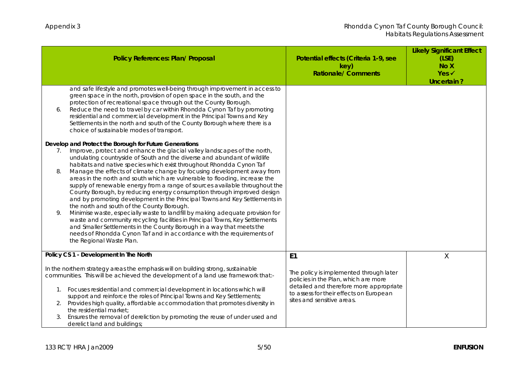|                | Policy References: Plan/ Proposal                                                                                                                                                                                                                                                                                                                                                                                                                                                                                                                                                                                                                                                                                                                                                                                                                                                                                                                                                                                                                                                   | Potential effects (Criteria 1-9, see<br>key)<br>Rationale/ Comments                                                                                                                                                   | <b>Likely Significant Effect</b><br>(LSE)<br>No X<br>Yes ✔<br>Uncertain? |
|----------------|-------------------------------------------------------------------------------------------------------------------------------------------------------------------------------------------------------------------------------------------------------------------------------------------------------------------------------------------------------------------------------------------------------------------------------------------------------------------------------------------------------------------------------------------------------------------------------------------------------------------------------------------------------------------------------------------------------------------------------------------------------------------------------------------------------------------------------------------------------------------------------------------------------------------------------------------------------------------------------------------------------------------------------------------------------------------------------------|-----------------------------------------------------------------------------------------------------------------------------------------------------------------------------------------------------------------------|--------------------------------------------------------------------------|
| 6.             | and safe lifestyle and promotes well-being through improvement in access to<br>green space in the north, provision of open space in the south, and the<br>protection of recreational space through out the County Borough.<br>Reduce the need to travel by car within Rhondda Cynon Taf by promoting<br>residential and commercial development in the Principal Towns and Key<br>Settlements in the north and south of the County Borough where there is a<br>choice of sustainable modes of transport.                                                                                                                                                                                                                                                                                                                                                                                                                                                                                                                                                                             |                                                                                                                                                                                                                       |                                                                          |
| 7.<br>8.<br>9. | Develop and Protect the Borough for Future Generations<br>Improve, protect and enhance the glacial valley landscapes of the north,<br>undulating countryside of South and the diverse and abundant of wildlife<br>habitats and native species which exist throughout Rhondda Cynon Taf<br>Manage the effects of climate change by focusing development away from<br>areas in the north and south which are vulnerable to flooding, increase the<br>supply of renewable energy from a range of sources available throughout the<br>County Borough, by reducing energy consumption through improved design<br>and by promoting development in the Principal Towns and Key Settlements in<br>the north and south of the County Borough.<br>Minimise waste, especially waste to landfill by making adequate provision for<br>waste and community recycling facilities in Principal Towns, Key Settlements<br>and Smaller Settlements in the County Borough in a way that meets the<br>needs of Rhondda Cynon Taf and in accordance with the requirements of<br>the Regional Waste Plan. |                                                                                                                                                                                                                       |                                                                          |
| 2.             | Policy CS 1 - Development In The North<br>In the northern strategy areas the emphasis will on building strong, sustainable<br>communities. This will be achieved the development of a land use framework that:-<br>1. Focuses residential and commercial development in locations which will<br>support and reinforce the roles of Principal Towns and Key Settlements;<br>Provides high quality, affordable accommodation that promotes diversity in<br>the residential market;<br>Ensures the removal of dereliction by promoting the reuse of under used and<br>derelict land and buildings;                                                                                                                                                                                                                                                                                                                                                                                                                                                                                     | E <sub>1</sub><br>The policy is implemented through later<br>policies in the Plan, which are more<br>detailed and therefore more appropriate<br>to assess for their effects on European<br>sites and sensitive areas. | X                                                                        |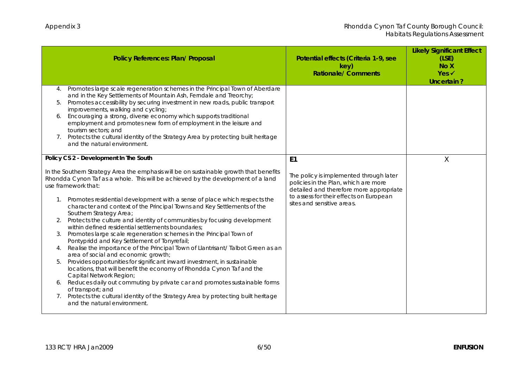| Policy References: Plan/ Proposal                                                                                                                                                                                                                                                                                                                                                                                                                                                                                                                                                                                                                                                                                                                                                                                                                                                                                                                                                                                                                                                                                                                                                                                                             | Potential effects (Criteria 1-9, see<br>key)<br><b>Rationale/Comments</b>                                                                                                                                             | <b>Likely Significant Effect</b><br>(LSE)<br>No X<br>$Yes \checkmark$<br>Uncertain? |
|-----------------------------------------------------------------------------------------------------------------------------------------------------------------------------------------------------------------------------------------------------------------------------------------------------------------------------------------------------------------------------------------------------------------------------------------------------------------------------------------------------------------------------------------------------------------------------------------------------------------------------------------------------------------------------------------------------------------------------------------------------------------------------------------------------------------------------------------------------------------------------------------------------------------------------------------------------------------------------------------------------------------------------------------------------------------------------------------------------------------------------------------------------------------------------------------------------------------------------------------------|-----------------------------------------------------------------------------------------------------------------------------------------------------------------------------------------------------------------------|-------------------------------------------------------------------------------------|
| 4. Promotes large scale regeneration schemes in the Principal Town of Aberdare<br>and in the Key Settlements of Mountain Ash, Ferndale and Treorchy;<br>Promotes accessibility by securing investment in new roads, public transport<br>5.<br>improvements, walking and cycling;<br>Encouraging a strong, diverse economy which supports traditional<br>employment and promotes new form of employment in the leisure and<br>tourism sectors; and<br>Protects the cultural identity of the Strategy Area by protecting built heritage<br>7.<br>and the natural environment.                                                                                                                                                                                                                                                                                                                                                                                                                                                                                                                                                                                                                                                                   |                                                                                                                                                                                                                       |                                                                                     |
| Policy CS 2 - Development In The South<br>In the Southern Strategy Area the emphasis will be on sustainable growth that benefits<br>Rhondda Cynon Taf as a whole. This will be achieved by the development of a land<br>use framework that:<br>Promotes residential development with a sense of place which respects the<br>character and context of the Principal Towns and Key Settlements of the<br>Southern Strategy Area;<br>Protects the culture and identity of communities by focusing development<br>within defined residential settlements boundaries;<br>Promotes large scale regeneration schemes in the Principal Town of<br>3.<br>Pontypridd and Key Settlement of Tonyrefail;<br>Realise the importance of the Principal Town of Llantrisant/Talbot Green as an<br>4.<br>area of social and economic growth;<br>Provides opportunities for significant inward investment, in sustainable<br>5.<br>locations, that will benefit the economy of Rhondda Cynon Taf and the<br>Capital Network Region;<br>Reduces daily out commuting by private car and promotes sustainable forms<br>6.<br>of transport; and<br>Protects the cultural identity of the Strategy Area by protecting built heritage<br>and the natural environment. | E <sub>1</sub><br>The policy is implemented through later<br>policies in the Plan, which are more<br>detailed and therefore more appropriate<br>to assess for their effects on European<br>sites and sensitive areas. | X                                                                                   |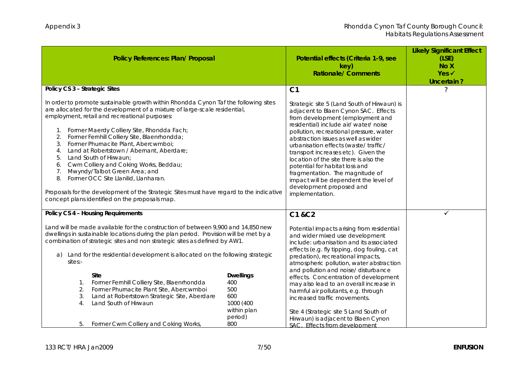| Policy References: Plan/ Proposal                                                                                                                                                                                                                                                                                                                                                                                                                                                                                                                                                                                                                                                                                                            |                                            | Potential effects (Criteria 1-9, see<br>key)<br><b>Rationale/Comments</b>                                                                                                                                                                                                                                                                                                                                                                                                                                                                 | <b>Likely Significant Effect</b><br>(LSE)<br>No X<br>$Yes \checkmark$<br>Uncertain? |
|----------------------------------------------------------------------------------------------------------------------------------------------------------------------------------------------------------------------------------------------------------------------------------------------------------------------------------------------------------------------------------------------------------------------------------------------------------------------------------------------------------------------------------------------------------------------------------------------------------------------------------------------------------------------------------------------------------------------------------------------|--------------------------------------------|-------------------------------------------------------------------------------------------------------------------------------------------------------------------------------------------------------------------------------------------------------------------------------------------------------------------------------------------------------------------------------------------------------------------------------------------------------------------------------------------------------------------------------------------|-------------------------------------------------------------------------------------|
| Policy CS 3 - Strategic Sites                                                                                                                                                                                                                                                                                                                                                                                                                                                                                                                                                                                                                                                                                                                |                                            | C <sub>1</sub>                                                                                                                                                                                                                                                                                                                                                                                                                                                                                                                            | ?                                                                                   |
| In order to promote sustainable growth within Rhondda Cynon Taf the following sites<br>are allocated for the development of a mixture of large-scale residential,<br>employment, retail and recreational purposes:<br>1. Former Maerdy Colliery Site, Rhondda Fach;<br>Former Fernhill Colliery Site, Blaenrhondda;<br>2.<br>Former Phurnacite Plant, Abercwmboi;<br>3.<br>Land at Robertstown / Abernant, Aberdare;<br>4.<br>Land South of Hirwaun;<br>5.<br>Cwm Colliery and Coking Works, Beddau;<br>6.<br>Mwyndy/Talbot Green Area; and<br>7.<br>Former OCC Site Llanilid, Llanharan.<br>8.<br>Proposals for the development of the Strategic Sites must have regard to the indicative<br>concept plans identified on the proposals map. |                                            | Strategic site 5 (Land South of Hirwaun) is<br>adjacent to Blaen Cynon SAC. Effects<br>from development (employment and<br>residential) include air/ water/ noise<br>pollution, recreational pressure, water<br>abstraction issues as well as wider<br>urbanisation effects (waste/traffic/<br>transport increases etc). Given the<br>location of the site there is also the<br>potential for habitat loss and<br>fragmentation. The magnitude of<br>impact will be dependent the level of<br>development proposed and<br>implementation. |                                                                                     |
| Policy CS 4 - Housing Requirements                                                                                                                                                                                                                                                                                                                                                                                                                                                                                                                                                                                                                                                                                                           |                                            | C1 &C2                                                                                                                                                                                                                                                                                                                                                                                                                                                                                                                                    | ✓                                                                                   |
| Land will be made available for the construction of between 9,900 and 14,850 new<br>dwellings in sustainable locations during the plan period. Provision will be met by a<br>combination of strategic sites and non strategic sites as defined by AW1.<br>Land for the residential development is allocated on the following strategic<br>a)<br>sites:-<br>Site                                                                                                                                                                                                                                                                                                                                                                              | <b>Dwellings</b>                           | Potential impacts arising from residential<br>and wider mixed use development<br>include: urbanisation and its associated<br>effects (e.g. fly tipping, dog fouling, cat<br>predation), recreational impacts,<br>atmospheric pollution, water abstraction<br>and pollution and noise/ disturbance<br>effects. Concentration of development                                                                                                                                                                                                |                                                                                     |
| Former Fernhill Colliery Site, Blaenrhondda<br>$\mathbf{1}$ .<br>Former Phurnacite Plant Site, Abercwmboi<br>2.<br>Land at Robertstown Strategic Site, Aberdare<br>3.                                                                                                                                                                                                                                                                                                                                                                                                                                                                                                                                                                        | 400<br>500<br>600                          | may also lead to an overall increase in<br>harmful air pollutants, e.g. through<br>increased traffic movements.                                                                                                                                                                                                                                                                                                                                                                                                                           |                                                                                     |
| Land South of Hirwaun<br>4.<br>Former Cwm Colliery and Coking Works,<br>5.                                                                                                                                                                                                                                                                                                                                                                                                                                                                                                                                                                                                                                                                   | 1000 (400<br>within plan<br>period)<br>800 | Site 4 (Strategic site 5 Land South of<br>Hirwaun) is adjacent to Blaen Cynon<br>SAC. Effects from development                                                                                                                                                                                                                                                                                                                                                                                                                            |                                                                                     |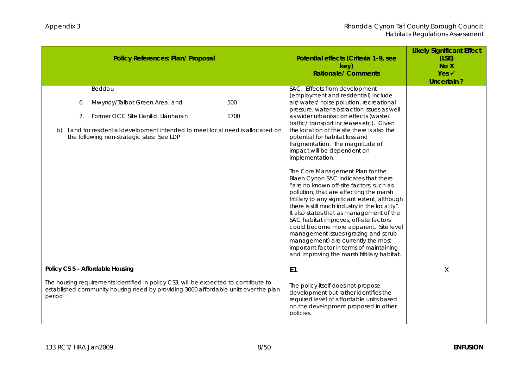| Policy References: Plan/ Proposal                                                                                                                                                                                          | Potential effects (Criteria 1-9, see<br>key)<br><b>Rationale/Comments</b>                                                                                                                                                                                                                                                                                                                                                                                                                                                                                                   | <b>Likely Significant Effect</b><br>(LSE)<br>No X<br>$Yes \checkmark$<br>Uncertain? |
|----------------------------------------------------------------------------------------------------------------------------------------------------------------------------------------------------------------------------|-----------------------------------------------------------------------------------------------------------------------------------------------------------------------------------------------------------------------------------------------------------------------------------------------------------------------------------------------------------------------------------------------------------------------------------------------------------------------------------------------------------------------------------------------------------------------------|-------------------------------------------------------------------------------------|
| Beddau                                                                                                                                                                                                                     | SAC. Effects from development<br>(employment and residential) include                                                                                                                                                                                                                                                                                                                                                                                                                                                                                                       |                                                                                     |
| 500<br>Mwyndy/Talbot Green Area, and<br>6.                                                                                                                                                                                 | air/ water/ noise pollution, recreational                                                                                                                                                                                                                                                                                                                                                                                                                                                                                                                                   |                                                                                     |
| Former OCC Site Llanilid, Llanharan<br>1700<br>7.<br>Land for residential development intended to meet local need is allocated on<br>b)<br>the following non-strategic sites: See LDP                                      | pressure, water abstraction issues as well<br>as wider urbanisation effects (waste/<br>traffic/transport increases etc). Given<br>the location of the site there is also the<br>potential for habitat loss and<br>fragmentation. The magnitude of<br>impact will be dependent on<br>implementation.                                                                                                                                                                                                                                                                         |                                                                                     |
|                                                                                                                                                                                                                            | The Core Management Plan for the<br>Blaen Cynon SAC indicates that there<br>"are no known off-site factors, such as<br>pollution, that are affecting the marsh<br>fritillary to any significant extent, although<br>there is still much industry in the locality".<br>It also states that as management of the<br>SAC habitat improves, off-site factors<br>could become more apparent. Site level<br>management issues (grazing and scrub<br>management) are currently the most<br>important factor in terms of maintaining<br>and improving the marsh fritillary habitat. |                                                                                     |
| Policy CS 5 - Affordable Housing<br>The housing requirements identified in policy CS3, will be expected to contribute to<br>established community housing need by providing 3000 affordable units over the plan<br>period. | E <sub>1</sub><br>The policy itself does not propose<br>development but rather identifies the<br>required level of affordable units based<br>on the development proposed in other<br>policies.                                                                                                                                                                                                                                                                                                                                                                              | Χ                                                                                   |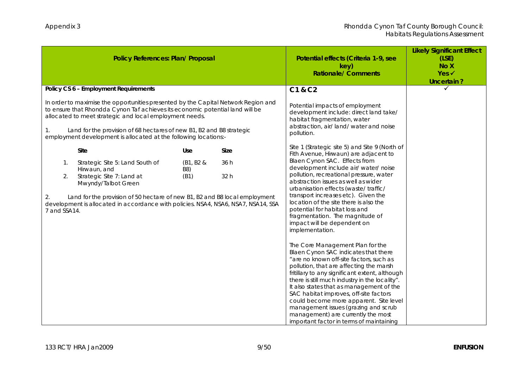| Policy References: Plan/ Proposal                                                                                                                                                                                                                                                                                                                                                            |                                                                                                                                       | Potential effects (Criteria 1-9, see<br>key)<br><b>Rationale/Comments</b>                                                                                                                                                                                                                                                                                                                                                                                                                                                                                                                                                                                                                                                                                                                                                                                                                                                                                                                                                           | <b>Likely Significant Effect</b><br>(LSE)<br>No X<br>$Yes \checkmark$<br>Uncertain? |
|----------------------------------------------------------------------------------------------------------------------------------------------------------------------------------------------------------------------------------------------------------------------------------------------------------------------------------------------------------------------------------------------|---------------------------------------------------------------------------------------------------------------------------------------|-------------------------------------------------------------------------------------------------------------------------------------------------------------------------------------------------------------------------------------------------------------------------------------------------------------------------------------------------------------------------------------------------------------------------------------------------------------------------------------------------------------------------------------------------------------------------------------------------------------------------------------------------------------------------------------------------------------------------------------------------------------------------------------------------------------------------------------------------------------------------------------------------------------------------------------------------------------------------------------------------------------------------------------|-------------------------------------------------------------------------------------|
| Policy CS 6 - Employment Requirements                                                                                                                                                                                                                                                                                                                                                        |                                                                                                                                       | C1 & C2                                                                                                                                                                                                                                                                                                                                                                                                                                                                                                                                                                                                                                                                                                                                                                                                                                                                                                                                                                                                                             |                                                                                     |
| In order to maximise the opportunities presented by the Capital Network Region and<br>to ensure that Rhondda Cynon Taf achieves its economic potential land will be<br>allocated to meet strategic and local employment needs.<br>Land for the provision of 68 hectares of new B1, B2 and B8 strategic<br>$\mathbf{1}$ .<br>employment development is allocated at the following locations:- |                                                                                                                                       | Potential impacts of employment<br>development include: direct land take/<br>habitat fragmentation, water<br>abstraction, air/land/water and noise<br>pollution.                                                                                                                                                                                                                                                                                                                                                                                                                                                                                                                                                                                                                                                                                                                                                                                                                                                                    |                                                                                     |
| Site<br>Strategic Site 5: Land South of<br>$\mathbf{1}$ .<br>Hirwaun, and<br>Strategic Site 7: Land at<br>2.<br>Mwyndy/Talbot Green<br>2.<br>development is allocated in accordance with policies. NSA4, NSA6, NSA7, NSA14, SSA<br>7 and SSA14.                                                                                                                                              | Size<br>Use<br>(B1, B2 &<br>36 h<br>B8)<br>(B1)<br>32 h<br>Land for the provision of 50 hectare of new B1, B2 and B8 local employment | Site 1 (Strategic site 5) and Site 9 (North of<br>Fith Avenue, Hirwaun) are adjacent to<br>Blaen Cynon SAC. Effects from<br>development include air/ water/ noise<br>pollution, recreational pressure, water<br>abstraction issues as well as wider<br>urbanisation effects (waste/traffic/<br>transport increases etc). Given the<br>location of the site there is also the<br>potential for habitat loss and<br>fragmentation. The magnitude of<br>impact will be dependent on<br>implementation.<br>The Core Management Plan for the<br>Blaen Cynon SAC indicates that there<br>"are no known off-site factors, such as<br>pollution, that are affecting the marsh<br>fritillary to any significant extent, although<br>there is still much industry in the locality".<br>It also states that as management of the<br>SAC habitat improves, off-site factors<br>could become more apparent. Site level<br>management issues (grazing and scrub<br>management) are currently the most<br>important factor in terms of maintaining |                                                                                     |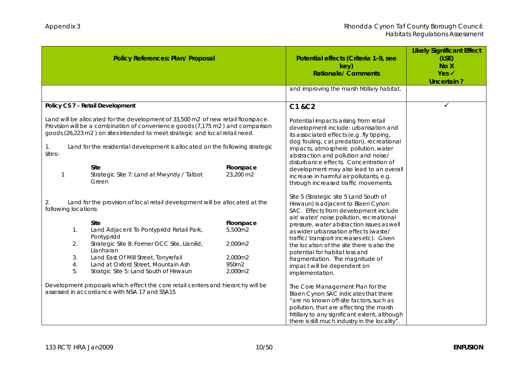| Policy References: Plan/ Proposal                                                                                                                                                                                                                                                                                                                                                                                                          |                                                                 | Potential effects (Criteria 1-9, see<br>key)<br><b>Rationale/ Comments</b>                                                                                                                                                                                                                                                                                                                                                        | <b>Likely Significant Effect</b><br>(LSE)<br>No X<br>$Yes \checkmark$<br>Uncertain? |
|--------------------------------------------------------------------------------------------------------------------------------------------------------------------------------------------------------------------------------------------------------------------------------------------------------------------------------------------------------------------------------------------------------------------------------------------|-----------------------------------------------------------------|-----------------------------------------------------------------------------------------------------------------------------------------------------------------------------------------------------------------------------------------------------------------------------------------------------------------------------------------------------------------------------------------------------------------------------------|-------------------------------------------------------------------------------------|
|                                                                                                                                                                                                                                                                                                                                                                                                                                            |                                                                 | and improving the marsh fritillary habitat.                                                                                                                                                                                                                                                                                                                                                                                       |                                                                                     |
| Policy CS 7 - Retail Development                                                                                                                                                                                                                                                                                                                                                                                                           |                                                                 | C1 &C2                                                                                                                                                                                                                                                                                                                                                                                                                            | ✓                                                                                   |
| Land will be allocated for the development of 33,500 m2 of new retail floorspace.<br>Provision will be a combination of convenience goods (7,175 m2) and comparison<br>goods (26,223 m2) on sites intended to meet strategic and local retail need.<br>Land for the residential development is allocated on the following strategic<br>$\mathbf{1}$ .<br>sites:-<br><b>Site</b><br>Strategic Site 7: Land at Mwyndy / Talbot<br>1<br>Green | Floorspace<br>23,200 m2                                         | Potential impacts arising from retail<br>development include: urbanisation and<br>its associated effects (e.g. fly tipping,<br>dog fouling, cat predation), recreational<br>impacts, atmospheric pollution, water<br>abstraction and pollution and noise/<br>disturbance effects. Concentration of<br>development may also lead to an overall<br>increase in harmful air pollutants, e.g.<br>through increased traffic movements. |                                                                                     |
| Land for the provision of local retail development will be allocated at the<br>2.<br>following locations:                                                                                                                                                                                                                                                                                                                                  |                                                                 | Site 5 (Strategic site 5 Land South of<br>Hirwaun) is adjacent to Blaen Cynon<br>SAC. Effects from development include                                                                                                                                                                                                                                                                                                            |                                                                                     |
| Site<br>Land Adjacent To Pontypridd Retail Park,<br>1.<br>Pontypridd<br>Strategic Site 8: Former OCC Site, Llanilid,<br>2.<br>Llanharan<br>Land East Of Mill Street, Tonyrefail<br>3.<br>Land at Oxford Street, Mountain Ash<br>4.<br>5.<br>Stratgic Site 5: Land South of Hirwaun                                                                                                                                                         | Floorspace<br>5,500m2<br>2,000m2<br>2,000m2<br>950m2<br>2,000m2 | air/water/noise pollution, recreational<br>pressure, water abstraction issues as well<br>as wider urbanisation effects (waste/<br>traffic/transport increases etc). Given<br>the location of the site there is also the<br>potential for habitat loss and<br>fragmentation. The magnitude of<br>impact will be dependent on<br>implementation.                                                                                    |                                                                                     |
| Development proposals which effect the core retail centers and hierarchy will be<br>assessed in accordance with NSA 17 and SSA15                                                                                                                                                                                                                                                                                                           |                                                                 | The Core Management Plan for the<br>Blaen Cynon SAC indicates that there<br>"are no known off-site factors, such as<br>pollution, that are affecting the marsh<br>fritillary to any significant extent, although<br>there is still much industry in the locality".                                                                                                                                                                |                                                                                     |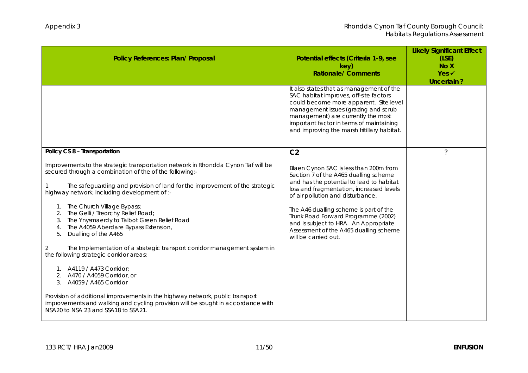| Policy References: Plan/ Proposal                                                                                                                                                                                                                                                                                                                                                                                                                                                                                                                                                                                                                                                                                                                                                                                                                                                                                                                         | Potential effects (Criteria 1-9, see<br>key)<br><b>Rationale/ Comments</b>                                                                                                                                                                                                                                                                                                                                                 | <b>Likely Significant Effect</b><br>(LSE)<br>No X<br>$Yes \checkmark$<br>Uncertain? |
|-----------------------------------------------------------------------------------------------------------------------------------------------------------------------------------------------------------------------------------------------------------------------------------------------------------------------------------------------------------------------------------------------------------------------------------------------------------------------------------------------------------------------------------------------------------------------------------------------------------------------------------------------------------------------------------------------------------------------------------------------------------------------------------------------------------------------------------------------------------------------------------------------------------------------------------------------------------|----------------------------------------------------------------------------------------------------------------------------------------------------------------------------------------------------------------------------------------------------------------------------------------------------------------------------------------------------------------------------------------------------------------------------|-------------------------------------------------------------------------------------|
|                                                                                                                                                                                                                                                                                                                                                                                                                                                                                                                                                                                                                                                                                                                                                                                                                                                                                                                                                           | It also states that as management of the<br>SAC habitat improves, off-site factors<br>could become more apparent. Site level<br>management issues (grazing and scrub<br>management) are currently the most<br>important factor in terms of maintaining<br>and improving the marsh fritillary habitat.                                                                                                                      |                                                                                     |
| Policy CS 8 - Transportation<br>Improvements to the strategic transportation network in Rhondda Cynon Taf will be<br>secured through a combination of the of the following:-<br>The safeguarding and provision of land for the improvement of the strategic<br>highway network, including development of :-<br>1. The Church Village Bypass;<br>The Gelli / Treorchy Relief Road;<br>2.<br>The Ynysmaerdy to Talbot Green Relief Road<br>3.<br>The A4059 Aberdare Bypass Extension,<br>4.<br>Dualling of the A465<br>5.<br>The Implementation of a strategic transport corridor management system in<br>2<br>the following strategic corridor areas;<br>1. A4119 / A473 Corridor;<br>A470 / A4059 Corridor, or<br>A4059 / A465 Corridor<br>3.<br>Provision of additional improvements in the highway network, public transport<br>improvements and walking and cycling provision will be sought in accordance with<br>NSA20 to NSA 23 and SSA18 to SSA21. | C <sub>2</sub><br>Blaen Cynon SAC is less than 200m from<br>Section 7 of the A465 dualling scheme<br>and has the potential to lead to habitat<br>loss and fragmentation, increased levels<br>of air pollution and disturbance.<br>The A46 dualling scheme is part of the<br>Trunk Road Forward Programme (2002)<br>and is subject to HRA. An Appropriate<br>Assessment of the A465 dualling scheme<br>will be carried out. | ?                                                                                   |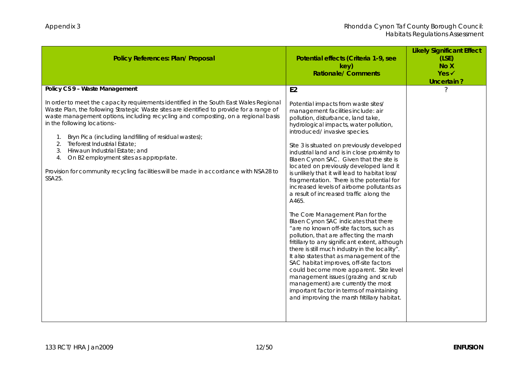| Policy References: Plan/ Proposal                                                                                                                                                                                                                                                                                                                                                                                                                                                                                                                                                                                                         | Potential effects (Criteria 1-9, see<br>key)<br><b>Rationale/ Comments</b>                                                                                                                                                                                                                                                                                                                                                                                                                                                                                                                                                                                                                                                                                                                                                                                                                                                                                                                                                                                                                                                                                                       | <b>Likely Significant Effect</b><br>(LSE)<br>No X<br>Yes ✔<br>Uncertain? |
|-------------------------------------------------------------------------------------------------------------------------------------------------------------------------------------------------------------------------------------------------------------------------------------------------------------------------------------------------------------------------------------------------------------------------------------------------------------------------------------------------------------------------------------------------------------------------------------------------------------------------------------------|----------------------------------------------------------------------------------------------------------------------------------------------------------------------------------------------------------------------------------------------------------------------------------------------------------------------------------------------------------------------------------------------------------------------------------------------------------------------------------------------------------------------------------------------------------------------------------------------------------------------------------------------------------------------------------------------------------------------------------------------------------------------------------------------------------------------------------------------------------------------------------------------------------------------------------------------------------------------------------------------------------------------------------------------------------------------------------------------------------------------------------------------------------------------------------|--------------------------------------------------------------------------|
| Policy CS 9 - Waste Management<br>In order to meet the capacity requirements identified in the South East Wales Regional<br>Waste Plan, the following Strategic Waste sites are identified to provide for a range of<br>waste management options, including recycling and composting, on a regional basis<br>in the following locations:-<br>Bryn Pica (including landfilling of residual wastes);<br>1.<br>Treforest Industrial Estate;<br>2.<br>Hirwaun Industrial Estate; and<br>3.<br>On B2 employment sites as appropriate.<br>4.<br>Provision for community recycling facilities will be made in accordance with NSA28 to<br>SSA25. | E <sub>2</sub><br>Potential impacts from waste sites/<br>management facilities include: air<br>pollution, disturbance, land take,<br>hydrological impacts, water pollution,<br>introduced/ invasive species.<br>Site 3 is situated on previously developed<br>industrial land and is in close proximity to<br>Blaen Cynon SAC. Given that the site is<br>located on previously developed land it<br>is unlikely that it will lead to habitat loss/<br>fragmentation. There is the potential for<br>increased levels of airborne pollutants as<br>a result of increased traffic along the<br>A465.<br>The Core Management Plan for the<br>Blaen Cynon SAC indicates that there<br>"are no known off-site factors, such as<br>pollution, that are affecting the marsh<br>fritillary to any significant extent, although<br>there is still much industry in the locality".<br>It also states that as management of the<br>SAC habitat improves, off-site factors<br>could become more apparent. Site level<br>management issues (grazing and scrub<br>management) are currently the most<br>important factor in terms of maintaining<br>and improving the marsh fritillary habitat. | $\tilde{?}$                                                              |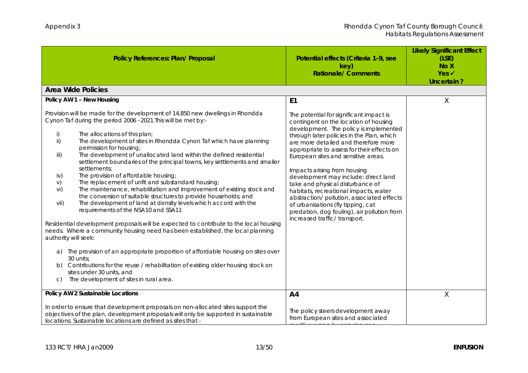| Policy References: Plan/ Proposal                                                                                                                                                                                                                                                                                                                                                                                                                                                                                                                                                                                                                                                                                                                                                                                                                                                                                                                                                                                                                                                                                                                                                                                                                                                                                                       | Potential effects (Criteria 1-9, see<br>key)<br><b>Rationale/Comments</b>                                                                                                                                                                                                                                                                                                                                                                                                                                                                                                                                                     | <b>Likely Significant Effect</b><br>(LSE)<br>No X<br>$Yes \checkmark$<br>Uncertain? |
|-----------------------------------------------------------------------------------------------------------------------------------------------------------------------------------------------------------------------------------------------------------------------------------------------------------------------------------------------------------------------------------------------------------------------------------------------------------------------------------------------------------------------------------------------------------------------------------------------------------------------------------------------------------------------------------------------------------------------------------------------------------------------------------------------------------------------------------------------------------------------------------------------------------------------------------------------------------------------------------------------------------------------------------------------------------------------------------------------------------------------------------------------------------------------------------------------------------------------------------------------------------------------------------------------------------------------------------------|-------------------------------------------------------------------------------------------------------------------------------------------------------------------------------------------------------------------------------------------------------------------------------------------------------------------------------------------------------------------------------------------------------------------------------------------------------------------------------------------------------------------------------------------------------------------------------------------------------------------------------|-------------------------------------------------------------------------------------|
| Area Wide Policies                                                                                                                                                                                                                                                                                                                                                                                                                                                                                                                                                                                                                                                                                                                                                                                                                                                                                                                                                                                                                                                                                                                                                                                                                                                                                                                      |                                                                                                                                                                                                                                                                                                                                                                                                                                                                                                                                                                                                                               |                                                                                     |
| Policy AW 1 - New Housing                                                                                                                                                                                                                                                                                                                                                                                                                                                                                                                                                                                                                                                                                                                                                                                                                                                                                                                                                                                                                                                                                                                                                                                                                                                                                                               | E <sub>1</sub>                                                                                                                                                                                                                                                                                                                                                                                                                                                                                                                                                                                                                | Χ                                                                                   |
| Provision will be made for the development of 14,850 new dwellings in Rhondda<br>Cynon Taf during the period 2006 -2021. This will be met by:-<br>i)<br>The allocations of this plan;<br>The development of sites in Rhondda Cynon Taf which have planning<br>ii)<br>permission for housing;<br>The development of unallocated land within the defined residential<br>iii)<br>settlement boundaries of the principal towns, key settlements and smaller<br>settlements;<br>The provision of affordable housing;<br>iv)<br>The replacement of unfit and substandard housing;<br>V)<br>The maintenance, rehabilitation and improvement of existing stock and<br>vi)<br>the conversion of suitable structures to provide households; and<br>The development of land at density levels which accord with the<br>vii)<br>requirements of the NSA10 and SSA11<br>Residential development proposals will be expected to contribute to the local housing<br>needs. Where a community housing need has been established, the local planning<br>authority will seek:<br>a) The provision of an appropriate proportion of affordable housing on sites over<br>30 units;<br>Contributions for the reuse / rehabilitation of existing older housing stock on<br>sites under 30 units, and<br>The development of sites in rural area.<br>$\mathsf{C}$ | The potential for significant impact is<br>contingent on the location of housing<br>development. The policy is implemented<br>through later policies in the Plan, which<br>are more detailed and therefore more<br>appropriate to assess for their effects on<br>European sites and sensitive areas.<br>Impacts arising from housing<br>development may include: direct land<br>take and physical disturbance of<br>habitats, recreational impacts, water<br>abstraction/ pollution, associated effects<br>of urbanisations (fly tipping, cat<br>predation, dog fouling), air pollution from<br>increased traffic/ transport. |                                                                                     |
| Policy AW 2 Sustainable Locations                                                                                                                                                                                                                                                                                                                                                                                                                                                                                                                                                                                                                                                                                                                                                                                                                                                                                                                                                                                                                                                                                                                                                                                                                                                                                                       | A <sub>4</sub>                                                                                                                                                                                                                                                                                                                                                                                                                                                                                                                                                                                                                | X                                                                                   |
| In order to ensure that development proposals on non-allocated sites support the<br>objectives of the plan, development proposals will only be supported in sustainable<br>locations. Sustainable locations are defined as sites that -                                                                                                                                                                                                                                                                                                                                                                                                                                                                                                                                                                                                                                                                                                                                                                                                                                                                                                                                                                                                                                                                                                 | The policy steers development away<br>from European sites and associated                                                                                                                                                                                                                                                                                                                                                                                                                                                                                                                                                      |                                                                                     |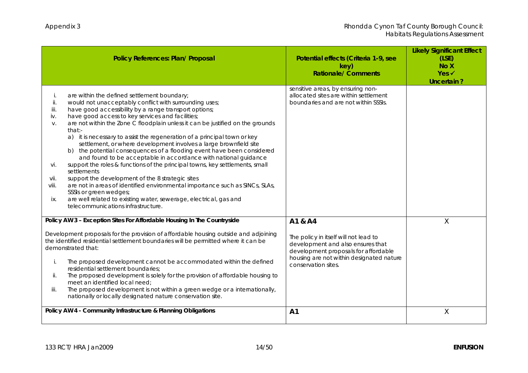|                                                               | Policy References: Plan/ Proposal                                                                                                                                                                                                                                                                                                                                                                                                                                                                                                                                                                                                                                                                                                                                                                                                                                                                                                                                                    | Potential effects (Criteria 1-9, see<br>key)<br><b>Rationale/Comments</b>                                                                                                                        | <b>Likely Significant Effect</b><br>(LSE)<br>No X<br>$Yes \checkmark$<br>Uncertain? |
|---------------------------------------------------------------|--------------------------------------------------------------------------------------------------------------------------------------------------------------------------------------------------------------------------------------------------------------------------------------------------------------------------------------------------------------------------------------------------------------------------------------------------------------------------------------------------------------------------------------------------------------------------------------------------------------------------------------------------------------------------------------------------------------------------------------------------------------------------------------------------------------------------------------------------------------------------------------------------------------------------------------------------------------------------------------|--------------------------------------------------------------------------------------------------------------------------------------------------------------------------------------------------|-------------------------------------------------------------------------------------|
| i.<br>ii.<br>iii.<br>iv.<br>V.<br>vi.<br>vii.<br>Viii.<br>ix. | are within the defined settlement boundary;<br>would not unacceptably conflict with surrounding uses;<br>have good accessibility by a range transport options;<br>have good access to key services and facilities;<br>are not within the Zone C floodplain unless it can be justified on the grounds<br>that:-<br>a) it is necessary to assist the regeneration of a principal town or key<br>settlement, or where development involves a large brownfield site<br>b) the potential consequences of a flooding event have been considered<br>and found to be acceptable in accordance with national guidance<br>support the roles & functions of the principal towns, key settlements, small<br>settlements<br>support the development of the 8 strategic sites<br>are not in areas of identified environmental importance such as SINCs, SLAs,<br>SSSIs or green wedges;<br>are well related to existing water, sewerage, electrical, gas and<br>telecommunications infrastructure. | sensitive areas, by ensuring non-<br>allocated sites are within settlement<br>boundaries and are not within SSSIs.                                                                               |                                                                                     |
| j.<br>ii.<br>iii.                                             | Policy AW 3 - Exception Sites For Affordable Housing In The Countryside<br>Development proposals for the provision of affordable housing outside and adjoining<br>the identified residential settlement boundaries will be permitted where it can be<br>demonstrated that:<br>The proposed development cannot be accommodated within the defined<br>residential settlement boundaries;<br>The proposed development is solely for the provision of affordable housing to<br>meet an identified local need;<br>The proposed development is not within a green wedge or a internationally,<br>nationally or locally designated nature conservation site.                                                                                                                                                                                                                                                                                                                                | A1 & A4<br>The policy in itself will not lead to<br>development and also ensures that<br>development proposals for affordable<br>housing are not within designated nature<br>conservation sites. | $\sf X$                                                                             |
|                                                               | Policy AW 4 - Community Infrastructure & Planning Obligations                                                                                                                                                                                                                                                                                                                                                                                                                                                                                                                                                                                                                                                                                                                                                                                                                                                                                                                        | A1                                                                                                                                                                                               | Χ                                                                                   |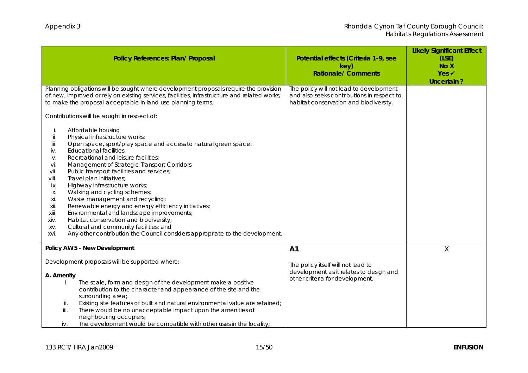| Policy References: Plan/ Proposal                                                                                                                                                                                                                                                                                                                                                                                                                                                                                                                                                                                                                                                                                                                                                                                    | Potential effects (Criteria 1-9, see<br>key)<br><b>Rationale/ Comments</b>                                                         | <b>Likely Significant Effect</b><br>(LSE)<br>No X<br>Yes ✔<br>Uncertain? |
|----------------------------------------------------------------------------------------------------------------------------------------------------------------------------------------------------------------------------------------------------------------------------------------------------------------------------------------------------------------------------------------------------------------------------------------------------------------------------------------------------------------------------------------------------------------------------------------------------------------------------------------------------------------------------------------------------------------------------------------------------------------------------------------------------------------------|------------------------------------------------------------------------------------------------------------------------------------|--------------------------------------------------------------------------|
| Planning obligations will be sought where development proposals require the provision<br>of new, improved or rely on existing services, facilities, infrastructure and related works,<br>to make the proposal acceptable in land use planning terms.<br>Contributions will be sought in respect of:                                                                                                                                                                                                                                                                                                                                                                                                                                                                                                                  | The policy will not lead to development<br>and also seeks contributions in respect to<br>habitat conservation and biodiversity.    |                                                                          |
| Affordable housing<br>j.<br>Physical infrastructure works;<br>ii.<br>iii.<br>Open space, sport/play space and access to natural green space.<br>Educational facilities;<br>iv.<br>Recreational and leisure facilities;<br>V.<br>Management of Strategic Transport Corridors<br>vi.<br>Public transport facilities and services;<br>vii.<br>Travel plan initiatives;<br>viii.<br>Highway infrastructure works;<br>ix.<br>Walking and cycling schemes;<br>Χ.<br>Waste management and recycling;<br>xi.<br>Renewable energy and energy efficiency initiatives;<br>xii.<br>Environmental and landscape improvements;<br>xiii.<br>Habitat conservation and biodiversity;<br>xiv.<br>Cultural and community facilities; and<br>XV.<br>Any other contribution the Council considers appropriate to the development.<br>XVİ. |                                                                                                                                    |                                                                          |
| Policy AW 5 - New Development<br>Development proposals will be supported where:-<br>A. Amenity<br>The scale, form and design of the development make a positive<br>i.<br>contribution to the character and appearance of the site and the<br>surrounding area;<br>Existing site features of built and natural environmental value are retained;<br>ii.<br>iii.<br>There would be no unacceptable impact upon the amenities of<br>neighbouring occupiers;<br>The development would be compatible with other uses in the locality;<br>iv.                                                                                                                                                                                                                                                                              | A <sub>1</sub><br>The policy itself will not lead to<br>development as it relates to design and<br>other criteria for development. | Χ                                                                        |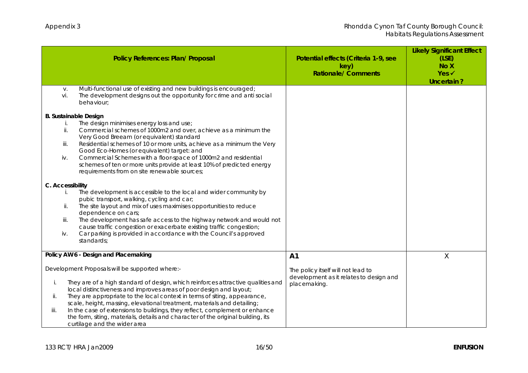| Policy References: Plan/ Proposal                                                                                                                                                                                                                                                                                                                                                                                                                                                                                                                                                                                                  | Potential effects (Criteria 1-9, see<br>key)<br><b>Rationale/ Comments</b>                                      | <b>Likely Significant Effect</b><br>(LSE)<br>No X<br>Yes ✔<br>Uncertain? |
|------------------------------------------------------------------------------------------------------------------------------------------------------------------------------------------------------------------------------------------------------------------------------------------------------------------------------------------------------------------------------------------------------------------------------------------------------------------------------------------------------------------------------------------------------------------------------------------------------------------------------------|-----------------------------------------------------------------------------------------------------------------|--------------------------------------------------------------------------|
| Multi-functional use of existing and new buildings is encouraged;<br>V.<br>The development designs out the opportunity for crime and anti social<br>vi.<br>behaviour:                                                                                                                                                                                                                                                                                                                                                                                                                                                              |                                                                                                                 |                                                                          |
| B. Sustainable Design<br>The design minimises energy loss and use;<br>j.<br>ii.<br>Commercial schemes of 1000m2 and over, achieve as a minimum the<br>Very Good Breeam (or equivalent) standard<br>Residential schemes of 10 or more units, achieve as a minimum the Very<br>iii.<br>Good Eco-Homes (or equivalent) target: and<br>Commercial Schemes with a floor-space of 1000m2 and residential<br>iv.<br>schemes of ten or more units provide at least 10% of predicted energy<br>requirements from on site renewable sources;                                                                                                 |                                                                                                                 |                                                                          |
| C. Accessibility<br>The development is accessible to the local and wider community by<br>i.<br>pubic transport, walking, cycling and car;<br>The site layout and mix of uses maximises opportunities to reduce<br>ii.<br>dependence on cars;<br>The development has safe access to the highway network and would not<br>iii.<br>cause traffic congestion or exacerbate existing traffic congestion;<br>Car parking is provided in accordance with the Council's approved<br>iv.<br>standards;                                                                                                                                      |                                                                                                                 |                                                                          |
| Policy AW 6 - Design and Placemaking<br>Development Proposals will be supported where:-<br>They are of a high standard of design, which reinforces attractive qualities and<br>i.<br>local distinctiveness and improves areas of poor design and layout;<br>They are appropriate to the local context in terms of siting, appearance,<br>ii.<br>scale, height, massing, elevational treatment, materials and detailing;<br>In the case of extensions to buildings, they reflect, complement or enhance<br>iii.<br>the form, siting, materials, details and character of the original building, its<br>curtilage and the wider area | A <sub>1</sub><br>The policy itself will not lead to<br>development as it relates to design and<br>placemaking. | Χ                                                                        |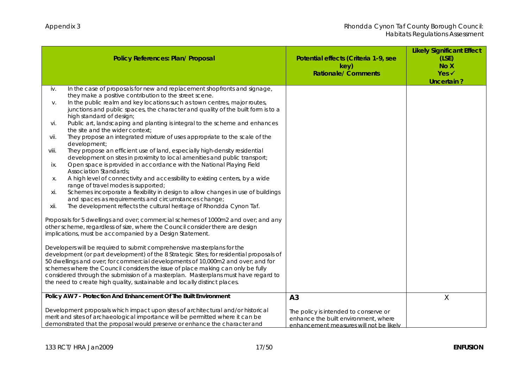|       | Policy References: Plan/ Proposal                                                                                                                                            | Potential effects (Criteria 1-9, see<br>key)<br><b>Rationale/ Comments</b> | <b>Likely Significant Effect</b><br>(LSE)<br>No X<br>$Yes \checkmark$<br>Uncertain? |
|-------|------------------------------------------------------------------------------------------------------------------------------------------------------------------------------|----------------------------------------------------------------------------|-------------------------------------------------------------------------------------|
| iv.   | In the case of proposals for new and replacement shopfronts and signage,<br>they make a positive contribution to the street scene.                                           |                                                                            |                                                                                     |
| V.    | In the public realm and key locations such as town centres, major routes,<br>junctions and public spaces, the character and quality of the built form is to a                |                                                                            |                                                                                     |
|       | high standard of design;                                                                                                                                                     |                                                                            |                                                                                     |
| Vİ.   | Public art, landscaping and planting is integral to the scheme and enhances<br>the site and the wider context;                                                               |                                                                            |                                                                                     |
| Vii.  | They propose an integrated mixture of uses appropriate to the scale of the<br>development;                                                                                   |                                                                            |                                                                                     |
| viii. | They propose an efficient use of land, especially high-density residential<br>development on sites in proximity to local amenities and public transport;                     |                                                                            |                                                                                     |
| ix.   | Open space is provided in accordance with the National Playing Field<br>Association Standards;                                                                               |                                                                            |                                                                                     |
| Х.    | A high level of connectivity and accessibility to existing centers, by a wide<br>range of travel modes is supported;                                                         |                                                                            |                                                                                     |
| xi.   | Schemes incorporate a flexibility in design to allow changes in use of buildings                                                                                             |                                                                            |                                                                                     |
| xii.  | and spaces as requirements and circumstances change;<br>The development reflects the cultural heritage of Rhondda Cynon Taf.                                                 |                                                                            |                                                                                     |
|       | Proposals for 5 dwellings and over; commercial schemes of 1000m2 and over; and any<br>other scheme, regardless of size, where the Council consider there are design          |                                                                            |                                                                                     |
|       | implications, must be accompanied by a Design Statement.                                                                                                                     |                                                                            |                                                                                     |
|       | Developers will be required to submit comprehensive masterplans for the                                                                                                      |                                                                            |                                                                                     |
|       | development (or part development) of the 8 Strategic Sites; for residential proposals of<br>50 dwellings and over; for commercial developments of 10,000m2 and over; and for |                                                                            |                                                                                     |
|       | schemes where the Council considers the issue of place making can only be fully                                                                                              |                                                                            |                                                                                     |
|       | considered through the submission of a masterplan. Masterplans must have regard to<br>the need to create high quality, sustainable and locally distinct places.              |                                                                            |                                                                                     |
|       | Policy AW 7 - Protection And Enhancement Of The Built Environment                                                                                                            | A <sub>3</sub>                                                             | Χ                                                                                   |
|       | Development proposals which impact upon sites of architectural and/or historical                                                                                             | The policy is intended to conserve or                                      |                                                                                     |
|       | merit and sites of archaeological importance will be permitted where it can be                                                                                               | enhance the built environment, where                                       |                                                                                     |
|       | demonstrated that the proposal would preserve or enhance the character and                                                                                                   | enhancement measures will not be likely                                    |                                                                                     |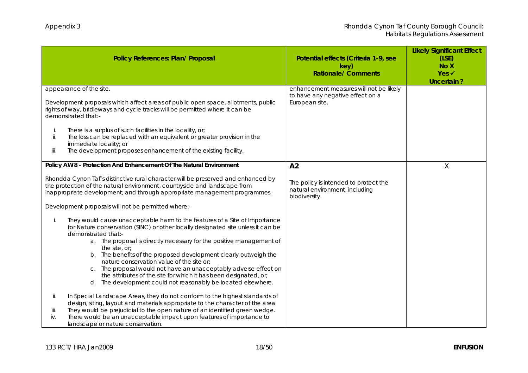| Policy References: Plan/ Proposal                                                                                                                                                                                                                                                                                                                                                                                                                                                                                                                                                                                                                                                                                                                                                                                                                                                                                                                                                              | Potential effects (Criteria 1-9, see<br>key)<br><b>Rationale/Comments</b>                                  | <b>Likely Significant Effect</b><br>(LSE)<br>No X<br>$Yes \checkmark$<br>Uncertain? |
|------------------------------------------------------------------------------------------------------------------------------------------------------------------------------------------------------------------------------------------------------------------------------------------------------------------------------------------------------------------------------------------------------------------------------------------------------------------------------------------------------------------------------------------------------------------------------------------------------------------------------------------------------------------------------------------------------------------------------------------------------------------------------------------------------------------------------------------------------------------------------------------------------------------------------------------------------------------------------------------------|------------------------------------------------------------------------------------------------------------|-------------------------------------------------------------------------------------|
| appearance of the site.<br>Development proposals which affect areas of public open space, allotments, public<br>rights of way, bridleways and cycle tracks will be permitted where it can be<br>demonstrated that:-<br>There is a surplus of such facilities in the locality, or;<br>i.<br>The loss can be replaced with an equivalent or greater provision in the<br>ii.<br>immediate locality; or<br>The development proposes enhancement of the existing facility.<br>iii.                                                                                                                                                                                                                                                                                                                                                                                                                                                                                                                  | enhancement measures will not be likely<br>to have any negative effect on a<br>European site.              |                                                                                     |
| Policy AW 8 - Protection And Enhancement Of The Natural Environment<br>Rhondda Cynon Taf's distinctive rural character will be preserved and enhanced by<br>the protection of the natural environment, countryside and landscape from<br>inappropriate development; and through appropriate management programmes.<br>Development proposals will not be permitted where:-<br>They would cause unacceptable harm to the features of a Site of Importance<br>i.<br>for Nature conservation (SINC) or other locally designated site unless it can be<br>demonstrated that:-<br>a. The proposal is directly necessary for the positive management of<br>the site, or;<br>b. The benefits of the proposed development clearly outweigh the<br>nature conservation value of the site or;<br>The proposal would not have an unacceptably adverse effect on<br>C.<br>the attributes of the site for which it has been designated, or;<br>d. The development could not reasonably be located elsewhere. | A <sub>2</sub><br>The policy is intended to protect the<br>natural environment, including<br>biodiversity. | Χ                                                                                   |
| ii.<br>In Special Landscape Areas, they do not conform to the highest standards of<br>design, siting, layout and materials appropriate to the character of the area<br>They would be prejudicial to the open nature of an identified green wedge.<br>iii.<br>There would be an unacceptable impact upon features of importance to<br>iv.<br>landscape or nature conservation.                                                                                                                                                                                                                                                                                                                                                                                                                                                                                                                                                                                                                  |                                                                                                            |                                                                                     |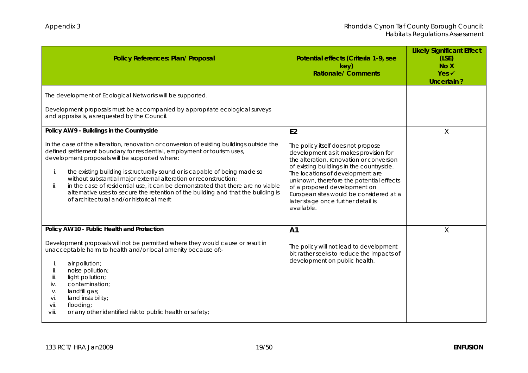| Policy References: Plan/ Proposal                                                                                                                                                                                                                                                                                                                                                                                                                                                                                                                                                                                                                        | Potential effects (Criteria 1-9, see<br>key)<br><b>Rationale/Comments</b>                                                                                                                                                                                                                                                                                                                             | <b>Likely Significant Effect</b><br>(LSE)<br>No X<br>$Yes \checkmark$<br>Uncertain? |
|----------------------------------------------------------------------------------------------------------------------------------------------------------------------------------------------------------------------------------------------------------------------------------------------------------------------------------------------------------------------------------------------------------------------------------------------------------------------------------------------------------------------------------------------------------------------------------------------------------------------------------------------------------|-------------------------------------------------------------------------------------------------------------------------------------------------------------------------------------------------------------------------------------------------------------------------------------------------------------------------------------------------------------------------------------------------------|-------------------------------------------------------------------------------------|
| The development of Ecological Networks will be supported.<br>Development proposals must be accompanied by appropriate ecological surveys<br>and appraisals, as requested by the Council.                                                                                                                                                                                                                                                                                                                                                                                                                                                                 |                                                                                                                                                                                                                                                                                                                                                                                                       |                                                                                     |
| Policy AW 9 - Buildings in the Countryside<br>In the case of the alteration, renovation or conversion of existing buildings outside the<br>defined settlement boundary for residential, employment or tourism uses,<br>development proposals will be supported where:<br>the existing building is structurally sound or is capable of being made so<br>i.<br>without substantial major external alteration or reconstruction;<br>in the case of residential use, it can be demonstrated that there are no viable<br>ii.<br>alternative uses to secure the retention of the building and that the building is<br>of architectural and/or historical merit | E <sub>2</sub><br>The policy itself does not propose<br>development as it makes provision for<br>the alteration, renovation or conversion<br>of existing buildings in the countryside.<br>The locations of development are<br>unknown, therefore the potential effects<br>of a proposed development on<br>European sites would be considered at a<br>later stage once further detail is<br>available. | X                                                                                   |
| Policy AW 10 - Public Health and Protection<br>Development proposals will not be permitted where they would cause or result in<br>unacceptable harm to health and/or local amenity because of:-<br>air pollution;<br>i.<br>noise pollution;<br>ii.<br>iii.<br>light pollution;<br>contamination;<br>iv.<br>landfill gas;<br>V.<br>land instability;<br>vi.<br>vii.<br>flooding;<br>viii.<br>or any other identified risk to public health or safety;                                                                                                                                                                                                     | A <sub>1</sub><br>The policy will not lead to development<br>bit rather seeks to reduce the impacts of<br>development on public health.                                                                                                                                                                                                                                                               | X                                                                                   |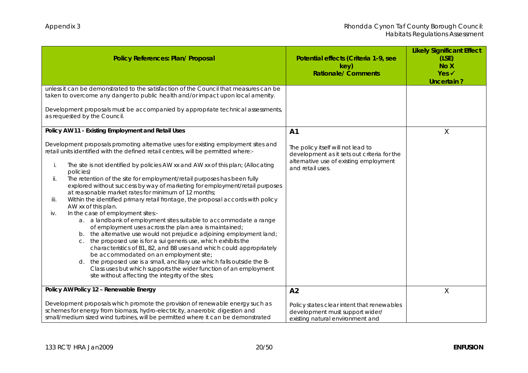| Policy References: Plan/ Proposal                                                                                                                                                                                                                                                                                                                                                                                                                                                                                                                                                                                                                                                                                                                                                                                                                                                                                                                                                                                                                                                                                                                                                                                                                                           | Potential effects (Criteria 1-9, see<br>key)<br><b>Rationale/Comments</b>                                                                                         | <b>Likely Significant Effect</b><br>(LSE)<br>No X<br>$Yes \checkmark$<br>Uncertain? |
|-----------------------------------------------------------------------------------------------------------------------------------------------------------------------------------------------------------------------------------------------------------------------------------------------------------------------------------------------------------------------------------------------------------------------------------------------------------------------------------------------------------------------------------------------------------------------------------------------------------------------------------------------------------------------------------------------------------------------------------------------------------------------------------------------------------------------------------------------------------------------------------------------------------------------------------------------------------------------------------------------------------------------------------------------------------------------------------------------------------------------------------------------------------------------------------------------------------------------------------------------------------------------------|-------------------------------------------------------------------------------------------------------------------------------------------------------------------|-------------------------------------------------------------------------------------|
| unless it can be demonstrated to the satisfaction of the Council that measures can be<br>taken to overcome any danger to public health and/or impact upon local amenity.<br>Development proposals must be accompanied by appropriate technical assessments,<br>as requested by the Council.<br>Policy AW 11 - Existing Employment and Retail Uses                                                                                                                                                                                                                                                                                                                                                                                                                                                                                                                                                                                                                                                                                                                                                                                                                                                                                                                           |                                                                                                                                                                   |                                                                                     |
| Development proposals promoting alternative uses for existing employment sites and<br>retail units identified with the defined retail centres, will be permitted where:-<br>The site is not identified by policies AW xx and AW xx of this plan; (Allocating<br>i.<br>policies)<br>The retention of the site for employment/retail purposes has been fully<br>ii.<br>explored without success by way of marketing for employment/retail purposes<br>at reasonable market rates for minimum of 12 months;<br>Within the identified primary retail frontage, the proposal accords with policy<br>iii.<br>AW xx of this plan.<br>In the case of employment sites:-<br>iv.<br>a. a landbank of employment sites suitable to accommodate a range<br>of employment uses across the plan area is maintained;<br>b. the alternative use would not prejudice adjoining employment land;<br>c. the proposed use is for a sui generis use, which exhibits the<br>characteristics of B1, B2, and B8 uses and which could appropriately<br>be accommodated on an employment site;<br>d. the proposed use is a small, ancillary use which falls outside the B-<br>Class uses but which supports the wider function of an employment<br>site without affecting the integrity of the sites; | A <sub>1</sub><br>The policy itself will not lead to<br>development as it sets out criteria for the<br>alternative use of existing employment<br>and retail uses. | X                                                                                   |
| Policy AW Policy 12 - Renewable Energy<br>Development proposals which promote the provision of renewable energy such as                                                                                                                                                                                                                                                                                                                                                                                                                                                                                                                                                                                                                                                                                                                                                                                                                                                                                                                                                                                                                                                                                                                                                     | A <sub>2</sub><br>Policy states clear intent that renewables                                                                                                      | X                                                                                   |
| schemes for energy from biomass, hydro-electricity, anaerobic digestion and<br>small/medium sized wind turbines, will be permitted where it can be demonstrated                                                                                                                                                                                                                                                                                                                                                                                                                                                                                                                                                                                                                                                                                                                                                                                                                                                                                                                                                                                                                                                                                                             | development must support wider/<br>existing natural environment and                                                                                               |                                                                                     |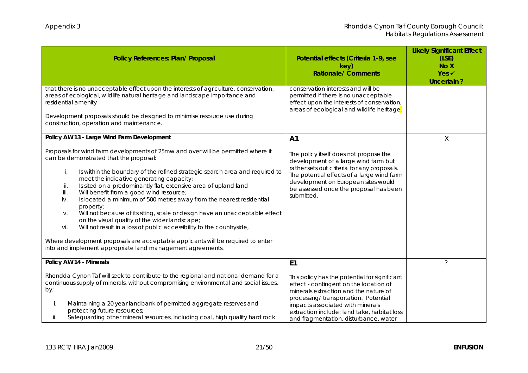| Policy References: Plan/ Proposal<br>that there is no unacceptable effect upon the interests of agriculture, conservation,<br>areas of ecological, wildlife natural heritage and landscape importance and                                                                                                                                                                                                                                                                                                                                                                                                                                                                                                                                                                                                                                                                                                 | Potential effects (Criteria 1-9, see<br>key)<br><b>Rationale/Comments</b><br>conservation interests and will be<br>permitted if there is no unacceptable                                                                                                                                                               | <b>Likely Significant Effect</b><br>(LSE)<br>No X<br>Yes ✔<br>Uncertain? |
|-----------------------------------------------------------------------------------------------------------------------------------------------------------------------------------------------------------------------------------------------------------------------------------------------------------------------------------------------------------------------------------------------------------------------------------------------------------------------------------------------------------------------------------------------------------------------------------------------------------------------------------------------------------------------------------------------------------------------------------------------------------------------------------------------------------------------------------------------------------------------------------------------------------|------------------------------------------------------------------------------------------------------------------------------------------------------------------------------------------------------------------------------------------------------------------------------------------------------------------------|--------------------------------------------------------------------------|
| residential amenity<br>Development proposals should be designed to minimise resource use during<br>construction, operation and maintenance.                                                                                                                                                                                                                                                                                                                                                                                                                                                                                                                                                                                                                                                                                                                                                               | effect upon the interests of conservation,<br>areas of ecological and wildlife heritage.                                                                                                                                                                                                                               |                                                                          |
| Policy AW 13 - Large Wind Farm Development<br>Proposals for wind farm developments of 25mw and over will be permitted where it<br>can be demonstrated that the proposal:<br>Is within the boundary of the refined strategic search area and required to<br>i.<br>meet the indicative generating capacity;<br>Is sited on a predominantly flat, extensive area of upland land<br>ii.<br>iii.<br>Will benefit from a good wind resource;<br>Is located a minimum of 500 metres away from the nearest residential<br>iv.<br>property;<br>Will not because of its siting, scale or design have an unacceptable effect<br>V.<br>on the visual quality of the wider landscape;<br>Will not result in a loss of public accessibility to the countryside,<br>vi.<br>Where development proposals are acceptable applicants will be required to enter<br>into and implement appropriate land management agreements. | A <sub>1</sub><br>The policy itself does not propose the<br>development of a large wind farm but<br>rather sets out criteria for any proposals.<br>The potential effects of a large wind farm<br>development on European sites would<br>be assessed once the proposal has been<br>submitted.                           | X                                                                        |
| Policy AW 14 - Minerals<br>Rhondda Cynon Taf will seek to contribute to the regional and national demand for a<br>continuous supply of minerals, without compromising environmental and social issues,<br>by;<br>Maintaining a 20 year landbank of permitted aggregate reserves and<br>i.<br>protecting future resources;<br>ii.<br>Safeguarding other mineral resources, including coal, high quality hard rock                                                                                                                                                                                                                                                                                                                                                                                                                                                                                          | E <sub>1</sub><br>This policy has the potential for significant<br>effect - contingent on the location of<br>minerals extraction and the nature of<br>processing/transportation. Potential<br>impacts associated with minerals<br>extraction include: land take, habitat loss<br>and fragmentation, disturbance, water | ?                                                                        |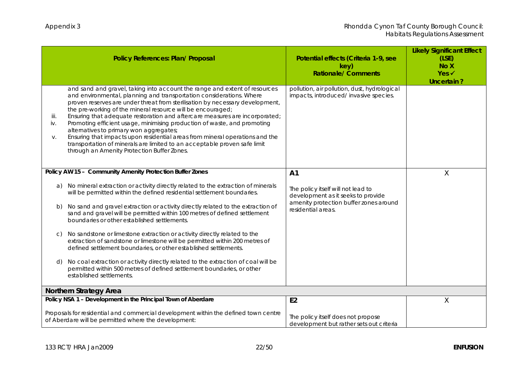| Policy References: Plan/ Proposal                                                                                                                                                                                                                                                                                                                                                                                                                                                                                                                                                                                                                                                                                                         | Potential effects (Criteria 1-9, see<br>key)<br><b>Rationale/Comments</b>                                                                | <b>Likely Significant Effect</b><br>(LSE)<br>No X<br>Yes ✔<br>Uncertain? |
|-------------------------------------------------------------------------------------------------------------------------------------------------------------------------------------------------------------------------------------------------------------------------------------------------------------------------------------------------------------------------------------------------------------------------------------------------------------------------------------------------------------------------------------------------------------------------------------------------------------------------------------------------------------------------------------------------------------------------------------------|------------------------------------------------------------------------------------------------------------------------------------------|--------------------------------------------------------------------------|
| and sand and gravel, taking into account the range and extent of resources<br>and environmental, planning and transportation considerations. Where<br>proven reserves are under threat from sterilisation by necessary development,<br>the pre-working of the mineral resource will be encouraged;<br>Ensuring that adequate restoration and aftercare measures are incorporated;<br>iii.<br>Promoting efficient usage, minimising production of waste, and promoting<br>iv.<br>alternatives to primary won aggregates;<br>Ensuring that impacts upon residential areas from mineral operations and the<br>V.<br>transportation of minerals are limited to an acceptable proven safe limit<br>through an Amenity Protection Buffer Zones. | pollution, air pollution, dust, hydrological<br>impacts, introduced/invasive species.                                                    |                                                                          |
| Policy AW 15 - Community Amenity Protection Buffer Zones                                                                                                                                                                                                                                                                                                                                                                                                                                                                                                                                                                                                                                                                                  | A <sub>1</sub>                                                                                                                           | X                                                                        |
| No mineral extraction or activity directly related to the extraction of minerals<br>a)<br>will be permitted within the defined residential settlement boundaries.<br>No sand and gravel extraction or activity directly related to the extraction of<br>b)<br>sand and gravel will be permitted within 100 metres of defined settlement<br>boundaries or other established settlements.                                                                                                                                                                                                                                                                                                                                                   | The policy itself will not lead to<br>development as it seeks to provide<br>amenity protection buffer zones around<br>residential areas. |                                                                          |
| No sandstone or limestone extraction or activity directly related to the<br>C)<br>extraction of sandstone or limestone will be permitted within 200 metres of<br>defined settlement boundaries, or other established settlements.                                                                                                                                                                                                                                                                                                                                                                                                                                                                                                         |                                                                                                                                          |                                                                          |
| No coal extraction or activity directly related to the extraction of coal will be<br>d)<br>permitted within 500 metres of defined settlement boundaries, or other<br>established settlements.                                                                                                                                                                                                                                                                                                                                                                                                                                                                                                                                             |                                                                                                                                          |                                                                          |
| Northern Strategy Area                                                                                                                                                                                                                                                                                                                                                                                                                                                                                                                                                                                                                                                                                                                    |                                                                                                                                          |                                                                          |
| Policy NSA 1 - Development in the Principal Town of Aberdare                                                                                                                                                                                                                                                                                                                                                                                                                                                                                                                                                                                                                                                                              | E <sub>2</sub>                                                                                                                           | X                                                                        |
| Proposals for residential and commercial development within the defined town centre<br>of Aberdare will be permitted where the development:                                                                                                                                                                                                                                                                                                                                                                                                                                                                                                                                                                                               | The policy itself does not propose<br>development but rather sets out criteria                                                           |                                                                          |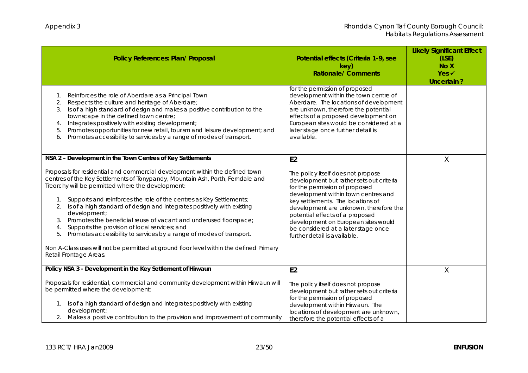| Policy References: Plan/ Proposal                                                                                                                                                                                                                                                                                                                                                                                                                                                                                                                                                                                                                                                                                                                                                              | Potential effects (Criteria 1-9, see<br>key)<br><b>Rationale/ Comments</b>                                                                                                                                                                                                                                                                                                                                | <b>Likely Significant Effect</b><br>(LSE)<br>No X<br>Yes ✔<br>Uncertain? |
|------------------------------------------------------------------------------------------------------------------------------------------------------------------------------------------------------------------------------------------------------------------------------------------------------------------------------------------------------------------------------------------------------------------------------------------------------------------------------------------------------------------------------------------------------------------------------------------------------------------------------------------------------------------------------------------------------------------------------------------------------------------------------------------------|-----------------------------------------------------------------------------------------------------------------------------------------------------------------------------------------------------------------------------------------------------------------------------------------------------------------------------------------------------------------------------------------------------------|--------------------------------------------------------------------------|
| Reinforces the role of Aberdare as a Principal Town<br>1.<br>Respects the culture and heritage of Aberdare;<br>2.<br>Is of a high standard of design and makes a positive contribution to the<br>3.<br>townscape in the defined town centre;<br>Integrates positively with existing development;<br>4.<br>Promotes opportunities for new retail, tourism and leisure development; and<br>5.<br>Promotes accessibility to services by a range of modes of transport.<br>6.                                                                                                                                                                                                                                                                                                                      | for the permission of proposed<br>development within the town centre of<br>Aberdare. The locations of development<br>are unknown, therefore the potential<br>effects of a proposed development on<br>European sites would be considered at a<br>later stage once further detail is<br>available.                                                                                                          |                                                                          |
| NSA 2 - Development in the Town Centres of Key Settlements<br>Proposals for residential and commercial development within the defined town<br>centres of the Key Settlements of Tonypandy, Mountain Ash, Porth, Ferndale and<br>Treorchy will be permitted where the development:<br>Supports and reinforces the role of the centres as Key Settlements;<br>1.<br>Is of a high standard of design and integrates positively with existing<br>2.<br>development;<br>Promotes the beneficial reuse of vacant and underused floorspace;<br>Supports the provision of local services; and<br>4.<br>Promotes accessibility to services by a range of modes of transport.<br>5.<br>Non A-Class uses will not be permitted at ground floor level within the defined Primary<br>Retail Frontage Areas. | E <sub>2</sub><br>The policy itself does not propose<br>development but rather sets out criteria<br>for the permission of proposed<br>development within town centres and<br>key settlements. The locations of<br>development are unknown, therefore the<br>potential effects of a proposed<br>development on European sites would<br>be considered at a later stage once<br>further detail is available. | X                                                                        |
| Policy NSA 3 - Development in the Key Settlement of Hirwaun<br>Proposals for residential, commercial and community development within Hirwaun will<br>be permitted where the development:<br>1. Is of a high standard of design and integrates positively with existing<br>development;<br>Makes a positive contribution to the provision and improvement of community                                                                                                                                                                                                                                                                                                                                                                                                                         | E <sub>2</sub><br>The policy itself does not propose<br>development but rather sets out criteria<br>for the permission of proposed<br>development within Hirwaun. The<br>locations of development are unknown,<br>therefore the potential effects of a                                                                                                                                                    | X                                                                        |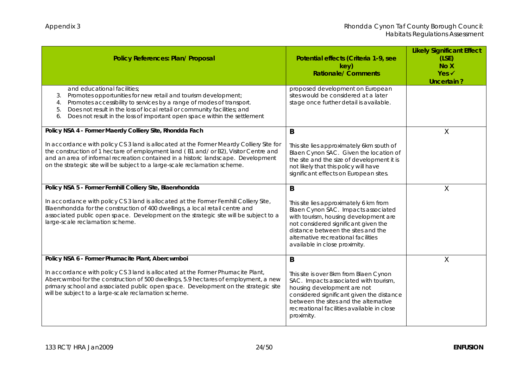| Policy References: Plan/ Proposal                                                                                                                                                                                                                                                                                                                                                                              | Potential effects (Criteria 1-9, see<br>key)<br><b>Rationale/ Comments</b>                                                                                                                                                                                                        | <b>Likely Significant Effect</b><br>(LSE)<br>No X<br>Yes ✔<br>Uncertain? |
|----------------------------------------------------------------------------------------------------------------------------------------------------------------------------------------------------------------------------------------------------------------------------------------------------------------------------------------------------------------------------------------------------------------|-----------------------------------------------------------------------------------------------------------------------------------------------------------------------------------------------------------------------------------------------------------------------------------|--------------------------------------------------------------------------|
| and educational facilities;<br>Promotes opportunities for new retail and tourism development;<br>3.<br>Promotes accessibility to services by a range of modes of transport.<br>4.<br>Does not result in the loss of local retail or community facilities; and<br>5.<br>Does not result in the loss of important open space within the settlement<br>6.                                                         | proposed development on European<br>sites would be considered at a later<br>stage once further detail is available.                                                                                                                                                               |                                                                          |
| Policy NSA 4 - Former Maerdy Colliery Site, Rhondda Fach<br>In accordance with policy CS 3 land is allocated at the Former Meardy Colliery Site for<br>the construction of 1 hectare of employment land (B1 and/ or B2), Visitor Centre and<br>and an area of informal recreation contained in a historic landscape. Development<br>on the strategic site will be subject to a large-scale reclamation scheme. | B<br>This site lies approximately 6km south of<br>Blaen Cynon SAC. Given the location of<br>the site and the size of development it is<br>not likely that this policy will have<br>significant effects on European sites.                                                         | X                                                                        |
| Policy NSA 5 - Former Fernhill Colliery Site, Blaenrhondda<br>In accordance with policy CS 3 land is allocated at the Former Fernhill Colliery Site,<br>Blaenrhondda for the construction of 400 dwellings, a local retail centre and<br>associated public open space. Development on the strategic site will be subject to a<br>large-scale reclamation scheme.                                               | B<br>This site lies approximately 6 km from<br>Blaen Cynon SAC. Impacts associated<br>with tourism, housing development are<br>not considered significant given the<br>distance between the sites and the<br>alternative recreational facilities<br>available in close proximity. | X                                                                        |
| Policy NSA 6 - Former Phurnacite Plant, Abercwmboi<br>In accordance with policy CS 3 land is allocated at the Former Phurnacite Plant,<br>Abercwmboi for the construction of 500 dwellings, 5.9 hectares of employment, a new<br>primary school and associated public open space. Development on the strategic site<br>will be subject to a large-scale reclamation scheme.                                    | B<br>This site is over 8km from Blaen Cynon<br>SAC. Impacts associated with tourism,<br>housing development are not<br>considered significant given the distance<br>between the sites and the alternative<br>recreational facilities available in close<br>proximity.             | X                                                                        |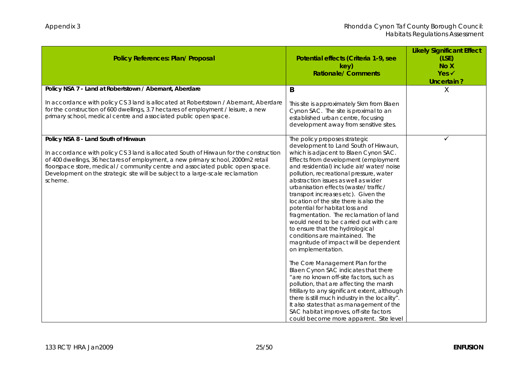| Policy References: Plan/ Proposal                                                                                                                                                                                                                                                                                                                                                                 | Potential effects (Criteria 1-9, see<br>key)<br><b>Rationale/ Comments</b>                                                                                                                                                                                                                                                                                                                                                                                                                                                                                                                                                                                                                                                                                                                                                                                                                                                                                                                                                                                                     | <b>Likely Significant Effect</b><br>(LSE)<br>No X<br>$Yes \checkmark$<br>Uncertain? |
|---------------------------------------------------------------------------------------------------------------------------------------------------------------------------------------------------------------------------------------------------------------------------------------------------------------------------------------------------------------------------------------------------|--------------------------------------------------------------------------------------------------------------------------------------------------------------------------------------------------------------------------------------------------------------------------------------------------------------------------------------------------------------------------------------------------------------------------------------------------------------------------------------------------------------------------------------------------------------------------------------------------------------------------------------------------------------------------------------------------------------------------------------------------------------------------------------------------------------------------------------------------------------------------------------------------------------------------------------------------------------------------------------------------------------------------------------------------------------------------------|-------------------------------------------------------------------------------------|
| Policy NSA 7 - Land at Robertstown / Abernant, Aberdare<br>In accordance with policy CS 3 land is allocated at Robertstown / Abernant, Aberdare<br>for the construction of 600 dwellings, 3.7 hectares of employment / leisure, a new<br>primary school, medical centre and associated public open space.                                                                                         | B<br>This site is approximately 5km from Blaen<br>Cynon SAC. The site is proximal to an<br>established urban centre, focusing<br>development away from sensitive sites.                                                                                                                                                                                                                                                                                                                                                                                                                                                                                                                                                                                                                                                                                                                                                                                                                                                                                                        | Χ                                                                                   |
| Policy NSA 8 - Land South of Hirwaun<br>In accordance with policy CS 3 land is allocated South of Hirwaun for the construction<br>of 400 dwellings, 36 hectares of employment, a new primary school, 2000m2 retail<br>floorspace store, medical / community centre and associated public open space.<br>Development on the strategic site will be subject to a large-scale reclamation<br>scheme. | The policy proposes strategic<br>development to Land South of Hirwaun,<br>which is adjacent to Blaen Cynon SAC.<br>Effects from development (employment<br>and residential) include air/water/noise<br>pollution, recreational pressure, water<br>abstraction issues as well as wider<br>urbanisation effects (waste/traffic/<br>transport increases etc). Given the<br>location of the site there is also the<br>potential for habitat loss and<br>fragmentation. The reclamation of land<br>would need to be carried out with care<br>to ensure that the hydrological<br>conditions are maintained. The<br>magnitude of impact will be dependent<br>on implementation.<br>The Core Management Plan for the<br>Blaen Cynon SAC indicates that there<br>"are no known off-site factors, such as<br>pollution, that are affecting the marsh<br>fritillary to any significant extent, although<br>there is still much industry in the locality".<br>It also states that as management of the<br>SAC habitat improves, off-site factors<br>could become more apparent. Site level | ✓                                                                                   |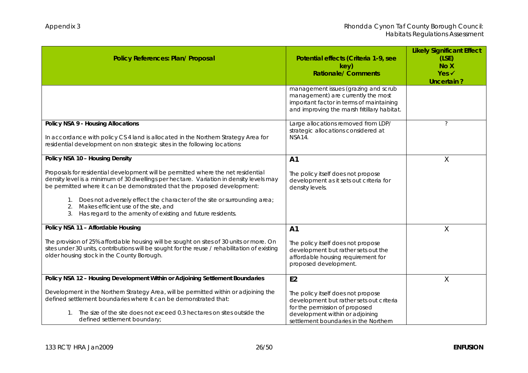| Policy References: Plan/ Proposal                                                                                                                                                                                                                                                                                                                                                                                                                          | Potential effects (Criteria 1-9, see<br>key)<br><b>Rationale/Comments</b>                                                                                             | <b>Likely Significant Effect</b><br>(LSE)<br>No X<br>$Yes \checkmark$<br>Uncertain? |
|------------------------------------------------------------------------------------------------------------------------------------------------------------------------------------------------------------------------------------------------------------------------------------------------------------------------------------------------------------------------------------------------------------------------------------------------------------|-----------------------------------------------------------------------------------------------------------------------------------------------------------------------|-------------------------------------------------------------------------------------|
|                                                                                                                                                                                                                                                                                                                                                                                                                                                            | management issues (grazing and scrub<br>management) are currently the most<br>important factor in terms of maintaining<br>and improving the marsh fritillary habitat. |                                                                                     |
| Policy NSA 9 - Housing Allocations<br>In accordance with policy CS 4 land is allocated in the Northern Strategy Area for<br>residential development on non strategic sites in the following locations:                                                                                                                                                                                                                                                     | Large allocations removed from LDP/<br>strategic allocations considered at<br>NSA14.                                                                                  | ?                                                                                   |
| Policy NSA 10 - Housing Density                                                                                                                                                                                                                                                                                                                                                                                                                            | A <sub>1</sub>                                                                                                                                                        | Χ                                                                                   |
| Proposals for residential development will be permitted where the net residential<br>density level is a minimum of 30 dwellings per hectare. Variation in density levels may<br>be permitted where it can be demonstrated that the proposed development:<br>1. Does not adversely effect the character of the site or surrounding area;<br>Makes efficient use of the site, and<br>2.<br>Has regard to the amenity of existing and future residents.<br>3. | The policy itself does not propose<br>development as it sets out criteria for<br>density levels.                                                                      |                                                                                     |
| Policy NSA 11 - Affordable Housing                                                                                                                                                                                                                                                                                                                                                                                                                         | A1                                                                                                                                                                    | $\times$                                                                            |
| The provision of 25% affordable housing will be sought on sites of 30 units or more. On<br>sites under 30 units, contributions will be sought for the reuse / rehabilitation of existing<br>older housing stock in the County Borough.                                                                                                                                                                                                                     | The policy itself does not propose<br>development but rather sets out the<br>affordable housing requirement for<br>proposed development.                              |                                                                                     |
| Policy NSA 12 - Housing Development Within or Adjoining Settlement Boundaries                                                                                                                                                                                                                                                                                                                                                                              | E <sub>2</sub>                                                                                                                                                        | X                                                                                   |
| Development in the Northern Strategy Area, will be permitted within or adjoining the<br>defined settlement boundaries where it can be demonstrated that:                                                                                                                                                                                                                                                                                                   | The policy itself does not propose<br>development but rather sets out criteria<br>for the permission of proposed                                                      |                                                                                     |
| The size of the site does not exceed 0.3 hectares on sites outside the<br>defined settlement boundary;                                                                                                                                                                                                                                                                                                                                                     | development within or adjoining<br>settlement boundaries in the Northern                                                                                              |                                                                                     |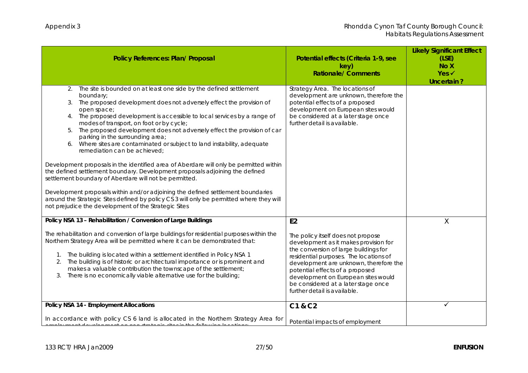| Policy References: Plan/ Proposal                                                                                                                                                                                                                                                                                                                                                                                                                                                                                                                                                                                                                                                                                                                                                                                                                                                                                                                                                                                | Potential effects (Criteria 1-9, see<br>key)<br><b>Rationale/Comments</b>                                                                                                                                                                                                                                                                                                   | <b>Likely Significant Effect</b><br>(LSE)<br>No X<br>$Yes \checkmark$<br>Uncertain? |
|------------------------------------------------------------------------------------------------------------------------------------------------------------------------------------------------------------------------------------------------------------------------------------------------------------------------------------------------------------------------------------------------------------------------------------------------------------------------------------------------------------------------------------------------------------------------------------------------------------------------------------------------------------------------------------------------------------------------------------------------------------------------------------------------------------------------------------------------------------------------------------------------------------------------------------------------------------------------------------------------------------------|-----------------------------------------------------------------------------------------------------------------------------------------------------------------------------------------------------------------------------------------------------------------------------------------------------------------------------------------------------------------------------|-------------------------------------------------------------------------------------|
| 2. The site is bounded on at least one side by the defined settlement<br>boundary;<br>The proposed development does not adversely effect the provision of<br>3.<br>open space;<br>4. The proposed development is accessible to local services by a range of<br>modes of transport, on foot or by cycle;<br>The proposed development does not adversely effect the provision of car<br>5.<br>parking in the surrounding area;<br>Where sites are contaminated or subject to land instability, adequate<br>remediation can be achieved;<br>Development proposals in the identified area of Aberdare will only be permitted within<br>the defined settlement boundary. Development proposals adjoining the defined<br>settlement boundary of Aberdare will not be permitted.<br>Development proposals within and/or adjoining the defined settlement boundaries<br>around the Strategic Sites defined by policy CS 3 will only be permitted where they will<br>not prejudice the development of the Strategic Sites | Strategy Area. The locations of<br>development are unknown, therefore the<br>potential effects of a proposed<br>development on European sites would<br>be considered at a later stage once<br>further detail is available.                                                                                                                                                  |                                                                                     |
| Policy NSA 13 - Rehabilitation / Conversion of Large Buildings<br>The rehabilitation and conversion of large buildings for residential purposes within the<br>Northern Strategy Area will be permitted where it can be demonstrated that:<br>1. The building is located within a settlement identified in Policy NSA 1<br>The building is of historic or architectural importance or is prominent and<br>2.<br>makes a valuable contribution the townscape of the settlement;<br>There is no economically viable alternative use for the building;<br>3.                                                                                                                                                                                                                                                                                                                                                                                                                                                         | E <sub>2</sub><br>The policy itself does not propose<br>development as it makes provision for<br>the conversion of large buildings for<br>residential purposes. The locations of<br>development are unknown, therefore the<br>potential effects of a proposed<br>development on European sites would<br>be considered at a later stage once<br>further detail is available. | Χ                                                                                   |
| Policy NSA 14 - Employment Allocations<br>In accordance with policy CS 6 land is allocated in the Northern Strategy Area for                                                                                                                                                                                                                                                                                                                                                                                                                                                                                                                                                                                                                                                                                                                                                                                                                                                                                     | C1 & C2<br>Potential impacts of employment                                                                                                                                                                                                                                                                                                                                  | ✓                                                                                   |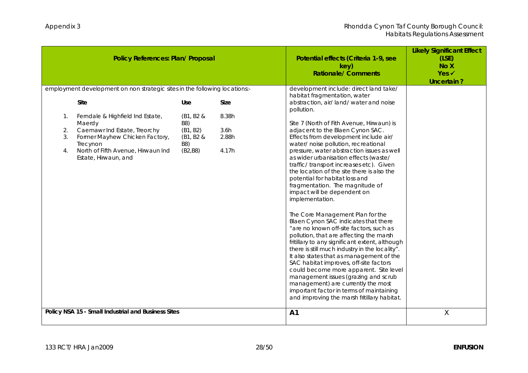|                      | Policy References: Plan/ Proposal                                                                                                                                                      |                                                             |                                 | Potential effects (Criteria 1-9, see<br>key)<br><b>Rationale/Comments</b>                                                                                                                                                                                                                                                                                                                                                                                                                                                                                                                                                                                                                                                                                                                                                                                                                                                                                                                                                                                          | <b>Likely Significant Effect</b><br>(LSE)<br>No X<br>$Yes \checkmark$<br>Uncertain? |
|----------------------|----------------------------------------------------------------------------------------------------------------------------------------------------------------------------------------|-------------------------------------------------------------|---------------------------------|--------------------------------------------------------------------------------------------------------------------------------------------------------------------------------------------------------------------------------------------------------------------------------------------------------------------------------------------------------------------------------------------------------------------------------------------------------------------------------------------------------------------------------------------------------------------------------------------------------------------------------------------------------------------------------------------------------------------------------------------------------------------------------------------------------------------------------------------------------------------------------------------------------------------------------------------------------------------------------------------------------------------------------------------------------------------|-------------------------------------------------------------------------------------|
|                      | employment development on non strategic sites in the following locations:-                                                                                                             |                                                             |                                 | development include: direct land take/<br>habitat fragmentation, water                                                                                                                                                                                                                                                                                                                                                                                                                                                                                                                                                                                                                                                                                                                                                                                                                                                                                                                                                                                             |                                                                                     |
|                      | Site                                                                                                                                                                                   | Use                                                         | Size                            | abstraction, air/land/water and noise                                                                                                                                                                                                                                                                                                                                                                                                                                                                                                                                                                                                                                                                                                                                                                                                                                                                                                                                                                                                                              |                                                                                     |
| 1.<br>2.<br>3.<br>4. | Ferndale & Highfield Ind Estate,<br>Maerdy<br>Caemawr Ind Estate, Treorchy<br>Former Mayhew Chicken Factory,<br>Trecynon<br>North of Fifth Avenue, Hirwaun Ind<br>Estate, Hirwaun, and | (B1, B2 &<br>B8)<br>(B1, B2)<br>(B1, B2 &<br>B8)<br>(B2,B8) | 8.38h<br>3.6h<br>2.88h<br>4.17h | pollution.<br>Site 7 (North of Fith Avenue, Hirwaun) is<br>adjacent to the Blaen Cynon SAC.<br>Effects from development include air/<br>water/ noise pollution, recreational<br>pressure, water abstraction issues as well<br>as wider urbanisation effects (waste/<br>traffic/transport increases etc). Given<br>the location of the site there is also the<br>potential for habitat loss and<br>fragmentation. The magnitude of<br>impact will be dependent on<br>implementation.<br>The Core Management Plan for the<br>Blaen Cynon SAC indicates that there<br>"are no known off-site factors, such as<br>pollution, that are affecting the marsh<br>fritillary to any significant extent, although<br>there is still much industry in the locality".<br>It also states that as management of the<br>SAC habitat improves, off-site factors<br>could become more apparent. Site level<br>management issues (grazing and scrub<br>management) are currently the most<br>important factor in terms of maintaining<br>and improving the marsh fritillary habitat. |                                                                                     |
|                      | Policy NSA 15 - Small Industrial and Business Sites                                                                                                                                    |                                                             |                                 | A <sub>1</sub>                                                                                                                                                                                                                                                                                                                                                                                                                                                                                                                                                                                                                                                                                                                                                                                                                                                                                                                                                                                                                                                     | X                                                                                   |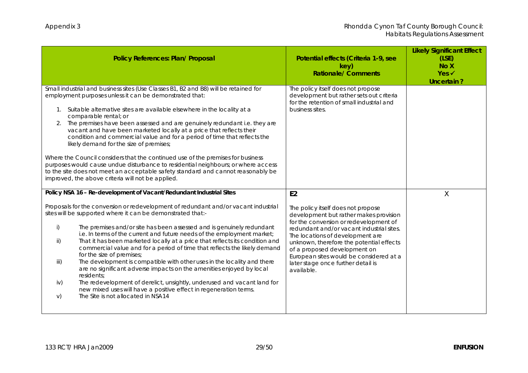| Policy References: Plan/ Proposal                                                                                                                                                                                                                                                                                                                                                                                                                                                                                                                                                                                                                                                                                                                                                                                                                                                                                                                                | Potential effects (Criteria 1-9, see<br>key)<br><b>Rationale/ Comments</b>                                                                                                                                                                                                                                                                                                                           | <b>Likely Significant Effect</b><br>(LSE)<br>No X<br>Yes ✔<br>Uncertain? |
|------------------------------------------------------------------------------------------------------------------------------------------------------------------------------------------------------------------------------------------------------------------------------------------------------------------------------------------------------------------------------------------------------------------------------------------------------------------------------------------------------------------------------------------------------------------------------------------------------------------------------------------------------------------------------------------------------------------------------------------------------------------------------------------------------------------------------------------------------------------------------------------------------------------------------------------------------------------|------------------------------------------------------------------------------------------------------------------------------------------------------------------------------------------------------------------------------------------------------------------------------------------------------------------------------------------------------------------------------------------------------|--------------------------------------------------------------------------|
| Small industrial and business sites (Use Classes B1, B2 and B8) will be retained for<br>employment purposes unless it can be demonstrated that:<br>Suitable alternative sites are available elsewhere in the locality at a<br>1.<br>comparable rental; or<br>The premises have been assessed and are genuinely redundant i.e. they are<br>2.<br>vacant and have been marketed locally at a price that reflects their<br>condition and commercial value and for a period of time that reflects the<br>likely demand for the size of premises;<br>Where the Council considers that the continued use of the premises for business<br>purposes would cause undue disturbance to residential neighbours; or where access<br>to the site does not meet an acceptable safety standard and cannot reasonably be<br>improved, the above criteria will not be applied.                                                                                                    | The policy itself does not propose<br>development but rather sets out criteria<br>for the retention of small industrial and<br>business sites.                                                                                                                                                                                                                                                       |                                                                          |
| Policy NSA 16 - Re-development of Vacant/Redundant Industrial Sites<br>Proposals for the conversion or redevelopment of redundant and/or vacant industrial<br>sites will be supported where it can be demonstrated that:-<br>i)<br>The premises and/or site has been assessed and is genuinely redundant<br>i.e. In terms of the current and future needs of the employment market;<br>That it has been marketed locally at a price that reflects its condition and<br>ii)<br>commercial value and for a period of time that reflects the likely demand<br>for the size of premises;<br>The development is compatible with other uses in the locality and there<br>iii)<br>are no significant adverse impacts on the amenities enjoyed by local<br>residents;<br>The redevelopment of derelict, unsightly, underused and vacant land for<br>iv)<br>new mixed uses will have a positive effect in regeneration terms.<br>The Site is not allocated in NSA14<br>V) | E <sub>2</sub><br>The policy itself does not propose<br>development but rather makes provision<br>for the conversion or redevelopment of<br>redundant and/or vacant industrial sites.<br>The locations of development are<br>unknown, therefore the potential effects<br>of a proposed development on<br>European sites would be considered at a<br>later stage once further detail is<br>available. | X                                                                        |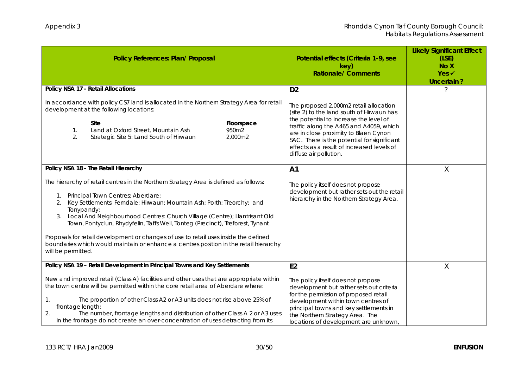| Policy References: Plan/ Proposal                                                                                                                                                                                                                                                                                                                                                                                                                                                                                                                                                                                                                | Potential effects (Criteria 1-9, see<br>key)<br><b>Rationale/ Comments</b>                                                                                                                                                                                                                                                                                 | <b>Likely Significant Effect</b><br>(LSE)<br>No X<br>$Yes \checkmark$<br>Uncertain? |
|--------------------------------------------------------------------------------------------------------------------------------------------------------------------------------------------------------------------------------------------------------------------------------------------------------------------------------------------------------------------------------------------------------------------------------------------------------------------------------------------------------------------------------------------------------------------------------------------------------------------------------------------------|------------------------------------------------------------------------------------------------------------------------------------------------------------------------------------------------------------------------------------------------------------------------------------------------------------------------------------------------------------|-------------------------------------------------------------------------------------|
| Policy NSA 17 - Retail Allocations<br>In accordance with policy CS7 land is allocated in the Northern Strategy Area for retail<br>development at the following locations:<br>Site<br>Floorspace<br>Land at Oxford Street, Mountain Ash<br>950m2<br>1.<br>2.<br>Strategic Site 5: Land South of Hirwaun<br>2,000m2                                                                                                                                                                                                                                                                                                                                | D <sub>2</sub><br>The proposed 2,000m2 retail allocation<br>(site 2) to the land south of Hirwaun has<br>the potential to increase the level of<br>traffic along the A465 and A4059, which<br>are in close proximity to Blaen Cynon<br>SAC. There is the potential for significant<br>effects as a result of increased levels of<br>diffuse air pollution. | ?                                                                                   |
| Policy NSA 18 - The Retail Hierarchy<br>The hierarchy of retail centres in the Northern Strategy Area is defined as follows:<br>Principal Town Centres: Aberdare;<br>1.<br>Key Settlements: Ferndale; Hirwaun; Mountain Ash; Porth; Treorchy; and<br>2.<br>Tonypandy;<br>Local And Neighbourhood Centres: Church Village (Centre); Llantrisant Old<br>3.<br>Town, Pontyclun, Rhydyfelin, Taffs Well, Tonteg (Precinct), Treforest, Tynant<br>Proposals for retail development or changes of use to retail uses inside the defined<br>boundaries which would maintain or enhance a centres position in the retail hierarchy<br>will be permitted. | A1<br>The policy itself does not propose<br>development but rather sets out the retail<br>hierarchy in the Northern Strategy Area.                                                                                                                                                                                                                         | Χ                                                                                   |
| Policy NSA 19 - Retail Development in Principal Towns and Key Settlements<br>New and improved retail (Class A) facilities and other uses that are appropriate within<br>the town centre will be permitted within the core retail area of Aberdare where:<br>The proportion of other Class A2 or A3 units does not rise above 25% of<br>1 <sub>1</sub><br>frontage length;<br>The number, frontage lengths and distribution of other Class A 2 or A3 uses<br>2.<br>in the frontage do not create an over-concentration of uses detracting from its                                                                                                | E <sub>2</sub><br>The policy itself does not propose<br>development but rather sets out criteria<br>for the permission of proposed retail<br>development within town centres of<br>principal towns and key settlements in<br>the Northern Strategy Area. The<br>locations of development are unknown,                                                      | Χ                                                                                   |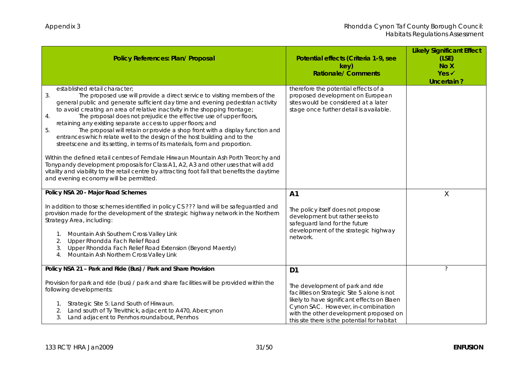| Policy References: Plan/ Proposal                                                                                                                                                                                                                                                                                                                                                                                                                                                                                                                                                                                                                                                                                                                                                                                                                                                                                                                                                                        | Potential effects (Criteria 1-9, see<br>key)<br><b>Rationale/Comments</b>                                                                                                                                                                                      | <b>Likely Significant Effect</b><br>(LSE)<br>No X<br>$Yes \checkmark$<br>Uncertain? |
|----------------------------------------------------------------------------------------------------------------------------------------------------------------------------------------------------------------------------------------------------------------------------------------------------------------------------------------------------------------------------------------------------------------------------------------------------------------------------------------------------------------------------------------------------------------------------------------------------------------------------------------------------------------------------------------------------------------------------------------------------------------------------------------------------------------------------------------------------------------------------------------------------------------------------------------------------------------------------------------------------------|----------------------------------------------------------------------------------------------------------------------------------------------------------------------------------------------------------------------------------------------------------------|-------------------------------------------------------------------------------------|
| established retail character;<br>3.<br>The proposed use will provide a direct service to visiting members of the<br>general public and generate sufficient day time and evening pedestrian activity<br>to avoid creating an area of relative inactivity in the shopping frontage;<br>The proposal does not prejudice the effective use of upper floors,<br>4.<br>retaining any existing separate access to upper floors; and<br>The proposal will retain or provide a shop front with a display function and<br>5.<br>entrances which relate well to the design of the host building and to the<br>streetscene and its setting, in terms of its materials, form and proportion.<br>Within the defined retail centres of Ferndale Hirwaun Mountain Ash Porth Treorchy and<br>Tonypandy development proposals for Class A1, A2, A3 and other uses that will add<br>vitality and viability to the retail centre by attracting foot fall that benefits the daytime<br>and evening economy will be permitted. | therefore the potential effects of a<br>proposed development on European<br>sites would be considered at a later<br>stage once further detail is available.                                                                                                    |                                                                                     |
| Policy NSA 20 - Major Road Schemes                                                                                                                                                                                                                                                                                                                                                                                                                                                                                                                                                                                                                                                                                                                                                                                                                                                                                                                                                                       | A <sub>1</sub>                                                                                                                                                                                                                                                 | Χ                                                                                   |
| In addition to those schemes identified in policy CS ??? land will be safeguarded and<br>provision made for the development of the strategic highway network in the Northern<br>Strategy Area, including:<br>Mountain Ash Southern Cross Valley Link<br>1.<br>Upper Rhondda Fach Relief Road<br>2.<br>Upper Rhondda Fach Relief Road Extension (Beyond Maerdy)<br>3.<br>Mountain Ash Northern Cross Valley Link<br>4.                                                                                                                                                                                                                                                                                                                                                                                                                                                                                                                                                                                    | The policy itself does not propose<br>development but rather seeks to<br>safeguard land for the future<br>development of the strategic highway<br>network.                                                                                                     |                                                                                     |
| Policy NSA 21 - Park and Ride (Bus) / Park and Share Provision                                                                                                                                                                                                                                                                                                                                                                                                                                                                                                                                                                                                                                                                                                                                                                                                                                                                                                                                           | D <sub>1</sub>                                                                                                                                                                                                                                                 | $\tilde{?}$                                                                         |
| Provision for park and ride (bus) / park and share facilities will be provided within the<br>following developments:<br>1. Strategic Site 5: Land South of Hirwaun.<br>Land south of Ty Trevithick, adjacent to A470, Abercynon<br>2.<br>Land adjacent to Penrhos roundabout, Penrhos<br>3.                                                                                                                                                                                                                                                                                                                                                                                                                                                                                                                                                                                                                                                                                                              | The development of park and ride<br>facilities on Strategic Site 5 alone is not<br>likely to have significant effects on Blaen<br>Cynon SAC. However, in-combination<br>with the other development proposed on<br>this site there is the potential for habitat |                                                                                     |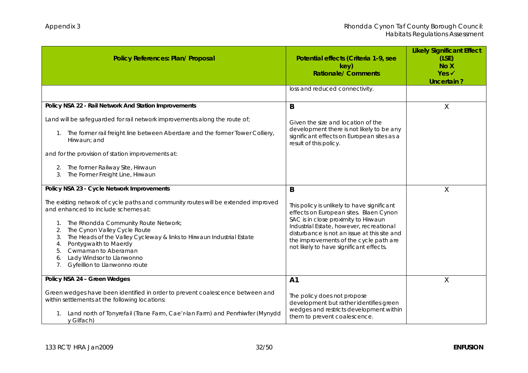| Policy References: Plan/ Proposal                                                                                                                                                                                                                                                                                                                                                                                            | Potential effects (Criteria 1-9, see<br>key)<br><b>Rationale/ Comments</b>                                                                                                                                                                                                                                     | <b>Likely Significant Effect</b><br>(LSE)<br>No X<br>$Yes \checkmark$<br>Uncertain? |
|------------------------------------------------------------------------------------------------------------------------------------------------------------------------------------------------------------------------------------------------------------------------------------------------------------------------------------------------------------------------------------------------------------------------------|----------------------------------------------------------------------------------------------------------------------------------------------------------------------------------------------------------------------------------------------------------------------------------------------------------------|-------------------------------------------------------------------------------------|
|                                                                                                                                                                                                                                                                                                                                                                                                                              | loss and reduced connectivity.                                                                                                                                                                                                                                                                                 |                                                                                     |
| Policy NSA 22 - Rail Network And Station Improvements                                                                                                                                                                                                                                                                                                                                                                        | B                                                                                                                                                                                                                                                                                                              | X                                                                                   |
| Land will be safeguarded for rail network improvements along the route of;<br>1. The former rail freight line between Aberdare and the former Tower Colliery,<br>Hirwaun; and                                                                                                                                                                                                                                                | Given the size and location of the<br>development there is not likely to be any<br>significant effects on European sites as a<br>result of this policy.                                                                                                                                                        |                                                                                     |
| and for the provision of station improvements at:<br>The former Railway Site, Hirwaun<br>The Former Freight Line, Hirwaun<br>3.                                                                                                                                                                                                                                                                                              |                                                                                                                                                                                                                                                                                                                |                                                                                     |
| Policy NSA 23 - Cycle Network Improvements                                                                                                                                                                                                                                                                                                                                                                                   | B                                                                                                                                                                                                                                                                                                              | Χ                                                                                   |
| The existing network of cycle paths and community routes will be extended improved<br>and enhanced to include schemes at:<br>The Rhondda Community Route Network;<br>The Cynon Valley Cycle Route<br>2.<br>The Heads of the Valley Cycleway & links to Hirwaun Industrial Estate<br>3.<br>Pontygwaith to Maerdy<br>4.<br>Cwmaman to Aberaman<br>5.<br>Lady Windsor to Llanwonno<br>6.<br>7.<br>Gyfeillion to Llanwonno route | This policy is unlikely to have significant<br>effects on European sites. Blaen Cynon<br>SAC is in close proximity to Hirwaun<br>Industrial Estate, however, recreational<br>disturbance is not an issue at this site and<br>the improvements of the cycle path are<br>not likely to have significant effects. |                                                                                     |
| Policy NSA 24 - Green Wedges                                                                                                                                                                                                                                                                                                                                                                                                 | A <sub>1</sub>                                                                                                                                                                                                                                                                                                 | X                                                                                   |
| Green wedges have been identified in order to prevent coalescence between and<br>within settlements at the following locations:<br>1. Land north of Tonyrefail (Trane Farm, Cae'r-lan Farm) and Penrhiwfer (Mynydd<br>y Gilfach)                                                                                                                                                                                             | The policy does not propose<br>development but rather identifies green<br>wedges and restricts development within<br>them to prevent coalescence.                                                                                                                                                              |                                                                                     |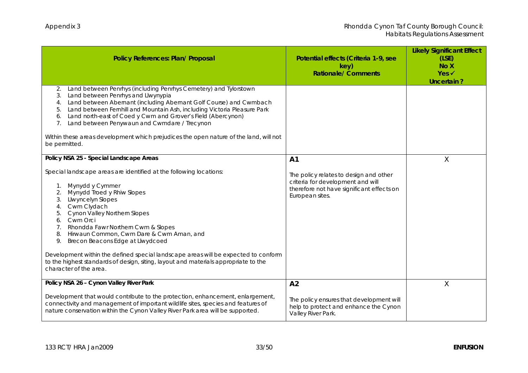| Policy References: Plan/ Proposal                                                                                                                                                                                                                                                                                                                                                                                                                                                                                                                                                                                                         | Potential effects (Criteria 1-9, see<br>key)<br><b>Rationale/Comments</b>                                                                                     | <b>Likely Significant Effect</b><br>(LSE)<br>No X<br>Yes ✔<br>Uncertain? |
|-------------------------------------------------------------------------------------------------------------------------------------------------------------------------------------------------------------------------------------------------------------------------------------------------------------------------------------------------------------------------------------------------------------------------------------------------------------------------------------------------------------------------------------------------------------------------------------------------------------------------------------------|---------------------------------------------------------------------------------------------------------------------------------------------------------------|--------------------------------------------------------------------------|
| Land between Penrhys (including Penrhys Cemetery) and Tylorstown<br>2.<br>Land between Penrhys and Llwynypia<br>3.<br>Land between Abernant (including Abernant Golf Course) and Cwmbach<br>4.<br>Land between Fernhill and Mountain Ash, including Victoria Pleasure Park<br>5.<br>Land north-east of Coed y Cwm and Grover's Field (Abercynon)<br>6.<br>Land between Penywaun and Cwmdare / Trecynon<br>7 <sub>1</sub><br>Within these areas development which prejudices the open nature of the land, will not<br>be permitted.                                                                                                        |                                                                                                                                                               |                                                                          |
| Policy NSA 25 - Special Landscape Areas<br>Special landscape areas are identified at the following locations:<br>Mynydd y Cymmer<br>1.<br>Mynydd Troed y Rhiw Slopes<br>2.<br><b>Llwyncelyn Slopes</b><br>3.<br>Cwm Clydach<br>4.<br><b>Cynon Valley Northern Slopes</b><br>5.<br>Cwm Orci<br>6.<br>Rhondda Fawr Northern Cwm & Slopes<br>7.<br>Hirwaun Common, Cwm Dare & Cwm Aman, and<br>Brecon Beacons Edge at Llwydcoed<br>9.<br>Development within the defined special landscape areas will be expected to conform<br>to the highest standards of design, siting, layout and materials appropriate to the<br>character of the area. | A <sub>1</sub><br>The policy relates to design and other<br>criteria for development and will<br>therefore not have significant effects on<br>European sites. | X                                                                        |
| Policy NSA 26 - Cynon Valley River Park<br>Development that would contribute to the protection, enhancement, enlargement,<br>connectivity and management of important wildlife sites, species and features of<br>nature conservation within the Cynon Valley River Park area will be supported.                                                                                                                                                                                                                                                                                                                                           | A <sub>2</sub><br>The policy ensures that development will<br>help to protect and enhance the Cynon<br>Valley River Park.                                     | X                                                                        |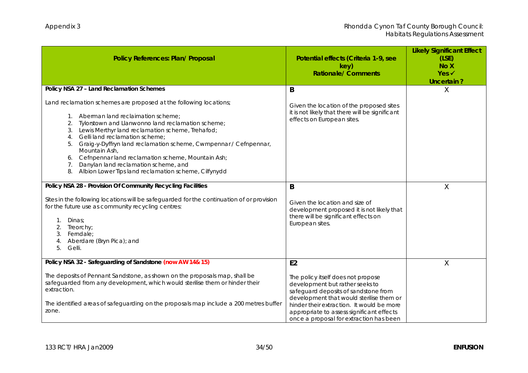| Policy References: Plan/ Proposal                                                                                                                                                                                                                                                                                                                                                                                                                                                                                   | Potential effects (Criteria 1-9, see<br>key)<br><b>Rationale/ Comments</b>                                                                                                                                                                                                                                       | <b>Likely Significant Effect</b><br>(LSE)<br>No X<br>$Yes \checkmark$<br>Uncertain? |
|---------------------------------------------------------------------------------------------------------------------------------------------------------------------------------------------------------------------------------------------------------------------------------------------------------------------------------------------------------------------------------------------------------------------------------------------------------------------------------------------------------------------|------------------------------------------------------------------------------------------------------------------------------------------------------------------------------------------------------------------------------------------------------------------------------------------------------------------|-------------------------------------------------------------------------------------|
| Policy NSA 27 - Land Reclamation Schemes<br>Land reclamation schemes are proposed at the following locations;<br>Aberman land reclaimation scheme;<br>1.<br>Tylorstown and Llanwonno land reclamation scheme;<br>2.<br>Lewis Merthyr land reclamation scheme, Trehafod;<br>3.<br>Gelli land reclamation scheme;<br>4.<br>Graig-y-Dyffryn land reclamation scheme, Cwmpennar / Cefnpennar,<br>5.<br>Mountain Ash,<br>Cefnpennar land reclamation scheme, Mountain Ash;<br>6.<br>Danylan land reclamation scheme, and | B<br>Given the location of the proposed sites<br>it is not likely that there will be significant<br>effects on European sites.                                                                                                                                                                                   | Χ                                                                                   |
| Albion Lower Tips land reclamation scheme, Cilfynydd<br>8.<br>Policy NSA 28 - Provision Of Community Recycling Facilities<br>Sites in the following locations will be safeguarded for the continuation of or provision<br>for the future use as community recycling centres:<br>Dinas;<br>1.<br>Treorchy;<br>2.<br>Ferndale;<br>3.<br>Aberdare (Bryn Pica); and<br>4.<br>Gelli.<br>5.                                                                                                                               | B<br>Given the location and size of<br>development proposed it is not likely that<br>there will be significant effects on<br>European sites.                                                                                                                                                                     | X                                                                                   |
| Policy NSA 32 - Safeguarding of Sandstone (now AW 14& 15)<br>The deposits of Pennant Sandstone, as shown on the proposals map, shall be<br>safeguarded from any development, which would sterilise them or hinder their<br>extraction.<br>The identified areas of safeguarding on the proposals map include a 200 metres buffer<br>zone.                                                                                                                                                                            | E <sub>2</sub><br>The policy itself does not propose<br>development but rather seeks to<br>safeguard deposits of sandstone from<br>development that would sterilise them or<br>hinder their extraction. It would be more<br>appropriate to assess significant effects<br>once a proposal for extraction has been | X                                                                                   |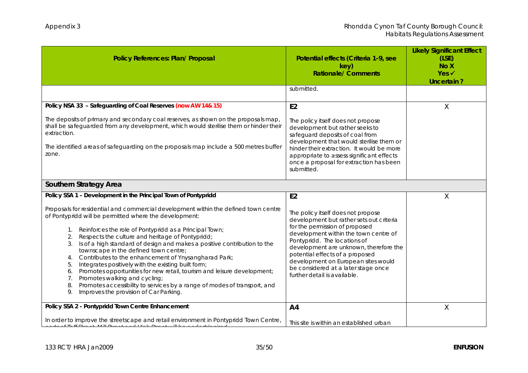| Policy References: Plan/ Proposal                                                                                                                                                                                                                                                                                                                                                                                                                                                                                                                                                                                                                                                                                                                                                    | Potential effects (Criteria 1-9, see<br>key)<br><b>Rationale/Comments</b>                                                                                                                                                                                                                                                                                                            | <b>Likely Significant Effect</b><br>(LSE)<br>No X<br>Yes ✔<br>Uncertain? |
|--------------------------------------------------------------------------------------------------------------------------------------------------------------------------------------------------------------------------------------------------------------------------------------------------------------------------------------------------------------------------------------------------------------------------------------------------------------------------------------------------------------------------------------------------------------------------------------------------------------------------------------------------------------------------------------------------------------------------------------------------------------------------------------|--------------------------------------------------------------------------------------------------------------------------------------------------------------------------------------------------------------------------------------------------------------------------------------------------------------------------------------------------------------------------------------|--------------------------------------------------------------------------|
|                                                                                                                                                                                                                                                                                                                                                                                                                                                                                                                                                                                                                                                                                                                                                                                      | submitted.                                                                                                                                                                                                                                                                                                                                                                           |                                                                          |
| Policy NSA 33 - Safeguarding of Coal Reserves (now AW 14& 15)<br>The deposits of primary and secondary coal reserves, as shown on the proposals map,<br>shall be safeguarded from any development, which would sterilise them or hinder their<br>extraction.<br>The identified areas of safeguarding on the proposals map include a 500 metres buffer<br>zone.                                                                                                                                                                                                                                                                                                                                                                                                                       | E <sub>2</sub><br>The policy itself does not propose<br>development but rather seeks to<br>safeguard deposits of coal from<br>development that would sterilise them or<br>hinder their extraction. It would be more<br>appropriate to assess significant effects<br>once a proposal for extraction has been<br>submitted.                                                            | Χ                                                                        |
| Southern Strategy Area                                                                                                                                                                                                                                                                                                                                                                                                                                                                                                                                                                                                                                                                                                                                                               |                                                                                                                                                                                                                                                                                                                                                                                      |                                                                          |
| Policy SSA 1 - Development in the Principal Town of Pontypridd                                                                                                                                                                                                                                                                                                                                                                                                                                                                                                                                                                                                                                                                                                                       | E <sub>2</sub>                                                                                                                                                                                                                                                                                                                                                                       | X                                                                        |
| Proposals for residential and commercial development within the defined town centre<br>of Pontypridd will be permitted where the development:<br>1. Reinforces the role of Pontypridd as a Principal Town;<br>Respects the culture and heritage of Pontypridd;<br>2.<br>Is of a high standard of design and makes a positive contribution to the<br>3.<br>townscape in the defined town centre;<br>Contributes to the enhancement of Ynysangharad Park;<br>4.<br>Integrates positively with the existing built form;<br>5.<br>Promotes opportunities for new retail, tourism and leisure development;<br>6.<br>Promotes walking and cycling;<br>7.<br>Promotes accessibility to services by a range of modes of transport, and<br>8.<br>Improves the provision of Car Parking.<br>9. | The policy itself does not propose<br>development but rather sets out criteria<br>for the permission of proposed<br>development within the town centre of<br>Pontypridd. The locations of<br>development are unknown, therefore the<br>potential effects of a proposed<br>development on European sites would<br>be considered at a later stage once<br>further detail is available. |                                                                          |
| Policy SSA 2 - Pontypridd Town Centre Enhancement                                                                                                                                                                                                                                                                                                                                                                                                                                                                                                                                                                                                                                                                                                                                    | A4                                                                                                                                                                                                                                                                                                                                                                                   | X                                                                        |
| In order to improve the streetscape and retail environment in Pontypridd Town Centre,<br>Toff Ctroot, Mill Ctroot and High Ctroot will be nood                                                                                                                                                                                                                                                                                                                                                                                                                                                                                                                                                                                                                                       | This site is within an established urban                                                                                                                                                                                                                                                                                                                                             |                                                                          |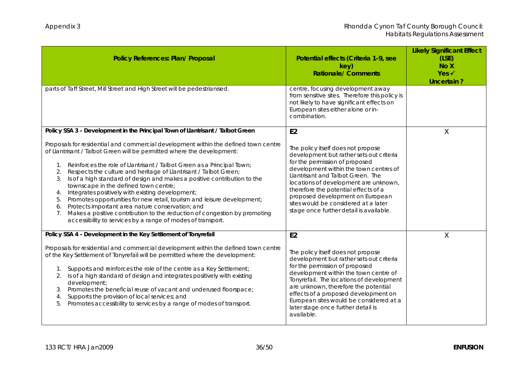| Policy References: Plan/ Proposal                                                                                                                                                                                                                                                                                                                                                                                                                                                                                                                                                                                                                                                                                                                                                                                                                                                           | Potential effects (Criteria 1-9, see<br>key)<br><b>Rationale/ Comments</b>                                                                                                                                                                                                                                                                                                                                    | <b>Likely Significant Effect</b><br>(LSE)<br>No X<br>$Yes \checkmark$<br>Uncertain? |
|---------------------------------------------------------------------------------------------------------------------------------------------------------------------------------------------------------------------------------------------------------------------------------------------------------------------------------------------------------------------------------------------------------------------------------------------------------------------------------------------------------------------------------------------------------------------------------------------------------------------------------------------------------------------------------------------------------------------------------------------------------------------------------------------------------------------------------------------------------------------------------------------|---------------------------------------------------------------------------------------------------------------------------------------------------------------------------------------------------------------------------------------------------------------------------------------------------------------------------------------------------------------------------------------------------------------|-------------------------------------------------------------------------------------|
| parts of Taff Street, Mill Street and High Street will be pedestrianised.                                                                                                                                                                                                                                                                                                                                                                                                                                                                                                                                                                                                                                                                                                                                                                                                                   | centre, focusing development away<br>from sensitive sites. Therefore this policy is<br>not likely to have significant effects on<br>European sites either alone or in-<br>combination.                                                                                                                                                                                                                        |                                                                                     |
| Policy SSA 3 - Development in the Principal Town of Llantrisant / Talbot Green<br>Proposals for residential and commercial development within the defined town centre<br>of Llantrisant / Talbot Green will be permitted where the development:<br>Reinforces the role of Llantrisant / Talbot Green as a Principal Town;<br>1.<br>Respects the culture and heritage of Llantrisant / Talbot Green;<br>2.<br>Is of a high standard of design and makes a positive contribution to the<br>3.<br>townscape in the defined town centre;<br>Integrates positively with existing development;<br>4.<br>Promotes opportunities for new retail, tourism and leisure development;<br>5.<br>Protects important area nature conservation; and<br>6.<br>Makes a positive contribution to the reduction of congestion by promoting<br>7.<br>accessibility to services by a range of modes of transport. | E2<br>The policy itself does not propose<br>development but rather sets out criteria<br>for the permission of proposed<br>development within the town centres of<br>Llantrisant and Talbot Green. The<br>locations of development are unknown,<br>therefore the potential effects of a<br>proposed development on European<br>sites would be considered at a later<br>stage once further detail is available. | X                                                                                   |
| Policy SSA 4 - Development in the Key Settlement of Tonyrefail<br>Proposals for residential and commercial development within the defined town centre<br>of the Key Settlement of Tonyrefail will be permitted where the development:<br>Supports and reinforces the role of the centre as a Key Settlement;<br>Is of a high standard of design and integrates positively with existing<br>2.<br>development;<br>Promotes the beneficial reuse of vacant and underused floorspace;<br>3.<br>Supports the provision of local services; and<br>4.<br>Promotes accessibility to services by a range of modes of transport.<br>5.                                                                                                                                                                                                                                                               | E <sub>2</sub><br>The policy itself does not propose<br>development but rather sets out criteria<br>for the permission of proposed<br>development within the town centre of<br>Tonyrefail. The locations of development<br>are unknown, therefore the potential<br>effects of a proposed development on<br>European sites would be considered at a<br>later stage once further detail is<br>available.        | X                                                                                   |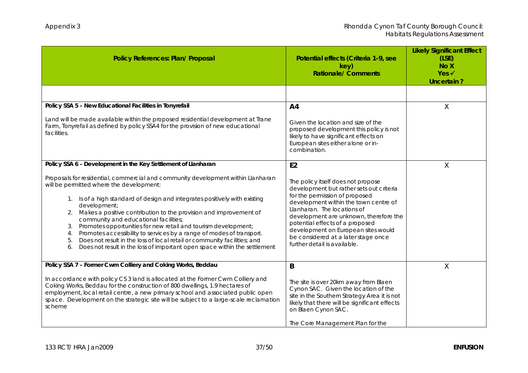| Policy References: Plan/ Proposal                                                                                                                                                                                                                                                                                                                                                                                                                                                                                                                                                                                                                                   | Potential effects (Criteria 1-9, see<br>key)<br><b>Rationale/ Comments</b>                                                                                                                                                                                                                                                                                                          | <b>Likely Significant Effect</b><br>(LSE)<br>No X<br>$Yes \checkmark$<br>Uncertain? |
|---------------------------------------------------------------------------------------------------------------------------------------------------------------------------------------------------------------------------------------------------------------------------------------------------------------------------------------------------------------------------------------------------------------------------------------------------------------------------------------------------------------------------------------------------------------------------------------------------------------------------------------------------------------------|-------------------------------------------------------------------------------------------------------------------------------------------------------------------------------------------------------------------------------------------------------------------------------------------------------------------------------------------------------------------------------------|-------------------------------------------------------------------------------------|
|                                                                                                                                                                                                                                                                                                                                                                                                                                                                                                                                                                                                                                                                     |                                                                                                                                                                                                                                                                                                                                                                                     |                                                                                     |
| Policy SSA 5 - New Educational Facilities in Tonyrefail                                                                                                                                                                                                                                                                                                                                                                                                                                                                                                                                                                                                             | A <sub>4</sub>                                                                                                                                                                                                                                                                                                                                                                      | X                                                                                   |
| Land will be made available within the proposed residential development at Trane<br>Farm, Tonyrefail as defined by policy SSA4 for the provision of new educational<br>facilities.                                                                                                                                                                                                                                                                                                                                                                                                                                                                                  | Given the location and size of the<br>proposed development this policy is not<br>likely to have significant effects on<br>European sites either alone or in-<br>combination.                                                                                                                                                                                                        |                                                                                     |
| Policy SSA 6 - Development in the Key Settlement of Llanharan                                                                                                                                                                                                                                                                                                                                                                                                                                                                                                                                                                                                       | E <sub>2</sub>                                                                                                                                                                                                                                                                                                                                                                      | Χ                                                                                   |
| Proposals for residential, commercial and community development within Llanharan<br>will be permitted where the development:<br>1. Is of a high standard of design and integrates positively with existing<br>development;<br>Makes a positive contribution to the provision and improvement of<br>community and educational facilities;<br>Promotes opportunities for new retail and tourism development;<br>3.<br>Promotes accessibility to services by a range of modes of transport.<br>4.<br>Does not result in the loss of local retail or community facilities; and<br>5.<br>Does not result in the loss of important open space within the settlement<br>6. | The policy itself does not propose<br>development but rather sets out criteria<br>for the permission of proposed<br>development within the town centre of<br>Llanharan. The locations of<br>development are unknown, therefore the<br>potential effects of a proposed<br>development on European sites would<br>be considered at a later stage once<br>further detail is available. |                                                                                     |
| Policy SSA 7 - Former Cwm Colliery and Coking Works, Beddau<br>In accordance with policy CS 3 land is allocated at the Former Cwm Colliery and<br>Coking Works, Beddau for the construction of 800 dwellings, 1.9 hectares of<br>employment, local retail centre, a new primary school and associated public open<br>space. Development on the strategic site will be subject to a large-scale reclamation<br>scheme                                                                                                                                                                                                                                                | B<br>The site is over 20km away from Blaen<br>Cynon SAC. Given the location of the<br>site in the Southern Strategy Area it is not<br>likely that there will be significant effects<br>on Blaen Cynon SAC.<br>The Core Management Plan for the                                                                                                                                      | Χ                                                                                   |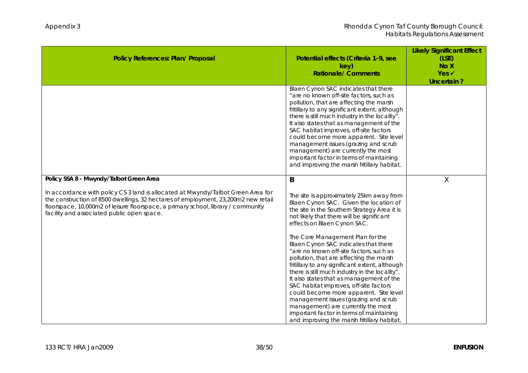| Policy References: Plan/ Proposal                                                                                                                                                                                                                                                                                                                    | Potential effects (Criteria 1-9, see<br>key)<br><b>Rationale/Comments</b>                                                                                                                                                                                                                                                                                                                                                                                                                                                                                                                                                                                                                                                                                                                          | <b>Likely Significant Effect</b><br>(LSE)<br>No X<br>$Yes \checkmark$<br>Uncertain? |
|------------------------------------------------------------------------------------------------------------------------------------------------------------------------------------------------------------------------------------------------------------------------------------------------------------------------------------------------------|----------------------------------------------------------------------------------------------------------------------------------------------------------------------------------------------------------------------------------------------------------------------------------------------------------------------------------------------------------------------------------------------------------------------------------------------------------------------------------------------------------------------------------------------------------------------------------------------------------------------------------------------------------------------------------------------------------------------------------------------------------------------------------------------------|-------------------------------------------------------------------------------------|
|                                                                                                                                                                                                                                                                                                                                                      | Blaen Cynon SAC indicates that there<br>"are no known off-site factors, such as<br>pollution, that are affecting the marsh<br>fritillary to any significant extent, although<br>there is still much industry in the locality".<br>It also states that as management of the<br>SAC habitat improves, off-site factors<br>could become more apparent. Site level<br>management issues (grazing and scrub<br>management) are currently the most<br>important factor in terms of maintaining<br>and improving the marsh fritillary habitat.                                                                                                                                                                                                                                                            |                                                                                     |
| Policy SSA 8 - Mwyndy/Talbot Green Area<br>In accordance with policy CS 3 land is allocated at Mwyndy/Talbot Green Area for<br>the construction of 8500 dwellings, 32 hectares of employment, 23,200m2 new retail<br>floorspace, 10,000m2 of leisure floorspace, a primary school, library / community<br>facility and associated public open space. | B<br>The site is approximately 25km away from<br>Blaen Cynon SAC. Given the location of<br>the site in the Southern Strategy Area it is<br>not likely that there will be significant<br>effects on Blaen Cynon SAC.<br>The Core Management Plan for the<br>Blaen Cynon SAC indicates that there<br>"are no known off-site factors, such as<br>pollution, that are affecting the marsh<br>fritillary to any significant extent, although<br>there is still much industry in the locality".<br>It also states that as management of the<br>SAC habitat improves, off-site factors<br>could become more apparent. Site level<br>management issues (grazing and scrub<br>management) are currently the most<br>important factor in terms of maintaining<br>and improving the marsh fritillary habitat. | X                                                                                   |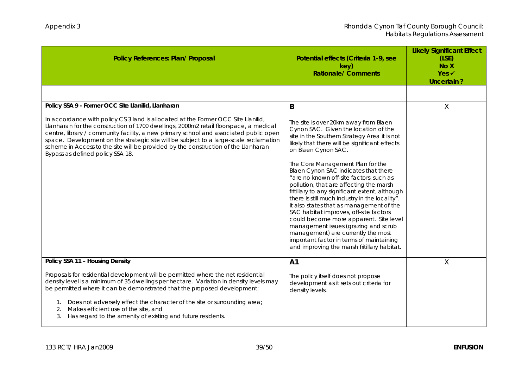| Policy References: Plan/ Proposal                                                                                                                                                                                                                                                                                                                                                                                                                                                      | Potential effects (Criteria 1-9, see<br>key)<br><b>Rationale/ Comments</b>                                                                                                                                                                                                                                                                                                                                                                                                                                                                                                                                                                                                                                                                                                           | <b>Likely Significant Effect</b><br>(LSE)<br>No X<br>$Yes \checkmark$<br>Uncertain? |
|----------------------------------------------------------------------------------------------------------------------------------------------------------------------------------------------------------------------------------------------------------------------------------------------------------------------------------------------------------------------------------------------------------------------------------------------------------------------------------------|--------------------------------------------------------------------------------------------------------------------------------------------------------------------------------------------------------------------------------------------------------------------------------------------------------------------------------------------------------------------------------------------------------------------------------------------------------------------------------------------------------------------------------------------------------------------------------------------------------------------------------------------------------------------------------------------------------------------------------------------------------------------------------------|-------------------------------------------------------------------------------------|
|                                                                                                                                                                                                                                                                                                                                                                                                                                                                                        |                                                                                                                                                                                                                                                                                                                                                                                                                                                                                                                                                                                                                                                                                                                                                                                      |                                                                                     |
| Policy SSA 9 - Former OCC Site Llanilid, Llanharan                                                                                                                                                                                                                                                                                                                                                                                                                                     | B                                                                                                                                                                                                                                                                                                                                                                                                                                                                                                                                                                                                                                                                                                                                                                                    | X                                                                                   |
| In accordance with policy CS 3 land is allocated at the Former OCC Site Llanilid,<br>Llanharan for the construction of 1700 dwellings, 2000m2 retail floorspace, a medical<br>centre, library / community facility, a new primary school and associated public open<br>space. Development on the strategic site will be subject to a large-scale reclamation<br>scheme in Access to the site will be provided by the construction of the Llanharan<br>Bypass as defined policy SSA 18. | The site is over 20km away from Blaen<br>Cynon SAC. Given the location of the<br>site in the Southern Strategy Area it is not<br>likely that there will be significant effects<br>on Blaen Cynon SAC.<br>The Core Management Plan for the<br>Blaen Cynon SAC indicates that there<br>"are no known off-site factors, such as<br>pollution, that are affecting the marsh<br>fritillary to any significant extent, although<br>there is still much industry in the locality".<br>It also states that as management of the<br>SAC habitat improves, off-site factors<br>could become more apparent. Site level<br>management issues (grazing and scrub<br>management) are currently the most<br>important factor in terms of maintaining<br>and improving the marsh fritillary habitat. |                                                                                     |
| Policy SSA 11 - Housing Density                                                                                                                                                                                                                                                                                                                                                                                                                                                        | A1                                                                                                                                                                                                                                                                                                                                                                                                                                                                                                                                                                                                                                                                                                                                                                                   | Χ                                                                                   |
| Proposals for residential development will be permitted where the net residential<br>density level is a minimum of 35 dwellings per hectare. Variation in density levels may<br>be permitted where it can be demonstrated that the proposed development:<br>1. Does not adversely effect the character of the site or surrounding area;<br>Makes efficient use of the site, and<br>2.<br>Has regard to the amenity of existing and future residents.<br>3.                             | The policy itself does not propose<br>development as it sets out criteria for<br>density levels.                                                                                                                                                                                                                                                                                                                                                                                                                                                                                                                                                                                                                                                                                     |                                                                                     |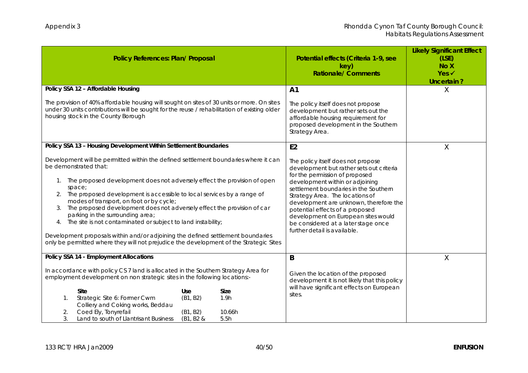| Policy References: Plan/ Proposal                                                                                                                                                                                                                                                                                                                                                                                                                                                                                                                                                                                                                                                                                                                                 | Potential effects (Criteria 1-9, see<br>key)<br><b>Rationale/ Comments</b>                                                                                                                                                                                                                                                                                                                                                                   | <b>Likely Significant Effect</b><br>(LSE)<br>No X<br>Yes ✔<br>Uncertain? |
|-------------------------------------------------------------------------------------------------------------------------------------------------------------------------------------------------------------------------------------------------------------------------------------------------------------------------------------------------------------------------------------------------------------------------------------------------------------------------------------------------------------------------------------------------------------------------------------------------------------------------------------------------------------------------------------------------------------------------------------------------------------------|----------------------------------------------------------------------------------------------------------------------------------------------------------------------------------------------------------------------------------------------------------------------------------------------------------------------------------------------------------------------------------------------------------------------------------------------|--------------------------------------------------------------------------|
| Policy SSA 12 - Affordable Housing<br>The provision of 40% affordable housing will sought on sites of 30 units or more. On sites<br>under 30 units contributions will be sought for the reuse / rehabilitation of existing older<br>housing stock in the County Borough                                                                                                                                                                                                                                                                                                                                                                                                                                                                                           | A <sub>1</sub><br>The policy itself does not propose<br>development but rather sets out the<br>affordable housing requirement for<br>proposed development in the Southern<br>Strategy Area.                                                                                                                                                                                                                                                  | Χ                                                                        |
| Policy SSA 13 - Housing Development Within Settlement Boundaries<br>Development will be permitted within the defined settlement boundaries where it can<br>be demonstrated that:<br>The proposed development does not adversely effect the provision of open<br>space;<br>The proposed development is accessible to local services by a range of<br>modes of transport, on foot or by cycle;<br>The proposed development does not adversely effect the provision of car<br>3.<br>parking in the surrounding area;<br>4. The site is not contaminated or subject to land instability;<br>Development proposals within and/or adjoining the defined settlement boundaries<br>only be permitted where they will not prejudice the development of the Strategic Sites | E <sub>2</sub><br>The policy itself does not propose<br>development but rather sets out criteria<br>for the permission of proposed<br>development within or adjoining<br>settlement boundaries in the Southern<br>Strategy Area. The locations of<br>development are unknown, therefore the<br>potential effects of a proposed<br>development on European sites would<br>be considered at a later stage once<br>further detail is available. | Χ                                                                        |
| Policy SSA 14 - Employment Allocations<br>In accordance with policy CS 7 land is allocated in the Southern Strategy Area for<br>employment development on non strategic sites in the following locations:-<br>Site<br>Size<br>Use<br>Strategic Site 6: Former Cwm<br>(B1, B2)<br>1.9h<br>1.<br>Colliery and Coking works, Beddau<br>Coed Ely, Tonyrefail<br>10.66h<br>2.<br>(B1, B2)<br>3.<br>5.5h<br>Land to south of Llantrisant Business<br>(B1, B2 &                                                                                                                                                                                                                                                                                                          | B<br>Given the location of the proposed<br>development it is not likely that this policy<br>will have significant effects on European<br>sites.                                                                                                                                                                                                                                                                                              | X                                                                        |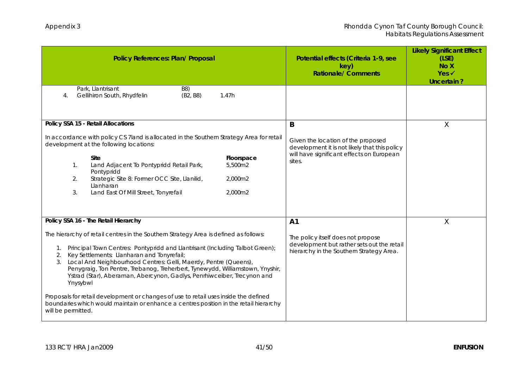| Policy References: Plan/ Proposal                                                                                                                                                                                                                                                                                                                                                                                                                                                                                                                                                                                                                                                                                         | Potential effects (Criteria 1-9, see<br>key)<br>Rationale/ Comments                                                                             | <b>Likely Significant Effect</b><br>(LSE)<br>No X<br>$Yes \checkmark$<br>Uncertain? |
|---------------------------------------------------------------------------------------------------------------------------------------------------------------------------------------------------------------------------------------------------------------------------------------------------------------------------------------------------------------------------------------------------------------------------------------------------------------------------------------------------------------------------------------------------------------------------------------------------------------------------------------------------------------------------------------------------------------------------|-------------------------------------------------------------------------------------------------------------------------------------------------|-------------------------------------------------------------------------------------|
| Park, Llantrisant<br>B8)<br>Gellihiron South, Rhydfelin<br>(B2, B8)<br>1.47h<br>4.                                                                                                                                                                                                                                                                                                                                                                                                                                                                                                                                                                                                                                        |                                                                                                                                                 |                                                                                     |
| Policy SSA 15 - Retail Allocations<br>In accordance with policy CS 7land is allocated in the Southern Strategy Area for retail<br>development at the following locations:<br>Site<br>Floorspace<br>Land Adjacent To Pontypridd Retail Park,<br>5,500m2<br>$\mathbf{1}$ .<br>Pontypridd<br>Strategic Site 8: Former OCC Site, Llanilid,<br>2.<br>2,000m2<br>Llanharan<br>3.<br>Land East Of Mill Street, Tonyrefail<br>2,000m2                                                                                                                                                                                                                                                                                             | B<br>Given the location of the proposed<br>development it is not likely that this policy<br>will have significant effects on European<br>sites. | X                                                                                   |
| Policy SSA 16 - The Retail Hierarchy<br>The hierarchy of retail centres in the Southern Strategy Area is defined as follows:<br>1. Principal Town Centres: Pontypridd and Llantrisant (Including Talbot Green);<br>2. Key Settlements: Llanharan and Tonyrefail;<br>Local And Neighbourhood Centres: Gelli, Maerdy, Pentre (Queens),<br>3.<br>Penygraig, Ton Pentre, Trebanog, Treherbert, Tynewydd, Williamstown, Ynyshir,<br>Ystrad (Star), Aberaman, Abercynon, Gadlys, Penrhiwceiber, Trecynon and<br>Ynysybwl<br>Proposals for retail development or changes of use to retail uses inside the defined<br>boundaries which would maintain or enhance a centres position in the retail hierarchy<br>will be permitted. | A <sub>1</sub><br>The policy itself does not propose<br>development but rather sets out the retail<br>hierarchy in the Southern Strategy Area.  | $\sf X$                                                                             |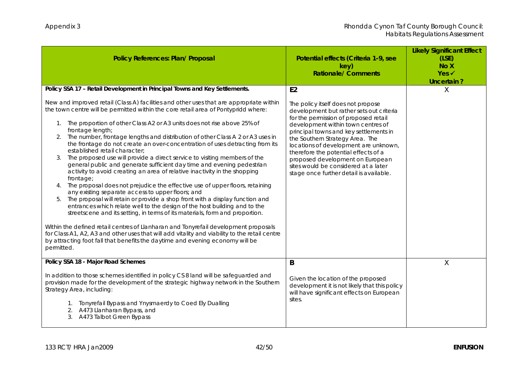| Policy References: Plan/ Proposal                                                                                                                                                                                                                                                                                                                                                                                                                                                                                                                                                                                                                                                                                                                                                                                                                                                                                                                                                                                                                                                                                                                                                                                                                                                                                                                                                                                                                                                                                     | Potential effects (Criteria 1-9, see<br>key)<br><b>Rationale/Comments</b>                                                                                                                                                                                                                                                                                                                                                                                            | <b>Likely Significant Effect</b><br>(LSE)<br>No X<br>$Yes \checkmark$<br>Uncertain? |
|-----------------------------------------------------------------------------------------------------------------------------------------------------------------------------------------------------------------------------------------------------------------------------------------------------------------------------------------------------------------------------------------------------------------------------------------------------------------------------------------------------------------------------------------------------------------------------------------------------------------------------------------------------------------------------------------------------------------------------------------------------------------------------------------------------------------------------------------------------------------------------------------------------------------------------------------------------------------------------------------------------------------------------------------------------------------------------------------------------------------------------------------------------------------------------------------------------------------------------------------------------------------------------------------------------------------------------------------------------------------------------------------------------------------------------------------------------------------------------------------------------------------------|----------------------------------------------------------------------------------------------------------------------------------------------------------------------------------------------------------------------------------------------------------------------------------------------------------------------------------------------------------------------------------------------------------------------------------------------------------------------|-------------------------------------------------------------------------------------|
| Policy SSA 17 - Retail Development in Principal Towns and Key Settlements.<br>New and improved retail (Class A) facilities and other uses that are appropriate within<br>the town centre will be permitted within the core retail area of Pontypridd where:<br>The proportion of other Class A2 or A3 units does not rise above 25% of<br>1.<br>frontage length;<br>The number, frontage lengths and distribution of other Class A 2 or A3 uses in<br>2.<br>the frontage do not create an over-concentration of uses detracting from its<br>established retail character;<br>The proposed use will provide a direct service to visiting members of the<br>3.<br>general public and generate sufficient day time and evening pedestrian<br>activity to avoid creating an area of relative inactivity in the shopping<br>frontage;<br>The proposal does not prejudice the effective use of upper floors, retaining<br>4.<br>any existing separate access to upper floors; and<br>The proposal will retain or provide a shop front with a display function and<br>5.<br>entrances which relate well to the design of the host building and to the<br>streetscene and its setting, in terms of its materials, form and proportion.<br>Within the defined retail centres of Llanharan and Tonyrefail development proposals<br>for Class A1, A2, A3 and other uses that will add vitality and viability to the retail centre<br>by attracting foot fall that benefits the daytime and evening economy will be<br>permitted. | E <sub>2</sub><br>The policy itself does not propose<br>development but rather sets out criteria<br>for the permission of proposed retail<br>development within town centres of<br>principal towns and key settlements in<br>the Southern Strategy Area. The<br>locations of development are unknown,<br>therefore the potential effects of a<br>proposed development on European<br>sites would be considered at a later<br>stage once further detail is available. | X                                                                                   |
| Policy SSA 18 - Major Road Schemes<br>In addition to those schemes identified in policy CS 8 land will be safeguarded and<br>provision made for the development of the strategic highway network in the Southern<br>Strategy Area, including:<br>Tonyrefail Bypass and Ynysmaerdy to Coed Ely Dualling<br>1.<br>A473 Llanharan Bypass, and<br>2.<br>A473 Talbot Green Bypass<br>3.                                                                                                                                                                                                                                                                                                                                                                                                                                                                                                                                                                                                                                                                                                                                                                                                                                                                                                                                                                                                                                                                                                                                    | B<br>Given the location of the proposed<br>development it is not likely that this policy<br>will have significant effects on European<br>sites.                                                                                                                                                                                                                                                                                                                      | X                                                                                   |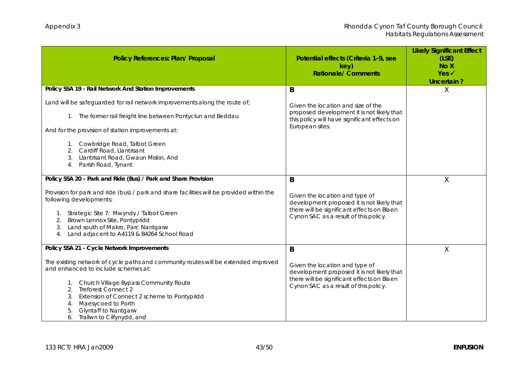| Policy References: Plan/ Proposal                                                                                                                                                                                                                                                                                                                                                                          | Potential effects (Criteria 1-9, see<br>key)<br><b>Rationale/ Comments</b>                                                                                               | <b>Likely Significant Effect</b><br>(LSE)<br>No X<br>$Yes \checkmark$<br>Uncertain? |
|------------------------------------------------------------------------------------------------------------------------------------------------------------------------------------------------------------------------------------------------------------------------------------------------------------------------------------------------------------------------------------------------------------|--------------------------------------------------------------------------------------------------------------------------------------------------------------------------|-------------------------------------------------------------------------------------|
| Policy SSA 19 - Rail Network And Station Improvements<br>Land will be safeguarded for rail network improvements along the route of;<br>1. The former rail freight line between Pontyclun and Beddau<br>And for the provision of station improvements at:<br>Cowbridge Road, Talbot Green<br>1.<br>2. Cardiff Road, Llantrisant<br>Llantrisant Road, Gwaun Miskin, And<br>Parish Road, Tynant<br>4.         | B<br>Given the location and size of the<br>proposed development it is not likely that<br>this policy will have significant effects on<br>European sites.                 | Χ                                                                                   |
| Policy SSA 20 - Park and Ride (Bus) / Park and Share Provision<br>Provision for park and ride (bus) / park and share facilities will be provided within the<br>following developments:<br>1. Strategic Site 7: Mwyndy / Talbot Green<br>Brown Lennox Site, Pontypridd<br>2.<br>Land south of Makro, Parc Nantgarw<br>Land adjacent to A4119 & B4264 School Road<br>4.                                      | B<br>Given the location and type of<br>development proposed it is not likely that<br>there will be significant effects on Blaen<br>Cynon SAC as a result of this policy. | Χ                                                                                   |
| Policy SSA 21 - Cycle Network Improvements<br>The existing network of cycle paths and community routes will be extended improved<br>and enhanced to include schemes at:<br>1. Church Village Bypass Community Route<br><b>Treforest Connect 2</b><br>2.<br>Extension of Connect 2 scheme to Pontypridd<br>3.<br>Maesycoed to Porth<br>4.<br><b>Glyntaff to Nantgarw</b><br>Trallwn to Cilfynydd, and<br>6. | B<br>Given the location and type of<br>development proposed it is not likely that<br>there will be significant effects on Blaen<br>Cynon SAC as a result of this policy. | Χ                                                                                   |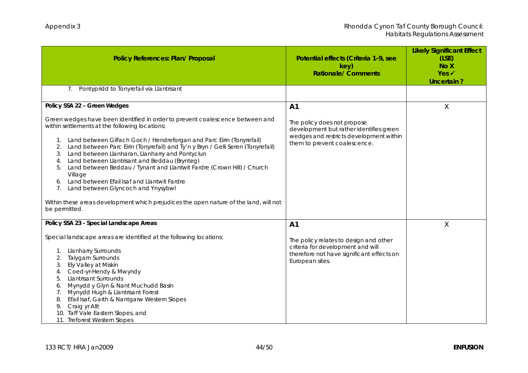| Policy References: Plan/ Proposal                                                                                                                                                                                                                                                                                                                                                                                                                                                                                                                                                                                                                                                                                         | Potential effects (Criteria 1-9, see<br>key)<br><b>Rationale/ Comments</b>                                                                        | <b>Likely Significant Effect</b><br>(LSE)<br>No X<br>$Yes \checkmark$<br>Uncertain? |
|---------------------------------------------------------------------------------------------------------------------------------------------------------------------------------------------------------------------------------------------------------------------------------------------------------------------------------------------------------------------------------------------------------------------------------------------------------------------------------------------------------------------------------------------------------------------------------------------------------------------------------------------------------------------------------------------------------------------------|---------------------------------------------------------------------------------------------------------------------------------------------------|-------------------------------------------------------------------------------------|
| Pontypridd to Tonyrefail via Llantrisant<br>7.                                                                                                                                                                                                                                                                                                                                                                                                                                                                                                                                                                                                                                                                            |                                                                                                                                                   |                                                                                     |
| Policy SSA 22 - Green Wedges                                                                                                                                                                                                                                                                                                                                                                                                                                                                                                                                                                                                                                                                                              | A <sub>1</sub>                                                                                                                                    | Χ                                                                                   |
| Green wedges have been identified in order to prevent coalescence between and<br>within settlements at the following locations:<br>1. Land between Gilfach Goch / Hendreforgan and Parc Eirin (Tonyrefail)<br>Land between Parc Eirin (Tonyrefail) and Ty'n y Bryn / Gelli Seren (Tonyrefail)<br>2.<br>Land between Llanharan, Llanharry and Pontyclun<br>3.<br>Land between Llantrisant and Beddau (Brynteg)<br>4.<br>Land between Beddau / Tynant and Llantwit Fardre (Crown Hill) / Church<br>5.<br>Village<br>Land between Efail Isaf and Llantwit Fardre<br>6.<br>Land between Glyncoch and Ynysybwl<br>7.<br>Within these areas development which prejudices the open nature of the land, will not<br>be permitted. | The policy does not propose<br>development but rather identifies green<br>wedges and restricts development within<br>them to prevent coalescence. |                                                                                     |
| Policy SSA 23 - Special Landscape Areas                                                                                                                                                                                                                                                                                                                                                                                                                                                                                                                                                                                                                                                                                   | A <sub>1</sub>                                                                                                                                    | $\sf X$                                                                             |
| Special landscape areas are identified at the following locations:<br><b>Llanharry Surrounds</b><br>Talygarn Surrounds<br>2.<br>Ely Valley at Miskin<br>3.<br>Coed-yr-Hendy & Mwyndy<br>4.<br><b>Llantrisant Surrounds</b><br>5.<br>Mynydd y Glyn & Nant Muchudd Basin<br>6.<br>Mynydd Hugh & Llantrisant Forest<br>7.<br>Efail Isaf, Garth & Nantgarw Western Slopes<br>8.<br>Craig yr Allt<br>9.<br>10. Taff Vale Eastern Slopes, and<br>11. Treforest Western Slopes                                                                                                                                                                                                                                                   | The policy relates to design and other<br>criteria for development and will<br>therefore not have significant effects on<br>European sites.       |                                                                                     |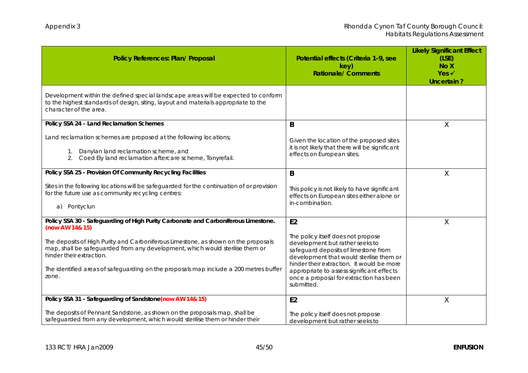| Policy References: Plan/ Proposal                                                                                                                                                                   | Potential effects (Criteria 1-9, see<br>key)<br><b>Rationale/ Comments</b>                                                                                                                             | <b>Likely Significant Effect</b><br>(LSE)<br>No X<br>$Yes \checkmark$<br>Uncertain? |
|-----------------------------------------------------------------------------------------------------------------------------------------------------------------------------------------------------|--------------------------------------------------------------------------------------------------------------------------------------------------------------------------------------------------------|-------------------------------------------------------------------------------------|
| Development within the defined special landscape areas will be expected to conform<br>to the highest standards of design, siting, layout and materials appropriate to the<br>character of the area. |                                                                                                                                                                                                        |                                                                                     |
| Policy SSA 24 - Land Reclamation Schemes                                                                                                                                                            | B                                                                                                                                                                                                      | X                                                                                   |
| Land reclamation schemes are proposed at the following locations;<br>1. Danylan land reclamation scheme, and<br>Coed Ely land reclamation aftercare scheme, Tonyrefail.<br>2.                       | Given the location of the proposed sites<br>it is not likely that there will be significant<br>effects on European sites.                                                                              |                                                                                     |
| Policy SSA 25 - Provision Of Community Recycling Facilities                                                                                                                                         | B                                                                                                                                                                                                      | $\sf X$                                                                             |
| Sites in the following locations will be safeguarded for the continuation of or provision<br>for the future use as community recycling centres:<br>a) Pontyclun                                     | This policy is not likely to have significant<br>effects on European sites either alone or<br>in-combination.                                                                                          |                                                                                     |
| Policy SSA 30 - Safeguarding of High Purity Carbonate and Carboniferous Limestone.<br>(now AW 14& 15)                                                                                               | E2                                                                                                                                                                                                     | Χ                                                                                   |
| The deposits of High Purity and Carboniferous Limestone, as shown on the proposals<br>map, shall be safeguarded from any development, which would sterilise them or<br>hinder their extraction.     | The policy itself does not propose<br>development but rather seeks to<br>safeguard deposits of limestone from<br>development that would sterilise them or<br>hinder their extraction. It would be more |                                                                                     |
| The identified areas of safeguarding on the proposals map include a 200 metres buffer<br>zone.                                                                                                      | appropriate to assess significant effects<br>once a proposal for extraction has been<br>submitted.                                                                                                     |                                                                                     |
| Policy SSA 31 - Safeguarding of Sandstone(now AW 14& 15)                                                                                                                                            | E <sub>2</sub>                                                                                                                                                                                         | $\sf X$                                                                             |
| The deposits of Pennant Sandstone, as shown on the proposals map, shall be<br>safeguarded from any development, which would sterilise them or hinder their                                          | The policy itself does not propose<br>development but rather seeks to                                                                                                                                  |                                                                                     |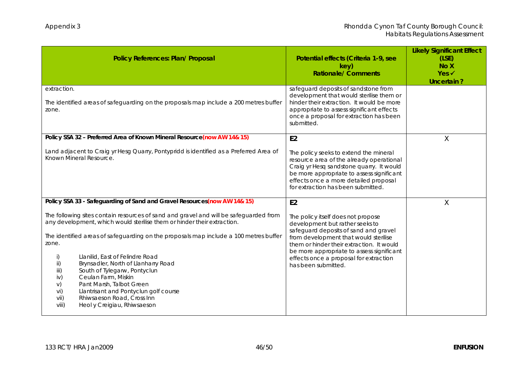| Policy References: Plan/ Proposal                                                                                                                                                                                                                                                                                                                                                                                                                                                                                                                                                                                                                                           | Potential effects (Criteria 1-9, see<br>key)<br><b>Rationale/Comments</b>                                                                                                                                                                                                                                                            | <b>Likely Significant Effect</b><br>(LSE)<br>No X<br>Yes ✔<br>Uncertain? |
|-----------------------------------------------------------------------------------------------------------------------------------------------------------------------------------------------------------------------------------------------------------------------------------------------------------------------------------------------------------------------------------------------------------------------------------------------------------------------------------------------------------------------------------------------------------------------------------------------------------------------------------------------------------------------------|--------------------------------------------------------------------------------------------------------------------------------------------------------------------------------------------------------------------------------------------------------------------------------------------------------------------------------------|--------------------------------------------------------------------------|
| extraction.<br>The identified areas of safeguarding on the proposals map include a 200 metres buffer<br>zone.                                                                                                                                                                                                                                                                                                                                                                                                                                                                                                                                                               | safeguard deposits of sandstone from<br>development that would sterilise them or<br>hinder their extraction. It would be more<br>appropriate to assess significant effects<br>once a proposal for extraction has been<br>submitted.                                                                                                  |                                                                          |
| Policy SSA 32 - Preferred Area of Known Mineral Resource(now AW 14& 15)<br>Land adjacent to Craig yr Hesg Quarry, Pontypridd is identified as a Preferred Area of<br>Known Mineral Resource.                                                                                                                                                                                                                                                                                                                                                                                                                                                                                | E <sub>2</sub><br>The policy seeks to extend the mineral<br>resource area of the already operational<br>Craig yr Hesq sandstone quarry. It would<br>be more appropriate to assess significant<br>effects once a more detailed proposal<br>for extraction has been submitted.                                                         | X                                                                        |
| Policy SSA 33 - Safeguarding of Sand and Gravel Resources(now AW 14& 15)<br>The following sites contain resources of sand and gravel and will be safeguarded from<br>any development, which would sterilise them or hinder their extraction.<br>The identified areas of safeguarding on the proposals map include a 100 metres buffer<br>zone.<br>Llanilid, East of Felindre Road<br>i)<br>Brynsadler, North of Llanharry Road<br>ii)<br>South of Tylegarw, Pontyclun<br>iii)<br>Ceulan Farm, Miskin<br>iv)<br>Pant Marsh, Talbot Green<br>V)<br>Llantrisant and Pontyclun golf course<br>vi)<br>Rhiwsaeson Road, Cross Inn<br>vii)<br>viii)<br>Heol y Creigiau, Rhiwsaeson | E <sub>2</sub><br>The policy itself does not propose<br>development but rather seeks to<br>safeguard deposits of sand and gravel<br>from development that would sterilise<br>them or hinder their extraction. It would<br>be more appropriate to assess significant<br>effects once a proposal for extraction<br>has been submitted. | Χ                                                                        |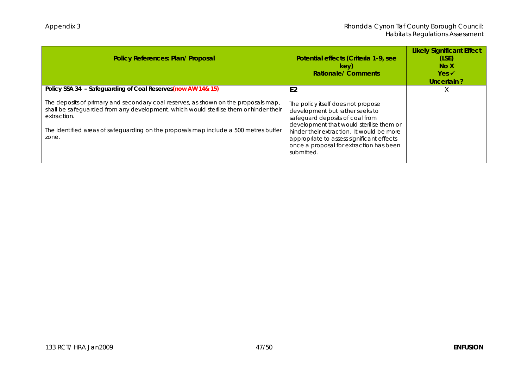| Policy References: Plan/ Proposal                                                                                                                                                                                                                                                                                                                              | Potential effects (Criteria 1-9, see<br>key)<br>Rationale/Comments                                                                                                                                                                                                                                                        | <b>Likely Significant Effect</b><br>(LSE)<br>No X<br>$Yes \checkmark$<br>Uncertain? |
|----------------------------------------------------------------------------------------------------------------------------------------------------------------------------------------------------------------------------------------------------------------------------------------------------------------------------------------------------------------|---------------------------------------------------------------------------------------------------------------------------------------------------------------------------------------------------------------------------------------------------------------------------------------------------------------------------|-------------------------------------------------------------------------------------|
| Policy SSA 34 - Safeguarding of Coal Reserves (now AW 14& 15)<br>The deposits of primary and secondary coal reserves, as shown on the proposals map,<br>shall be safequarded from any development, which would sterilise them or hinder their<br>extraction.<br>The identified areas of safeguarding on the proposals map include a 500 metres buffer<br>zone. | E <sub>2</sub><br>The policy itself does not propose<br>development but rather seeks to<br>safeguard deposits of coal from<br>development that would sterilise them or<br>hinder their extraction. It would be more<br>appropriate to assess significant effects<br>once a proposal for extraction has been<br>submitted. | X                                                                                   |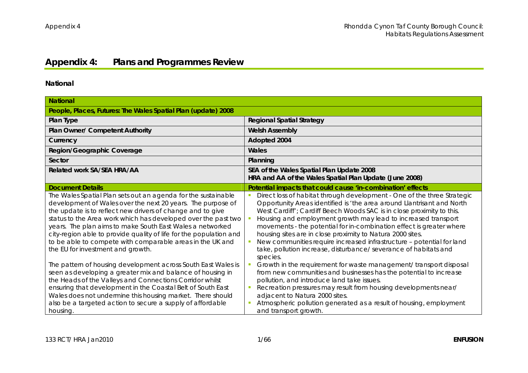## **Appendix 4: Plans and Programmes Review**

## **National**

| National                                                                                                                                                                                                                                                                                                                                                                                                                                                                                         |                                                                                                                                                                                                                                                                                                                                                                                                                                                                                                                                                                                            |
|--------------------------------------------------------------------------------------------------------------------------------------------------------------------------------------------------------------------------------------------------------------------------------------------------------------------------------------------------------------------------------------------------------------------------------------------------------------------------------------------------|--------------------------------------------------------------------------------------------------------------------------------------------------------------------------------------------------------------------------------------------------------------------------------------------------------------------------------------------------------------------------------------------------------------------------------------------------------------------------------------------------------------------------------------------------------------------------------------------|
| People, Places, Futures: The Wales Spatial Plan (update) 2008                                                                                                                                                                                                                                                                                                                                                                                                                                    |                                                                                                                                                                                                                                                                                                                                                                                                                                                                                                                                                                                            |
| Plan Type                                                                                                                                                                                                                                                                                                                                                                                                                                                                                        | Regional Spatial Strategy                                                                                                                                                                                                                                                                                                                                                                                                                                                                                                                                                                  |
| Plan Owner/ Competent Authority                                                                                                                                                                                                                                                                                                                                                                                                                                                                  | <b>Welsh Assembly</b>                                                                                                                                                                                                                                                                                                                                                                                                                                                                                                                                                                      |
| Currency                                                                                                                                                                                                                                                                                                                                                                                                                                                                                         | Adopted 2004                                                                                                                                                                                                                                                                                                                                                                                                                                                                                                                                                                               |
| Region/Geographic Coverage                                                                                                                                                                                                                                                                                                                                                                                                                                                                       | Wales                                                                                                                                                                                                                                                                                                                                                                                                                                                                                                                                                                                      |
| Sector                                                                                                                                                                                                                                                                                                                                                                                                                                                                                           | Planning                                                                                                                                                                                                                                                                                                                                                                                                                                                                                                                                                                                   |
| Related work SA/SEA HRA/AA                                                                                                                                                                                                                                                                                                                                                                                                                                                                       | SEA of the Wales Spatial Plan Update 2008<br>HRA and AA of the Wales Spatial Plan Update (June 2008)                                                                                                                                                                                                                                                                                                                                                                                                                                                                                       |
| <b>Document Details</b>                                                                                                                                                                                                                                                                                                                                                                                                                                                                          | Potential impacts that could cause 'in-combination' effects                                                                                                                                                                                                                                                                                                                                                                                                                                                                                                                                |
| The Wales Spatial Plan sets out an agenda for the sustainable<br>development of Wales over the next 20 years. The purpose of<br>the update is to reflect new drivers of change and to give<br>status to the Area work which has developed over the past two<br>years. The plan aims to make South East Wales a networked<br>city-region able to provide quality of life for the population and<br>to be able to compete with comparable areas in the UK and<br>the EU for investment and growth. | Direct loss of habitat through development - One of the three Strategic<br>Opportunity Areas identified is 'the area around Llantrisant and North<br>West Cardiff'; Cardiff Beech Woods SAC is in close proximity to this.<br>Housing and employment growth may lead to increased transport<br>movements - the potential for in-combination effect is greater where<br>housing sites are in close proximity to Natura 2000 sites.<br>New communities require increased infrastructure - potential for land<br>take, pollution increase, disturbance/ severance of habitats and<br>species. |
| The pattern of housing development across South East Wales is<br>seen as developing a greater mix and balance of housing in<br>the Heads of the Valleys and Connections Corridor whilst<br>ensuring that development in the Coastal Belt of South East<br>Wales does not undermine this housing market. There should<br>also be a targeted action to secure a supply of affordable<br>housing.                                                                                                   | Growth in the requirement for waste management/ transport disposal<br>from new communities and businesses has the potential to increase<br>pollution, and introduce land take issues.<br>Recreation pressures may result from housing developments near/<br>adjacent to Natura 2000 sites.<br>Atmospheric pollution generated as a result of housing, employment<br>and transport growth.                                                                                                                                                                                                  |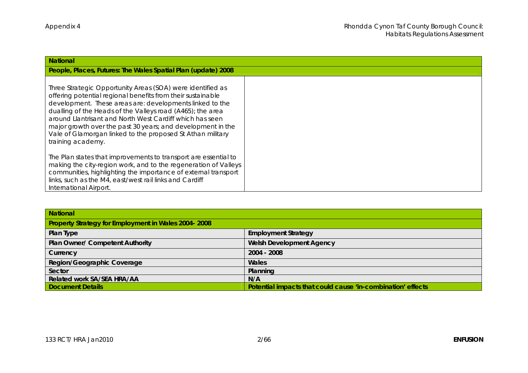| National                                                                                                                                                                                                                                                                                                                                                                                                                                                          |  |
|-------------------------------------------------------------------------------------------------------------------------------------------------------------------------------------------------------------------------------------------------------------------------------------------------------------------------------------------------------------------------------------------------------------------------------------------------------------------|--|
| People, Places, Futures: The Wales Spatial Plan (update) 2008                                                                                                                                                                                                                                                                                                                                                                                                     |  |
| Three Strategic Opportunity Areas (SOA) were identified as<br>offering potential regional benefits from their sustainable<br>development. These areas are: developments linked to the<br>dualling of the Heads of the Valleys road (A465); the area<br>around Llantrisant and North West Cardiff which has seen<br>major growth over the past 30 years; and development in the<br>Vale of Glamorgan linked to the proposed St Athan military<br>training academy. |  |
| The Plan states that improvements to transport are essential to<br>making the city-region work, and to the regeneration of Valleys<br>communities, highlighting the importance of external transport<br>links, such as the M4, east/west rail links and Cardiff<br>International Airport.                                                                                                                                                                         |  |

| National                                            |                                                             |
|-----------------------------------------------------|-------------------------------------------------------------|
| Property Strategy for Employment in Wales 2004-2008 |                                                             |
| Plan Type                                           | <b>Employment Strategy</b>                                  |
| Plan Owner/ Competent Authority                     | Welsh Development Agency                                    |
| Currency                                            | $2004 - 2008$                                               |
| Region/Geographic Coverage                          | Wales                                                       |
| Sector                                              | Planning                                                    |
| Related work SA/SEA HRA/AA                          | N/A                                                         |
| Document Details                                    | Potential impacts that could cause 'in-combination' effects |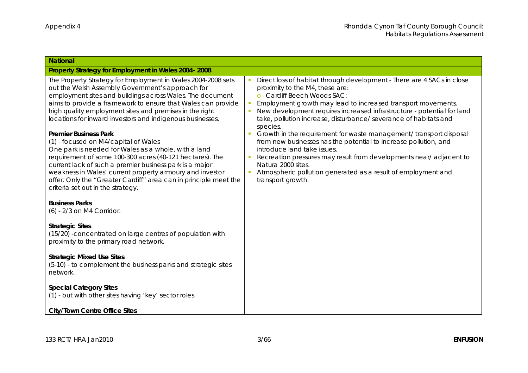| National                                                                                                                                                                                                                                                                                                                                                                                                                                                                                                                                                                                                                                                                                                                                                                                          |                                                                                                                                                                                                                                                                                                                                                                                                                                                                                                                                                                                                                                                                                                                              |
|---------------------------------------------------------------------------------------------------------------------------------------------------------------------------------------------------------------------------------------------------------------------------------------------------------------------------------------------------------------------------------------------------------------------------------------------------------------------------------------------------------------------------------------------------------------------------------------------------------------------------------------------------------------------------------------------------------------------------------------------------------------------------------------------------|------------------------------------------------------------------------------------------------------------------------------------------------------------------------------------------------------------------------------------------------------------------------------------------------------------------------------------------------------------------------------------------------------------------------------------------------------------------------------------------------------------------------------------------------------------------------------------------------------------------------------------------------------------------------------------------------------------------------------|
| Property Strategy for Employment in Wales 2004-2008                                                                                                                                                                                                                                                                                                                                                                                                                                                                                                                                                                                                                                                                                                                                               |                                                                                                                                                                                                                                                                                                                                                                                                                                                                                                                                                                                                                                                                                                                              |
| The Property Strategy for Employment in Wales 2004-2008 sets<br>out the Welsh Assembly Government's approach for<br>employment sites and buildings across Wales. The document<br>aims to provide a framework to ensure that Wales can provide<br>high quality employment sites and premises in the right<br>locations for inward investors and indigenous businesses.<br><b>Premier Business Park</b><br>(1) - focused on M4/capital of Wales<br>One park is needed for Wales as a whole, with a land<br>requirement of some 100-300 acres (40-121 hectares). The<br>current lack of such a premier business park is a major<br>weakness in Wales' current property armoury and investor<br>offer. Only the "Greater Cardiff" area can in principle meet the<br>criteria set out in the strategy. | Direct loss of habitat through development - There are 4 SACs in close<br>proximity to the M4, these are:<br>o Cardiff Beech Woods SAC;<br>Employment growth may lead to increased transport movements.<br>New development requires increased infrastructure - potential for land<br>take, pollution increase, disturbance/ severance of habitats and<br>species.<br>Growth in the requirement for waste management/ transport disposal<br>from new businesses has the potential to increase pollution, and<br>introduce land take issues.<br>Recreation pressures may result from developments near/adjacent to<br>Natura 2000 sites.<br>Atmospheric pollution generated as a result of employment and<br>transport growth. |
| <b>Business Parks</b><br>(6) - 2/3 on M4 Corridor.                                                                                                                                                                                                                                                                                                                                                                                                                                                                                                                                                                                                                                                                                                                                                |                                                                                                                                                                                                                                                                                                                                                                                                                                                                                                                                                                                                                                                                                                                              |
| <b>Strategic Sites</b><br>(15/20) - concentrated on large centres of population with<br>proximity to the primary road network.                                                                                                                                                                                                                                                                                                                                                                                                                                                                                                                                                                                                                                                                    |                                                                                                                                                                                                                                                                                                                                                                                                                                                                                                                                                                                                                                                                                                                              |
| <b>Strategic Mixed Use Sites</b><br>(5-10) - to complement the business parks and strategic sites<br>network.                                                                                                                                                                                                                                                                                                                                                                                                                                                                                                                                                                                                                                                                                     |                                                                                                                                                                                                                                                                                                                                                                                                                                                                                                                                                                                                                                                                                                                              |
| <b>Special Category Sites</b><br>(1) - but with other sites having 'key' sector roles                                                                                                                                                                                                                                                                                                                                                                                                                                                                                                                                                                                                                                                                                                             |                                                                                                                                                                                                                                                                                                                                                                                                                                                                                                                                                                                                                                                                                                                              |
| City/Town Centre Office Sites                                                                                                                                                                                                                                                                                                                                                                                                                                                                                                                                                                                                                                                                                                                                                                     |                                                                                                                                                                                                                                                                                                                                                                                                                                                                                                                                                                                                                                                                                                                              |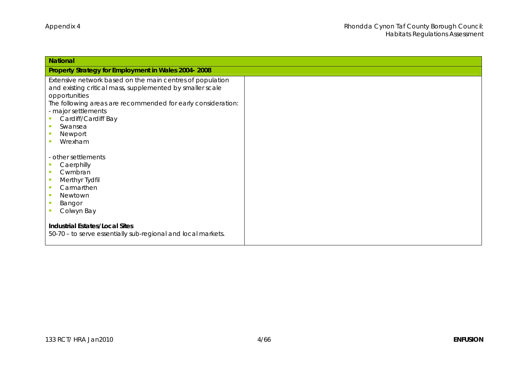| National                                                     |  |
|--------------------------------------------------------------|--|
| Property Strategy for Employment in Wales 2004-2008          |  |
| Extensive network based on the main centres of population    |  |
| and existing critical mass, supplemented by smaller scale    |  |
| opportunities                                                |  |
| The following areas are recommended for early consideration: |  |
| - major settlements                                          |  |
| Cardiff/Cardiff Bay<br>Swansea                               |  |
| Newport                                                      |  |
| Wrexham                                                      |  |
|                                                              |  |
| - other settlements                                          |  |
| Caerphilly                                                   |  |
| Cwmbran                                                      |  |
| Merthyr Tydfil                                               |  |
| Carmarthen                                                   |  |
| Newtown                                                      |  |
| Bangor                                                       |  |
| Colwyn Bay                                                   |  |
| Industrial Estates/Local Sites                               |  |
| 50-70 - to serve essentially sub-regional and local markets. |  |
|                                                              |  |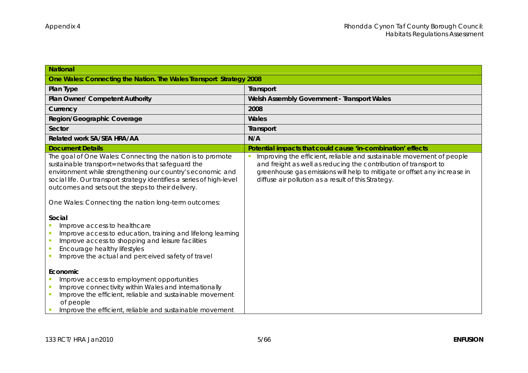| National                                                                                                                                                                                                                                                                                                                                                                                                                                                                                                                                                                                                                 |                                                                                                                                                                                                                                                                             |
|--------------------------------------------------------------------------------------------------------------------------------------------------------------------------------------------------------------------------------------------------------------------------------------------------------------------------------------------------------------------------------------------------------------------------------------------------------------------------------------------------------------------------------------------------------------------------------------------------------------------------|-----------------------------------------------------------------------------------------------------------------------------------------------------------------------------------------------------------------------------------------------------------------------------|
| One Wales: Connecting the Nation. The Wales Transport Strategy 2008                                                                                                                                                                                                                                                                                                                                                                                                                                                                                                                                                      |                                                                                                                                                                                                                                                                             |
| Plan Type                                                                                                                                                                                                                                                                                                                                                                                                                                                                                                                                                                                                                | Transport                                                                                                                                                                                                                                                                   |
| Plan Owner/ Competent Authority                                                                                                                                                                                                                                                                                                                                                                                                                                                                                                                                                                                          | Welsh Assembly Government - Transport Wales                                                                                                                                                                                                                                 |
| Currency                                                                                                                                                                                                                                                                                                                                                                                                                                                                                                                                                                                                                 | 2008                                                                                                                                                                                                                                                                        |
| Region/Geographic Coverage                                                                                                                                                                                                                                                                                                                                                                                                                                                                                                                                                                                               | Wales                                                                                                                                                                                                                                                                       |
| Sector                                                                                                                                                                                                                                                                                                                                                                                                                                                                                                                                                                                                                   | Transport                                                                                                                                                                                                                                                                   |
| Related work SA/SEA HRA/AA                                                                                                                                                                                                                                                                                                                                                                                                                                                                                                                                                                                               | N/A                                                                                                                                                                                                                                                                         |
| <b>Document Details</b>                                                                                                                                                                                                                                                                                                                                                                                                                                                                                                                                                                                                  | Potential impacts that could cause 'in-combination' effects                                                                                                                                                                                                                 |
| The goal of One Wales: Connecting the nation is to promote<br>sustainable transport= networks that safeguard the<br>environment while strengthening our country's economic and<br>social life. Our transport strategy identifies a series of high-level<br>outcomes and sets out the steps to their delivery.<br>One Wales: Connecting the nation long-term outcomes:<br>Social<br>Improve access to healthcare<br>Improve access to education, training and lifelong learning<br>Improve access to shopping and leisure facilities<br>Encourage healthy lifestyles<br>Improve the actual and perceived safety of travel | Improving the efficient, reliable and sustainable movement of people<br>and freight as well as reducing the contribution of transport to<br>greenhouse gas emissions will help to mitigate or offset any increase in<br>diffuse air pollution as a result of this Strategy. |
| Economic<br>Improve access to employment opportunities<br>Improve connectivity within Wales and internationally<br>Improve the efficient, reliable and sustainable movement<br>of people<br>Improve the efficient, reliable and sustainable movement                                                                                                                                                                                                                                                                                                                                                                     |                                                                                                                                                                                                                                                                             |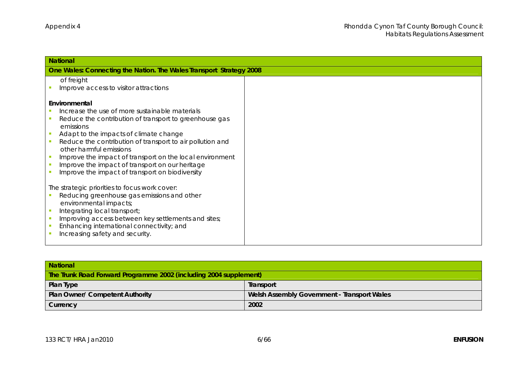| National                                                                             |  |
|--------------------------------------------------------------------------------------|--|
| One Wales: Connecting the Nation. The Wales Transport Strategy 2008                  |  |
| of freight                                                                           |  |
| Improve access to visitor attractions                                                |  |
| Environmental                                                                        |  |
| Increase the use of more sustainable materials                                       |  |
|                                                                                      |  |
| Reduce the contribution of transport to greenhouse gas<br>emissions                  |  |
| Adapt to the impacts of climate change                                               |  |
| Reduce the contribution of transport to air pollution and<br>other harmful emissions |  |
| Improve the impact of transport on the local environment                             |  |
| Improve the impact of transport on our heritage                                      |  |
| Improve the impact of transport on biodiversity                                      |  |
|                                                                                      |  |
| The strategic priorities to focus work cover:                                        |  |
| Reducing greenhouse gas emissions and other                                          |  |
| environmental impacts;                                                               |  |
| Integrating local transport;                                                         |  |
| Improving access between key settlements and sites;                                  |  |
| Enhancing international connectivity; and                                            |  |
| Increasing safety and security.                                                      |  |
|                                                                                      |  |

| National                                                          |                                             |
|-------------------------------------------------------------------|---------------------------------------------|
| The Trunk Road Forward Programme 2002 (including 2004 supplement) |                                             |
| Plan Type                                                         | Transport                                   |
| Plan Owner/ Competent Authority                                   | Welsh Assembly Government - Transport Wales |
| Currency                                                          | 2002                                        |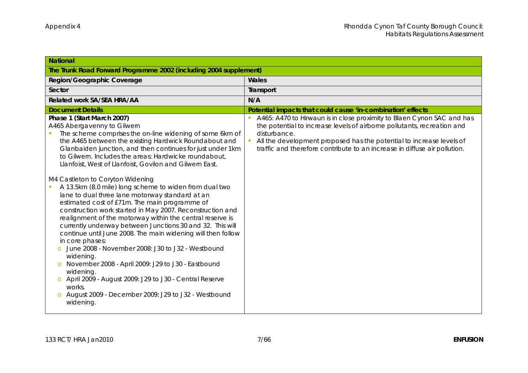| National                                                                                                                                                                                                                                                                                                                                                                                                                                                                                                                                                                                                                                                                                                                                                                                                                                                                                          |                                                                                                                                                                                                                                                                                                                        |
|---------------------------------------------------------------------------------------------------------------------------------------------------------------------------------------------------------------------------------------------------------------------------------------------------------------------------------------------------------------------------------------------------------------------------------------------------------------------------------------------------------------------------------------------------------------------------------------------------------------------------------------------------------------------------------------------------------------------------------------------------------------------------------------------------------------------------------------------------------------------------------------------------|------------------------------------------------------------------------------------------------------------------------------------------------------------------------------------------------------------------------------------------------------------------------------------------------------------------------|
| The Trunk Road Forward Programme 2002 (including 2004 supplement)                                                                                                                                                                                                                                                                                                                                                                                                                                                                                                                                                                                                                                                                                                                                                                                                                                 |                                                                                                                                                                                                                                                                                                                        |
| Region/Geographic Coverage                                                                                                                                                                                                                                                                                                                                                                                                                                                                                                                                                                                                                                                                                                                                                                                                                                                                        | Wales                                                                                                                                                                                                                                                                                                                  |
| Sector                                                                                                                                                                                                                                                                                                                                                                                                                                                                                                                                                                                                                                                                                                                                                                                                                                                                                            | Transport                                                                                                                                                                                                                                                                                                              |
| Related work SA/SEA HRA/AA                                                                                                                                                                                                                                                                                                                                                                                                                                                                                                                                                                                                                                                                                                                                                                                                                                                                        | N/A                                                                                                                                                                                                                                                                                                                    |
| <b>Document Details</b>                                                                                                                                                                                                                                                                                                                                                                                                                                                                                                                                                                                                                                                                                                                                                                                                                                                                           | Potential impacts that could cause 'in-combination' effects                                                                                                                                                                                                                                                            |
| Phase 1 (Start March 2007)<br>A465 Abergavenny to Gilwern<br>The scheme comprises the on-line widening of some 6km of<br>the A465 between the existing Hardwick Roundabout and<br>Glanbaiden junction, and then continues for just under 1km<br>to Gilwern. Includes the areas: Hardwicke roundabout,<br>Llanfoist, West of Llanfoist, Govilon and Gilwern East.<br>M4 Castleton to Coryton Widening<br>A 13.5km (8.0 mile) long scheme to widen from dual two<br>lane to dual three lane motorway standard at an<br>estimated cost of £71m. The main programme of<br>construction work started in May 2007. Reconstruction and<br>realignment of the motorway within the central reserve is<br>currently underway between Junctions 30 and 32. This will<br>continue until June 2008. The main widening will then follow<br>in core phases:<br>June 2008 - November 2008: J30 to J32 - Westbound | A465: A470 to Hirwaun is in close proximity to Blaen Cynon SAC and has<br>the potential to increase levels of airborne pollutants, recreation and<br>disturbance.<br>All the development proposed has the potential to increase levels of<br>traffic and therefore contribute to an increase in diffuse air pollution. |
| widening.<br>November 2008 - April 2009: J29 to J30 - Eastbound                                                                                                                                                                                                                                                                                                                                                                                                                                                                                                                                                                                                                                                                                                                                                                                                                                   |                                                                                                                                                                                                                                                                                                                        |
| widening.<br>April 2009 - August 2009: J29 to J30 - Central Reserve<br>$\circ$<br>works.<br>August 2009 - December 2009: J29 to J32 - Westbound<br>$\circ$<br>widening.                                                                                                                                                                                                                                                                                                                                                                                                                                                                                                                                                                                                                                                                                                                           |                                                                                                                                                                                                                                                                                                                        |
|                                                                                                                                                                                                                                                                                                                                                                                                                                                                                                                                                                                                                                                                                                                                                                                                                                                                                                   |                                                                                                                                                                                                                                                                                                                        |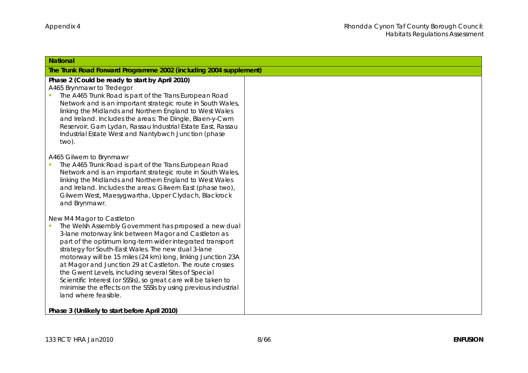| National                                                                                                                                                                                                                                                                                                                                                                                                                                                                                                                                                                                                    |  |
|-------------------------------------------------------------------------------------------------------------------------------------------------------------------------------------------------------------------------------------------------------------------------------------------------------------------------------------------------------------------------------------------------------------------------------------------------------------------------------------------------------------------------------------------------------------------------------------------------------------|--|
| The Trunk Road Forward Programme 2002 (including 2004 supplement)                                                                                                                                                                                                                                                                                                                                                                                                                                                                                                                                           |  |
| Phase 2 (Could be ready to start by April 2010)<br>A465 Brynmawr to Tredegor<br>The A465 Trunk Road is part of the Trans European Road<br>Network and is an important strategic route in South Wales,<br>linking the Midlands and Northern England to West Wales<br>and Ireland. Includes the areas: The Dingle, Blaen-y-Cwm<br>Reservoir, Garn Lydan, Rassau Industrial Estate East, Rassau<br>Industrial Estate West and Nantybwch Junction (phase<br>two).                                                                                                                                               |  |
| A465 Gilwern to Brynmawr<br>The A465 Trunk Road is part of the Trans European Road<br>Network and is an important strategic route in South Wales,<br>linking the Midlands and Northern England to West Wales<br>and Ireland. Includes the areas: Gilwern East (phase two),<br>Gilwern West, Maesygwartha, Upper Clydach, Blackrock<br>and Brynmawr.                                                                                                                                                                                                                                                         |  |
| New M4 Magor to Castleton<br>The Welsh Assembly Government has proposed a new dual<br>3-lane motorway link between Magor and Castleton as<br>part of the optimum long-term wider integrated transport<br>strategy for South-East Wales. The new dual 3-lane<br>motorway will be 15 miles (24 km) long, linking Junction 23A<br>at Magor and Junction 29 at Castleton. The route crosses<br>the Gwent Levels, including several Sites of Special<br>Scientific Interest (or SSSIs), so great care will be taken to<br>minimise the effects on the SSSIs by using previous industrial<br>land where feasible. |  |
| Phase 3 (Unlikely to start before April 2010)                                                                                                                                                                                                                                                                                                                                                                                                                                                                                                                                                               |  |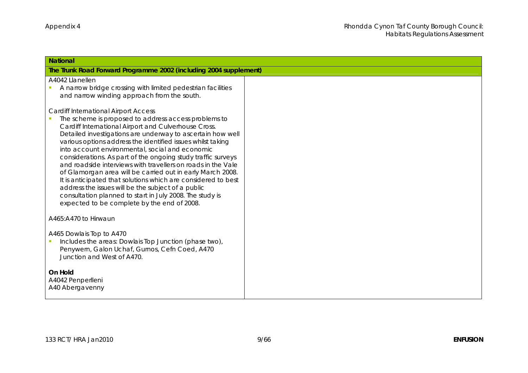| National                                                                                                                                                                                                                                                                                                                                                                                                                                                                                                                                                                                                                                                                                                                                                                    |  |
|-----------------------------------------------------------------------------------------------------------------------------------------------------------------------------------------------------------------------------------------------------------------------------------------------------------------------------------------------------------------------------------------------------------------------------------------------------------------------------------------------------------------------------------------------------------------------------------------------------------------------------------------------------------------------------------------------------------------------------------------------------------------------------|--|
| The Trunk Road Forward Programme 2002 (including 2004 supplement)                                                                                                                                                                                                                                                                                                                                                                                                                                                                                                                                                                                                                                                                                                           |  |
| A4042 Llanellen<br>A narrow bridge crossing with limited pedestrian facilities<br>and narrow winding approach from the south.                                                                                                                                                                                                                                                                                                                                                                                                                                                                                                                                                                                                                                               |  |
| <b>Cardiff International Airport Access</b><br>The scheme is proposed to address access problems to<br>Cardiff International Airport and Culverhouse Cross.<br>Detailed investigations are underway to ascertain how well<br>various options address the identified issues whilst taking<br>into account environmental, social and economic<br>considerations. As part of the ongoing study traffic surveys<br>and roadside interviews with travellers on roads in the Vale<br>of Glamorgan area will be carried out in early March 2008.<br>It is anticipated that solutions which are considered to best<br>address the issues will be the subject of a public<br>consultation planned to start in July 2008. The study is<br>expected to be complete by the end of 2008. |  |
| A465:A470 to Hirwaun                                                                                                                                                                                                                                                                                                                                                                                                                                                                                                                                                                                                                                                                                                                                                        |  |
| A465 Dowlais Top to A470<br>Includes the areas: Dowlais Top Junction (phase two),<br>Penywern, Galon Uchaf, Gurnos, Cefn Coed, A470<br>Junction and West of A470.                                                                                                                                                                                                                                                                                                                                                                                                                                                                                                                                                                                                           |  |
| On Hold<br>A4042 Penperlleni<br>A40 Abergavenny                                                                                                                                                                                                                                                                                                                                                                                                                                                                                                                                                                                                                                                                                                                             |  |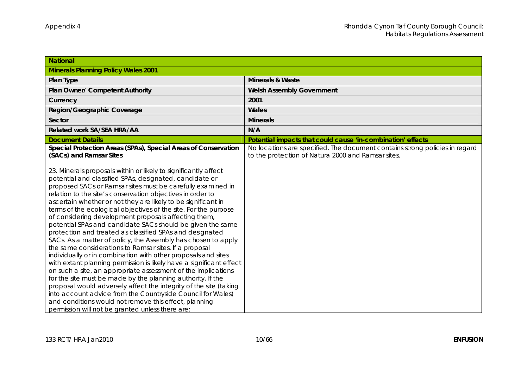| National                                                                                                                                                                                                                                                                                                                                                                                                                                                                                                                                                                                                                                                                                                                                                                                                                                                                                                                                                                                                                                                                                                                                                                                                                          |                                                                                                                                   |
|-----------------------------------------------------------------------------------------------------------------------------------------------------------------------------------------------------------------------------------------------------------------------------------------------------------------------------------------------------------------------------------------------------------------------------------------------------------------------------------------------------------------------------------------------------------------------------------------------------------------------------------------------------------------------------------------------------------------------------------------------------------------------------------------------------------------------------------------------------------------------------------------------------------------------------------------------------------------------------------------------------------------------------------------------------------------------------------------------------------------------------------------------------------------------------------------------------------------------------------|-----------------------------------------------------------------------------------------------------------------------------------|
| <b>Minerals Planning Policy Wales 2001</b>                                                                                                                                                                                                                                                                                                                                                                                                                                                                                                                                                                                                                                                                                                                                                                                                                                                                                                                                                                                                                                                                                                                                                                                        |                                                                                                                                   |
| Plan Type                                                                                                                                                                                                                                                                                                                                                                                                                                                                                                                                                                                                                                                                                                                                                                                                                                                                                                                                                                                                                                                                                                                                                                                                                         | Minerals & Waste                                                                                                                  |
| Plan Owner/ Competent Authority                                                                                                                                                                                                                                                                                                                                                                                                                                                                                                                                                                                                                                                                                                                                                                                                                                                                                                                                                                                                                                                                                                                                                                                                   | Welsh Assembly Government                                                                                                         |
| Currency                                                                                                                                                                                                                                                                                                                                                                                                                                                                                                                                                                                                                                                                                                                                                                                                                                                                                                                                                                                                                                                                                                                                                                                                                          | 2001                                                                                                                              |
| Region/Geographic Coverage                                                                                                                                                                                                                                                                                                                                                                                                                                                                                                                                                                                                                                                                                                                                                                                                                                                                                                                                                                                                                                                                                                                                                                                                        | Wales                                                                                                                             |
| Sector                                                                                                                                                                                                                                                                                                                                                                                                                                                                                                                                                                                                                                                                                                                                                                                                                                                                                                                                                                                                                                                                                                                                                                                                                            | <b>Minerals</b>                                                                                                                   |
| Related work SA/SEA HRA/AA                                                                                                                                                                                                                                                                                                                                                                                                                                                                                                                                                                                                                                                                                                                                                                                                                                                                                                                                                                                                                                                                                                                                                                                                        | N/A                                                                                                                               |
| <b>Document Details</b>                                                                                                                                                                                                                                                                                                                                                                                                                                                                                                                                                                                                                                                                                                                                                                                                                                                                                                                                                                                                                                                                                                                                                                                                           | Potential impacts that could cause 'in-combination' effects                                                                       |
| Special Protection Areas (SPAs), Special Areas of Conservation<br>(SACs) and Ramsar Sites                                                                                                                                                                                                                                                                                                                                                                                                                                                                                                                                                                                                                                                                                                                                                                                                                                                                                                                                                                                                                                                                                                                                         | No locations are specified. The document contains strong policies in regard<br>to the protection of Natura 2000 and Ramsar sites. |
| 23. Minerals proposals within or likely to significantly affect<br>potential and classified SPAs, designated, candidate or<br>proposed SACs or Ramsar sites must be carefully examined in<br>relation to the site's conservation objectives in order to<br>ascertain whether or not they are likely to be significant in<br>terms of the ecological objectives of the site. For the purpose<br>of considering development proposals affecting them,<br>potential SPAs and candidate SACs should be given the same<br>protection and treated as classified SPAs and designated<br>SACs. As a matter of policy, the Assembly has chosen to apply<br>the same considerations to Ramsar sites. If a proposal<br>individually or in combination with other proposals and sites<br>with extant planning permission is likely have a significant effect<br>on such a site, an appropriate assessment of the implications<br>for the site must be made by the planning authority. If the<br>proposal would adversely affect the integrity of the site (taking<br>into account advice from the Countryside Council for Wales)<br>and conditions would not remove this effect, planning<br>permission will not be granted unless there are: |                                                                                                                                   |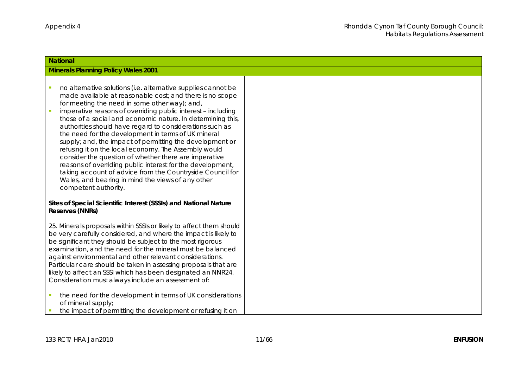| National                                                                                                                                                                                                                                                                                                                                                                                                                                                                                                                                                                                                                                                                                                                                                                                                          |  |
|-------------------------------------------------------------------------------------------------------------------------------------------------------------------------------------------------------------------------------------------------------------------------------------------------------------------------------------------------------------------------------------------------------------------------------------------------------------------------------------------------------------------------------------------------------------------------------------------------------------------------------------------------------------------------------------------------------------------------------------------------------------------------------------------------------------------|--|
| <b>Minerals Planning Policy Wales 2001</b>                                                                                                                                                                                                                                                                                                                                                                                                                                                                                                                                                                                                                                                                                                                                                                        |  |
| no alternative solutions (i.e. alternative supplies cannot be<br>made available at reasonable cost; and there is no scope<br>for meeting the need in some other way); and,<br>imperative reasons of overriding public interest - including<br>those of a social and economic nature. In determining this,<br>authorities should have regard to considerations such as<br>the need for the development in terms of UK mineral<br>supply; and, the impact of permitting the development or<br>refusing it on the local economy. The Assembly would<br>consider the question of whether there are imperative<br>reasons of overriding public interest for the development,<br>taking account of advice from the Countryside Council for<br>Wales, and bearing in mind the views of any other<br>competent authority. |  |
| Sites of Special Scientific Interest (SSSIs) and National Nature<br>Reserves (NNRs)                                                                                                                                                                                                                                                                                                                                                                                                                                                                                                                                                                                                                                                                                                                               |  |
| 25. Minerals proposals within SSSIs or likely to affect them should<br>be very carefully considered, and where the impact is likely to<br>be significant they should be subject to the most rigorous<br>examination, and the need for the mineral must be balanced<br>against environmental and other relevant considerations.<br>Particular care should be taken in assessing proposals that are<br>likely to affect an SSSI which has been designated an NNR24.<br>Consideration must always include an assessment of:                                                                                                                                                                                                                                                                                          |  |
| the need for the development in terms of UK considerations<br>of mineral supply;<br>the impact of permitting the development or refusing it on                                                                                                                                                                                                                                                                                                                                                                                                                                                                                                                                                                                                                                                                    |  |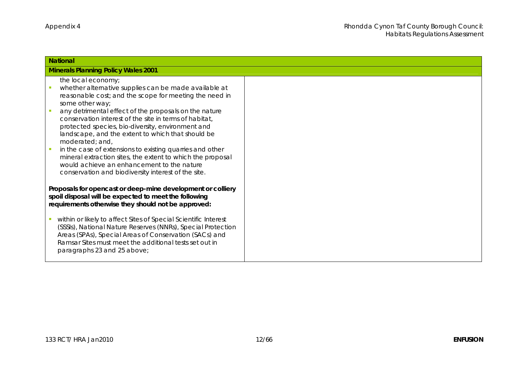| National                                                                                                                                                                                                                                                                                                                                                                              |  |
|---------------------------------------------------------------------------------------------------------------------------------------------------------------------------------------------------------------------------------------------------------------------------------------------------------------------------------------------------------------------------------------|--|
| <b>Minerals Planning Policy Wales 2001</b>                                                                                                                                                                                                                                                                                                                                            |  |
| the local economy;<br>whether alternative supplies can be made available at<br>reasonable cost; and the scope for meeting the need in<br>some other way;<br>any detrimental effect of the proposals on the nature<br>conservation interest of the site in terms of habitat,<br>protected species, bio-diversity, environment and<br>landscape, and the extent to which that should be |  |
| moderated; and,<br>in the case of extensions to existing quarries and other<br>mineral extraction sites, the extent to which the proposal<br>would achieve an enhancement to the nature<br>conservation and biodiversity interest of the site.                                                                                                                                        |  |
| Proposals for opencast or deep-mine development or colliery<br>spoil disposal will be expected to meet the following<br>requirements otherwise they should not be approved:                                                                                                                                                                                                           |  |
| within or likely to affect Sites of Special Scientific Interest<br>(SSSIs), National Nature Reserves (NNRs), Special Protection<br>Areas (SPAs), Special Areas of Conservation (SACs) and<br>Ramsar Sites must meet the additional tests set out in<br>paragraphs 23 and 25 above;                                                                                                    |  |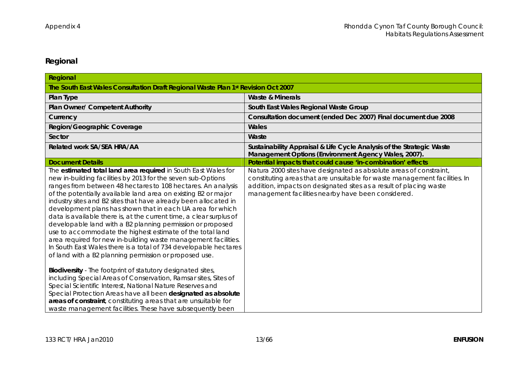## **Regional**

| Regional                                                                                                                                                                                                                                                                                                                                                                                                                                                                                                                                                                                                                                                                                                                                                                                            |                                                                                                                                                                                                                                                                              |
|-----------------------------------------------------------------------------------------------------------------------------------------------------------------------------------------------------------------------------------------------------------------------------------------------------------------------------------------------------------------------------------------------------------------------------------------------------------------------------------------------------------------------------------------------------------------------------------------------------------------------------------------------------------------------------------------------------------------------------------------------------------------------------------------------------|------------------------------------------------------------------------------------------------------------------------------------------------------------------------------------------------------------------------------------------------------------------------------|
| The South East Wales Consultation Draft Regional Waste Plan 1st Revision Oct 2007                                                                                                                                                                                                                                                                                                                                                                                                                                                                                                                                                                                                                                                                                                                   |                                                                                                                                                                                                                                                                              |
| Plan Type                                                                                                                                                                                                                                                                                                                                                                                                                                                                                                                                                                                                                                                                                                                                                                                           | Waste & Minerals                                                                                                                                                                                                                                                             |
| Plan Owner/ Competent Authority                                                                                                                                                                                                                                                                                                                                                                                                                                                                                                                                                                                                                                                                                                                                                                     | South East Wales Regional Waste Group                                                                                                                                                                                                                                        |
| Currency                                                                                                                                                                                                                                                                                                                                                                                                                                                                                                                                                                                                                                                                                                                                                                                            | Consultation document (ended Dec 2007) Final document due 2008                                                                                                                                                                                                               |
| Region/Geographic Coverage                                                                                                                                                                                                                                                                                                                                                                                                                                                                                                                                                                                                                                                                                                                                                                          | Wales                                                                                                                                                                                                                                                                        |
| Sector                                                                                                                                                                                                                                                                                                                                                                                                                                                                                                                                                                                                                                                                                                                                                                                              | Waste                                                                                                                                                                                                                                                                        |
| Related work SA/SEA HRA/AA                                                                                                                                                                                                                                                                                                                                                                                                                                                                                                                                                                                                                                                                                                                                                                          | Sustainability Appraisal & Life Cycle Analysis of the Strategic Waste<br>Management Options (Environment Agency Wales, 2007).                                                                                                                                                |
| <b>Document Details</b>                                                                                                                                                                                                                                                                                                                                                                                                                                                                                                                                                                                                                                                                                                                                                                             | Potential impacts that could cause 'in-combination' effects                                                                                                                                                                                                                  |
| The estimated total land area required in South East Wales for<br>new in-building facilities by 2013 for the seven sub-Options<br>ranges from between 48 hectares to 108 hectares. An analysis<br>of the potentially available land area on existing B2 or major<br>industry sites and B2 sites that have already been allocated in<br>development plans has shown that in each UA area for which<br>data is available there is, at the current time, a clear surplus of<br>developable land with a B2 planning permission or proposed<br>use to accommodate the highest estimate of the total land<br>area required for new in-building waste management facilities.<br>In South East Wales there is a total of 734 developable hectares<br>of land with a B2 planning permission or proposed use. | Natura 2000 sites have designated as absolute areas of constraint,<br>constituting areas that are unsuitable for waste management facilities. In<br>addition, impacts on designated sites as a result of placing waste<br>management facilities nearby have been considered. |
| Biodiversity - The footprint of statutory designated sites,<br>including Special Areas of Conservation, Ramsar sites, Sites of<br>Special Scientific Interest, National Nature Reserves and<br>Special Protection Areas have all been designated as absolute<br>areas of constraint, constituting areas that are unsuitable for<br>waste management facilities. These have subsequently been                                                                                                                                                                                                                                                                                                                                                                                                        |                                                                                                                                                                                                                                                                              |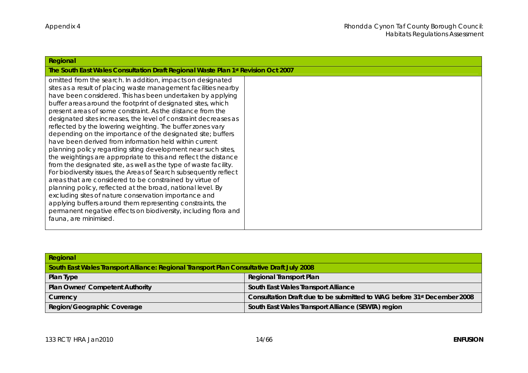| Regional                                                                                                                                                                                                                                                                                                                                                                                                                                                                                                                                                                                                                                                                                                                                                                                                                                                                                                                                                                                                                                                                                                                                                                                                         |  |
|------------------------------------------------------------------------------------------------------------------------------------------------------------------------------------------------------------------------------------------------------------------------------------------------------------------------------------------------------------------------------------------------------------------------------------------------------------------------------------------------------------------------------------------------------------------------------------------------------------------------------------------------------------------------------------------------------------------------------------------------------------------------------------------------------------------------------------------------------------------------------------------------------------------------------------------------------------------------------------------------------------------------------------------------------------------------------------------------------------------------------------------------------------------------------------------------------------------|--|
| The South East Wales Consultation Draft Regional Waste Plan 1st Revision Oct 2007                                                                                                                                                                                                                                                                                                                                                                                                                                                                                                                                                                                                                                                                                                                                                                                                                                                                                                                                                                                                                                                                                                                                |  |
| omitted from the search. In addition, impacts on designated<br>sites as a result of placing waste management facilities nearby<br>have been considered. This has been undertaken by applying<br>buffer areas around the footprint of designated sites, which<br>present areas of some constraint. As the distance from the<br>designated sites increases, the level of constraint decreases as<br>reflected by the lowering weighting. The buffer zones vary<br>depending on the importance of the designated site; buffers<br>have been derived from information held within current<br>planning policy regarding siting development near such sites,<br>the weightings are appropriate to this and reflect the distance<br>from the designated site, as well as the type of waste facility.<br>For biodiversity issues, the Areas of Search subsequently reflect<br>areas that are considered to be constrained by virtue of<br>planning policy, reflected at the broad, national level. By<br>excluding sites of nature conservation importance and<br>applying buffers around them representing constraints, the<br>permanent negative effects on biodiversity, including flora and<br>fauna, are minimised. |  |
|                                                                                                                                                                                                                                                                                                                                                                                                                                                                                                                                                                                                                                                                                                                                                                                                                                                                                                                                                                                                                                                                                                                                                                                                                  |  |

| Regional                                                                                  |                                                                                     |
|-------------------------------------------------------------------------------------------|-------------------------------------------------------------------------------------|
| South East Wales Transport Alliance: Regional Transport Plan Consultative Draft July 2008 |                                                                                     |
| Plan Type                                                                                 | Regional Transport Plan                                                             |
| Plan Owner/ Competent Authority                                                           | South East Wales Transport Alliance                                                 |
| Currency                                                                                  | Consultation Draft due to be submitted to WAG before 31 <sup>st</sup> December 2008 |
| Region/Geographic Coverage                                                                | South East Wales Transport Alliance (SEWTA) region                                  |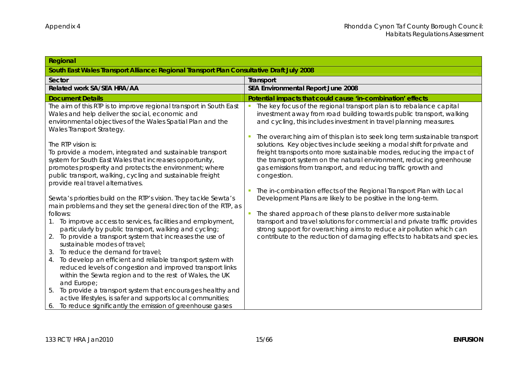| Regional                                                                                                                                                                                                                                                                                                                                                                                                                                                                                                                                                                                                                                                                                             |                                                                                                                                                                                                                                                                                                                                                                                                                                                       |  |
|------------------------------------------------------------------------------------------------------------------------------------------------------------------------------------------------------------------------------------------------------------------------------------------------------------------------------------------------------------------------------------------------------------------------------------------------------------------------------------------------------------------------------------------------------------------------------------------------------------------------------------------------------------------------------------------------------|-------------------------------------------------------------------------------------------------------------------------------------------------------------------------------------------------------------------------------------------------------------------------------------------------------------------------------------------------------------------------------------------------------------------------------------------------------|--|
| South East Wales Transport Alliance: Regional Transport Plan Consultative Draft July 2008                                                                                                                                                                                                                                                                                                                                                                                                                                                                                                                                                                                                            |                                                                                                                                                                                                                                                                                                                                                                                                                                                       |  |
| Sector                                                                                                                                                                                                                                                                                                                                                                                                                                                                                                                                                                                                                                                                                               | Transport                                                                                                                                                                                                                                                                                                                                                                                                                                             |  |
| Related work SA/SEA HRA/AA                                                                                                                                                                                                                                                                                                                                                                                                                                                                                                                                                                                                                                                                           | SEA Environmental Report June 2008                                                                                                                                                                                                                                                                                                                                                                                                                    |  |
| <b>Document Details</b>                                                                                                                                                                                                                                                                                                                                                                                                                                                                                                                                                                                                                                                                              | Potential impacts that could cause 'in-combination' effects                                                                                                                                                                                                                                                                                                                                                                                           |  |
| The aim of this RTP is to improve regional transport in South East<br>Wales and help deliver the social, economic and<br>environmental objectives of the Wales Spatial Plan and the<br>Wales Transport Strategy.                                                                                                                                                                                                                                                                                                                                                                                                                                                                                     | The key focus of the regional transport plan is to rebalance capital<br>investment away from road building towards public transport, walking<br>and cycling, this includes investment in travel planning measures.<br>The overarching aim of this plan is to seek long term sustainable transport<br>ш                                                                                                                                                |  |
| The RTP vision is:<br>To provide a modern, integrated and sustainable transport<br>system for South East Wales that increases opportunity,<br>promotes prosperity and protects the environment; where<br>public transport, walking, cycling and sustainable freight<br>provide real travel alternatives.                                                                                                                                                                                                                                                                                                                                                                                             | solutions. Key objectives include seeking a modal shift for private and<br>freight transports onto more sustainable modes, reducing the impact of<br>the transport system on the natural environment, reducing greenhouse<br>gas emissions from transport, and reducing traffic growth and<br>congestion.                                                                                                                                             |  |
| Sewta's priorities build on the RTP's vision. They tackle Sewta's<br>main problems and they set the general direction of the RTP, as<br>follows:<br>1. To improve access to services, facilities and employment,<br>particularly by public transport, walking and cycling;<br>2.<br>To provide a transport system that increases the use of<br>sustainable modes of travel;<br>To reduce the demand for travel;<br>3.<br>To develop an efficient and reliable transport system with<br>4.<br>reduced levels of congestion and improved transport links<br>within the Sewta region and to the rest of Wales, the UK<br>and Europe;<br>To provide a transport system that encourages healthy and<br>5. | The in-combination effects of the Regional Transport Plan with Local<br>ш<br>Development Plans are likely to be positive in the long-term.<br>The shared approach of these plans to deliver more sustainable<br>T.<br>transport and travel solutions for commercial and private traffic provides<br>strong support for overarching aims to reduce air pollution which can<br>contribute to the reduction of damaging effects to habitats and species. |  |
| active lifestyles, is safer and supports local communities;<br>6. To reduce significantly the emission of greenhouse gases                                                                                                                                                                                                                                                                                                                                                                                                                                                                                                                                                                           |                                                                                                                                                                                                                                                                                                                                                                                                                                                       |  |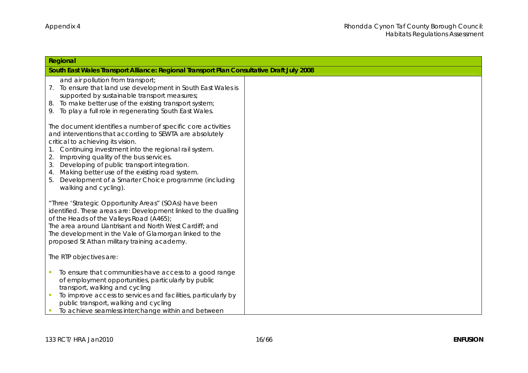| Regional                                                                                                                                                                                                                                                                                                                                                                                                                                                                        |  |  |
|---------------------------------------------------------------------------------------------------------------------------------------------------------------------------------------------------------------------------------------------------------------------------------------------------------------------------------------------------------------------------------------------------------------------------------------------------------------------------------|--|--|
| South East Wales Transport Alliance: Regional Transport Plan Consultative Draft July 2008                                                                                                                                                                                                                                                                                                                                                                                       |  |  |
| and air pollution from transport;<br>To ensure that land use development in South East Wales is<br>7.<br>supported by sustainable transport measures;<br>8. To make better use of the existing transport system;<br>To play a full role in regenerating South East Wales.<br>9.                                                                                                                                                                                                 |  |  |
| The document identifies a number of specific core activities<br>and interventions that according to SEWTA are absolutely<br>critical to achieving its vision.<br>Continuing investment into the regional rail system.<br>1.<br>Improving quality of the bus services.<br>2.<br>Developing of public transport integration.<br>3.<br>Making better use of the existing road system.<br>4.<br>Development of a Smarter Choice programme (including<br>5.<br>walking and cycling). |  |  |
| "Three 'Strategic Opportunity Areas" (SOAs) have been<br>identified. These areas are: Development linked to the dualling<br>of the Heads of the Valleys Road (A465);<br>The area around Llantrisant and North West Cardiff; and<br>The development in the Vale of Glamorgan linked to the<br>proposed St Athan military training academy.                                                                                                                                       |  |  |
| The RTP objectives are:                                                                                                                                                                                                                                                                                                                                                                                                                                                         |  |  |
| To ensure that communities have access to a good range<br>$\mathcal{L}_{\mathcal{A}}$<br>of employment opportunities, particularly by public<br>transport, walking and cycling<br>To improve access to services and facilities, particularly by<br>$\mathcal{L}_{\mathcal{A}}$<br>public transport, walking and cycling<br>To achieve seamless interchange within and between                                                                                                   |  |  |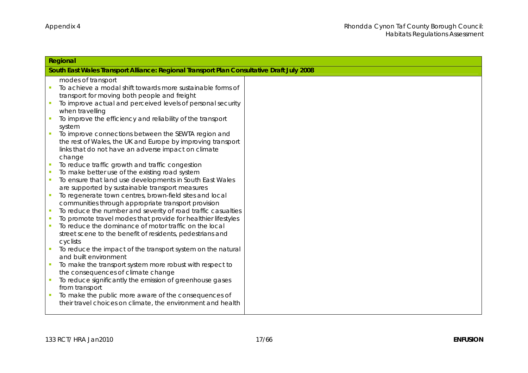|                             | Regional                                                                                  |  |  |
|-----------------------------|-------------------------------------------------------------------------------------------|--|--|
|                             | South East Wales Transport Alliance: Regional Transport Plan Consultative Draft July 2008 |  |  |
|                             | modes of transport                                                                        |  |  |
|                             | To achieve a modal shift towards more sustainable forms of                                |  |  |
|                             | transport for moving both people and freight                                              |  |  |
| $\mathcal{L}_{\mathcal{A}}$ | To improve actual and perceived levels of personal security                               |  |  |
|                             | when travelling                                                                           |  |  |
|                             | To improve the efficiency and reliability of the transport                                |  |  |
|                             | system                                                                                    |  |  |
|                             | To improve connections between the SEWTA region and                                       |  |  |
|                             | the rest of Wales, the UK and Europe by improving transport                               |  |  |
|                             | links that do not have an adverse impact on climate                                       |  |  |
|                             | change                                                                                    |  |  |
| ×                           | To reduce traffic growth and traffic congestion                                           |  |  |
|                             | To make better use of the existing road system                                            |  |  |
| п                           | To ensure that land use developments in South East Wales                                  |  |  |
|                             | are supported by sustainable transport measures                                           |  |  |
| $\overline{\phantom{a}}$    | To regenerate town centres, brown-field sites and local                                   |  |  |
|                             | communities through appropriate transport provision                                       |  |  |
|                             | To reduce the number and severity of road traffic casualties                              |  |  |
| ×,                          | To promote travel modes that provide for healthier lifestyles                             |  |  |
|                             | To reduce the dominance of motor traffic on the local                                     |  |  |
|                             | street scene to the benefit of residents, pedestrians and                                 |  |  |
|                             | cyclists                                                                                  |  |  |
|                             | To reduce the impact of the transport system on the natural<br>and built environment      |  |  |
|                             | To make the transport system more robust with respect to                                  |  |  |
|                             | the consequences of climate change                                                        |  |  |
|                             | To reduce significantly the emission of greenhouse gases                                  |  |  |
|                             | from transport                                                                            |  |  |
|                             | To make the public more aware of the consequences of                                      |  |  |
|                             | their travel choices on climate, the environment and health                               |  |  |
|                             |                                                                                           |  |  |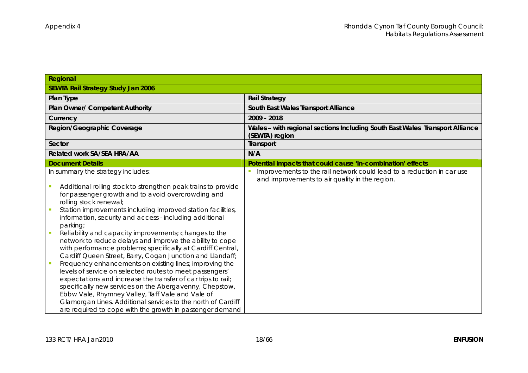| Regional                                                                                                                                                                                                                                                                                                                                                                                                                                                                                                                                                                                                                                                                                                                                                                                                                                                                                                                                                                                                                                |                                                                                                                         |
|-----------------------------------------------------------------------------------------------------------------------------------------------------------------------------------------------------------------------------------------------------------------------------------------------------------------------------------------------------------------------------------------------------------------------------------------------------------------------------------------------------------------------------------------------------------------------------------------------------------------------------------------------------------------------------------------------------------------------------------------------------------------------------------------------------------------------------------------------------------------------------------------------------------------------------------------------------------------------------------------------------------------------------------------|-------------------------------------------------------------------------------------------------------------------------|
| <b>SEWTA Rail Strategy Study Jan 2006</b>                                                                                                                                                                                                                                                                                                                                                                                                                                                                                                                                                                                                                                                                                                                                                                                                                                                                                                                                                                                               |                                                                                                                         |
| Plan Type                                                                                                                                                                                                                                                                                                                                                                                                                                                                                                                                                                                                                                                                                                                                                                                                                                                                                                                                                                                                                               | Rail Strategy                                                                                                           |
| Plan Owner/ Competent Authority                                                                                                                                                                                                                                                                                                                                                                                                                                                                                                                                                                                                                                                                                                                                                                                                                                                                                                                                                                                                         | South East Wales Transport Alliance                                                                                     |
| Currency                                                                                                                                                                                                                                                                                                                                                                                                                                                                                                                                                                                                                                                                                                                                                                                                                                                                                                                                                                                                                                | 2009 - 2018                                                                                                             |
| Region/Geographic Coverage                                                                                                                                                                                                                                                                                                                                                                                                                                                                                                                                                                                                                                                                                                                                                                                                                                                                                                                                                                                                              | Wales - with regional sections Including South East Wales Transport Alliance<br>(SEWTA) region                          |
| Sector                                                                                                                                                                                                                                                                                                                                                                                                                                                                                                                                                                                                                                                                                                                                                                                                                                                                                                                                                                                                                                  | Transport                                                                                                               |
| Related work SA/SEA HRA/AA                                                                                                                                                                                                                                                                                                                                                                                                                                                                                                                                                                                                                                                                                                                                                                                                                                                                                                                                                                                                              | N/A                                                                                                                     |
| <b>Document Details</b>                                                                                                                                                                                                                                                                                                                                                                                                                                                                                                                                                                                                                                                                                                                                                                                                                                                                                                                                                                                                                 | Potential impacts that could cause 'in-combination' effects                                                             |
| In summary the strategy includes:<br>Additional rolling stock to strengthen peak trains to provide<br>$\overline{\phantom{a}}$<br>for passenger growth and to avoid overcrowding and<br>rolling stock renewal;<br>Station improvements including improved station facilities,<br>information, security and access - including additional<br>parking;<br>Reliability and capacity improvements; changes to the<br>network to reduce delays and improve the ability to cope<br>with performance problems; specifically at Cardiff Central,<br>Cardiff Queen Street, Barry, Cogan Junction and Llandaff;<br>Frequency enhancements on existing lines; improving the<br>levels of service on selected routes to meet passengers'<br>expectations and increase the transfer of car trips to rail;<br>specifically new services on the Abergavenny, Chepstow,<br>Ebbw Vale, Rhymney Valley, Taff Vale and Vale of<br>Glamorgan Lines. Additional services to the north of Cardiff<br>are required to cope with the growth in passenger demand | Improvements to the rail network could lead to a reduction in car use<br>and improvements to air quality in the region. |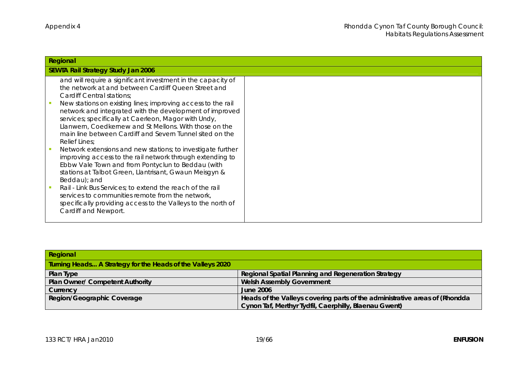| Regional |                                                                                                                                                                                                                                                                                                                                                                                                                                                                            |  |
|----------|----------------------------------------------------------------------------------------------------------------------------------------------------------------------------------------------------------------------------------------------------------------------------------------------------------------------------------------------------------------------------------------------------------------------------------------------------------------------------|--|
|          | SEWTA Rail Strategy Study Jan 2006                                                                                                                                                                                                                                                                                                                                                                                                                                         |  |
|          | and will require a significant investment in the capacity of<br>the network at and between Cardiff Queen Street and<br>Cardiff Central stations:<br>New stations on existing lines; improving access to the rail<br>network and integrated with the development of improved<br>services; specifically at Caerleon, Magor with Undy,<br>Llanwern, Coedkernew and St Mellons. With those on the<br>main line between Cardiff and Severn Tunnel sited on the<br>Relief Lines; |  |
|          | Network extensions and new stations; to investigate further<br>improving access to the rail network through extending to<br>Ebbw Vale Town and from Pontyclun to Beddau (with<br>stations at Talbot Green, Llantrisant, Gwaun Meisgyn &<br>Beddau); and<br>Rail - Link Bus Services; to extend the reach of the rail<br>services to communities remote from the network,<br>specifically providing access to the Valleys to the north of<br>Cardiff and Newport.           |  |

| Regional                                                   |                                                                              |
|------------------------------------------------------------|------------------------------------------------------------------------------|
| Turning Heads A Strategy for the Heads of the Valleys 2020 |                                                                              |
| Plan Type                                                  | Regional Spatial Planning and Regeneration Strategy                          |
| Plan Owner/ Competent Authority                            | <b>Welsh Assembly Government</b>                                             |
| Currency                                                   | June 2006                                                                    |
| Region/Geographic Coverage                                 | Heads of the Valleys covering parts of the administrative areas of (Rhondda) |
|                                                            | Cynon Taf, Merthyr Tydfil, Caerphilly, Blaenau Gwent)                        |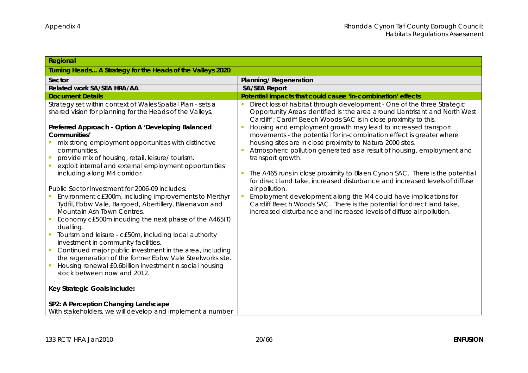| Regional                                                                                                                                                                                                                                                                                                                                                                                                                                                                                                                                                                                                                  |                                                                                                                                                                                                                                                                                                                                                                                                  |
|---------------------------------------------------------------------------------------------------------------------------------------------------------------------------------------------------------------------------------------------------------------------------------------------------------------------------------------------------------------------------------------------------------------------------------------------------------------------------------------------------------------------------------------------------------------------------------------------------------------------------|--------------------------------------------------------------------------------------------------------------------------------------------------------------------------------------------------------------------------------------------------------------------------------------------------------------------------------------------------------------------------------------------------|
| Turning Heads A Strategy for the Heads of the Valleys 2020                                                                                                                                                                                                                                                                                                                                                                                                                                                                                                                                                                |                                                                                                                                                                                                                                                                                                                                                                                                  |
| Sector                                                                                                                                                                                                                                                                                                                                                                                                                                                                                                                                                                                                                    | Planning/Regeneration                                                                                                                                                                                                                                                                                                                                                                            |
| Related work SA/SEA HRA/AA                                                                                                                                                                                                                                                                                                                                                                                                                                                                                                                                                                                                | <b>SA/SEA Report</b>                                                                                                                                                                                                                                                                                                                                                                             |
| <b>Document Details</b>                                                                                                                                                                                                                                                                                                                                                                                                                                                                                                                                                                                                   | Potential impacts that could cause 'in-combination' effects                                                                                                                                                                                                                                                                                                                                      |
| Strategy set within context of Wales Spatial Plan - sets a<br>shared vision for planning for the Heads of the Valleys.<br>Preferred Approach - Option A 'Developing Balanced                                                                                                                                                                                                                                                                                                                                                                                                                                              | Direct loss of habitat through development - One of the three Strategic<br>Opportunity Areas identified is 'the area around Llantrisant and North West<br>Cardiff'; Cardiff Beech Woods SAC is in close proximity to this.<br>Housing and employment growth may lead to increased transport                                                                                                      |
| Communities'<br>mix strong employment opportunities with distinctive<br>communities.<br>provide mix of housing, retail, leisure/tourism.<br>exploit internal and external employment opportunities                                                                                                                                                                                                                                                                                                                                                                                                                        | movements - the potential for in-combination effect is greater where<br>housing sites are in close proximity to Natura 2000 sites.<br>Atmospheric pollution generated as a result of housing, employment and<br>transport growth.                                                                                                                                                                |
| including along M4 corridor.<br>Public Sector Investment for 2006-09 includes:<br>Environment c£300m, including improvements to Merthyr<br>Tydfil, Ebbw Vale, Bargoed, Abertillery, Blaenavon and<br>Mountain Ash Town Centres.<br>Economy c£500m incuding the next phase of the A465(T)<br>dualling.<br>Tourism and leisure - c£50m, including local authority<br>investment in community facilities.<br>Continued major public investment in the area, including<br>the regeneration of the former Ebbw Vale Steelworks site.<br>Housing renewal £0.6billion investment n social housing<br>stock between now and 2012. | The A465 runs in close proximity to Blaen Cynon SAC. There is the potential<br>for direct land take, increased disturbance and increased levels of diffuse<br>air pollution.<br>Employment development along the M4 could have implications for<br>Cardiff Beech Woods SAC. There is the potential for direct land take,<br>increased disturbance and increased levels of diffuse air pollution. |
| Key Strategic Goals include:<br>SP2: A Perception Changing Landscape<br>With stakeholders, we will develop and implement a number                                                                                                                                                                                                                                                                                                                                                                                                                                                                                         |                                                                                                                                                                                                                                                                                                                                                                                                  |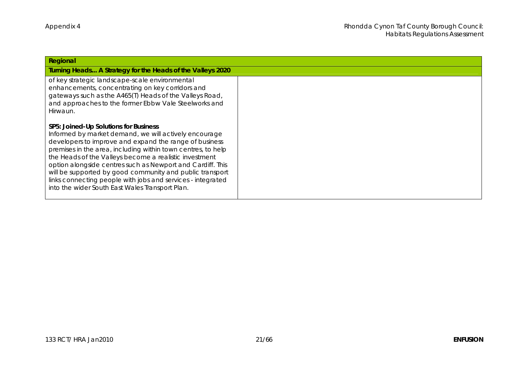| Regional                                                                                                                                                                                                                                                                                                                                                                                                                                                                                                                       |
|--------------------------------------------------------------------------------------------------------------------------------------------------------------------------------------------------------------------------------------------------------------------------------------------------------------------------------------------------------------------------------------------------------------------------------------------------------------------------------------------------------------------------------|
| Turning Heads A Strategy for the Heads of the Valleys 2020                                                                                                                                                                                                                                                                                                                                                                                                                                                                     |
| of key strategic landscape-scale environmental<br>enhancements, concentrating on key corridors and<br>gateways such as the A465(T) Heads of the Valleys Road,<br>and approaches to the former Ebbw Vale Steelworks and<br>Hirwaun.                                                                                                                                                                                                                                                                                             |
| SP5: Joined-Up Solutions for Business<br>Informed by market demand, we will actively encourage<br>developers to improve and expand the range of business<br>premises in the area, including within town centres, to help<br>the Heads of the Valleys become a realistic investment<br>option alongside centres such as Newport and Cardiff. This<br>will be supported by good community and public transport<br>links connecting people with jobs and services - integrated<br>into the wider South East Wales Transport Plan. |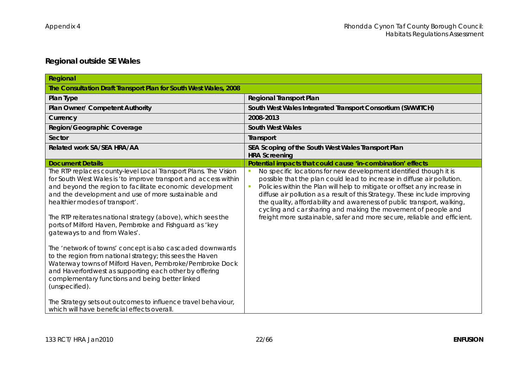## **Regional outside SE Wales**

| Regional                                                                                                                                                                                                                                                                                                                                                                                                                                          |                                                                                                                                                                                                                                                                                                                                                                                                                                                                                                                                |
|---------------------------------------------------------------------------------------------------------------------------------------------------------------------------------------------------------------------------------------------------------------------------------------------------------------------------------------------------------------------------------------------------------------------------------------------------|--------------------------------------------------------------------------------------------------------------------------------------------------------------------------------------------------------------------------------------------------------------------------------------------------------------------------------------------------------------------------------------------------------------------------------------------------------------------------------------------------------------------------------|
| The Consultation Draft Transport Plan for South West Wales, 2008                                                                                                                                                                                                                                                                                                                                                                                  |                                                                                                                                                                                                                                                                                                                                                                                                                                                                                                                                |
| Plan Type                                                                                                                                                                                                                                                                                                                                                                                                                                         | Regional Transport Plan                                                                                                                                                                                                                                                                                                                                                                                                                                                                                                        |
| Plan Owner/ Competent Authority                                                                                                                                                                                                                                                                                                                                                                                                                   | South West Wales Integrated Transport Consortium (SWWITCH)                                                                                                                                                                                                                                                                                                                                                                                                                                                                     |
| Currency                                                                                                                                                                                                                                                                                                                                                                                                                                          | 2008-2013                                                                                                                                                                                                                                                                                                                                                                                                                                                                                                                      |
| Region/Geographic Coverage                                                                                                                                                                                                                                                                                                                                                                                                                        | South West Wales                                                                                                                                                                                                                                                                                                                                                                                                                                                                                                               |
| Sector                                                                                                                                                                                                                                                                                                                                                                                                                                            | Transport                                                                                                                                                                                                                                                                                                                                                                                                                                                                                                                      |
| Related work SA/SEA HRA/AA                                                                                                                                                                                                                                                                                                                                                                                                                        | SEA Scoping of the South West Wales Transport Plan<br><b>HRA Screening</b>                                                                                                                                                                                                                                                                                                                                                                                                                                                     |
| <b>Document Details</b>                                                                                                                                                                                                                                                                                                                                                                                                                           | Potential impacts that could cause 'in-combination' effects                                                                                                                                                                                                                                                                                                                                                                                                                                                                    |
| The RTP replaces county-level Local Transport Plans. The Vision<br>for South West Wales is 'to improve transport and access within<br>and beyond the region to facilitate economic development<br>and the development and use of more sustainable and<br>healthier modes of transport'.<br>The RTP reiterates national strategy (above), which sees the<br>ports of Milford Haven, Pembroke and Fishguard as 'key<br>gateways to and from Wales'. | No specific locations for new development identified though it is<br>possible that the plan could lead to increase in diffuse air pollution.<br>Policies within the Plan will help to mitigate or offset any increase in<br>diffuse air pollution as a result of this Strategy. These include improving<br>the quality, affordability and awareness of public transport, walking,<br>cycling and car sharing and making the movement of people and<br>freight more sustainable, safer and more secure, reliable and efficient. |
| The 'network of towns' concept is also cascaded downwards<br>to the region from national strategy; this sees the Haven<br>Waterway towns of Milford Haven, Pembroke/Pembroke Dock<br>and Haverfordwest as supporting each other by offering<br>complementary functions and being better linked<br>(unspecified).                                                                                                                                  |                                                                                                                                                                                                                                                                                                                                                                                                                                                                                                                                |
| The Strategy sets out outcomes to influence travel behaviour,<br>which will have beneficial effects overall.                                                                                                                                                                                                                                                                                                                                      |                                                                                                                                                                                                                                                                                                                                                                                                                                                                                                                                |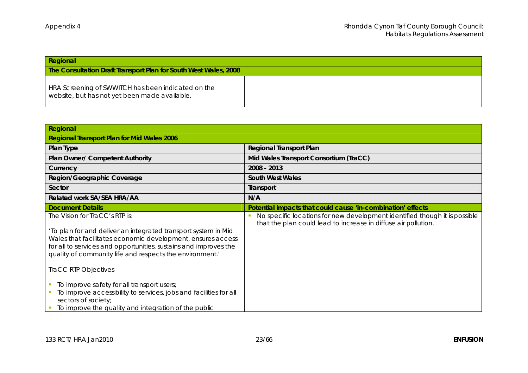| Regional                                                                                            |  |
|-----------------------------------------------------------------------------------------------------|--|
| The Consultation Draft Transport Plan for South West Wales, 2008                                    |  |
| HRA Screening of SWWITCH has been indicated on the<br>website, but has not yet been made available. |  |

| Regional                                                                                                                      |                                                                                                                                              |
|-------------------------------------------------------------------------------------------------------------------------------|----------------------------------------------------------------------------------------------------------------------------------------------|
| Regional Transport Plan for Mid Wales 2006                                                                                    |                                                                                                                                              |
| Plan Type                                                                                                                     | Regional Transport Plan                                                                                                                      |
| Plan Owner/ Competent Authority                                                                                               | Mid Wales Transport Consortium (TraCC)                                                                                                       |
| Currency                                                                                                                      | 2008 - 2013                                                                                                                                  |
| Region/Geographic Coverage                                                                                                    | South West Wales                                                                                                                             |
| Sector                                                                                                                        | Transport                                                                                                                                    |
| Related work SA/SEA HRA/AA                                                                                                    | N/A                                                                                                                                          |
| <b>Document Details</b>                                                                                                       | Potential impacts that could cause 'in-combination' effects                                                                                  |
| The Vision for TraCC's RTP is:                                                                                                | No specific locations for new development identified though it is possible<br>that the plan could lead to increase in diffuse air pollution. |
| 'To plan for and deliver an integrated transport system in Mid<br>Wales that facilitates economic development, ensures access |                                                                                                                                              |
| for all to services and opportunities, sustains and improves the                                                              |                                                                                                                                              |
| quality of community life and respects the environment.'                                                                      |                                                                                                                                              |
| TraCC RTP Objectives                                                                                                          |                                                                                                                                              |
| To improve safety for all transport users;                                                                                    |                                                                                                                                              |
| To improve accessibility to services, jobs and facilities for all<br>sectors of society;                                      |                                                                                                                                              |
| To improve the quality and integration of the public                                                                          |                                                                                                                                              |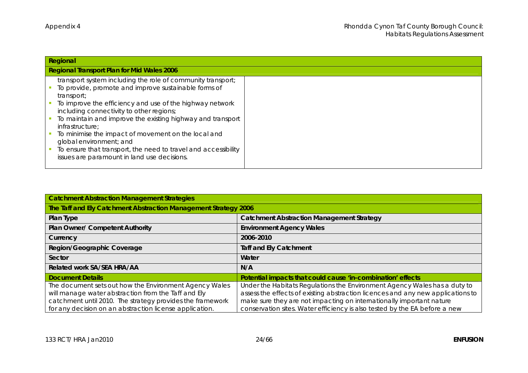| Regional                                                                                                      |  |
|---------------------------------------------------------------------------------------------------------------|--|
| Regional Transport Plan for Mid Wales 2006                                                                    |  |
| transport system including the role of community transport;                                                   |  |
| To provide, promote and improve sustainable forms of<br>transport;                                            |  |
| To improve the efficiency and use of the highway network<br>including connectivity to other regions;          |  |
| To maintain and improve the existing highway and transport<br>infrastructure;                                 |  |
| To minimise the impact of movement on the local and<br>global environment; and                                |  |
| To ensure that transport, the need to travel and accessibility<br>issues are paramount in land use decisions. |  |

| <b>Catchment Abstraction Management Strategies</b>                                                                                                                                                                                    |                                                                                                                                                                                                                                                                                                                    |
|---------------------------------------------------------------------------------------------------------------------------------------------------------------------------------------------------------------------------------------|--------------------------------------------------------------------------------------------------------------------------------------------------------------------------------------------------------------------------------------------------------------------------------------------------------------------|
| The Taff and Ely Catchment Abstraction Management Strategy 2006                                                                                                                                                                       |                                                                                                                                                                                                                                                                                                                    |
| Plan Type                                                                                                                                                                                                                             | <b>Catchment Abstraction Management Strategy</b>                                                                                                                                                                                                                                                                   |
| Plan Owner/ Competent Authority                                                                                                                                                                                                       | <b>Environment Agency Wales</b>                                                                                                                                                                                                                                                                                    |
| Currency                                                                                                                                                                                                                              | 2006-2010                                                                                                                                                                                                                                                                                                          |
| Region/Geographic Coverage                                                                                                                                                                                                            | Taff and Ely Catchment                                                                                                                                                                                                                                                                                             |
| Sector                                                                                                                                                                                                                                | Water                                                                                                                                                                                                                                                                                                              |
| Related work SA/SEA HRA/AA                                                                                                                                                                                                            | N/A                                                                                                                                                                                                                                                                                                                |
| <b>Document Details</b>                                                                                                                                                                                                               | Potential impacts that could cause 'in-combination' effects                                                                                                                                                                                                                                                        |
| The document sets out how the Environment Agency Wales<br>will manage water abstraction from the Taff and Ely<br>catchment until 2010. The strategy provides the framework<br>for any decision on an abstraction license application. | Under the Habitats Regulations the Environment Agency Wales has a duty to<br>assess the effects of existing abstraction licences and any new applications to<br>make sure they are not impacting on internationally important nature<br>conservation sites. Water efficiency is also tested by the EA before a new |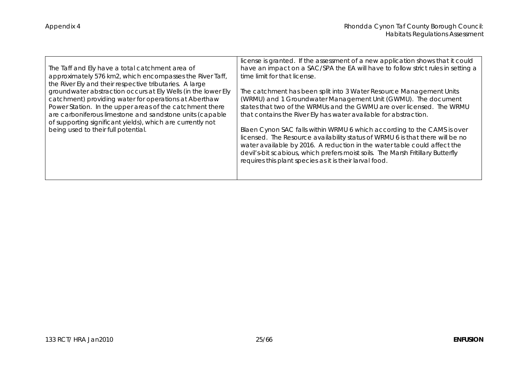| The Taff and Ely have a total catchment area of<br>approximately 576 km2, which encompasses the River Taff,<br>the River Ely and their respective tributaries. A large                                                                                                                                       | license is granted. If the assessment of a new application shows that it could<br>have an impact on a SAC/SPA the EA will have to follow strict rules in setting a<br>time limit for that license.                                                                                                                                                                                 |
|--------------------------------------------------------------------------------------------------------------------------------------------------------------------------------------------------------------------------------------------------------------------------------------------------------------|------------------------------------------------------------------------------------------------------------------------------------------------------------------------------------------------------------------------------------------------------------------------------------------------------------------------------------------------------------------------------------|
| groundwater abstraction occurs at Ely Wells (in the lower Ely<br>catchment) providing water for operations at Aberthaw<br>Power Station. In the upper areas of the catchment there<br>are carboniferous limestone and sandstone units (capable<br>of supporting significant yields), which are currently not | The catchment has been split into 3 Water Resource Management Units<br>(WRMU) and 1 Groundwater Management Unit (GWMU). The document<br>states that two of the WRMUs and the GWMU are over licensed. The WRMU<br>that contains the River Ely has water available for abstraction.                                                                                                  |
| being used to their full potential.                                                                                                                                                                                                                                                                          | Blaen Cynon SAC falls within WRMU 6 which according to the CAMS is over<br>licensed. The Resource availability status of WRMU 6 is that there will be no<br>water available by 2016. A reduction in the water table could affect the<br>devil's-bit scabious, which prefers moist soils. The Marsh Fritillary Butterfly<br>requires this plant species as it is their larval food. |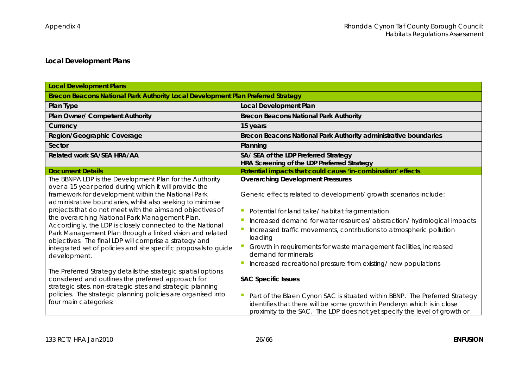## **Local Development Plans**

| <b>Local Development Plans</b>                                                                                                                                                                                                                                                                                                                                                                                                                                                                                                                                                                                             |                                                                                                                                                                                                                                                                                                                                                                                                                                                                                          |
|----------------------------------------------------------------------------------------------------------------------------------------------------------------------------------------------------------------------------------------------------------------------------------------------------------------------------------------------------------------------------------------------------------------------------------------------------------------------------------------------------------------------------------------------------------------------------------------------------------------------------|------------------------------------------------------------------------------------------------------------------------------------------------------------------------------------------------------------------------------------------------------------------------------------------------------------------------------------------------------------------------------------------------------------------------------------------------------------------------------------------|
| Brecon Beacons National Park Authority Local Development Plan Preferred Strategy                                                                                                                                                                                                                                                                                                                                                                                                                                                                                                                                           |                                                                                                                                                                                                                                                                                                                                                                                                                                                                                          |
| Plan Type                                                                                                                                                                                                                                                                                                                                                                                                                                                                                                                                                                                                                  | Local Development Plan                                                                                                                                                                                                                                                                                                                                                                                                                                                                   |
| Plan Owner/ Competent Authority                                                                                                                                                                                                                                                                                                                                                                                                                                                                                                                                                                                            | <b>Brecon Beacons National Park Authority</b>                                                                                                                                                                                                                                                                                                                                                                                                                                            |
| Currency                                                                                                                                                                                                                                                                                                                                                                                                                                                                                                                                                                                                                   | 15 years                                                                                                                                                                                                                                                                                                                                                                                                                                                                                 |
| Region/Geographic Coverage                                                                                                                                                                                                                                                                                                                                                                                                                                                                                                                                                                                                 | Brecon Beacons National Park Authority administrative boundaries                                                                                                                                                                                                                                                                                                                                                                                                                         |
| Sector                                                                                                                                                                                                                                                                                                                                                                                                                                                                                                                                                                                                                     | Planning                                                                                                                                                                                                                                                                                                                                                                                                                                                                                 |
| Related work SA/SEA HRA/AA                                                                                                                                                                                                                                                                                                                                                                                                                                                                                                                                                                                                 | SA/ SEA of the LDP Preferred Strategy<br>HRA Screening of the LDP Preferred Strategy                                                                                                                                                                                                                                                                                                                                                                                                     |
| <b>Document Details</b>                                                                                                                                                                                                                                                                                                                                                                                                                                                                                                                                                                                                    | Potential impacts that could cause 'in-combination' effects                                                                                                                                                                                                                                                                                                                                                                                                                              |
| The BBNPA LDP is the Development Plan for the Authority<br>over a 15 year period during which it will provide the<br>framework for development within the National Park<br>administrative boundaries, whilst also seeking to minimise<br>projects that do not meet with the aims and objectives of<br>the overarching National Park Management Plan.<br>Accordingly, the LDP is closely connected to the National<br>Park Management Plan through a linked vision and related<br>objectives. The final LDP will comprise a strategy and<br>integrated set of policies and site specific proposals to guide<br>development. | <b>Overarching Development Pressures</b><br>Generic effects related to development/ growth scenarios include:<br>Potential for land take/ habitat fragmentation<br>Increased demand for water resources/abstraction/hydrological impacts<br>Increased traffic movements, contributions to atmospheric pollution<br>loading<br>Growth in requirements for waste management facilities, increased<br>demand for minerals<br>Increased recreational pressure from existing/ new populations |
| The Preferred Strategy details the strategic spatial options<br>considered and outlines the preferred approach for<br>strategic sites, non-strategic sites and strategic planning<br>policies. The strategic planning policies are organised into<br>four main categories:                                                                                                                                                                                                                                                                                                                                                 | <b>SAC Specific Issues</b><br>Part of the Blaen Cynon SAC is situated within BBNP. The Preferred Strategy<br>identifies that there will be some growth in Penderyn which is in close<br>proximity to the SAC. The LDP does not yet specify the level of growth or                                                                                                                                                                                                                        |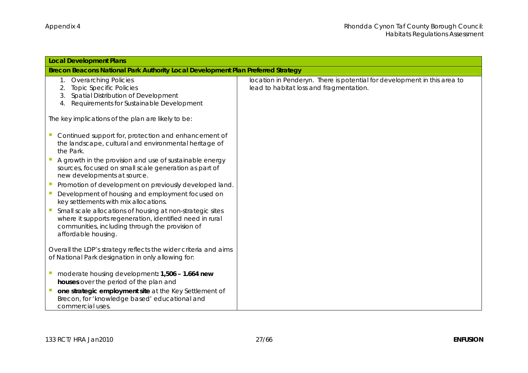| Local Development Plans                                                                                                                                                                         |                                                                                                                     |
|-------------------------------------------------------------------------------------------------------------------------------------------------------------------------------------------------|---------------------------------------------------------------------------------------------------------------------|
| Brecon Beacons National Park Authority Local Development Plan Preferred Strategy                                                                                                                |                                                                                                                     |
| 1. Overarching Policies<br><b>Topic Specific Policies</b><br>2.<br>Spatial Distribution of Development<br>3.<br>Requirements for Sustainable Development<br>4.                                  | location in Penderyn. There is potential for development in this area to<br>lead to habitat loss and fragmentation. |
| The key implications of the plan are likely to be:                                                                                                                                              |                                                                                                                     |
| Continued support for, protection and enhancement of<br>the landscape, cultural and environmental heritage of<br>the Park.                                                                      |                                                                                                                     |
| A growth in the provision and use of sustainable energy<br>sources, focused on small scale generation as part of<br>new developments at source.                                                 |                                                                                                                     |
| Promotion of development on previously developed land.                                                                                                                                          |                                                                                                                     |
| Development of housing and employment focused on<br>key settlements with mix allocations.                                                                                                       |                                                                                                                     |
| Small scale allocations of housing at non-strategic sites<br>where it supports regeneration, identified need in rural<br>communities, including through the provision of<br>affordable housing. |                                                                                                                     |
| Overall the LDP's strategy reflects the wider criteria and aims<br>of National Park designation in only allowing for:                                                                           |                                                                                                                     |
| moderate housing development: 1,506 - 1.664 new<br>houses over the period of the plan and                                                                                                       |                                                                                                                     |
| one strategic employment site at the Key Settlement of<br>Brecon, for 'knowledge based' educational and<br>commercial uses.                                                                     |                                                                                                                     |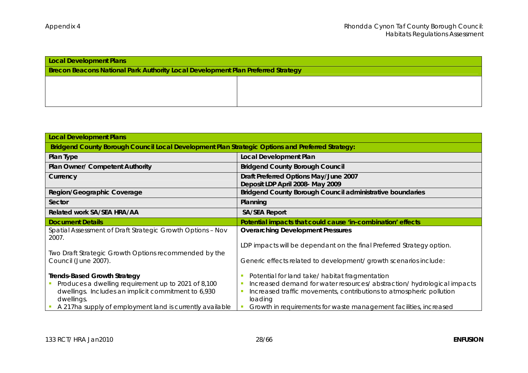| Local Development Plans                                                          |  |
|----------------------------------------------------------------------------------|--|
| Brecon Beacons National Park Authority Local Development Plan Preferred Strategy |  |
|                                                                                  |  |
|                                                                                  |  |
|                                                                                  |  |

| Local Development Plans                                                                                                  |                                                                                                                                                           |  |
|--------------------------------------------------------------------------------------------------------------------------|-----------------------------------------------------------------------------------------------------------------------------------------------------------|--|
| Bridgend County Borough Council Local Development Plan Strategic Options and Preferred Strategy:                         |                                                                                                                                                           |  |
| Plan Type                                                                                                                | Local Development Plan                                                                                                                                    |  |
| Plan Owner/ Competent Authority                                                                                          | <b>Bridgend County Borough Council</b>                                                                                                                    |  |
| Currency                                                                                                                 | Draft Preferred Options May/June 2007<br>Deposit LDP April 2008- May 2009                                                                                 |  |
| Region/Geographic Coverage                                                                                               | Bridgend County Borough Council administrative boundaries                                                                                                 |  |
| Sector                                                                                                                   | Planning                                                                                                                                                  |  |
| Related work SA/SEA HRA/AA                                                                                               | <b>SA/SEA Report</b>                                                                                                                                      |  |
| <b>Document Details</b>                                                                                                  | Potential impacts that could cause 'in-combination' effects                                                                                               |  |
| Spatial Assessment of Draft Strategic Growth Options - Nov<br>2007.                                                      | <b>Overarching Development Pressures</b>                                                                                                                  |  |
|                                                                                                                          | LDP impacts will be dependant on the final Preferred Strategy option.                                                                                     |  |
| Two Draft Strategic Growth Options recommended by the<br>Council (June 2007).                                            | Generic effects related to development/ growth scenarios include:                                                                                         |  |
| Trends-Based Growth Strategy                                                                                             | Potential for land take/habitat fragmentation                                                                                                             |  |
| Produces a dwelling requirement up to 2021 of 8,100<br>dwellings. Includes an implicit commitment to 6,930<br>dwellings. | Increased demand for water resources/ abstraction/ hydrological impacts<br>Increased traffic movements, contributions to atmospheric pollution<br>loading |  |
| A 217ha supply of employment land is currently available                                                                 | Growth in requirements for waste management facilities, increased                                                                                         |  |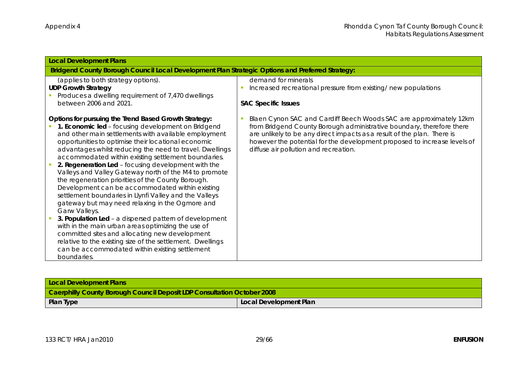| <b>Local Development Plans</b>                                                                                                                                                                                                                                                                                                                                                                                                                                                                                                                                                                                                                                                                                                                                                                                                                                                                                                       |                                                                                                                                                                                                                                                                                                                                             |
|--------------------------------------------------------------------------------------------------------------------------------------------------------------------------------------------------------------------------------------------------------------------------------------------------------------------------------------------------------------------------------------------------------------------------------------------------------------------------------------------------------------------------------------------------------------------------------------------------------------------------------------------------------------------------------------------------------------------------------------------------------------------------------------------------------------------------------------------------------------------------------------------------------------------------------------|---------------------------------------------------------------------------------------------------------------------------------------------------------------------------------------------------------------------------------------------------------------------------------------------------------------------------------------------|
| Bridgend County Borough Council Local Development Plan Strategic Options and Preferred Strategy:                                                                                                                                                                                                                                                                                                                                                                                                                                                                                                                                                                                                                                                                                                                                                                                                                                     |                                                                                                                                                                                                                                                                                                                                             |
| (applies to both strategy options).<br><b>UDP Growth Strategy</b><br>Produces a dwelling requirement of 7,470 dwellings<br>between 2006 and 2021.                                                                                                                                                                                                                                                                                                                                                                                                                                                                                                                                                                                                                                                                                                                                                                                    | demand for minerals<br>Increased recreational pressure from existing/new populations<br><b>SAC Specific Issues</b>                                                                                                                                                                                                                          |
| Options for pursuing the Trend Based Growth Strategy:<br>1. Economic led - focusing development on Bridgend<br>and other main settlements with available employment<br>opportunities to optimise their locational economic<br>advantages whilst reducing the need to travel. Dwellings<br>accommodated within existing settlement boundaries.<br>2. Regeneration Led - focusing development with the<br>Valleys and Valley Gateway north of the M4 to promote<br>the regeneration priorities of the County Borough.<br>Development can be accommodated within existing<br>settlement boundaries in Llynfi Valley and the Valleys<br>gateway but may need relaxing in the Ogmore and<br>Garw Valleys.<br>3. Population Led - a dispersed pattern of development<br>with in the main urban areas optimizing the use of<br>committed sites and allocating new development<br>relative to the existing size of the settlement. Dwellings | Blaen Cynon SAC and Cardiff Beech Woods SAC are approximately 12km<br>from Bridgend County Borough administrative boundary, therefore there<br>are unlikely to be any direct impacts as a result of the plan. There is<br>however the potential for the development proposed to increase levels of<br>diffuse air pollution and recreation. |
| can be accommodated within existing settlement<br>boundaries.                                                                                                                                                                                                                                                                                                                                                                                                                                                                                                                                                                                                                                                                                                                                                                                                                                                                        |                                                                                                                                                                                                                                                                                                                                             |

| Local Development Plans                                                 |                        |
|-------------------------------------------------------------------------|------------------------|
| Caerphilly County Borough Council Deposit LDP Consultation October 2008 |                        |
| Plan Type                                                               | Local Development Plan |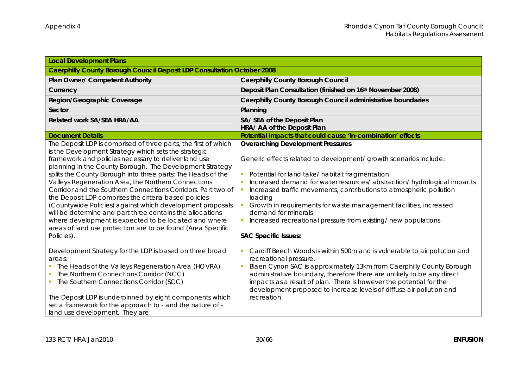| <b>Local Development Plans</b>                                                                                                                                                                                                                                                                                                                                                                                                                                                                                                                                                                                                                                                                                                                              |                                                                                                                                                                                                                                                                                                                                                                                                                                                                                                                          |
|-------------------------------------------------------------------------------------------------------------------------------------------------------------------------------------------------------------------------------------------------------------------------------------------------------------------------------------------------------------------------------------------------------------------------------------------------------------------------------------------------------------------------------------------------------------------------------------------------------------------------------------------------------------------------------------------------------------------------------------------------------------|--------------------------------------------------------------------------------------------------------------------------------------------------------------------------------------------------------------------------------------------------------------------------------------------------------------------------------------------------------------------------------------------------------------------------------------------------------------------------------------------------------------------------|
| Caerphilly County Borough Council Deposit LDP Consultation October 2008                                                                                                                                                                                                                                                                                                                                                                                                                                                                                                                                                                                                                                                                                     |                                                                                                                                                                                                                                                                                                                                                                                                                                                                                                                          |
| Plan Owner/ Competent Authority                                                                                                                                                                                                                                                                                                                                                                                                                                                                                                                                                                                                                                                                                                                             | Caerphilly County Borough Council                                                                                                                                                                                                                                                                                                                                                                                                                                                                                        |
| Currency                                                                                                                                                                                                                                                                                                                                                                                                                                                                                                                                                                                                                                                                                                                                                    | Deposit Plan Consultation (finished on 16th November 2008)                                                                                                                                                                                                                                                                                                                                                                                                                                                               |
| Region/Geographic Coverage                                                                                                                                                                                                                                                                                                                                                                                                                                                                                                                                                                                                                                                                                                                                  | Caerphilly County Borough Council administrative boundaries                                                                                                                                                                                                                                                                                                                                                                                                                                                              |
| Sector                                                                                                                                                                                                                                                                                                                                                                                                                                                                                                                                                                                                                                                                                                                                                      | Planning                                                                                                                                                                                                                                                                                                                                                                                                                                                                                                                 |
| Related work SA/SEA HRA/AA                                                                                                                                                                                                                                                                                                                                                                                                                                                                                                                                                                                                                                                                                                                                  | SA/ SEA of the Deposit Plan<br>HRA/ AA of the Deposit Plan                                                                                                                                                                                                                                                                                                                                                                                                                                                               |
| <b>Document Details</b>                                                                                                                                                                                                                                                                                                                                                                                                                                                                                                                                                                                                                                                                                                                                     | Potential impacts that could cause 'in-combination' effects                                                                                                                                                                                                                                                                                                                                                                                                                                                              |
| The Deposit LDP is comprised of three parts, the first of which<br>is the Development Strategy which sets the strategic<br>framework and policies necessary to deliver land use<br>planning in the County Borough. The Development Strategy<br>splits the County Borough into three parts; The Heads of the<br>Valleys Regeneration Area, the Northern Connections<br>Corridor and the Southern Connections Corridors. Part two of<br>the Deposit LDP comprises the criteria based policies<br>(Countywide Policies) against which development proposals<br>will be determine and part three contains the allocations<br>where development is expected to be located and where<br>areas of land use protection are to be found (Area Specific<br>Policies). | <b>Overarching Development Pressures</b><br>Generic effects related to development/ growth scenarios include:<br>Potential for land take/ habitat fragmentation<br>Increased demand for water resources/ abstraction/ hydrological impacts<br>Increased traffic movements, contributions to atmospheric pollution<br>loading<br>Growth in requirements for waste management facilities, increased<br>demand for minerals<br>Increased recreational pressure from existing/new populations<br><b>SAC Specific Issues:</b> |
| Development Strategy for the LDP is based on three broad<br>areas:<br>The Heads of the Valleys Regeneration Area (HOVRA)<br>The Northern Connections Corridor (NCC)<br>The Southern Connections Corridor (SCC)<br>$\mathcal{L}_{\mathcal{A}}$<br>The Deposit LDP is underpinned by eight components which<br>set a framework for the approach to - and the nature of -<br>land use development. They are:                                                                                                                                                                                                                                                                                                                                                   | Cardiff Beech Woods is within 500m and is vulnerable to air pollution and<br>recreational pressure.<br>Blaen Cynon SAC is approximately 13km from Caerphilly County Borough<br>administrative boundary, therefore there are unlikely to be any direct<br>impacts as a result of plan. There is however the potential for the<br>development proposed to increase levels of diffuse air pollution and<br>recreation.                                                                                                      |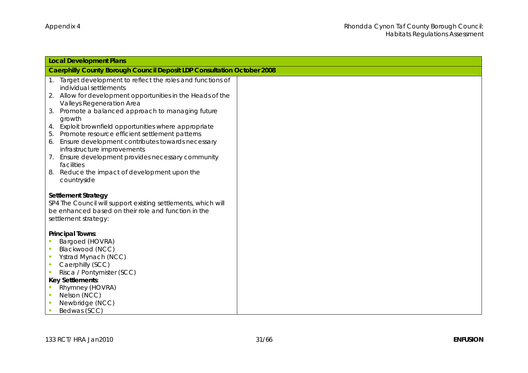|                          | <b>Local Development Plans</b>                                                                                                                                      |  |  |
|--------------------------|---------------------------------------------------------------------------------------------------------------------------------------------------------------------|--|--|
|                          | Caerphilly County Borough Council Deposit LDP Consultation October 2008                                                                                             |  |  |
| 1.                       | Target development to reflect the roles and functions of                                                                                                            |  |  |
|                          | individual settlements                                                                                                                                              |  |  |
| 2.                       | Allow for development opportunities in the Heads of the                                                                                                             |  |  |
|                          | Valleys Regeneration Area                                                                                                                                           |  |  |
| 3.                       | Promote a balanced approach to managing future<br>growth                                                                                                            |  |  |
| 4.                       | Exploit brownfield opportunities where appropriate                                                                                                                  |  |  |
| 5.                       | Promote resource efficient settlement patterns                                                                                                                      |  |  |
| 6.                       | Ensure development contributes towards necessary                                                                                                                    |  |  |
|                          | infrastructure improvements                                                                                                                                         |  |  |
| 7.                       | Ensure development provides necessary community<br>facilities                                                                                                       |  |  |
| 8.                       | Reduce the impact of development upon the                                                                                                                           |  |  |
|                          | countryside                                                                                                                                                         |  |  |
|                          | Settlement Strategy<br>SP4 The Council will support existing settlements, which will<br>be enhanced based on their role and function in the<br>settlement strategy: |  |  |
|                          | Principal Towns:                                                                                                                                                    |  |  |
|                          | Bargoed (HOVRA)                                                                                                                                                     |  |  |
|                          | Blackwood (NCC)                                                                                                                                                     |  |  |
| $\overline{\phantom{a}}$ | Ystrad Mynach (NCC)                                                                                                                                                 |  |  |
| $\overline{\phantom{a}}$ | Caerphilly (SCC)                                                                                                                                                    |  |  |
|                          | Risca / Pontymister (SCC)                                                                                                                                           |  |  |
|                          | Key Settlements:                                                                                                                                                    |  |  |
|                          | Rhymney (HOVRA)                                                                                                                                                     |  |  |
|                          | Nelson (NCC)<br>Newbridge (NCC)                                                                                                                                     |  |  |
|                          | Bedwas (SCC)                                                                                                                                                        |  |  |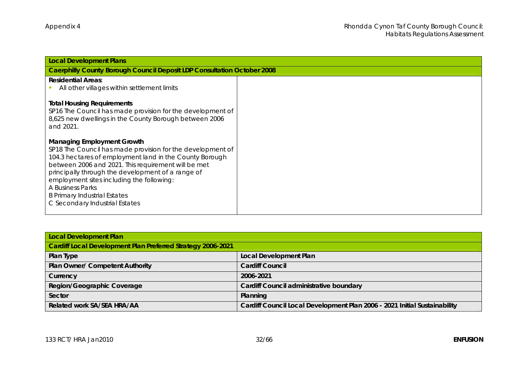| <b>Local Development Plans</b>                                                                                 |                                                                         |  |
|----------------------------------------------------------------------------------------------------------------|-------------------------------------------------------------------------|--|
|                                                                                                                | Caerphilly County Borough Council Deposit LDP Consultation October 2008 |  |
| Residential Areas:                                                                                             |                                                                         |  |
| All other villages within settlement limits                                                                    |                                                                         |  |
|                                                                                                                |                                                                         |  |
| <b>Total Housing Requirements</b><br>SP16 The Council has made provision for the development of                |                                                                         |  |
| 8,625 new dwellings in the County Borough between 2006                                                         |                                                                         |  |
| and 2021.                                                                                                      |                                                                         |  |
|                                                                                                                |                                                                         |  |
| Managing Employment Growth                                                                                     |                                                                         |  |
| SP18 The Council has made provision for the development of                                                     |                                                                         |  |
| 104.3 hectares of employment land in the County Borough<br>between 2006 and 2021. This requirement will be met |                                                                         |  |
| principally through the development of a range of                                                              |                                                                         |  |
| employment sites including the following:                                                                      |                                                                         |  |
| A Business Parks                                                                                               |                                                                         |  |
| <b>B Primary Industrial Estates</b>                                                                            |                                                                         |  |
| C Secondary Industrial Estates                                                                                 |                                                                         |  |
|                                                                                                                |                                                                         |  |

| <b>Local Development Plan</b>                               |                                                                           |
|-------------------------------------------------------------|---------------------------------------------------------------------------|
| Cardiff Local Development Plan Preferred Strategy 2006-2021 |                                                                           |
| Plan Type                                                   | Local Development Plan                                                    |
| Plan Owner/ Competent Authority                             | Cardiff Council                                                           |
| Currency                                                    | 2006-2021                                                                 |
| Region/Geographic Coverage                                  | Cardiff Council administrative boundary                                   |
| Sector                                                      | Planning                                                                  |
| Related work SA/SEA HRA/AA                                  | Cardiff Council Local Development Plan 2006 - 2021 Initial Sustainability |
|                                                             |                                                                           |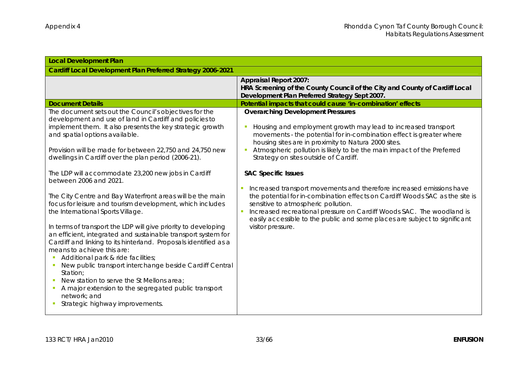| <b>Local Development Plan</b>                                                                                                                                                                                                                                                                                                                                                                                                                                                                                                                                                       |                                                                                                                                                                                                                                                                                                                                                                                                                                                                                                                                                                                                                                                                                                                                                             |
|-------------------------------------------------------------------------------------------------------------------------------------------------------------------------------------------------------------------------------------------------------------------------------------------------------------------------------------------------------------------------------------------------------------------------------------------------------------------------------------------------------------------------------------------------------------------------------------|-------------------------------------------------------------------------------------------------------------------------------------------------------------------------------------------------------------------------------------------------------------------------------------------------------------------------------------------------------------------------------------------------------------------------------------------------------------------------------------------------------------------------------------------------------------------------------------------------------------------------------------------------------------------------------------------------------------------------------------------------------------|
| Cardiff Local Development Plan Preferred Strategy 2006-2021                                                                                                                                                                                                                                                                                                                                                                                                                                                                                                                         |                                                                                                                                                                                                                                                                                                                                                                                                                                                                                                                                                                                                                                                                                                                                                             |
|                                                                                                                                                                                                                                                                                                                                                                                                                                                                                                                                                                                     | Appraisal Report 2007:<br>HRA Screening of the County Council of the City and County of Cardiff Local<br>Development Plan Preferred Strategy Sept 2007.                                                                                                                                                                                                                                                                                                                                                                                                                                                                                                                                                                                                     |
| <b>Document Details</b>                                                                                                                                                                                                                                                                                                                                                                                                                                                                                                                                                             | Potential impacts that could cause 'in-combination' effects                                                                                                                                                                                                                                                                                                                                                                                                                                                                                                                                                                                                                                                                                                 |
| The document sets out the Council's objectives for the<br>development and use of land in Cardiff and policies to<br>implement them. It also presents the key strategic growth<br>and spatial options available.<br>Provision will be made for between 22,750 and 24,750 new<br>dwellings in Cardiff over the plan period (2006-21).<br>The LDP will accommodate 23,200 new jobs in Cardiff<br>between 2006 and 2021.<br>The City Centre and Bay Waterfront areas will be the main<br>focus for leisure and tourism development, which includes<br>the International Sports Village. | <b>Overarching Development Pressures</b><br>Housing and employment growth may lead to increased transport<br>movements - the potential for in-combination effect is greater where<br>housing sites are in proximity to Natura 2000 sites.<br>Atmospheric pollution is likely to be the main impact of the Preferred<br>o.<br>Strategy on sites outside of Cardiff.<br><b>SAC Specific Issues</b><br>Increased transport movements and therefore increased emissions have<br>D<br>the potential for in-combination effects on Cardiff Woods SAC as the site is<br>sensitive to atmospheric pollution.<br>Increased recreational pressure on Cardiff Woods SAC. The woodland is<br>easily accessible to the public and some places are subject to significant |
| In terms of transport the LDP will give priority to developing<br>an efficient, integrated and sustainable transport system for<br>Cardiff and linking to its hinterland. Proposals identified as a<br>means to achieve this are:<br>Additional park & ride facilities;<br>New public transport interchange beside Cardiff Central<br>Station;<br>New station to serve the St Mellons area;<br>A major extension to the segregated public transport<br>network; and<br>Strategic highway improvements.                                                                              | visitor pressure.                                                                                                                                                                                                                                                                                                                                                                                                                                                                                                                                                                                                                                                                                                                                           |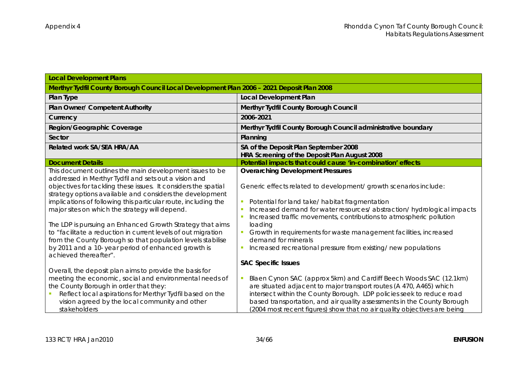| <b>Local Development Plans</b>                                                                                                                                                                                                                                                                                                                                                                                                                                                                                                                                                                                         |                                                                                                                                                                                                                                                                                                                                                                                                                                                                                                  |
|------------------------------------------------------------------------------------------------------------------------------------------------------------------------------------------------------------------------------------------------------------------------------------------------------------------------------------------------------------------------------------------------------------------------------------------------------------------------------------------------------------------------------------------------------------------------------------------------------------------------|--------------------------------------------------------------------------------------------------------------------------------------------------------------------------------------------------------------------------------------------------------------------------------------------------------------------------------------------------------------------------------------------------------------------------------------------------------------------------------------------------|
| Merthyr Tydfil County Borough Council Local Development Plan 2006 - 2021 Deposit Plan 2008                                                                                                                                                                                                                                                                                                                                                                                                                                                                                                                             |                                                                                                                                                                                                                                                                                                                                                                                                                                                                                                  |
| Plan Type                                                                                                                                                                                                                                                                                                                                                                                                                                                                                                                                                                                                              | Local Development Plan                                                                                                                                                                                                                                                                                                                                                                                                                                                                           |
| Plan Owner/ Competent Authority                                                                                                                                                                                                                                                                                                                                                                                                                                                                                                                                                                                        | Merthyr Tydfil County Borough Council                                                                                                                                                                                                                                                                                                                                                                                                                                                            |
| Currency                                                                                                                                                                                                                                                                                                                                                                                                                                                                                                                                                                                                               | 2006-2021                                                                                                                                                                                                                                                                                                                                                                                                                                                                                        |
| Region/Geographic Coverage                                                                                                                                                                                                                                                                                                                                                                                                                                                                                                                                                                                             | Merthyr Tydfil County Borough Council administrative boundary                                                                                                                                                                                                                                                                                                                                                                                                                                    |
| Sector                                                                                                                                                                                                                                                                                                                                                                                                                                                                                                                                                                                                                 | Planning                                                                                                                                                                                                                                                                                                                                                                                                                                                                                         |
| Related work SA/SEA HRA/AA                                                                                                                                                                                                                                                                                                                                                                                                                                                                                                                                                                                             | SA of the Deposit Plan September 2008<br>HRA Screening of the Deposit Plan August 2008                                                                                                                                                                                                                                                                                                                                                                                                           |
| <b>Document Details</b>                                                                                                                                                                                                                                                                                                                                                                                                                                                                                                                                                                                                | Potential impacts that could cause 'in-combination' effects                                                                                                                                                                                                                                                                                                                                                                                                                                      |
| This document outlines the main development issues to be<br>addressed in Merthyr Tydfil and sets out a vision and<br>objectives for tackling these issues. It considers the spatial<br>strategy options available and considers the development<br>implications of following this particular route, including the<br>major sites on which the strategy will depend.<br>The LDP is pursuing an Enhanced Growth Strategy that aims<br>to "facilitate a reduction in current levels of out migration<br>from the County Borough so that population levels stabilise<br>by 2011 and a 10-year period of enhanced growth is | <b>Overarching Development Pressures</b><br>Generic effects related to development/ growth scenarios include:<br>Potential for land take/habitat fragmentation<br>Increased demand for water resources/abstraction/hydrological impacts<br>п<br>Increased traffic movements, contributions to atmospheric pollution<br>loading<br>Growth in requirements for waste management facilities, increased<br>demand for minerals<br>Increased recreational pressure from existing/new populations<br>D |
| achieved thereafter".                                                                                                                                                                                                                                                                                                                                                                                                                                                                                                                                                                                                  | <b>SAC Specific Issues</b>                                                                                                                                                                                                                                                                                                                                                                                                                                                                       |
| Overall, the deposit plan aims to provide the basis for<br>meeting the economic, social and environmental needs of<br>the County Borough in order that they:<br>Reflect local aspirations for Merthyr Tydfil based on the<br>vision agreed by the local community and other<br>stakeholders                                                                                                                                                                                                                                                                                                                            | Blaen Cynon SAC (approx 5km) and Cardiff Beech Woods SAC (12.1km)<br>are situated adjacent to major transport routes (A 470, A465) which<br>intersect within the County Borough. LDP policies seek to reduce road<br>based transportation, and air quality assessments in the County Borough<br>(2004 most recent figures) show that no air quality objectives are being                                                                                                                         |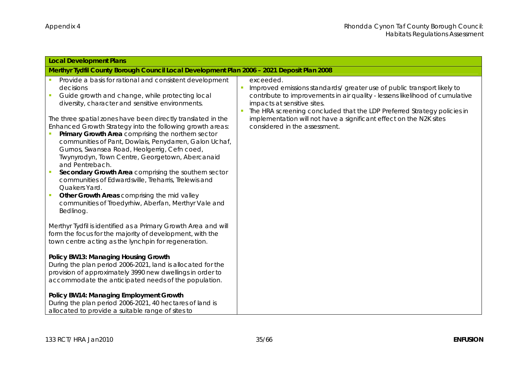| <b>Local Development Plans</b>                                                                                                                                                                                                                                                                                                                                                                                                                                                                                                                                                                                        |                                                                                                                                                                                                    |
|-----------------------------------------------------------------------------------------------------------------------------------------------------------------------------------------------------------------------------------------------------------------------------------------------------------------------------------------------------------------------------------------------------------------------------------------------------------------------------------------------------------------------------------------------------------------------------------------------------------------------|----------------------------------------------------------------------------------------------------------------------------------------------------------------------------------------------------|
| Merthyr Tydfil County Borough Council Local Development Plan 2006 - 2021 Deposit Plan 2008                                                                                                                                                                                                                                                                                                                                                                                                                                                                                                                            |                                                                                                                                                                                                    |
| Provide a basis for rational and consistent development<br>decisions<br>Guide growth and change, while protecting local<br>$\blacksquare$<br>diversity, character and sensitive environments.                                                                                                                                                                                                                                                                                                                                                                                                                         | exceeded.<br>Improved emissions standards/greater use of public transport likely to<br>contribute to improvements in air quality - lessens likelihood of cumulative<br>impacts at sensitive sites. |
| The three spatial zones have been directly translated in the<br>Enhanced Growth Strategy into the following growth areas:<br>Primary Growth Area comprising the northern sector<br>communities of Pant, Dowlais, Penydarren, Galon Uchaf,<br>Gurnos, Swansea Road, Heolgerrig, Cefn coed,<br>Twynyrodyn, Town Centre, Georgetown, Abercanaid<br>and Pentrebach.<br>Secondary Growth Area comprising the southern sector<br>communities of Edwardsville, Treharris, Trelewis and<br>Quakers Yard.<br>Other Growth Areas comprising the mid valley<br>communities of Troedyrhiw, Aberfan, Merthyr Vale and<br>Bedlinog. | The HRA screening concluded that the LDP Preferred Strategy policies in<br>implementation will not have a significant effect on the N2K sites<br>considered in the assessment.                     |
| Merthyr Tydfil is identified as a Primary Growth Area and will<br>form the focus for the majority of development, with the<br>town centre acting as the lynchpin for regeneration.                                                                                                                                                                                                                                                                                                                                                                                                                                    |                                                                                                                                                                                                    |
| Policy BW13: Managing Housing Growth<br>During the plan period 2006-2021, land is allocated for the<br>provision of approximately 3990 new dwellings in order to<br>accommodate the anticipated needs of the population.                                                                                                                                                                                                                                                                                                                                                                                              |                                                                                                                                                                                                    |
| Policy BW14: Managing Employment Growth<br>During the plan period 2006-2021, 40 hectares of land is<br>allocated to provide a suitable range of sites to                                                                                                                                                                                                                                                                                                                                                                                                                                                              |                                                                                                                                                                                                    |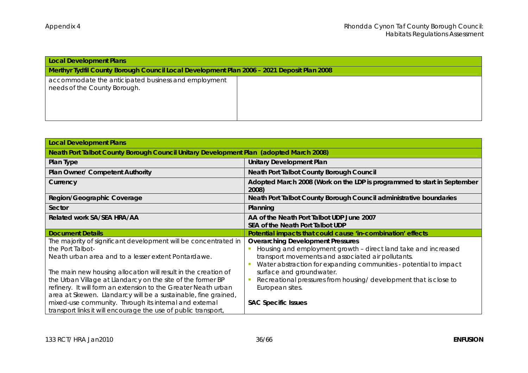| <b>Local Development Plans</b>                                                             |  |
|--------------------------------------------------------------------------------------------|--|
| Merthyr Tydfil County Borough Council Local Development Plan 2006 - 2021 Deposit Plan 2008 |  |
| accommodate the anticipated business and employment<br>needs of the County Borough.        |  |

| Local Development Plans                                                                                                                                                                                                                                                                                                                                                                       |                                                                                                                                                                                                                                       |
|-----------------------------------------------------------------------------------------------------------------------------------------------------------------------------------------------------------------------------------------------------------------------------------------------------------------------------------------------------------------------------------------------|---------------------------------------------------------------------------------------------------------------------------------------------------------------------------------------------------------------------------------------|
| Neath Port Talbot County Borough Council Unitary Development Plan (adopted March 2008)                                                                                                                                                                                                                                                                                                        |                                                                                                                                                                                                                                       |
| Plan Type                                                                                                                                                                                                                                                                                                                                                                                     | Unitary Development Plan                                                                                                                                                                                                              |
| Plan Owner/ Competent Authority                                                                                                                                                                                                                                                                                                                                                               | Neath Port Talbot County Borough Council                                                                                                                                                                                              |
| Currency                                                                                                                                                                                                                                                                                                                                                                                      | Adopted March 2008 (Work on the LDP is programmed to start in September<br>2008)                                                                                                                                                      |
| Region/Geographic Coverage                                                                                                                                                                                                                                                                                                                                                                    | Neath Port Talbot County Borough Council administrative boundaries                                                                                                                                                                    |
| Sector                                                                                                                                                                                                                                                                                                                                                                                        | Planning                                                                                                                                                                                                                              |
| Related work SA/SEA HRA/AA                                                                                                                                                                                                                                                                                                                                                                    | AA of the Neath Port Talbot UDP June 2007<br>SEA of the Neath Port Talbot UDP                                                                                                                                                         |
| <b>Document Details</b>                                                                                                                                                                                                                                                                                                                                                                       | Potential impacts that could cause 'in-combination' effects                                                                                                                                                                           |
| The majority of significant development will be concentrated in<br>the Port Talbot-<br>Neath urban area and to a lesser extent Pontardawe.                                                                                                                                                                                                                                                    | <b>Overarching Development Pressures</b><br>Housing and employment growth - direct land take and increased<br>transport movements and associated air pollutants.<br>Water abstraction for expanding communities - potential to impact |
| The main new housing allocation will result in the creation of<br>the Urban Village at Llandarcy on the site of the former BP<br>refinery. It will form an extension to the Greater Neath urban<br>area at Skewen. Llandarcy will be a sustainable, fine grained,<br>mixed-use community. Through its internal and external<br>transport links it will encourage the use of public transport, | surface and groundwater.<br>Recreational pressures from housing/ development that is close to<br>European sites.<br><b>SAC Specific Issues</b>                                                                                        |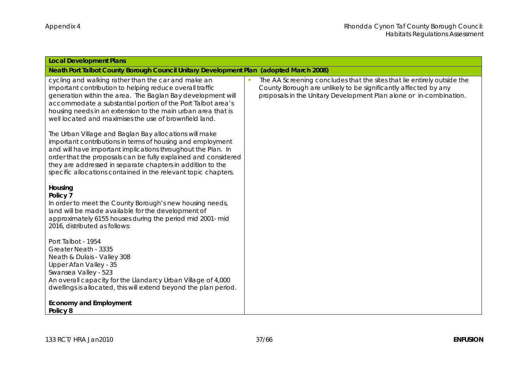| <b>Local Development Plans</b>                                                                                                                                                                                                                                                                                                                                                         |                                                                                                                                                                                                                  |
|----------------------------------------------------------------------------------------------------------------------------------------------------------------------------------------------------------------------------------------------------------------------------------------------------------------------------------------------------------------------------------------|------------------------------------------------------------------------------------------------------------------------------------------------------------------------------------------------------------------|
| Neath Port Talbot County Borough Council Unitary Development Plan (adopted March 2008)                                                                                                                                                                                                                                                                                                 |                                                                                                                                                                                                                  |
| cycling and walking rather than the car and make an<br>important contribution to helping reduce overall traffic<br>generation within the area. The Baglan Bay development will<br>accommodate a substantial portion of the Port Talbot area's<br>housing needs in an extension to the main urban area that is<br>well located and maximises the use of brownfield land.                | The AA Screening concludes that the sites that lie entirely outside the<br>County Borough are unlikely to be significantly affected by any<br>proposals in the Unitary Development Plan alone or in-combination. |
| The Urban Village and Baglan Bay allocations will make<br>important contributions in terms of housing and employment<br>and will have important implications throughout the Plan. In<br>order that the proposals can be fully explained and considered<br>they are addressed in separate chapters in addition to the<br>specific allocations contained in the relevant topic chapters. |                                                                                                                                                                                                                  |
| Housing<br>Policy 7<br>In order to meet the County Borough's new housing needs,<br>land will be made available for the development of<br>approximately 6155 houses during the period mid 2001- mid<br>2016, distributed as follows:                                                                                                                                                    |                                                                                                                                                                                                                  |
| Port Talbot - 1954<br>Greater Neath - 3335<br>Neath & Dulais - Valley 308<br>Upper Afan Valley - 35<br>Swansea Valley - 523<br>An overall capacity for the Llandarcy Urban Village of 4,000<br>dwellings is allocated, this will extend beyond the plan period.                                                                                                                        |                                                                                                                                                                                                                  |
| Economy and Employment<br>Policy 8                                                                                                                                                                                                                                                                                                                                                     |                                                                                                                                                                                                                  |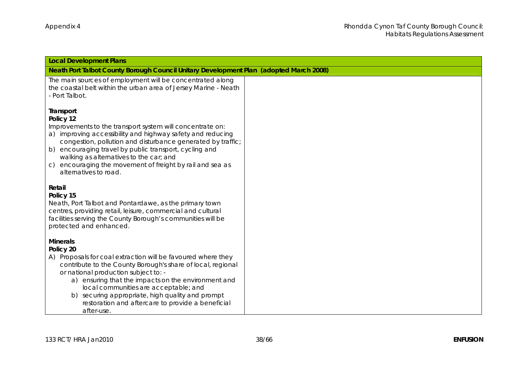| Local Development Plans                                                                                                                                                                                                                                                                                                                                                                                                     |  |
|-----------------------------------------------------------------------------------------------------------------------------------------------------------------------------------------------------------------------------------------------------------------------------------------------------------------------------------------------------------------------------------------------------------------------------|--|
| Neath Port Talbot County Borough Council Unitary Development Plan (adopted March 2008)                                                                                                                                                                                                                                                                                                                                      |  |
| The main sources of employment will be concentrated along<br>the coastal belt within the urban area of Jersey Marine - Neath<br>- Port Talbot.                                                                                                                                                                                                                                                                              |  |
| Transport<br>Policy 12<br>Improvements to the transport system will concentrate on:<br>a) improving accessibility and highway safety and reducing<br>congestion, pollution and disturbance generated by traffic;<br>encouraging travel by public transport, cycling and<br>b)<br>walking as alternatives to the car; and<br>encouraging the movement of freight by rail and sea as<br>$\mathsf{C}$<br>alternatives to road. |  |
| Retail<br>Policy 15<br>Neath, Port Talbot and Pontardawe, as the primary town<br>centres, providing retail, leisure, commercial and cultural<br>facilities serving the County Borough's communities will be<br>protected and enhanced.                                                                                                                                                                                      |  |
| <b>Minerals</b><br>Policy 20<br>A) Proposals for coal extraction will be favoured where they<br>contribute to the County Borough's share of local, regional<br>or national production subject to: -<br>a) ensuring that the impacts on the environment and<br>local communities are acceptable; and<br>b) securing appropriate, high quality and prompt<br>restoration and aftercare to provide a beneficial<br>after-use.  |  |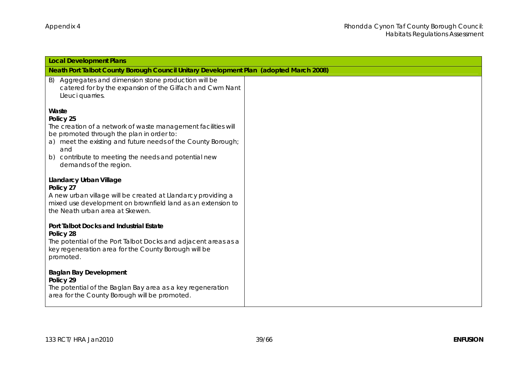| Local Development Plans                                                                                                                                                                                                                                                                      |  |
|----------------------------------------------------------------------------------------------------------------------------------------------------------------------------------------------------------------------------------------------------------------------------------------------|--|
| Neath Port Talbot County Borough Council Unitary Development Plan (adopted March 2008)                                                                                                                                                                                                       |  |
| B) Aggregates and dimension stone production will be<br>catered for by the expansion of the Gilfach and Cwm Nant<br>Lleuci quarries.                                                                                                                                                         |  |
| Waste<br>Policy 25<br>The creation of a network of waste management facilities will<br>be promoted through the plan in order to:<br>a) meet the existing and future needs of the County Borough;<br>and<br>contribute to meeting the needs and potential new<br>b)<br>demands of the region. |  |
| Llandarcy Urban Village<br>Policy 27<br>A new urban village will be created at Llandarcy providing a<br>mixed use development on brownfield land as an extension to<br>the Neath urban area at Skewen.                                                                                       |  |
| Port Talbot Docks and Industrial Estate<br>Policy 28<br>The potential of the Port Talbot Docks and adjacent areas as a<br>key regeneration area for the County Borough will be<br>promoted.                                                                                                  |  |
| Baglan Bay Development<br>Policy 29<br>The potential of the Baglan Bay area as a key regeneration<br>area for the County Borough will be promoted.                                                                                                                                           |  |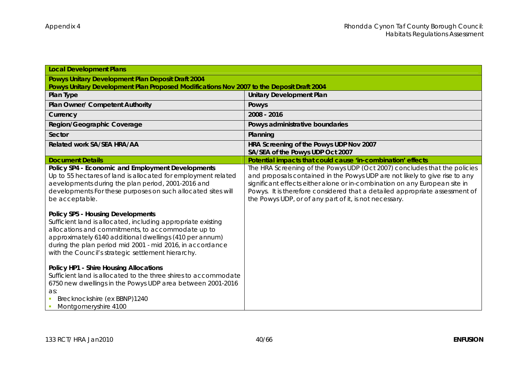| <b>Local Development Plans</b>                                                                                                                                                                                                                                                                                                       |                                                                                                                                                                                                                                                                                                                                                                                 |
|--------------------------------------------------------------------------------------------------------------------------------------------------------------------------------------------------------------------------------------------------------------------------------------------------------------------------------------|---------------------------------------------------------------------------------------------------------------------------------------------------------------------------------------------------------------------------------------------------------------------------------------------------------------------------------------------------------------------------------|
| Powys Unitary Development Plan Deposit Draft 2004                                                                                                                                                                                                                                                                                    |                                                                                                                                                                                                                                                                                                                                                                                 |
| Powys Unitary Development Plan Proposed Modifications Nov 2007 to the Deposit Draft 2004                                                                                                                                                                                                                                             |                                                                                                                                                                                                                                                                                                                                                                                 |
| Plan Type                                                                                                                                                                                                                                                                                                                            | Unitary Development Plan                                                                                                                                                                                                                                                                                                                                                        |
| Plan Owner/ Competent Authority                                                                                                                                                                                                                                                                                                      | Powys                                                                                                                                                                                                                                                                                                                                                                           |
| Currency                                                                                                                                                                                                                                                                                                                             | 2008 - 2016                                                                                                                                                                                                                                                                                                                                                                     |
| Region/Geographic Coverage                                                                                                                                                                                                                                                                                                           | Powys administrative boundaries                                                                                                                                                                                                                                                                                                                                                 |
| Sector                                                                                                                                                                                                                                                                                                                               | Planning                                                                                                                                                                                                                                                                                                                                                                        |
| Related work SA/SEA HRA/AA                                                                                                                                                                                                                                                                                                           | HRA Screening of the Powys UDP Nov 2007<br>SA/SEA of the Powys UDP Oct 2007                                                                                                                                                                                                                                                                                                     |
| <b>Document Details</b>                                                                                                                                                                                                                                                                                                              | Potential impacts that could cause 'in-combination' effects                                                                                                                                                                                                                                                                                                                     |
| Policy SP4 - Economic and Employment Developments<br>Up to 55 hectares of land is allocated for employment related<br>aevelopments during the plan period, 2001-2016 and<br>developments For these purposes on such allocated sites will<br>be acceptable.                                                                           | The HRA Screening of the Powys UDP (Oct 2007) concludes that the policies<br>and proposals contained in the Powys UDP are not likely to give rise to any<br>significant effects either alone or in-combination on any European site in<br>Powys. It is therefore considered that a detailed appropriate assessment of<br>the Powys UDP, or of any part of it, is not necessary. |
| Policy SP5 - Housing Developments<br>Sufficient land is allocated, including appropriate existing<br>allocations and commitments, to accommodate up to<br>approximately 6140 additional dwellings (410 per annum)<br>during the plan period mid 2001 - mid 2016, in accordance<br>with the Council's strategic settlement hierarchy. |                                                                                                                                                                                                                                                                                                                                                                                 |
| Policy HP1 - Shire Housing Allocations<br>Sufficient land is allocated to the three shires to accommodate<br>6750 new dwellings in the Powys UDP area between 2001-2016<br>as:<br>Brecknockshire (ex BBNP)1240<br>Montgomeryshire 4100                                                                                               |                                                                                                                                                                                                                                                                                                                                                                                 |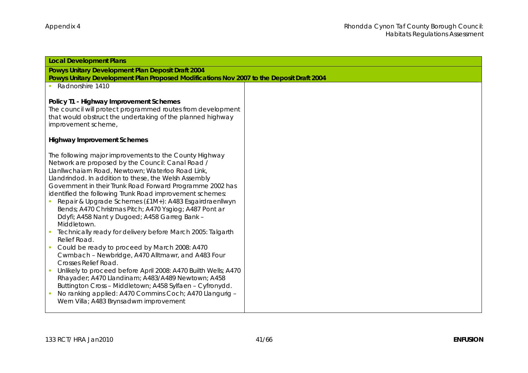| <b>Local Development Plans</b>                                                                                                                                                                                                                                                                                                                                                                                                                                                                                                                                                                                                                                                                                                                                                                                                                                                                                                                                                                                                              |
|---------------------------------------------------------------------------------------------------------------------------------------------------------------------------------------------------------------------------------------------------------------------------------------------------------------------------------------------------------------------------------------------------------------------------------------------------------------------------------------------------------------------------------------------------------------------------------------------------------------------------------------------------------------------------------------------------------------------------------------------------------------------------------------------------------------------------------------------------------------------------------------------------------------------------------------------------------------------------------------------------------------------------------------------|
| Powys Unitary Development Plan Deposit Draft 2004                                                                                                                                                                                                                                                                                                                                                                                                                                                                                                                                                                                                                                                                                                                                                                                                                                                                                                                                                                                           |
| Powys Unitary Development Plan Proposed Modifications Nov 2007 to the Deposit Draft 2004                                                                                                                                                                                                                                                                                                                                                                                                                                                                                                                                                                                                                                                                                                                                                                                                                                                                                                                                                    |
| Radnorshire 1410<br>×                                                                                                                                                                                                                                                                                                                                                                                                                                                                                                                                                                                                                                                                                                                                                                                                                                                                                                                                                                                                                       |
| Policy T1 - Highway Improvement Schemes<br>The council will protect programmed routes from development<br>that would obstruct the undertaking of the planned highway<br>improvement scheme,                                                                                                                                                                                                                                                                                                                                                                                                                                                                                                                                                                                                                                                                                                                                                                                                                                                 |
| Highway Improvement Schemes                                                                                                                                                                                                                                                                                                                                                                                                                                                                                                                                                                                                                                                                                                                                                                                                                                                                                                                                                                                                                 |
| The following major improvements to the County Highway<br>Network are proposed by the Council: Canal Road /<br>Llanllwchaiarn Road, Newtown; Waterloo Road Link,<br>Llandrindod. In addition to these, the Welsh Assembly<br>Government in their Trunk Road Forward Programme 2002 has<br>identified the following Trunk Road improvement schemes:<br>Repair & Upgrade Schemes (£1M+): A483 Esgairdraenllwyn<br>Bends; A470 Christmas Pitch; A470 Ysgiog; A487 Pont ar<br>Ddyfi; A458 Nant y Dugoed; A458 Garreg Bank -<br>Middletown.<br>Technically ready for delivery before March 2005: Talgarth<br>Relief Road.<br>Could be ready to proceed by March 2008: A470<br>Cwmbach - Newbridge, A470 Alltmawr, and A483 Four<br>Crosses Relief Road.<br>Unlikely to proceed before April 2008: A470 Builth Wells; A470<br>Rhayader; A470 Llandinam; A483/A489 Newtown; A458<br>Buttington Cross - Middletown; A458 Sylfaen - Cyfronydd.<br>No ranking applied: A470 Commins Coch; A470 Llangurig -<br>Wern Villa; A483 Brynsadwrn improvement |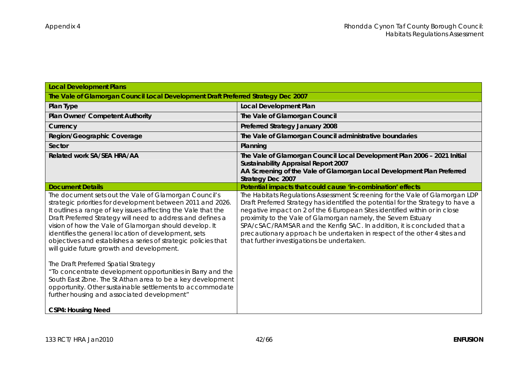| <b>Local Development Plans</b>                                                                                                                                                                                                                                                                                                                                                                                                                                                        |                                                                                                                                                                                                                                                                                                                                                                                                                                                                                                                     |
|---------------------------------------------------------------------------------------------------------------------------------------------------------------------------------------------------------------------------------------------------------------------------------------------------------------------------------------------------------------------------------------------------------------------------------------------------------------------------------------|---------------------------------------------------------------------------------------------------------------------------------------------------------------------------------------------------------------------------------------------------------------------------------------------------------------------------------------------------------------------------------------------------------------------------------------------------------------------------------------------------------------------|
| The Vale of Glamorgan Council Local Development Draft Preferred Strategy Dec 2007                                                                                                                                                                                                                                                                                                                                                                                                     |                                                                                                                                                                                                                                                                                                                                                                                                                                                                                                                     |
| Plan Type                                                                                                                                                                                                                                                                                                                                                                                                                                                                             | Local Development Plan                                                                                                                                                                                                                                                                                                                                                                                                                                                                                              |
| Plan Owner/ Competent Authority                                                                                                                                                                                                                                                                                                                                                                                                                                                       | The Vale of Glamorgan Council                                                                                                                                                                                                                                                                                                                                                                                                                                                                                       |
| Currency                                                                                                                                                                                                                                                                                                                                                                                                                                                                              | Preferred Strategy January 2008                                                                                                                                                                                                                                                                                                                                                                                                                                                                                     |
| Region/Geographic Coverage                                                                                                                                                                                                                                                                                                                                                                                                                                                            | The Vale of Glamorgan Council administrative boundaries                                                                                                                                                                                                                                                                                                                                                                                                                                                             |
| Sector                                                                                                                                                                                                                                                                                                                                                                                                                                                                                | Planning                                                                                                                                                                                                                                                                                                                                                                                                                                                                                                            |
| Related work SA/SEA HRA/AA                                                                                                                                                                                                                                                                                                                                                                                                                                                            | The Vale of Glamorgan Council Local Development Plan 2006 - 2021 Initial<br>Sustainability Appraisal Report 2007<br>AA Screening of the Vale of Glamorgan Local Development Plan Preferred<br>Strategy Dec 2007                                                                                                                                                                                                                                                                                                     |
| <b>Document Details</b>                                                                                                                                                                                                                                                                                                                                                                                                                                                               | Potential impacts that could cause 'in-combination' effects                                                                                                                                                                                                                                                                                                                                                                                                                                                         |
| The document sets out the Vale of Glamorgan Council's<br>strategic priorities for development between 2011 and 2026.<br>It outlines a range of key issues affecting the Vale that the<br>Draft Preferred Strategy will need to address and defines a<br>vision of how the Vale of Glamorgan should develop. It<br>identifies the general location of development, sets<br>objectives and establishes a series of strategic policies that<br>will guide future growth and development. | The Habitats Regulations Assessment Screening for the Vale of Glamorgan LDP<br>Draft Preferred Strategy has identified the potential for the Strategy to have a<br>negative impact on 2 of the 6 European Sites identified within or in close<br>proximity to the Vale of Glamorgan namely, the Severn Estuary<br>SPA/cSAC/RAMSAR and the Kenfig SAC. In addition, it is concluded that a<br>precautionary approach be undertaken in respect of the other 4 sites and<br>that further investigations be undertaken. |
| The Draft Preferred Spatial Strategy<br>"To concentrate development opportunities in Barry and the<br>South East Zone. The St Athan area to be a key development<br>opportunity. Other sustainable settlements to accommodate<br>further housing and associated development"<br><b>CSP4: Housing Need</b>                                                                                                                                                                             |                                                                                                                                                                                                                                                                                                                                                                                                                                                                                                                     |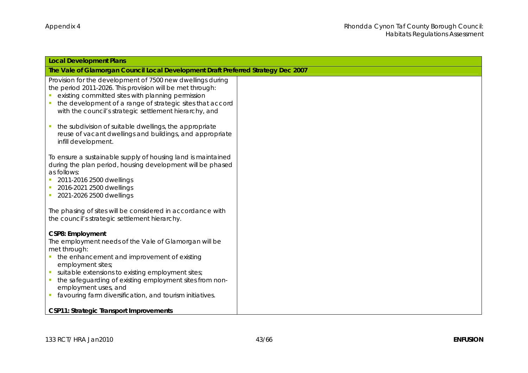| Local Development Plans                                                                                                                                                                                                                                                                                                                                                |  |
|------------------------------------------------------------------------------------------------------------------------------------------------------------------------------------------------------------------------------------------------------------------------------------------------------------------------------------------------------------------------|--|
| The Vale of Glamorgan Council Local Development Draft Preferred Strategy Dec 2007                                                                                                                                                                                                                                                                                      |  |
| Provision for the development of 7500 new dwellings during<br>the period 2011-2026. This provision will be met through:<br>existing committed sites with planning permission<br>the development of a range of strategic sites that accord<br>with the council's strategic settlement hierarchy, and                                                                    |  |
| the subdivision of suitable dwellings, the appropriate<br>reuse of vacant dwellings and buildings, and appropriate<br>infill development.                                                                                                                                                                                                                              |  |
| To ensure a sustainable supply of housing land is maintained<br>during the plan period, housing development will be phased<br>as follows:<br>2011-2016 2500 dwellings<br>2016-2021 2500 dwellings<br>$\mathcal{L}_{\mathcal{A}}$<br>2021-2026 2500 dwellings<br>ш                                                                                                      |  |
| The phasing of sites will be considered in accordance with<br>the council's strategic settlement hierarchy.                                                                                                                                                                                                                                                            |  |
| CSP8: Employment<br>The employment needs of the Vale of Glamorgan will be<br>met through:<br>the enhancement and improvement of existing<br>employment sites;<br>suitable extensions to existing employment sites;<br>the safeguarding of existing employment sites from non-<br>employment uses, and<br>favouring farm diversification, and tourism initiatives.<br>п |  |
| CSP11: Strategic Transport Improvements                                                                                                                                                                                                                                                                                                                                |  |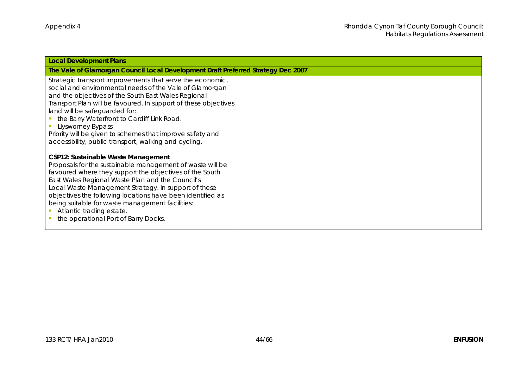| <b>Local Development Plans</b>                                                                                                                                                                                                                                                                                                                                                                                                                                                    |  |  |
|-----------------------------------------------------------------------------------------------------------------------------------------------------------------------------------------------------------------------------------------------------------------------------------------------------------------------------------------------------------------------------------------------------------------------------------------------------------------------------------|--|--|
| The Vale of Glamorgan Council Local Development Draft Preferred Strategy Dec 2007                                                                                                                                                                                                                                                                                                                                                                                                 |  |  |
| Strategic transport improvements that serve the economic,<br>social and environmental needs of the Vale of Glamorgan<br>and the objectives of the South East Wales Regional<br>Transport Plan will be favoured. In support of these objectives<br>land will be safeguarded for:<br>• the Barry Waterfront to Cardiff Link Road.<br><b>Llysworney Bypass</b><br>Priority will be given to schemes that improve safety and<br>accessibility, public transport, walking and cycling. |  |  |
| CSP12: Sustainable Waste Management<br>Proposals for the sustainable management of waste will be<br>favoured where they support the objectives of the South<br>East Wales Regional Waste Plan and the Council's<br>Local Waste Management Strategy. In support of these<br>objectives the following locations have been identified as<br>being suitable for waste management facilities:<br>Atlantic trading estate.<br>the operational Port of Barry Docks.                      |  |  |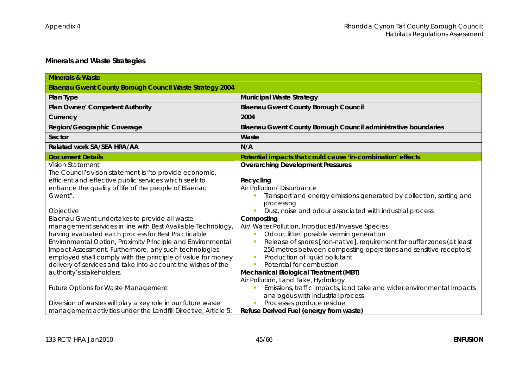## **Minerals and Waste Strategies**

| <b>Minerals &amp; Waste</b>                                                                                                                                                                                                                                                                                                                                                                                                                                                                                               |                                                                                                                                                                                                                                                                                                                                                                                                                                                                                                     |
|---------------------------------------------------------------------------------------------------------------------------------------------------------------------------------------------------------------------------------------------------------------------------------------------------------------------------------------------------------------------------------------------------------------------------------------------------------------------------------------------------------------------------|-----------------------------------------------------------------------------------------------------------------------------------------------------------------------------------------------------------------------------------------------------------------------------------------------------------------------------------------------------------------------------------------------------------------------------------------------------------------------------------------------------|
| Blaenau Gwent County Borough Council Waste Strategy 2004                                                                                                                                                                                                                                                                                                                                                                                                                                                                  |                                                                                                                                                                                                                                                                                                                                                                                                                                                                                                     |
| Plan Type                                                                                                                                                                                                                                                                                                                                                                                                                                                                                                                 | Municipal Waste Strategy                                                                                                                                                                                                                                                                                                                                                                                                                                                                            |
| Plan Owner/ Competent Authority                                                                                                                                                                                                                                                                                                                                                                                                                                                                                           | <b>Blaenau Gwent County Borough Council</b>                                                                                                                                                                                                                                                                                                                                                                                                                                                         |
| Currency                                                                                                                                                                                                                                                                                                                                                                                                                                                                                                                  | 2004                                                                                                                                                                                                                                                                                                                                                                                                                                                                                                |
| Region/Geographic Coverage                                                                                                                                                                                                                                                                                                                                                                                                                                                                                                | Blaenau Gwent County Borough Council administrative boundaries                                                                                                                                                                                                                                                                                                                                                                                                                                      |
| Sector                                                                                                                                                                                                                                                                                                                                                                                                                                                                                                                    | Waste                                                                                                                                                                                                                                                                                                                                                                                                                                                                                               |
| Related work SA/SEA HRA/AA                                                                                                                                                                                                                                                                                                                                                                                                                                                                                                | N/A                                                                                                                                                                                                                                                                                                                                                                                                                                                                                                 |
| <b>Document Details</b>                                                                                                                                                                                                                                                                                                                                                                                                                                                                                                   | Potential impacts that could cause 'in-combination' effects                                                                                                                                                                                                                                                                                                                                                                                                                                         |
| <b>Vision Statement</b><br>The Council's vision statement is "to provide economic,<br>efficient and effective public services which seek to<br>enhance the quality of life of the people of Blaenau<br>Gwent".<br>Objective<br>Blaenau Gwent undertakes to provide all waste<br>management services in line with Best Available Technology,<br>having evaluated each process for Best Practicable<br>Environmental Option, Proximity Principle and Environmental<br>Impact Assessment. Furthermore, any such technologies | <b>Overarching Development Pressures</b><br>Recycling<br>Air Pollution/ Disturbance<br>Transport and energy emissions generated by collection, sorting and<br>processing<br>Dust, noise and odour associated with industrial process<br>Composting<br>Air/ Water Pollution, Introduced/Invasive Species<br>Odour, litter, possible vermin generation<br>Release of spores [non-native], requirement for buffer zones (at least<br>250 metres between composting operations and sensitive receptors) |
| employed shall comply with the principle of value for money<br>delivery of services and take into account the wishes of the<br>authority's stakeholders.<br><b>Future Options for Waste Management</b>                                                                                                                                                                                                                                                                                                                    | Production of liquid pollutant<br>Potential for combustion<br>Mechanical Biological Treatment (MBT)<br>Air Pollution, Land Take, Hydrology<br>Emissions, traffic impacts, land take and wider environmental impacts<br>analogous with industrial process                                                                                                                                                                                                                                            |
| Diversion of wastes will play a key role in our future waste<br>management activities under the Landfill Directive, Article 5.                                                                                                                                                                                                                                                                                                                                                                                            | Processes produce residue<br>Refuse Derived Fuel (energy from waste)                                                                                                                                                                                                                                                                                                                                                                                                                                |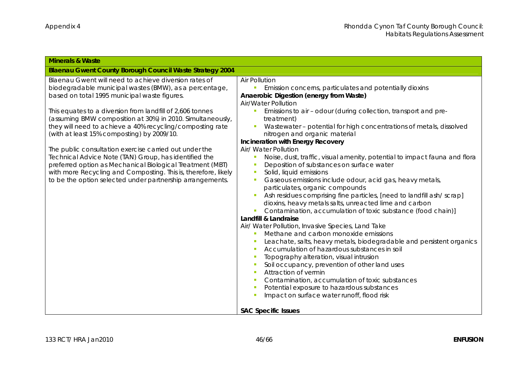| Minerals & Waste                                                                                                                                                                                                                                                                                                                                                                                                                                                                                                                                                                                                                                                                                                     |                                                                                                                                                                                                                                                                                                                                                                                                                                                                                                                                                                                                                                                                                                                                                                                                                                                                                                                                                                                                                                                                                                                                                                                                                                                                                                                                                                                                                |
|----------------------------------------------------------------------------------------------------------------------------------------------------------------------------------------------------------------------------------------------------------------------------------------------------------------------------------------------------------------------------------------------------------------------------------------------------------------------------------------------------------------------------------------------------------------------------------------------------------------------------------------------------------------------------------------------------------------------|----------------------------------------------------------------------------------------------------------------------------------------------------------------------------------------------------------------------------------------------------------------------------------------------------------------------------------------------------------------------------------------------------------------------------------------------------------------------------------------------------------------------------------------------------------------------------------------------------------------------------------------------------------------------------------------------------------------------------------------------------------------------------------------------------------------------------------------------------------------------------------------------------------------------------------------------------------------------------------------------------------------------------------------------------------------------------------------------------------------------------------------------------------------------------------------------------------------------------------------------------------------------------------------------------------------------------------------------------------------------------------------------------------------|
| Blaenau Gwent County Borough Council Waste Strategy 2004                                                                                                                                                                                                                                                                                                                                                                                                                                                                                                                                                                                                                                                             |                                                                                                                                                                                                                                                                                                                                                                                                                                                                                                                                                                                                                                                                                                                                                                                                                                                                                                                                                                                                                                                                                                                                                                                                                                                                                                                                                                                                                |
| Blaenau Gwent will need to achieve diversion rates of<br>biodegradable municipal wastes (BMW), as a percentage,<br>based on total 1995 municipal waste figures.<br>This equates to a diversion from landfill of 2,606 tonnes<br>(assuming BMW composition at 30%) in 2010. Simultaneously,<br>they will need to achieve a 40% recycling/composting rate<br>(with at least 15% composting) by 2009/10.<br>The public consultation exercise carried out under the<br>Technical Advice Note (TAN) Group, has identified the<br>preferred option as Mechanical Biological Treatment (MBT)<br>with more Recycling and Composting. This is, therefore, likely<br>to be the option selected under partnership arrangements. | <b>Air Pollution</b><br>Emission concerns, particulates and potentially dioxins<br>$\mathcal{L}_{\mathcal{A}}$<br>Anaerobic Digestion (energy from Waste)<br>Air/Water Pollution<br>Emissions to air - odour (during collection, transport and pre-<br>treatment)<br>Wastewater - potential for high concentrations of metals, dissolved<br>nitrogen and organic material<br>Incineration with Energy Recovery<br>Air/ Water Pollution<br>Noise, dust, traffic, visual amenity, potential to impact fauna and flora<br>Deposition of substances on surface water<br>Solid, liquid emissions<br>Gaseous emissions include odour, acid gas, heavy metals,<br>particulates, organic compounds<br>Ash residues comprising fine particles, [need to landfill ash/ scrap]<br>dioxins, heavy metals salts, unreacted lime and carbon<br>Contamination, accumulation of toxic substance (food chain)]<br>Landfill & Landraise<br>Air/ Water Pollution, Invasive Species, Land Take<br>Methane and carbon monoxide emissions<br>Leachate, salts, heavy metals, biodegradable and persistent organics<br>Accumulation of hazardous substances in soil<br>Topography alteration, visual intrusion<br>Soil occupancy, prevention of other land uses<br>Attraction of vermin<br>Contamination, accumulation of toxic substances<br>Potential exposure to hazardous substances<br>Impact on surface water runoff, flood risk |
|                                                                                                                                                                                                                                                                                                                                                                                                                                                                                                                                                                                                                                                                                                                      | <b>SAC Specific Issues</b>                                                                                                                                                                                                                                                                                                                                                                                                                                                                                                                                                                                                                                                                                                                                                                                                                                                                                                                                                                                                                                                                                                                                                                                                                                                                                                                                                                                     |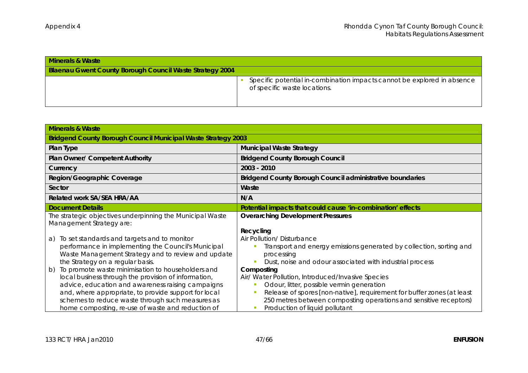| Minerals & Waste                                         |                                                                                                         |
|----------------------------------------------------------|---------------------------------------------------------------------------------------------------------|
| Blaenau Gwent County Borough Council Waste Strategy 2004 |                                                                                                         |
|                                                          | Specific potential in-combination impacts cannot be explored in absence<br>of specific waste locations. |

| <b>Minerals &amp; Waste</b>                                                                                                                                                                                                                                                                                                                                                                                                                                                                                                                 |                                                                                                                                                                                                                                                                                                                                                                                                                                                                                          |  |
|---------------------------------------------------------------------------------------------------------------------------------------------------------------------------------------------------------------------------------------------------------------------------------------------------------------------------------------------------------------------------------------------------------------------------------------------------------------------------------------------------------------------------------------------|------------------------------------------------------------------------------------------------------------------------------------------------------------------------------------------------------------------------------------------------------------------------------------------------------------------------------------------------------------------------------------------------------------------------------------------------------------------------------------------|--|
| Bridgend County Borough Council Municipal Waste Strategy 2003                                                                                                                                                                                                                                                                                                                                                                                                                                                                               |                                                                                                                                                                                                                                                                                                                                                                                                                                                                                          |  |
| Plan Type                                                                                                                                                                                                                                                                                                                                                                                                                                                                                                                                   | Municipal Waste Strategy                                                                                                                                                                                                                                                                                                                                                                                                                                                                 |  |
| Plan Owner/ Competent Authority                                                                                                                                                                                                                                                                                                                                                                                                                                                                                                             | <b>Bridgend County Borough Council</b>                                                                                                                                                                                                                                                                                                                                                                                                                                                   |  |
| Currency                                                                                                                                                                                                                                                                                                                                                                                                                                                                                                                                    | 2003 - 2010                                                                                                                                                                                                                                                                                                                                                                                                                                                                              |  |
| Region/Geographic Coverage                                                                                                                                                                                                                                                                                                                                                                                                                                                                                                                  | Bridgend County Borough Council administrative boundaries                                                                                                                                                                                                                                                                                                                                                                                                                                |  |
| Sector                                                                                                                                                                                                                                                                                                                                                                                                                                                                                                                                      | Waste                                                                                                                                                                                                                                                                                                                                                                                                                                                                                    |  |
| Related work SA/SEA HRA/AA                                                                                                                                                                                                                                                                                                                                                                                                                                                                                                                  | N/A                                                                                                                                                                                                                                                                                                                                                                                                                                                                                      |  |
| <b>Document Details</b>                                                                                                                                                                                                                                                                                                                                                                                                                                                                                                                     | Potential impacts that could cause 'in-combination' effects                                                                                                                                                                                                                                                                                                                                                                                                                              |  |
| The strategic objectives underpinning the Municipal Waste<br>Management Strategy are:                                                                                                                                                                                                                                                                                                                                                                                                                                                       | <b>Overarching Development Pressures</b>                                                                                                                                                                                                                                                                                                                                                                                                                                                 |  |
| To set standards and targets and to monitor<br>a)<br>performance in implementing the Council's Municipal<br>Waste Management Strategy and to review and update<br>the Strategy on a regular basis.<br>To promote waste minimisation to householders and<br>b)<br>local business through the provision of information,<br>advice, education and awareness raising campaigns<br>and, where appropriate, to provide support for local<br>schemes to reduce waste through such measures as<br>home composting, re-use of waste and reduction of | Recycling<br>Air Pollution/Disturbance<br>Transport and energy emissions generated by collection, sorting and<br>processing<br>Dust, noise and odour associated with industrial process<br>Composting<br>Air/ Water Pollution, Introduced/Invasive Species<br>Odour, litter, possible vermin generation<br>Release of spores [non-native], requirement for buffer zones (at least<br>250 metres between composting operations and sensitive receptors)<br>Production of liquid pollutant |  |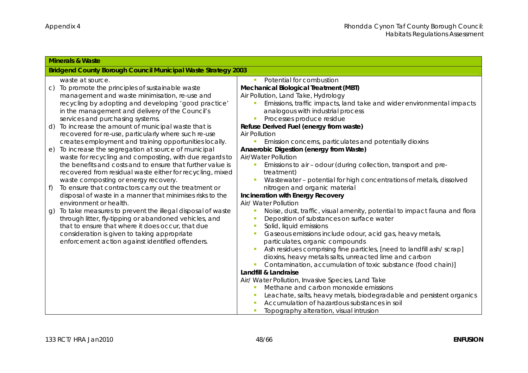| <b>Minerals &amp; Waste</b>                                                                                           |                                                                                                                        |  |
|-----------------------------------------------------------------------------------------------------------------------|------------------------------------------------------------------------------------------------------------------------|--|
| Bridgend County Borough Council Municipal Waste Strategy 2003                                                         |                                                                                                                        |  |
| waste at source.<br>To promote the principles of sustainable waste<br>$\mathsf{C}$                                    | Potential for combustion<br>$\overline{\phantom{a}}$<br>Mechanical Biological Treatment (MBT)                          |  |
| management and waste minimisation, re-use and                                                                         | Air Pollution, Land Take, Hydrology                                                                                    |  |
| recycling by adopting and developing 'good practice'                                                                  | Emissions, traffic impacts, land take and wider environmental impacts                                                  |  |
| in the management and delivery of the Council's                                                                       | analogous with industrial process                                                                                      |  |
| services and purchasing systems.                                                                                      | Processes produce residue                                                                                              |  |
| To increase the amount of municipal waste that is<br>d)                                                               | Refuse Derived Fuel (energy from waste)                                                                                |  |
| recovered for re-use, particularly where such re-use                                                                  | <b>Air Pollution</b>                                                                                                   |  |
| creates employment and training opportunities locally.                                                                | Emission concerns, particulates and potentially dioxins                                                                |  |
| To increase the segregation at source of municipal<br>e)                                                              | Anaerobic Digestion (energy from Waste)                                                                                |  |
| waste for recycling and composting, with due regards to<br>the benefits and costs and to ensure that further value is | Air/Water Pollution                                                                                                    |  |
| recovered from residual waste either for recycling, mixed                                                             | Emissions to air - odour (during collection, transport and pre-<br>treatment)                                          |  |
| waste composting or energy recovery.                                                                                  | Wastewater - potential for high concentrations of metals, dissolved                                                    |  |
| To ensure that contractors carry out the treatment or<br>f)                                                           | nitrogen and organic material                                                                                          |  |
| disposal of waste in a manner that minimises risks to the                                                             | Incineration with Energy Recovery                                                                                      |  |
| environment or health.                                                                                                | Air/ Water Pollution                                                                                                   |  |
| To take measures to prevent the illegal disposal of waste<br>g)                                                       | Noise, dust, traffic, visual amenity, potential to impact fauna and flora                                              |  |
| through litter, fly-tipping or abandoned vehicles, and                                                                | Deposition of substances on surface water                                                                              |  |
| that to ensure that where it does occur, that due                                                                     | Solid, liquid emissions                                                                                                |  |
| consideration is given to taking appropriate                                                                          | Gaseous emissions include odour, acid gas, heavy metals,                                                               |  |
| enforcement action against identified offenders.                                                                      | particulates, organic compounds                                                                                        |  |
|                                                                                                                       | Ash residues comprising fine particles, [need to landfill ash/scrap]                                                   |  |
|                                                                                                                       | dioxins, heavy metals salts, unreacted lime and carbon<br>Contamination, accumulation of toxic substance (food chain)] |  |
|                                                                                                                       | Landfill & Landraise                                                                                                   |  |
|                                                                                                                       | Air/ Water Pollution, Invasive Species, Land Take                                                                      |  |
|                                                                                                                       | Methane and carbon monoxide emissions                                                                                  |  |
|                                                                                                                       | Leachate, salts, heavy metals, biodegradable and persistent organics                                                   |  |
|                                                                                                                       | Accumulation of hazardous substances in soil                                                                           |  |
|                                                                                                                       | Topography alteration, visual intrusion                                                                                |  |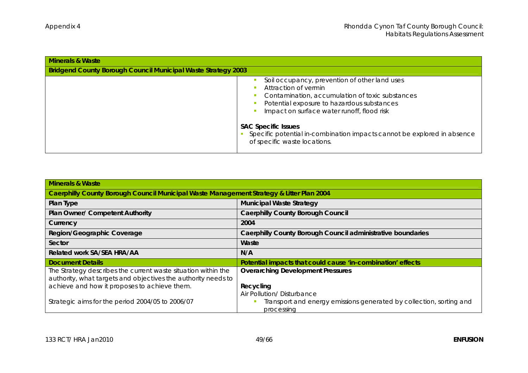| <b>Minerals &amp; Waste</b>                                   |                                                                                                                                                                                                                      |
|---------------------------------------------------------------|----------------------------------------------------------------------------------------------------------------------------------------------------------------------------------------------------------------------|
| Bridgend County Borough Council Municipal Waste Strategy 2003 |                                                                                                                                                                                                                      |
|                                                               | Soil occupancy, prevention of other land uses<br>Attraction of vermin<br>Contamination, accumulation of toxic substances<br>Potential exposure to hazardous substances<br>Impact on surface water runoff, flood risk |
|                                                               | <b>SAC Specific Issues</b><br>Specific potential in-combination impacts cannot be explored in absence<br>of specific waste locations.                                                                                |

| <b>Minerals &amp; Waste</b>                                                                                                    |                                                                                   |  |
|--------------------------------------------------------------------------------------------------------------------------------|-----------------------------------------------------------------------------------|--|
| Caerphilly County Borough Council Municipal Waste Management Strategy & Litter Plan 2004                                       |                                                                                   |  |
| Plan Type                                                                                                                      | Municipal Waste Strategy                                                          |  |
| Plan Owner/ Competent Authority                                                                                                | Caerphilly County Borough Council                                                 |  |
| Currency                                                                                                                       | 2004                                                                              |  |
| Region/Geographic Coverage                                                                                                     | Caerphilly County Borough Council administrative boundaries                       |  |
| Sector                                                                                                                         | Waste                                                                             |  |
| Related work SA/SEA HRA/AA                                                                                                     | N/A                                                                               |  |
| <b>Document Details</b>                                                                                                        | Potential impacts that could cause 'in-combination' effects                       |  |
| The Strategy describes the current waste situation within the<br>authority, what targets and objectives the authority needs to | <b>Overarching Development Pressures</b>                                          |  |
| achieve and how it proposes to achieve them.                                                                                   | Recycling                                                                         |  |
|                                                                                                                                | Air Pollution/ Disturbance                                                        |  |
| Strategic aims for the period 2004/05 to 2006/07                                                                               | Transport and energy emissions generated by collection, sorting and<br>processing |  |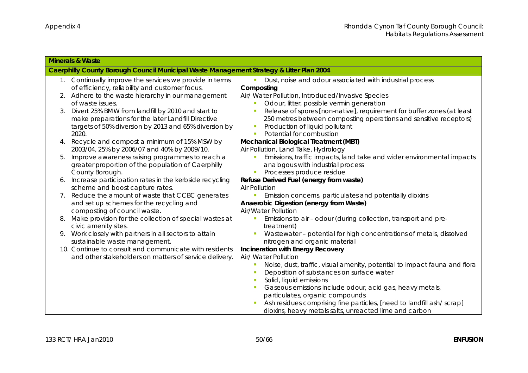| <b>Minerals &amp; Waste</b>                                                              |                                                                                                    |  |
|------------------------------------------------------------------------------------------|----------------------------------------------------------------------------------------------------|--|
| Caerphilly County Borough Council Municipal Waste Management Strategy & Litter Plan 2004 |                                                                                                    |  |
| 1. Continually improve the services we provide in terms                                  | Dust, noise and odour associated with industrial process<br>×                                      |  |
| of efficiency, reliability and customer focus.                                           | Composting                                                                                         |  |
| 2. Adhere to the waste hierarchy in our management                                       | Air/ Water Pollution, Introduced/Invasive Species                                                  |  |
| of waste issues.                                                                         | Odour, litter, possible vermin generation                                                          |  |
| Divert 25% BMW from landfill by 2010 and start to<br>3.                                  | Release of spores [non-native], requirement for buffer zones (at least                             |  |
| make preparations for the later Landfill Directive                                       | 250 metres between composting operations and sensitive receptors)                                  |  |
| targets of 50% diversion by 2013 and 65% diversion by                                    | Production of liquid pollutant<br>$\blacksquare$                                                   |  |
| 2020.                                                                                    | Potential for combustion<br>г                                                                      |  |
| Recycle and compost a minimum of 15% MSW by<br>4.                                        | Mechanical Biological Treatment (MBT)                                                              |  |
| 2003/04, 25% by 2006/07 and 40% by 2009/10.                                              | Air Pollution, Land Take, Hydrology                                                                |  |
| Improve awareness raising programmes to reach a<br>5.                                    | Emissions, traffic impacts, land take and wider environmental impacts                              |  |
| greater proportion of the population of Caerphilly                                       | analogous with industrial process                                                                  |  |
| County Borough.                                                                          | Processes produce residue                                                                          |  |
| Increase participation rates in the kerbside recycling<br>6.                             | Refuse Derived Fuel (energy from waste)<br><b>Air Pollution</b>                                    |  |
| scheme and boost capture rates.<br>Reduce the amount of waste that CCBC generates        |                                                                                                    |  |
| and set up schemes for the recycling and                                                 | Emission concerns, particulates and potentially dioxins<br>Anaerobic Digestion (energy from Waste) |  |
| composting of council waste.                                                             | Air/Water Pollution                                                                                |  |
| Make provision for the collection of special wastes at<br>8.                             | Emissions to air - odour (during collection, transport and pre-<br>п                               |  |
| civic amenity sites.                                                                     | treatment)                                                                                         |  |
| Work closely with partners in all sectors to attain<br>9.                                | Wastewater - potential for high concentrations of metals, dissolved<br>×                           |  |
| sustainable waste management.                                                            | nitrogen and organic material                                                                      |  |
| 10. Continue to consult and communicate with residents                                   | Incineration with Energy Recovery                                                                  |  |
| and other stakeholders on matters of service delivery.                                   | Air/ Water Pollution                                                                               |  |
|                                                                                          | Noise, dust, traffic, visual amenity, potential to impact fauna and flora<br>п                     |  |
|                                                                                          | Deposition of substances on surface water<br>Е                                                     |  |
|                                                                                          | Solid, liquid emissions<br>Е                                                                       |  |
|                                                                                          | Gaseous emissions include odour, acid gas, heavy metals,                                           |  |
|                                                                                          | particulates, organic compounds                                                                    |  |
|                                                                                          | Ash residues comprising fine particles, [need to landfill ash/ scrap]                              |  |
|                                                                                          | dioxins, heavy metals salts, unreacted lime and carbon                                             |  |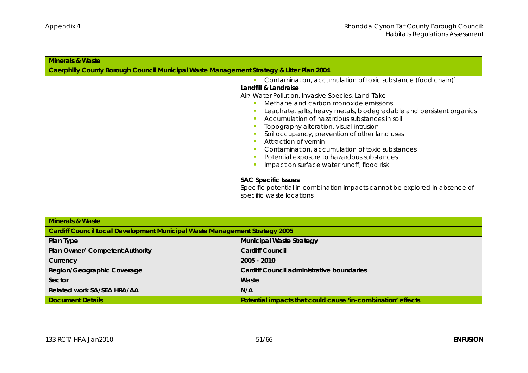| <b>Minerals &amp; Waste</b>                                                              |                                                                                                                                                                                                                                                                                                                                                                                                                                                                                                                                                                                                             |
|------------------------------------------------------------------------------------------|-------------------------------------------------------------------------------------------------------------------------------------------------------------------------------------------------------------------------------------------------------------------------------------------------------------------------------------------------------------------------------------------------------------------------------------------------------------------------------------------------------------------------------------------------------------------------------------------------------------|
| Caerphilly County Borough Council Municipal Waste Management Strategy & Litter Plan 2004 |                                                                                                                                                                                                                                                                                                                                                                                                                                                                                                                                                                                                             |
|                                                                                          | Contamination, accumulation of toxic substance (food chain)]<br>Landfill & Landraise<br>Air/ Water Pollution, Invasive Species, Land Take<br>Methane and carbon monoxide emissions<br>Leachate, salts, heavy metals, biodegradable and persistent organics<br>Accumulation of hazardous substances in soil<br>Topography alteration, visual intrusion<br>Soil occupancy, prevention of other land uses<br>Attraction of vermin<br>Contamination, accumulation of toxic substances<br>Potential exposure to hazardous substances<br>Impact on surface water runoff, flood risk<br><b>SAC Specific Issues</b> |
|                                                                                          | Specific potential in-combination impacts cannot be explored in absence of<br>specific waste locations.                                                                                                                                                                                                                                                                                                                                                                                                                                                                                                     |

| <b>Minerals &amp; Waste</b>                                                |                                                             |
|----------------------------------------------------------------------------|-------------------------------------------------------------|
| Cardiff Council Local Development Municipal Waste Management Strategy 2005 |                                                             |
| Plan Type                                                                  | Municipal Waste Strategy                                    |
| Plan Owner/ Competent Authority                                            | <b>Cardiff Council</b>                                      |
| Currency                                                                   | $2005 - 2010$                                               |
| Region/Geographic Coverage                                                 | Cardiff Council administrative boundaries                   |
| Sector                                                                     | Waste                                                       |
| Related work SA/SEA HRA/AA                                                 | N/A                                                         |
| <b>Document Details</b>                                                    | Potential impacts that could cause 'in-combination' effects |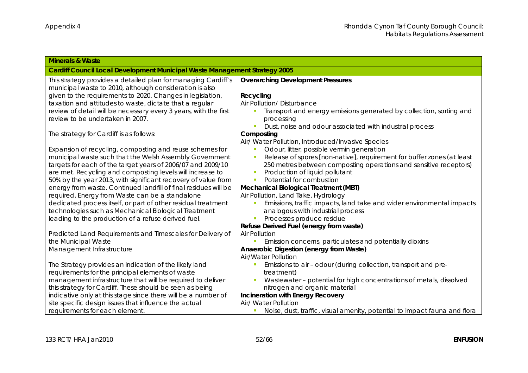| <b>Minerals &amp; Waste</b>                                                |                                                                           |  |
|----------------------------------------------------------------------------|---------------------------------------------------------------------------|--|
| Cardiff Council Local Development Municipal Waste Management Strategy 2005 |                                                                           |  |
| This strategy provides a detailed plan for managing Cardiff's              | <b>Overarching Development Pressures</b>                                  |  |
| municipal waste to 2010, although consideration is also                    |                                                                           |  |
| given to the requirements to 2020. Changes in legislation,                 | Recycling                                                                 |  |
| taxation and attitudes to waste, dictate that a regular                    | Air Pollution/ Disturbance                                                |  |
| review of detail will be necessary every 3 years, with the first           | Transport and energy emissions generated by collection, sorting and       |  |
| review to be undertaken in 2007.                                           | processing                                                                |  |
|                                                                            | Dust, noise and odour associated with industrial process                  |  |
| The strategy for Cardiff is as follows:                                    | Composting                                                                |  |
|                                                                            | Air/ Water Pollution, Introduced/Invasive Species                         |  |
| Expansion of recycling, composting and reuse schemes for                   | Odour, litter, possible vermin generation                                 |  |
| municipal waste such that the Welsh Assembly Government                    | Release of spores [non-native], requirement for buffer zones (at least    |  |
| targets for each of the target years of 2006/07 and 2009/10                | 250 metres between composting operations and sensitive receptors)         |  |
| are met. Recycling and composting levels will increase to                  | Production of liquid pollutant                                            |  |
| 50% by the year 2013, with significant recovery of value from              | Potential for combustion                                                  |  |
| energy from waste. Continued landfill of final residues will be            | Mechanical Biological Treatment (MBT)                                     |  |
| required. Energy from Waste can be a standalone                            | Air Pollution, Land Take, Hydrology                                       |  |
| dedicated process itself, or part of other residual treatment              | Emissions, traffic impacts, land take and wider environmental impacts     |  |
| technologies such as Mechanical Biological Treatment                       | analogous with industrial process                                         |  |
| leading to the production of a refuse derived fuel.                        | Processes produce residue                                                 |  |
|                                                                            | Refuse Derived Fuel (energy from waste)                                   |  |
| Predicted Land Requirements and Timescales for Delivery of                 | <b>Air Pollution</b>                                                      |  |
| the Municipal Waste                                                        | Emission concerns, particulates and potentially dioxins                   |  |
| Management Infrastructure                                                  | Anaerobic Digestion (energy from Waste)                                   |  |
|                                                                            | Air/Water Pollution                                                       |  |
| The Strategy provides an indication of the likely land                     | Emissions to air - odour (during collection, transport and pre-           |  |
| requirements for the principal elements of waste                           | treatment)                                                                |  |
| management infrastructure that will be required to deliver                 | Wastewater - potential for high concentrations of metals, dissolved       |  |
| this strategy for Cardiff. These should be seen as being                   | nitrogen and organic material                                             |  |
| indicative only at this stage since there will be a number of              | Incineration with Energy Recovery                                         |  |
| site specific design issues that influence the actual                      | Air/ Water Pollution                                                      |  |
| requirements for each element.                                             | Noise, dust, traffic, visual amenity, potential to impact fauna and flora |  |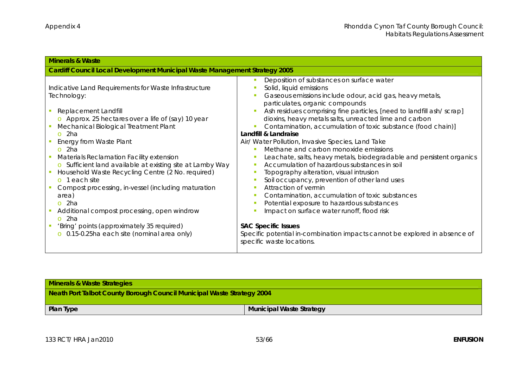| <b>Minerals &amp; Waste</b>                                                                                                                                                                                                                                                                                                                                                                                                                                                                                                                                                                                                                                                      |                                                                                                                                                                                                                                                                                                                                                                                                                                                                                                                                                                                                                                                                                                                                                                                                                                                                                                                                                                                                                                  |
|----------------------------------------------------------------------------------------------------------------------------------------------------------------------------------------------------------------------------------------------------------------------------------------------------------------------------------------------------------------------------------------------------------------------------------------------------------------------------------------------------------------------------------------------------------------------------------------------------------------------------------------------------------------------------------|----------------------------------------------------------------------------------------------------------------------------------------------------------------------------------------------------------------------------------------------------------------------------------------------------------------------------------------------------------------------------------------------------------------------------------------------------------------------------------------------------------------------------------------------------------------------------------------------------------------------------------------------------------------------------------------------------------------------------------------------------------------------------------------------------------------------------------------------------------------------------------------------------------------------------------------------------------------------------------------------------------------------------------|
| Cardiff Council Local Development Municipal Waste Management Strategy 2005                                                                                                                                                                                                                                                                                                                                                                                                                                                                                                                                                                                                       |                                                                                                                                                                                                                                                                                                                                                                                                                                                                                                                                                                                                                                                                                                                                                                                                                                                                                                                                                                                                                                  |
| Indicative Land Requirements for Waste Infrastructure<br>Technology:<br>Replacement Landfill<br>o Approx. 25 hectares over a life of (say) 10 year<br>Mechanical Biological Treatment Plant<br>$o$ 2ha<br>Energy from Waste Plant<br>$o$ 2ha<br>Materials Reclamation Facility extension<br>Sufficient land available at existing site at Lamby Way<br>$\overline{O}$<br>Household Waste Recycling Centre (2 No. required)<br>o 1 each site<br>Compost processing, in-vessel (including maturation<br>area)<br>2ha<br>$\circ$<br>Additional compost processing, open windrow<br>o 2ha<br>'Bring' points (approximately 35 required)<br>0.15-0.25ha each site (nominal area only) | Deposition of substances on surface water<br>Solid, liquid emissions<br>Gaseous emissions include odour, acid gas, heavy metals,<br>particulates, organic compounds<br>Ash residues comprising fine particles, [need to landfill ash/ scrap]<br>dioxins, heavy metals salts, unreacted lime and carbon<br>Contamination, accumulation of toxic substance (food chain)]<br>Landfill & Landraise<br>Air/ Water Pollution, Invasive Species, Land Take<br>Methane and carbon monoxide emissions<br>Leachate, salts, heavy metals, biodegradable and persistent organics<br>Accumulation of hazardous substances in soil<br>Topography alteration, visual intrusion<br>Soil occupancy, prevention of other land uses<br>Attraction of vermin<br>Contamination, accumulation of toxic substances<br>Potential exposure to hazardous substances<br>Impact on surface water runoff, flood risk<br><b>SAC Specific Issues</b><br>Specific potential in-combination impacts cannot be explored in absence of<br>specific waste locations. |

| Minerals & Waste Strategies                                            |                          |
|------------------------------------------------------------------------|--------------------------|
| Neath Port Talbot County Borough Council Municipal Waste Strategy 2004 |                          |
| Plan Type                                                              | Municipal Waste Strategy |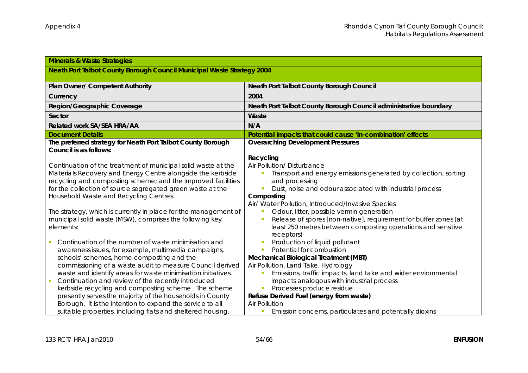| <b>Minerals &amp; Waste Strategies</b>                                                |                                                                  |  |
|---------------------------------------------------------------------------------------|------------------------------------------------------------------|--|
| Neath Port Talbot County Borough Council Municipal Waste Strategy 2004                |                                                                  |  |
| Plan Owner/ Competent Authority                                                       | Neath Port Talbot County Borough Council                         |  |
| Currency                                                                              | 2004                                                             |  |
| Region/Geographic Coverage                                                            | Neath Port Talbot County Borough Council administrative boundary |  |
|                                                                                       |                                                                  |  |
| Sector                                                                                | Waste                                                            |  |
| Related work SA/SEA HRA/AA                                                            | N/A                                                              |  |
| <b>Document Details</b>                                                               | Potential impacts that could cause 'in-combination' effects      |  |
| The preferred strategy for Neath Port Talbot County Borough<br>Council is as follows: | <b>Overarching Development Pressures</b>                         |  |
|                                                                                       | Recycling                                                        |  |
| Continuation of the treatment of municipal solid waste at the                         | Air Pollution/ Disturbance                                       |  |
| Materials Recovery and Energy Centre alongside the kerbside                           | Transport and energy emissions generated by collection, sorting  |  |
| recycling and composting scheme; and the improved facilities                          | and processing                                                   |  |
| for the collection of source segregated green waste at the                            | Dust, noise and odour associated with industrial process         |  |
| Household Waste and Recycling Centres.                                                | Composting                                                       |  |
|                                                                                       | Air/ Water Pollution, Introduced/Invasive Species                |  |
| The strategy, which is currently in place for the management of                       | Odour, litter, possible vermin generation                        |  |
| municipal solid waste (MSW), comprises the following key                              | Release of spores [non-native], requirement for buffer zones (at |  |
| elements:                                                                             | least 250 metres between composting operations and sensitive     |  |
| Continuation of the number of waste minimisation and                                  | receptors)<br>Production of liquid pollutant                     |  |
| awareness issues, for example, multimedia campaigns,                                  | Potential for combustion                                         |  |
| schools' schemes, home-composting and the                                             | Mechanical Biological Treatment (MBT)                            |  |
| commissioning of a waste audit to measure Council derived                             | Air Pollution, Land Take, Hydrology                              |  |
| waste and identify areas for waste minimisation initiatives.                          | Emissions, traffic impacts, land take and wider environmental    |  |
| Continuation and review of the recently introduced                                    | impacts analogous with industrial process                        |  |
| kerbside recycling and composting scheme. The scheme                                  | Processes produce residue                                        |  |
| presently serves the majority of the households in County                             | Refuse Derived Fuel (energy from waste)                          |  |
| Borough. It is the intention to expand the service to all                             | <b>Air Pollution</b>                                             |  |
| suitable properties, including flats and sheltered housing                            | Emission concerns, particulates and potentially dioxins          |  |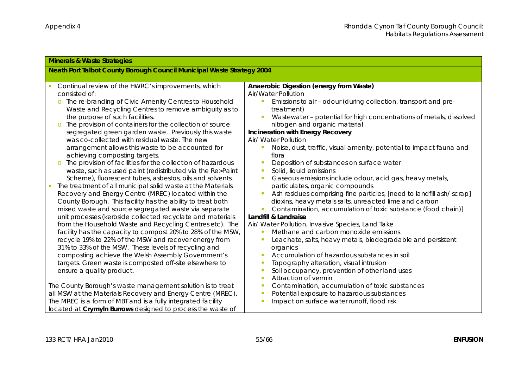| Minerals & Waste Strategies                                                                                         |                                                                                                                                 |
|---------------------------------------------------------------------------------------------------------------------|---------------------------------------------------------------------------------------------------------------------------------|
| Neath Port Talbot County Borough Council Municipal Waste Strategy 2004                                              |                                                                                                                                 |
|                                                                                                                     |                                                                                                                                 |
| Continual review of the HWRC's improvements, which                                                                  | Anaerobic Digestion (energy from Waste)                                                                                         |
| consisted of:                                                                                                       | Air/Water Pollution                                                                                                             |
| The re-branding of Civic Amenity Centres to Household<br>$\circ$                                                    | Emissions to air - odour (during collection, transport and pre-                                                                 |
| Waste and Recycling Centres to remove ambiguity as to                                                               | treatment)                                                                                                                      |
| the purpose of such facilities.                                                                                     | Wastewater - potential for high concentrations of metals, dissolved                                                             |
| The provision of containers for the collection of source<br>$\circ$                                                 | nitrogen and organic material                                                                                                   |
| segregated green garden waste. Previously this waste                                                                | Incineration with Energy Recovery                                                                                               |
| was co-collected with residual waste. The new                                                                       | Air/ Water Pollution                                                                                                            |
| arrangement allows this waste to be accounted for                                                                   | Noise, dust, traffic, visual amenity, potential to impact fauna and                                                             |
| achieving composting targets.                                                                                       | flora                                                                                                                           |
| The provision of facilities for the collection of hazardous<br>$\circ$                                              | Deposition of substances on surface water<br>$\mathcal{L}_{\mathcal{A}}$                                                        |
| waste, such as used paint (redistributed via the Re>Paint                                                           | Solid, liquid emissions<br>$\blacksquare$                                                                                       |
| Scheme), fluorescent tubes, asbestos, oils and solvents.                                                            | Gaseous emissions include odour, acid gas, heavy metals,                                                                        |
| The treatment of all municipal solid waste at the Materials                                                         | particulates, organic compounds<br>$\overline{\phantom{a}}$                                                                     |
| Recovery and Energy Centre (MREC) located within the<br>County Borough. This facility has the ability to treat both | Ash residues comprising fine particles, [need to landfill ash/ scrap]<br>dioxins, heavy metals salts, unreacted lime and carbon |
| mixed waste and source segregated waste via separate                                                                | Contamination, accumulation of toxic substance (food chain)]<br>$\mathcal{L}_{\mathcal{A}}$                                     |
| unit processes (kerbside collected recyclate and materials                                                          | Landfill & Landraise                                                                                                            |
| from the Household Waste and Recycling Centres etc). The                                                            | Air/ Water Pollution, Invasive Species, Land Take                                                                               |
| facility has the capacity to compost 20% to 28% of the MSW,                                                         | Methane and carbon monoxide emissions                                                                                           |
| recycle 19% to 22% of the MSW and recover energy from                                                               | Leachate, salts, heavy metals, biodegradable and persistent                                                                     |
| 31% to 33% of the MSW. These levels of recycling and                                                                | organics                                                                                                                        |
| composting achieve the Welsh Assembly Government's                                                                  | Accumulation of hazardous substances in soil                                                                                    |
| targets. Green waste is composted off-site elsewhere to                                                             | Topography alteration, visual intrusion                                                                                         |
| ensure a quality product.                                                                                           | Soil occupancy, prevention of other land uses                                                                                   |
|                                                                                                                     | Attraction of vermin                                                                                                            |
| The County Borough's waste management solution is to treat                                                          | Contamination, accumulation of toxic substances                                                                                 |
| all MSW at the Materials Recovery and Energy Centre (MREC).                                                         | Potential exposure to hazardous substances                                                                                      |
| The MREC is a form of MBT and is a fully integrated facility                                                        | Impact on surface water runoff, flood risk                                                                                      |
| located at Crymyln Burrows designed to process the waste of                                                         |                                                                                                                                 |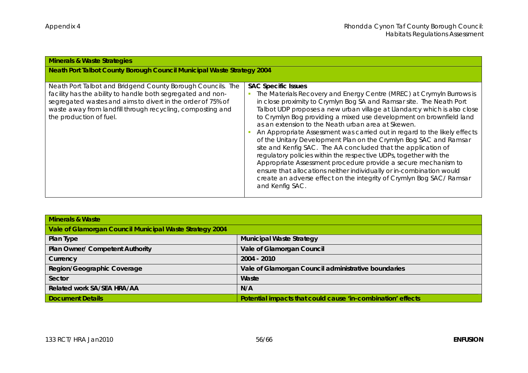| Minerals & Waste Strategies                                                                                                                                                                                                                                                        |                                                                                                                                                                                                                                                                                                                                                                                                                                                                                                                                                                                                                                                                                                                                                                                                                                                                                                                  |  |
|------------------------------------------------------------------------------------------------------------------------------------------------------------------------------------------------------------------------------------------------------------------------------------|------------------------------------------------------------------------------------------------------------------------------------------------------------------------------------------------------------------------------------------------------------------------------------------------------------------------------------------------------------------------------------------------------------------------------------------------------------------------------------------------------------------------------------------------------------------------------------------------------------------------------------------------------------------------------------------------------------------------------------------------------------------------------------------------------------------------------------------------------------------------------------------------------------------|--|
| Neath Port Talbot County Borough Council Municipal Waste Strategy 2004                                                                                                                                                                                                             |                                                                                                                                                                                                                                                                                                                                                                                                                                                                                                                                                                                                                                                                                                                                                                                                                                                                                                                  |  |
| Neath Port Talbot and Bridgend County Borough Councils. The<br>facility has the ability to handle both segregated and non-<br>segregated wastes and aims to divert in the order of 75% of<br>waste away from landfill through recycling, composting and<br>the production of fuel. | <b>SAC Specific Issues</b><br>The Materials Recovery and Energy Centre (MREC) at Crymyln Burrows is<br>in close proximity to Crymlyn Bog SA and Ramsar site. The Neath Port<br>Talbot UDP proposes a new urban village at Llandarcy which is also close<br>to Crymlyn Bog providing a mixed use development on brownfield land<br>as an extension to the Neath urban area at Skewen.<br>An Appropriate Assessment was carried out in regard to the likely effects<br>of the Unitary Development Plan on the Crymlyn Bog SAC and Ramsar<br>site and Kenfig SAC. The AA concluded that the application of<br>regulatory policies within the respective UDPs, together with the<br>Appropriate Assessment procedure provide a secure mechanism to<br>ensure that allocations neither individually or in-combination would<br>create an adverse effect on the integrity of Crymlyn Bog SAC/Ramsar<br>and Kenfig SAC. |  |

| <b>Minerals &amp; Waste</b>                             |                                                             |
|---------------------------------------------------------|-------------------------------------------------------------|
| Vale of Glamorgan Council Municipal Waste Strategy 2004 |                                                             |
| Plan Type                                               | <b>Municipal Waste Strategy</b>                             |
| Plan Owner/ Competent Authority                         | Vale of Glamorgan Council                                   |
| Currency                                                | $2004 - 2010$                                               |
| Region/Geographic Coverage                              | Vale of Glamorgan Council administrative boundaries         |
| Sector                                                  | Waste                                                       |
| Related work SA/SEA HRA/AA                              | N/A                                                         |
| Document Details                                        | Potential impacts that could cause 'in-combination' effects |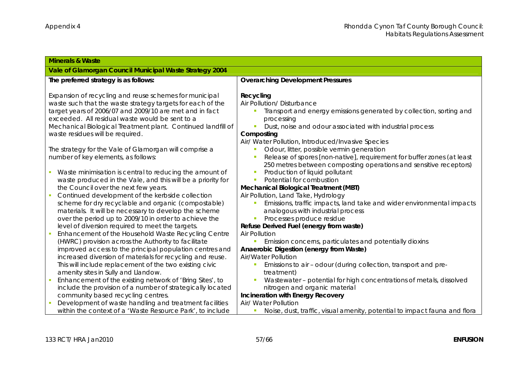| Minerals & Waste                                                                                                                                                                                                                                                                                                                       |                                                                                                                                                                                                                                                             |
|----------------------------------------------------------------------------------------------------------------------------------------------------------------------------------------------------------------------------------------------------------------------------------------------------------------------------------------|-------------------------------------------------------------------------------------------------------------------------------------------------------------------------------------------------------------------------------------------------------------|
| Vale of Glamorgan Council Municipal Waste Strategy 2004                                                                                                                                                                                                                                                                                |                                                                                                                                                                                                                                                             |
| The preferred strategy is as follows:                                                                                                                                                                                                                                                                                                  | <b>Overarching Development Pressures</b>                                                                                                                                                                                                                    |
| Expansion of recycling and reuse schemes for municipal<br>waste such that the waste strategy targets for each of the<br>target years of 2006/07 and 2009/10 are met and in fact<br>exceeded. All residual waste would be sent to a<br>Mechanical Biological Treatment plant. Continued landfill of<br>waste residues will be required. | Recycling<br>Air Pollution/ Disturbance<br>Transport and energy emissions generated by collection, sorting and<br>processing<br>Dust, noise and odour associated with industrial process<br>Composting<br>Air/ Water Pollution, Introduced/Invasive Species |
| The strategy for the Vale of Glamorgan will comprise a<br>number of key elements, as follows:                                                                                                                                                                                                                                          | Odour, litter, possible vermin generation<br>Release of spores [non-native], requirement for buffer zones (at least<br>250 metres between composting operations and sensitive receptors)                                                                    |
| Waste minimisation is central to reducing the amount of                                                                                                                                                                                                                                                                                | Production of liquid pollutant                                                                                                                                                                                                                              |
| waste produced in the Vale, and this will be a priority for                                                                                                                                                                                                                                                                            | Potential for combustion                                                                                                                                                                                                                                    |
| the Council over the next few years.                                                                                                                                                                                                                                                                                                   | Mechanical Biological Treatment (MBT)                                                                                                                                                                                                                       |
| Continued development of the kerbside collection                                                                                                                                                                                                                                                                                       | Air Pollution, Land Take, Hydrology                                                                                                                                                                                                                         |
| scheme for dry recyclable and organic (compostable)                                                                                                                                                                                                                                                                                    | Emissions, traffic impacts, land take and wider environmental impacts                                                                                                                                                                                       |
| materials. It will be necessary to develop the scheme                                                                                                                                                                                                                                                                                  | analogous with industrial process                                                                                                                                                                                                                           |
| over the period up to 2009/10 in order to achieve the                                                                                                                                                                                                                                                                                  | Processes produce residue                                                                                                                                                                                                                                   |
| level of diversion required to meet the targets.                                                                                                                                                                                                                                                                                       | Refuse Derived Fuel (energy from waste)                                                                                                                                                                                                                     |
| Enhancement of the Household Waste Recycling Centre                                                                                                                                                                                                                                                                                    | <b>Air Pollution</b>                                                                                                                                                                                                                                        |
| (HWRC) provision across the Authority to facilitate                                                                                                                                                                                                                                                                                    | Emission concerns, particulates and potentially dioxins                                                                                                                                                                                                     |
| improved access to the principal population centres and                                                                                                                                                                                                                                                                                | Anaerobic Digestion (energy from Waste)                                                                                                                                                                                                                     |
| increased diversion of materials for recycling and reuse.                                                                                                                                                                                                                                                                              | Air/Water Pollution                                                                                                                                                                                                                                         |
| This will include replacement of the two existing civic                                                                                                                                                                                                                                                                                | Emissions to air - odour (during collection, transport and pre-                                                                                                                                                                                             |
| amenity sites in Sully and Llandow.                                                                                                                                                                                                                                                                                                    | treatment)                                                                                                                                                                                                                                                  |
| Enhancement of the existing network of 'Bring Sites', to                                                                                                                                                                                                                                                                               | Wastewater - potential for high concentrations of metals, dissolved                                                                                                                                                                                         |
| include the provision of a number of strategically located                                                                                                                                                                                                                                                                             | nitrogen and organic material                                                                                                                                                                                                                               |
| community based recycling centres.                                                                                                                                                                                                                                                                                                     | Incineration with Energy Recovery                                                                                                                                                                                                                           |
| Development of waste handling and treatment facilities                                                                                                                                                                                                                                                                                 | Air/ Water Pollution                                                                                                                                                                                                                                        |
| within the context of a 'Waste Resource Park', to include                                                                                                                                                                                                                                                                              | Noise, dust, traffic, visual amenity, potential to impact fauna and flora                                                                                                                                                                                   |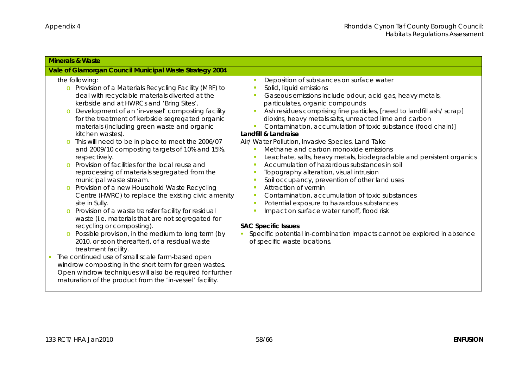| <b>Minerals &amp; Waste</b>                                                                                                                                                                                                                                                                                                                                                                                                                                                                                                                                                                                                                                                                                                                                                                                                                                                                                                                                                                                                                                                                                                                                                                                                                                                                                           |                                                                                                                                                                                                                                                                                                                                                                                                                                                                                                                                                                                                                                                                                                                                                                                                                                                                                                                                                                                                                                  |
|-----------------------------------------------------------------------------------------------------------------------------------------------------------------------------------------------------------------------------------------------------------------------------------------------------------------------------------------------------------------------------------------------------------------------------------------------------------------------------------------------------------------------------------------------------------------------------------------------------------------------------------------------------------------------------------------------------------------------------------------------------------------------------------------------------------------------------------------------------------------------------------------------------------------------------------------------------------------------------------------------------------------------------------------------------------------------------------------------------------------------------------------------------------------------------------------------------------------------------------------------------------------------------------------------------------------------|----------------------------------------------------------------------------------------------------------------------------------------------------------------------------------------------------------------------------------------------------------------------------------------------------------------------------------------------------------------------------------------------------------------------------------------------------------------------------------------------------------------------------------------------------------------------------------------------------------------------------------------------------------------------------------------------------------------------------------------------------------------------------------------------------------------------------------------------------------------------------------------------------------------------------------------------------------------------------------------------------------------------------------|
| Vale of Glamorgan Council Municipal Waste Strategy 2004                                                                                                                                                                                                                                                                                                                                                                                                                                                                                                                                                                                                                                                                                                                                                                                                                                                                                                                                                                                                                                                                                                                                                                                                                                                               |                                                                                                                                                                                                                                                                                                                                                                                                                                                                                                                                                                                                                                                                                                                                                                                                                                                                                                                                                                                                                                  |
| the following:<br>o Provision of a Materials Recycling Facility (MRF) to<br>deal with recyclable materials diverted at the<br>kerbside and at HWRCs and 'Bring Sites'.<br>Development of an 'in-vessel' composting facility<br>$\circ$<br>for the treatment of kerbside segregated organic<br>materials (including green waste and organic<br>kitchen wastes).<br>This will need to be in place to meet the 2006/07<br>$\circ$<br>and 2009/10 composting targets of 10% and 15%,<br>respectively.<br>Provision of facilities for the local reuse and<br>$\Omega$<br>reprocessing of materials segregated from the<br>municipal waste stream.<br>Provision of a new Household Waste Recycling<br>$\circ$<br>Centre (HWRC) to replace the existing civic amenity<br>site in Sully.<br>Provision of a waste transfer facility for residual<br>$\circ$<br>waste (i.e. materials that are not segregated for<br>recycling or composting).<br>Possible provision, in the medium to long term (by<br>$\circ$<br>2010, or soon thereafter), of a residual waste<br>treatment facility.<br>The continued use of small scale farm-based open<br>windrow composting in the short term for green wastes.<br>Open windrow techniques will also be required for further<br>maturation of the product from the 'in-vessel' facility. | Deposition of substances on surface water<br>Solid, liquid emissions<br>Gaseous emissions include odour, acid gas, heavy metals,<br>particulates, organic compounds<br>Ash residues comprising fine particles, [need to landfill ash/ scrap]<br>dioxins, heavy metals salts, unreacted lime and carbon<br>Contamination, accumulation of toxic substance (food chain)]<br>Landfill & Landraise<br>Air/ Water Pollution, Invasive Species, Land Take<br>Methane and carbon monoxide emissions<br>Leachate, salts, heavy metals, biodegradable and persistent organics<br>Accumulation of hazardous substances in soil<br>Topography alteration, visual intrusion<br>Soil occupancy, prevention of other land uses<br>Attraction of vermin<br>Contamination, accumulation of toxic substances<br>Potential exposure to hazardous substances<br>Impact on surface water runoff, flood risk<br><b>SAC Specific Issues</b><br>Specific potential in-combination impacts cannot be explored in absence<br>of specific waste locations. |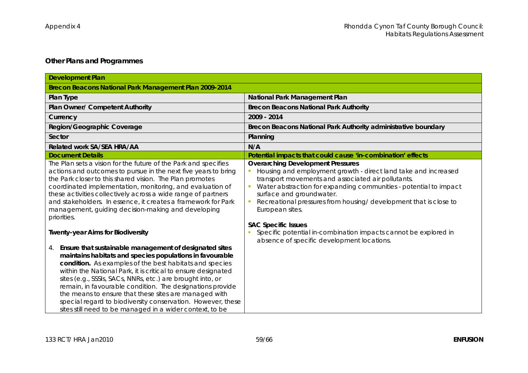## **Other Plans and Programmes**

| <b>Development Plan</b>                                                                                                                                                                                                                                                                                                                                                                                                                                                                                                                                                                                         |                                                                                                                                                                                                                                                                                                                                                                                                                             |
|-----------------------------------------------------------------------------------------------------------------------------------------------------------------------------------------------------------------------------------------------------------------------------------------------------------------------------------------------------------------------------------------------------------------------------------------------------------------------------------------------------------------------------------------------------------------------------------------------------------------|-----------------------------------------------------------------------------------------------------------------------------------------------------------------------------------------------------------------------------------------------------------------------------------------------------------------------------------------------------------------------------------------------------------------------------|
| Brecon Beacons National Park Management Plan 2009-2014                                                                                                                                                                                                                                                                                                                                                                                                                                                                                                                                                          |                                                                                                                                                                                                                                                                                                                                                                                                                             |
| Plan Type                                                                                                                                                                                                                                                                                                                                                                                                                                                                                                                                                                                                       | National Park Management Plan                                                                                                                                                                                                                                                                                                                                                                                               |
| Plan Owner/ Competent Authority                                                                                                                                                                                                                                                                                                                                                                                                                                                                                                                                                                                 | <b>Brecon Beacons National Park Authority</b>                                                                                                                                                                                                                                                                                                                                                                               |
| Currency                                                                                                                                                                                                                                                                                                                                                                                                                                                                                                                                                                                                        | 2009 - 2014                                                                                                                                                                                                                                                                                                                                                                                                                 |
| Region/Geographic Coverage                                                                                                                                                                                                                                                                                                                                                                                                                                                                                                                                                                                      | Brecon Beacons National Park Authority administrative boundary                                                                                                                                                                                                                                                                                                                                                              |
| Sector                                                                                                                                                                                                                                                                                                                                                                                                                                                                                                                                                                                                          | Planning                                                                                                                                                                                                                                                                                                                                                                                                                    |
| Related work SA/SEA HRA/AA                                                                                                                                                                                                                                                                                                                                                                                                                                                                                                                                                                                      | N/A                                                                                                                                                                                                                                                                                                                                                                                                                         |
| <b>Document Details</b>                                                                                                                                                                                                                                                                                                                                                                                                                                                                                                                                                                                         | Potential impacts that could cause 'in-combination' effects                                                                                                                                                                                                                                                                                                                                                                 |
| The Plan sets a vision for the future of the Park and specifies<br>actions and outcomes to pursue in the next five years to bring<br>the Park closer to this shared vision. The Plan promotes<br>coordinated implementation, monitoring, and evaluation of<br>these activities collectively across a wide range of partners<br>and stakeholders. In essence, it creates a framework for Park<br>management, guiding decision-making and developing<br>priorities.                                                                                                                                               | <b>Overarching Development Pressures</b><br>Housing and employment growth - direct land take and increased<br>transport movements and associated air pollutants.<br>Water abstraction for expanding communities - potential to impact<br>$\mathcal{L}_{\mathcal{A}}$<br>surface and groundwater.<br>Recreational pressures from housing/ development that is close to<br>×<br>European sites.<br><b>SAC Specific Issues</b> |
| <b>Twenty-year Aims for Biodiversity</b><br>Ensure that sustainable management of designated sites<br>4.<br>maintains habitats and species populations in favourable<br>condition. As examples of the best habitats and species<br>within the National Park, it is critical to ensure designated<br>sites (e.g., SSSIs, SACs, NNRs, etc.) are brought into, or<br>remain, in favourable condition. The designations provide<br>the means to ensure that these sites are managed with<br>special regard to biodiversity conservation. However, these<br>sites still need to be managed in a wider context, to be | Specific potential in-combination impacts cannot be explored in<br>absence of specific development locations.                                                                                                                                                                                                                                                                                                               |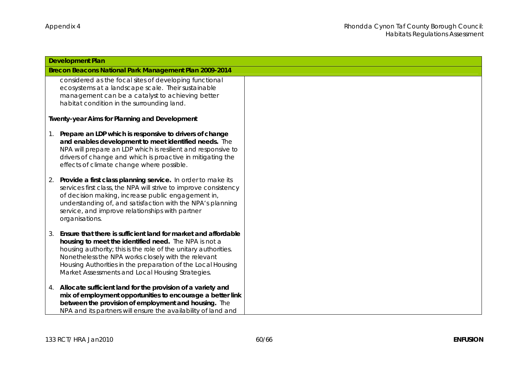| <b>Development Plan</b>                                                                                                                                                                                                                                                                                                                                                    |  |
|----------------------------------------------------------------------------------------------------------------------------------------------------------------------------------------------------------------------------------------------------------------------------------------------------------------------------------------------------------------------------|--|
| Brecon Beacons National Park Management Plan 2009-2014                                                                                                                                                                                                                                                                                                                     |  |
| considered as the focal sites of developing functional<br>ecosystems at a landscape scale. Their sustainable<br>management can be a catalyst to achieving better<br>habitat condition in the surrounding land.                                                                                                                                                             |  |
| <b>Twenty-year Aims for Planning and Development</b>                                                                                                                                                                                                                                                                                                                       |  |
| Prepare an LDP which is responsive to drivers of change<br>$1_{\cdot}$<br>and enables development to meet identified needs. The<br>NPA will prepare an LDP which is resilient and responsive to<br>drivers of change and which is proactive in mitigating the<br>effects of climate change where possible.                                                                 |  |
| Provide a first class planning service. In order to make its<br>2.<br>services first class, the NPA will strive to improve consistency<br>of decision making, increase public engagement in,<br>understanding of, and satisfaction with the NPA's planning<br>service, and improve relationships with partner<br>organisations.                                            |  |
| Ensure that there is sufficient land for market and affordable<br>3.<br>housing to meet the identified need. The NPA is not a<br>housing authority; this is the role of the unitary authorities.<br>Nonetheless the NPA works closely with the relevant<br>Housing Authorities in the preparation of the Local Housing<br>Market Assessments and Local Housing Strategies. |  |
| Allocate sufficient land for the provision of a variety and<br>4.<br>mix of employment opportunities to encourage a better link<br>between the provision of employment and housing. The<br>NPA and its partners will ensure the availability of land and                                                                                                                   |  |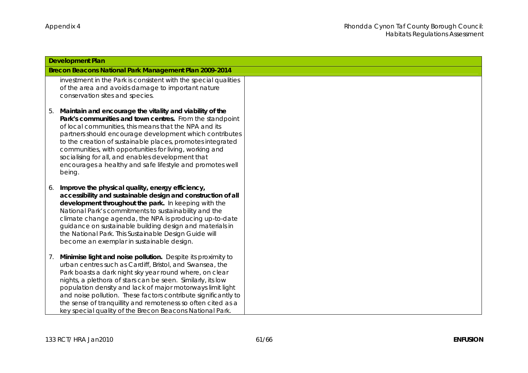|    | <b>Development Plan</b>                                                                                                                                                                                                                                                                                                                                                                                                                                                                                        |  |
|----|----------------------------------------------------------------------------------------------------------------------------------------------------------------------------------------------------------------------------------------------------------------------------------------------------------------------------------------------------------------------------------------------------------------------------------------------------------------------------------------------------------------|--|
|    | Brecon Beacons National Park Management Plan 2009-2014                                                                                                                                                                                                                                                                                                                                                                                                                                                         |  |
|    | investment in the Park is consistent with the special qualities<br>of the area and avoids damage to important nature<br>conservation sites and species.                                                                                                                                                                                                                                                                                                                                                        |  |
| 5. | Maintain and encourage the vitality and viability of the<br>Park's communities and town centres. From the standpoint<br>of local communities, this means that the NPA and its<br>partners should encourage development which contributes<br>to the creation of sustainable places, promotes integrated<br>communities, with opportunities for living, working and<br>socialising for all, and enables development that<br>encourages a healthy and safe lifestyle and promotes well<br>being.                  |  |
| 6. | Improve the physical quality, energy efficiency,<br>accessibility and sustainable design and construction of all<br>development throughout the park. In keeping with the<br>National Park's commitments to sustainability and the<br>climate change agenda, the NPA is producing up-to-date<br>guidance on sustainable building design and materials in<br>the National Park. This Sustainable Design Guide will<br>become an exemplar in sustainable design.                                                  |  |
| 7. | Minimise light and noise pollution. Despite its proximity to<br>urban centres such as Cardiff, Bristol, and Swansea, the<br>Park boasts a dark night sky year round where, on clear<br>nights, a plethora of stars can be seen. Similarly, its low<br>population density and lack of major motorways limit light<br>and noise pollution. These factors contribute significantly to<br>the sense of tranquillity and remoteness so often cited as a<br>key special quality of the Brecon Beacons National Park. |  |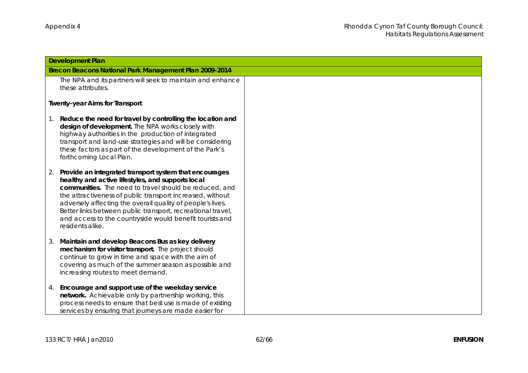| <b>Development Plan</b>                                                                                                                                                                                                                                                                                                                                                                                                                               |  |
|-------------------------------------------------------------------------------------------------------------------------------------------------------------------------------------------------------------------------------------------------------------------------------------------------------------------------------------------------------------------------------------------------------------------------------------------------------|--|
| Brecon Beacons National Park Management Plan 2009-2014                                                                                                                                                                                                                                                                                                                                                                                                |  |
| The NPA and its partners will seek to maintain and enhance<br>these attributes.                                                                                                                                                                                                                                                                                                                                                                       |  |
| <b>Twenty-year Aims for Transport</b>                                                                                                                                                                                                                                                                                                                                                                                                                 |  |
| Reduce the need for travel by controlling the location and<br>$1_{\cdot}$<br>design of development. The NPA works closely with<br>highway authorities in the production of integrated<br>transport and land-use strategies and will be considering<br>these factors as part of the development of the Park's<br>forthcoming Local Plan.                                                                                                               |  |
| Provide an integrated transport system that encourages<br>2.<br>healthy and active lifestyles, and supports local<br>communities. The need to travel should be reduced, and<br>the attractiveness of public transport increased, without<br>adversely affecting the overall quality of people's lives.<br>Better links between public transport, recreational travel,<br>and access to the countryside would benefit tourists and<br>residents alike. |  |
| Maintain and develop Beacons Bus as key delivery<br>3.<br>mechanism for visitor transport. The project should<br>continue to grow in time and space with the aim of<br>covering as much of the summer season as possible and<br>increasing routes to meet demand.                                                                                                                                                                                     |  |
| Encourage and support use of the weekday service<br>4.<br>network. Achievable only by partnership working, this<br>process needs to ensure that best use is made of existing<br>services by ensuring that journeys are made easier for                                                                                                                                                                                                                |  |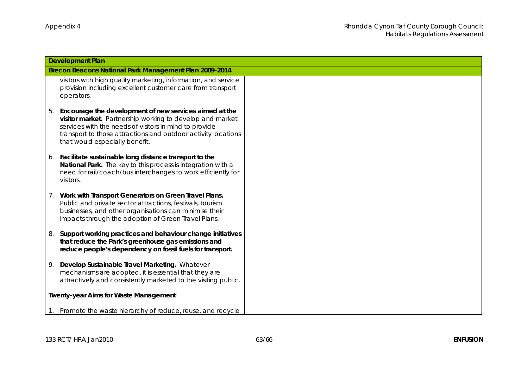|    | <b>Development Plan</b>                                                                                                                                                                                                                                                          |  |
|----|----------------------------------------------------------------------------------------------------------------------------------------------------------------------------------------------------------------------------------------------------------------------------------|--|
|    | Brecon Beacons National Park Management Plan 2009-2014                                                                                                                                                                                                                           |  |
|    | visitors with high quality marketing, information, and service<br>provision including excellent customer care from transport<br>operators.                                                                                                                                       |  |
| 5. | Encourage the development of new services aimed at the<br>visitor market. Partnership working to develop and market<br>services with the needs of visitors in mind to provide<br>transport to those attractions and outdoor activity locations<br>that would especially benefit. |  |
| 6. | Facilitate sustainable long distance transport to the<br>National Park. The key to this process is integration with a<br>need for rail/coach/bus interchanges to work efficiently for<br>visitors.                                                                               |  |
| 7. | Work with Transport Generators on Green Travel Plans.<br>Public and private sector attractions, festivals, tourism<br>businesses, and other organisations can minimise their<br>impacts through the adoption of Green Travel Plans.                                              |  |
| 8. | Support working practices and behaviour change initiatives<br>that reduce the Park's greenhouse gas emissions and<br>reduce people's dependency on fossil fuels for transport.                                                                                                   |  |
| 9. | Develop Sustainable Travel Marketing. Whatever<br>mechanisms are adopted, it is essential that they are<br>attractively and consistently marketed to the visiting public.                                                                                                        |  |
|    | <b>Twenty-year Aims for Waste Management</b>                                                                                                                                                                                                                                     |  |
|    | Promote the waste hierarchy of reduce, reuse, and recycle                                                                                                                                                                                                                        |  |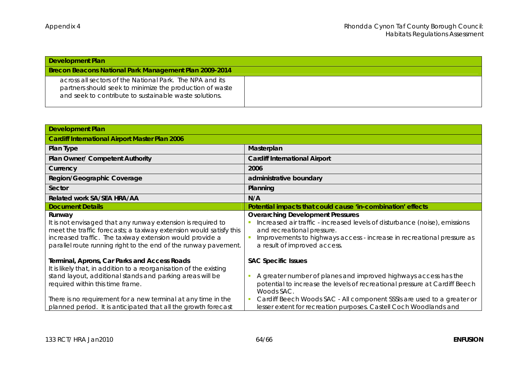| Development Plan                                                                                                                                                               |  |
|--------------------------------------------------------------------------------------------------------------------------------------------------------------------------------|--|
| Brecon Beacons National Park Management Plan 2009-2014                                                                                                                         |  |
| across all sectors of the National Park. The NPA and its<br>partners should seek to minimize the production of waste<br>and seek to contribute to sustainable waste solutions. |  |

| <b>Development Plan</b>                                                                                                                                                                                                                                                     |                                                                                                                                                                                                                                                                |
|-----------------------------------------------------------------------------------------------------------------------------------------------------------------------------------------------------------------------------------------------------------------------------|----------------------------------------------------------------------------------------------------------------------------------------------------------------------------------------------------------------------------------------------------------------|
| Cardiff International Airport Master Plan 2006                                                                                                                                                                                                                              |                                                                                                                                                                                                                                                                |
| Plan Type                                                                                                                                                                                                                                                                   | Masterplan                                                                                                                                                                                                                                                     |
| Plan Owner/ Competent Authority                                                                                                                                                                                                                                             | Cardiff International Airport                                                                                                                                                                                                                                  |
| Currency                                                                                                                                                                                                                                                                    | 2006                                                                                                                                                                                                                                                           |
| Region/Geographic Coverage                                                                                                                                                                                                                                                  | administrative boundary                                                                                                                                                                                                                                        |
| Sector                                                                                                                                                                                                                                                                      | Planning                                                                                                                                                                                                                                                       |
| Related work SA/SEA HRA/AA                                                                                                                                                                                                                                                  | N/A                                                                                                                                                                                                                                                            |
| <b>Document Details</b>                                                                                                                                                                                                                                                     | Potential impacts that could cause 'in-combination' effects                                                                                                                                                                                                    |
| Runway<br>It is not envisaged that any runway extension is required to<br>meet the traffic forecasts; a taxiway extension would satisfy this<br>increased traffic. The taxiway extension would provide a<br>parallel route running right to the end of the runway pavement. | <b>Overarching Development Pressures</b><br>Increased air traffic - increased levels of disturbance (noise), emissions<br>and recreational pressure.<br>Improvements to highways access - increase in recreational pressure as<br>a result of improved access. |
| Terminal, Aprons, Car Parks and Access Roads<br>It is likely that, in addition to a reorganisation of the existing<br>stand layout, additional stands and parking areas will be<br>required within this time frame.                                                         | <b>SAC Specific Issues</b><br>A greater number of planes and improved highways access has the<br>potential to increase the levels of recreational pressure at Cardiff Beech<br>Woods SAC.                                                                      |
| There is no requirement for a new terminal at any time in the<br>planned period. It is anticipated that all the growth forecast                                                                                                                                             | Cardiff Beech Woods SAC - All component SSSIs are used to a greater or<br>lesser extent for recreation purposes. Castell Coch Woodlands and                                                                                                                    |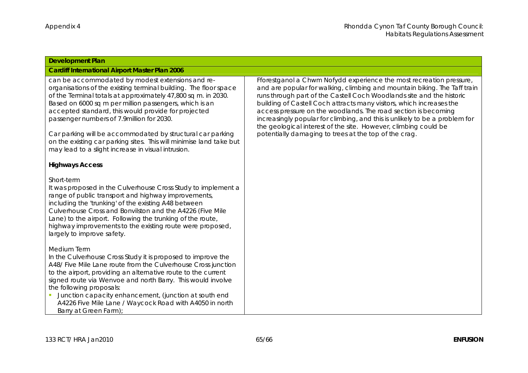| <b>Development Plan</b>                                                                                                                                                                                                                                                                                                                                                                                                                                                                                                                        |                                                                                                                                                                                                                                                                                                                                                                                                                                                                                                                                                                                |
|------------------------------------------------------------------------------------------------------------------------------------------------------------------------------------------------------------------------------------------------------------------------------------------------------------------------------------------------------------------------------------------------------------------------------------------------------------------------------------------------------------------------------------------------|--------------------------------------------------------------------------------------------------------------------------------------------------------------------------------------------------------------------------------------------------------------------------------------------------------------------------------------------------------------------------------------------------------------------------------------------------------------------------------------------------------------------------------------------------------------------------------|
| Cardiff International Airport Master Plan 2006                                                                                                                                                                                                                                                                                                                                                                                                                                                                                                 |                                                                                                                                                                                                                                                                                                                                                                                                                                                                                                                                                                                |
| can be accommodated by modest extensions and re-<br>organisations of the existing terminal building. The floor space<br>of the Terminal totals at approximately 47,800 sq m. in 2030.<br>Based on 6000 sq m per million passengers, which is an<br>accepted standard, this would provide for projected<br>passenger numbers of 7.9million for 2030.<br>Car parking will be accommodated by structural car parking<br>on the existing car parking sites. This will minimise land take but<br>may lead to a slight increase in visual intrusion. | Fforestganol a Chwm Nofydd experience the most recreation pressure,<br>and are popular for walking, climbing and mountain biking. The Taff train<br>runs through part of the Castell Coch Woodlands site and the historic<br>building of Castell Coch attracts many visitors, which increases the<br>access pressure on the woodlands. The road section is becoming<br>increasingly popular for climbing, and this is unlikely to be a problem for<br>the geological interest of the site. However, climbing could be<br>potentially damaging to trees at the top of the crag. |
| <b>Highways Access</b>                                                                                                                                                                                                                                                                                                                                                                                                                                                                                                                         |                                                                                                                                                                                                                                                                                                                                                                                                                                                                                                                                                                                |
| Short-term<br>It was proposed in the Culverhouse Cross Study to implement a<br>range of public transport and highway improvements,<br>including the 'trunking' of the existing A48 between<br>Culverhouse Cross and Bonvilston and the A4226 (Five Mile<br>Lane) to the airport. Following the trunking of the route,<br>highway improvements to the existing route were proposed,<br>largely to improve safety.                                                                                                                               |                                                                                                                                                                                                                                                                                                                                                                                                                                                                                                                                                                                |
| Medium Term<br>In the Culverhouse Cross Study it is proposed to improve the<br>A48/ Five Mile Lane route from the Culverhouse Cross junction<br>to the airport, providing an alternative route to the current<br>signed route via Wenvoe and north Barry. This would involve<br>the following proposals:<br>Junction capacity enhancement, (junction at south end<br>A4226 Five Mile Lane / Waycock Road with A4050 in north<br>Barry at Green Farm);                                                                                          |                                                                                                                                                                                                                                                                                                                                                                                                                                                                                                                                                                                |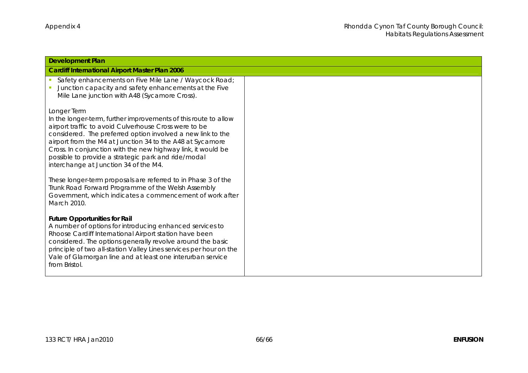| <b>Development Plan</b>                                                                                                                                                                                                                                                                                                                                                                                                             |  |
|-------------------------------------------------------------------------------------------------------------------------------------------------------------------------------------------------------------------------------------------------------------------------------------------------------------------------------------------------------------------------------------------------------------------------------------|--|
| Cardiff International Airport Master Plan 2006                                                                                                                                                                                                                                                                                                                                                                                      |  |
| Safety enhancements on Five Mile Lane / Waycock Road;<br>Junction capacity and safety enhancements at the Five<br>Mile Lane junction with A48 (Sycamore Cross).                                                                                                                                                                                                                                                                     |  |
| Longer Term<br>In the longer-term, further improvements of this route to allow<br>airport traffic to avoid Culverhouse Cross were to be<br>considered. The preferred option involved a new link to the<br>airport from the M4 at Junction 34 to the A48 at Sycamore<br>Cross. In conjunction with the new highway link, it would be<br>possible to provide a strategic park and ride/modal<br>interchange at Junction 34 of the M4. |  |
| These longer-term proposals are referred to in Phase 3 of the<br>Trunk Road Forward Programme of the Welsh Assembly<br>Government, which indicates a commencement of work after<br>March 2010.                                                                                                                                                                                                                                      |  |
| Future Opportunities for Rail<br>A number of options for introducing enhanced services to<br>Rhoose Cardiff International Airport station have been<br>considered. The options generally revolve around the basic<br>principle of two all-station Valley Lines services per hour on the<br>Vale of Glamorgan line and at least one interurban service<br>from Bristol.                                                              |  |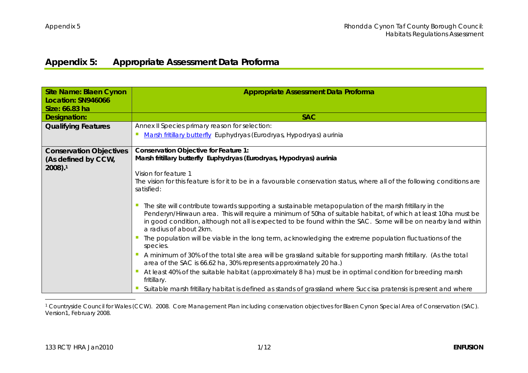## **Appendix 5: Appropriate Assessment Data Proforma**

| Site Name: Blaen Cynon                        | Appropriate Assessment Data Proforma                                                                                                                                                                                                                                                                                                                                  |
|-----------------------------------------------|-----------------------------------------------------------------------------------------------------------------------------------------------------------------------------------------------------------------------------------------------------------------------------------------------------------------------------------------------------------------------|
| Location: SN946066                            |                                                                                                                                                                                                                                                                                                                                                                       |
| Size: 66.83 ha                                |                                                                                                                                                                                                                                                                                                                                                                       |
| Designation:                                  | <b>SAC</b>                                                                                                                                                                                                                                                                                                                                                            |
| <b>Qualifying Features</b>                    | Annex II Species primary reason for selection:                                                                                                                                                                                                                                                                                                                        |
|                                               | Marsh fritillary butterfly Euphydryas (Eurodryas, Hypodryas) aurinia                                                                                                                                                                                                                                                                                                  |
| <b>Conservation Objectives</b>                | Conservation Objective for Feature 1:                                                                                                                                                                                                                                                                                                                                 |
| (As defined by CCW,<br>$2008$ ). <sup>1</sup> | Marsh fritillary butterfly Euphydryas (Eurodryas, Hypodryas) aurinia                                                                                                                                                                                                                                                                                                  |
|                                               | Vision for feature 1                                                                                                                                                                                                                                                                                                                                                  |
|                                               | The vision for this feature is for it to be in a favourable conservation status, where all of the following conditions are<br>satisfied:                                                                                                                                                                                                                              |
|                                               | The site will contribute towards supporting a sustainable metapopulation of the marsh fritillary in the<br>Penderyn/Hirwaun area. This will require a minimum of 50ha of suitable habitat, of which at least 10ha must be<br>in good condition, although not all is expected to be found within the SAC. Some will be on nearby land within<br>a radius of about 2km. |
|                                               | The population will be viable in the long term, acknowledging the extreme population fluctuations of the<br>species.                                                                                                                                                                                                                                                  |
|                                               | A minimum of 30% of the total site area will be grassland suitable for supporting marsh fritillary. (As the total<br>area of the SAC is 66.62 ha, 30% represents approximately 20 ha.)                                                                                                                                                                                |
|                                               | At least 40% of the suitable habitat (approximately 8 ha) must be in optimal condition for breeding marsh<br>fritillary.                                                                                                                                                                                                                                              |
|                                               | Suitable marsh fritillary habitat is defined as stands of grassland where Succisa pratensis is present and where                                                                                                                                                                                                                                                      |

<sup>1</sup> Countryside Council for Wales (CCW). 2008. Core Management Plan including conservation objectives for Blaen Cynon Special Area of Conservation (SAC). Version1, February 2008.

 $\overline{a}$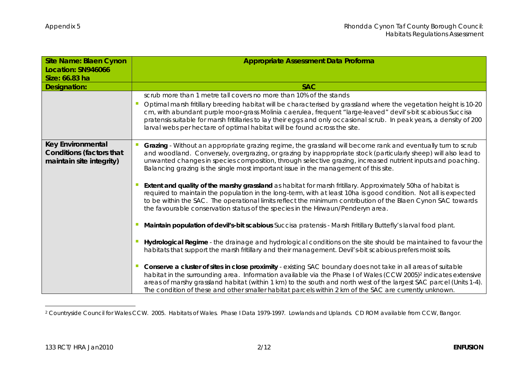| Site Name: Blaen Cynon                                                    | Appropriate Assessment Data Proforma                                                                                                                                                                                                                                                                                                                                                                                                                                                                         |
|---------------------------------------------------------------------------|--------------------------------------------------------------------------------------------------------------------------------------------------------------------------------------------------------------------------------------------------------------------------------------------------------------------------------------------------------------------------------------------------------------------------------------------------------------------------------------------------------------|
| Location: SN946066                                                        |                                                                                                                                                                                                                                                                                                                                                                                                                                                                                                              |
| Size: 66.83 ha                                                            |                                                                                                                                                                                                                                                                                                                                                                                                                                                                                                              |
| Designation:                                                              | <b>SAC</b>                                                                                                                                                                                                                                                                                                                                                                                                                                                                                                   |
|                                                                           | scrub more than 1 metre tall covers no more than 10% of the stands<br>Optimal marsh fritillary breeding habitat will be characterised by grassland where the vegetation height is 10-20<br>cm, with abundant purple moor-grass Molinia caerulea, frequent "large-leaved" devil's-bit scabious Succisa<br>pratensis suitable for marsh fritillaries to lay their eggs and only occasional scrub. In peak years, a density of 200<br>larval webs per hectare of optimal habitat will be found across the site. |
| Key Environmental<br>Conditions (factors that<br>maintain site integrity) | Grazing - Without an appropriate grazing regime, the grassland will become rank and eventually turn to scrub<br>and woodland. Conversely, overgrazing, or grazing by inappropriate stock (particularly sheep) will also lead to<br>unwanted changes in species composition, through selective grazing, increased nutrient inputs and poaching.<br>Balancing grazing is the single most important issue in the management of this site.                                                                       |
|                                                                           | Extent and quality of the marshy grassland as habitat for marsh fritillary. Approximately 50ha of habitat is<br>required to maintain the population in the long-term, with at least 10ha is good condition. Not all is expected<br>to be within the SAC. The operational limits reflect the minimum contribution of the Blaen Cynon SAC towards<br>the favourable conservation status of the species in the Hirwaun/Penderyn area.                                                                           |
|                                                                           | Maintain population of devil's-bit scabious Succisa pratensis - Marsh Fritillary Buttefly's larval food plant.                                                                                                                                                                                                                                                                                                                                                                                               |
|                                                                           | Hydrological Regime - the drainage and hydrological conditions on the site should be maintained to favour the<br>habitats that support the marsh fritillary and their management. Devil's-bit scabious prefers moist soils.                                                                                                                                                                                                                                                                                  |
|                                                                           | Conserve a cluster of sites in close proximity - existing SAC boundary does not take in all areas of suitable<br>habitat in the surrounding area. Information available via the Phase I of Wales (CCW 2005) <sup>2</sup> indicates extensive<br>areas of marshy grassland habitat (within 1 km) to the south and north west of the largest SAC parcel (Units 1-4).<br>The condition of these and other smaller habitat parcels within 2 km of the SAC are currently unknown.                                 |

 $\overline{a}$ 2 Countryside Council for Wales CCW. 2005. *Habitats of Wales. Phase I Data 1979-1997. Lowlands and Uplands*. CD ROM available from CCW, Bangor.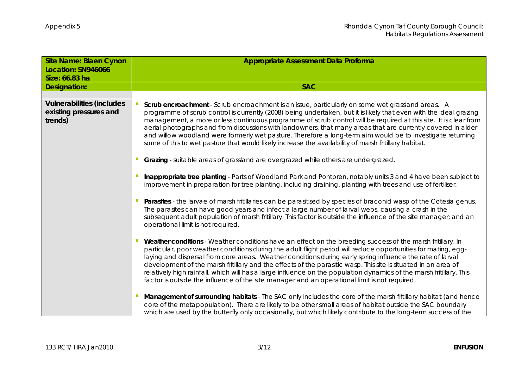| Site Name: Blaen Cynon<br>Location: SN946066<br>Size: 66.83 ha | Appropriate Assessment Data Proforma                                                                                                                                                                                                                                                                                                                                                                                                                                                                                                                                                                                                                                               |
|----------------------------------------------------------------|------------------------------------------------------------------------------------------------------------------------------------------------------------------------------------------------------------------------------------------------------------------------------------------------------------------------------------------------------------------------------------------------------------------------------------------------------------------------------------------------------------------------------------------------------------------------------------------------------------------------------------------------------------------------------------|
| Designation:                                                   | <b>SAC</b>                                                                                                                                                                                                                                                                                                                                                                                                                                                                                                                                                                                                                                                                         |
|                                                                |                                                                                                                                                                                                                                                                                                                                                                                                                                                                                                                                                                                                                                                                                    |
| Vulnerabilities (includes<br>existing pressures and<br>trends) | Scrub encroachment - Scrub encroachment is an issue, particularly on some wet grassland areas. A<br>programme of scrub control is currently (2008) being undertaken, but it is likely that even with the ideal grazing<br>management, a more or less continuous programme of scrub control will be required at this site. It is clear from<br>aerial photographs and from discussions with landowners, that many areas that are currently covered in alder<br>and willow woodland were formerly wet pasture. Therefore a long-term aim would be to investigate returning<br>some of this to wet pasture that would likely increase the availability of marsh fritillary habitat.   |
|                                                                | Grazing - suitable areas of grassland are overgrazed while others are undergrazed.                                                                                                                                                                                                                                                                                                                                                                                                                                                                                                                                                                                                 |
|                                                                | Inappropriate tree planting - Parts of Woodland Park and Pontpren, notably units 3 and 4 have been subject to<br>improvement in preparation for tree planting, including draining, planting with trees and use of fertiliser.                                                                                                                                                                                                                                                                                                                                                                                                                                                      |
|                                                                | Parasites - the larvae of marsh fritillaries can be parasitised by species of braconid wasp of the Cotesia genus.<br>The parasites can have good years and infect a large number of larval webs, causing a crash in the<br>subsequent adult population of marsh fritillary. This factor is outside the influence of the site manager; and an<br>operational limit is not required.                                                                                                                                                                                                                                                                                                 |
|                                                                | Weather conditions - Weather conditions have an effect on the breeding success of the marsh fritillary. In<br>particular, poor weather conditions during the adult flight period will reduce opportunities for mating, egg-<br>laying and dispersal from core areas. Weather conditions during early spring influence the rate of larval<br>development of the marsh fritillary and the effects of the parasitic wasp. This site is situated in an area of<br>relatively high rainfall, which will has a large influence on the population dynamics of the marsh fritillary. This<br>factor is outside the influence of the site manager and an operational limit is not required. |
|                                                                | Management of surrounding habitats - The SAC only includes the core of the marsh fritillary habitat (and hence<br>core of the metapopulation). There are likely to be other small areas of habitat outside the SAC boundary<br>which are used by the butterfly only occasionally, but which likely contribute to the long-term success of the                                                                                                                                                                                                                                                                                                                                      |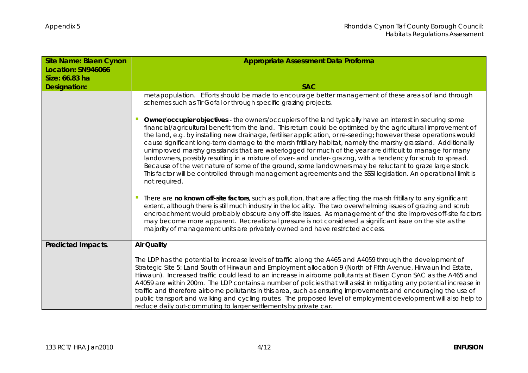| Site Name: Blaen Cynon         | Appropriate Assessment Data Proforma                                                                                                                                                                                                                                                                                                                                                                                                                                                                                                                                                                                                                                                                                                                                                                                                                                                                                                      |
|--------------------------------|-------------------------------------------------------------------------------------------------------------------------------------------------------------------------------------------------------------------------------------------------------------------------------------------------------------------------------------------------------------------------------------------------------------------------------------------------------------------------------------------------------------------------------------------------------------------------------------------------------------------------------------------------------------------------------------------------------------------------------------------------------------------------------------------------------------------------------------------------------------------------------------------------------------------------------------------|
| Location: SN946066             |                                                                                                                                                                                                                                                                                                                                                                                                                                                                                                                                                                                                                                                                                                                                                                                                                                                                                                                                           |
| Size: 66.83 ha<br>Designation: | <b>SAC</b>                                                                                                                                                                                                                                                                                                                                                                                                                                                                                                                                                                                                                                                                                                                                                                                                                                                                                                                                |
|                                | metapopulation. Efforts should be made to encourage better management of these areas of land through<br>schemes such as Tir Gofal or through specific grazing projects.                                                                                                                                                                                                                                                                                                                                                                                                                                                                                                                                                                                                                                                                                                                                                                   |
|                                | Owner/occupier objectives - the owners/occupiers of the land typically have an interest in securing some<br>financial/agricultural benefit from the land. This return could be optimised by the agricultural improvement of<br>the land, e.g. by installing new drainage, fertiliser application, or re-seeding; however these operations would<br>cause significant long-term damage to the marsh fritillary habitat, namely the marshy grassland. Additionally<br>unimproved marshy grasslands that are waterlogged for much of the year are difficult to manage for many<br>landowners, possibly resulting in a mixture of over- and under-grazing, with a tendency for scrub to spread.<br>Because of the wet nature of some of the ground, some landowners may be reluctant to graze large stock.<br>This factor will be controlled through management agreements and the SSSI legislation. An operational limit is<br>not required. |
|                                | There are no known off-site factors, such as pollution, that are affecting the marsh fritillary to any significant<br>extent, although there is still much industry in the locality. The two overwhelming issues of grazing and scrub<br>encroachment would probably obscure any off-site issues. As management of the site improves off-site factors<br>may become more apparent. Recreational pressure is not considered a significant issue on the site as the<br>majority of management units are privately owned and have restricted access.                                                                                                                                                                                                                                                                                                                                                                                         |
| Predicted Impacts.             | Air Quality                                                                                                                                                                                                                                                                                                                                                                                                                                                                                                                                                                                                                                                                                                                                                                                                                                                                                                                               |
|                                | The LDP has the potential to increase levels of traffic along the A465 and A4059 through the development of<br>Strategic Site 5: Land South of Hirwaun and Employment allocation 9 (North of Fifth Avenue, Hirwaun Ind Estate,<br>Hirwaun). Increased traffic could lead to an increase in airborne pollutants at Blaen Cynon SAC as the A465 and<br>A4059 are within 200m. The LDP contains a number of policies that will assist in mitigating any potential increase in<br>traffic and therefore airborne pollutants in this area, such as ensuring improvements and encouraging the use of<br>public transport and walking and cycling routes. The proposed level of employment development will also help to<br>reduce daily out-commuting to larger settlements by private car.                                                                                                                                                     |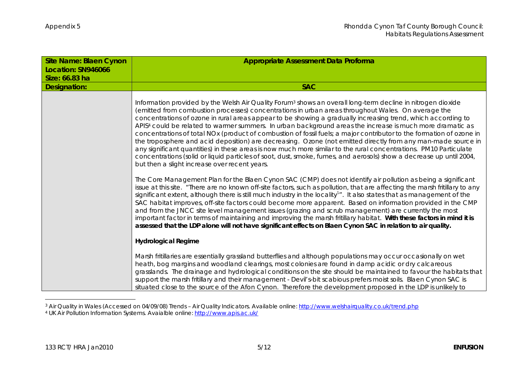| Site Name: Blaen Cynon<br>Location: SN946066 | Appropriate Assessment Data Proforma                                                                                                                                                                                                                                                                                                                                                                                                                                                                                                                                                                                                                                                                                                                                                                                                                                                                                                                                                                        |
|----------------------------------------------|-------------------------------------------------------------------------------------------------------------------------------------------------------------------------------------------------------------------------------------------------------------------------------------------------------------------------------------------------------------------------------------------------------------------------------------------------------------------------------------------------------------------------------------------------------------------------------------------------------------------------------------------------------------------------------------------------------------------------------------------------------------------------------------------------------------------------------------------------------------------------------------------------------------------------------------------------------------------------------------------------------------|
| Size: 66.83 ha                               |                                                                                                                                                                                                                                                                                                                                                                                                                                                                                                                                                                                                                                                                                                                                                                                                                                                                                                                                                                                                             |
| Designation:                                 | <b>SAC</b>                                                                                                                                                                                                                                                                                                                                                                                                                                                                                                                                                                                                                                                                                                                                                                                                                                                                                                                                                                                                  |
|                                              | Information provided by the Welsh Air Quality Forum <sup>3</sup> shows an overall long-term decline in nitrogen dioxide<br>(emitted from combustion processes) concentrations in urban areas throughout Wales. On average the<br>concentrations of ozone in rural areas appear to be showing a gradually increasing trend, which according to<br>APIS <sup>4</sup> could be related to warmer summers. In urban background areas the increase is much more dramatic as<br>concentrations of total NOx (product of combustion of fossil fuels; a major contributor to the formation of ozone in<br>the troposphere and acid deposition) are decreasing. Ozone (not emitted directly from any man-made source in<br>any significant quantities) in these areas is now much more similar to the rural concentrations. PM10 Particulate<br>concentrations (solid or liquid particles of soot, dust, smoke, fumes, and aerosols) show a decrease up until 2004,<br>but then a slight increase over recent years. |
|                                              | The Core Management Plan for the Blaen Cynon SAC (CMP) does not identify air pollution as being a significant<br>issue at this site. "There are no known off-site factors, such as pollution, that are affecting the marsh fritillary to any<br>significant extent, although there is still much industry in the locality <sup>5</sup> ". It also states that as management of the<br>SAC habitat improves, off-site factors could become more apparent. Based on information provided in the CMP<br>and from the JNCC site level management issues (grazing and scrub management) are currently the most<br>important factor in terms of maintaining and improving the marsh fritillary habitat. With these factors in mind it is<br>assessed that the LDP alone will not have significant effects on Blaen Cynon SAC in relation to air quality.                                                                                                                                                          |
|                                              | <b>Hydrological Regime</b>                                                                                                                                                                                                                                                                                                                                                                                                                                                                                                                                                                                                                                                                                                                                                                                                                                                                                                                                                                                  |
|                                              | Marsh fritillaries are essentially grassland butterflies and although populations may occur occasionally on wet<br>heath, bog margins and woodland clearings, most colonies are found in damp acidic or dry calcareous<br>grasslands. The drainage and hydrological conditions on the site should be maintained to favour the habitats that<br>support the marsh fritillary and their management - Devil's-bit scabious prefers moist soils. Blaen Cynon SAC is<br>situated close to the source of the Afon Cynon. Therefore the development proposed in the LDP is unlikely to                                                                                                                                                                                                                                                                                                                                                                                                                             |

<sup>&</sup>lt;sup>3</sup> Air Quality in Wales (Accessed on 04/09/08) Trends - Air Quality Indicators. Available online: <u>http://www.welshairquality.co.uk/trend.php</u> <sup>4</sup> UK Air Pollution Information Systems. Avaialble online: http://www.apis.ac.uk/

 $\overline{a}$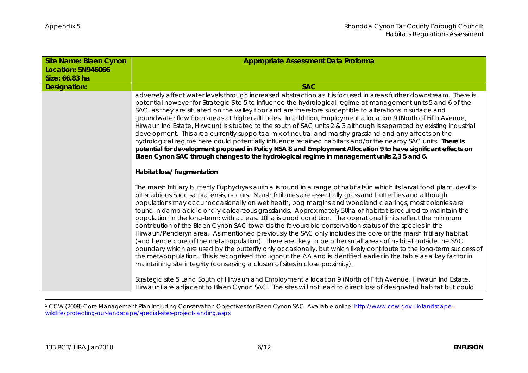| Site Name: Blaen Cynon         | Appropriate Assessment Data Proforma                                                                                                                                                                                                                                                                                                                                                                                                                                                                                                                                                                                                                                                                                                                                                                                                                                                                                                                                                                                                                                                                                                                                                                                                                                                                                                                                                                                                                                                                                                                                                                                                                                                                                                                                                                                                                                                                                                                                                                                                                                                                                                                                                                                                                                                                                                                                                                                                                                                                                                                                       |
|--------------------------------|----------------------------------------------------------------------------------------------------------------------------------------------------------------------------------------------------------------------------------------------------------------------------------------------------------------------------------------------------------------------------------------------------------------------------------------------------------------------------------------------------------------------------------------------------------------------------------------------------------------------------------------------------------------------------------------------------------------------------------------------------------------------------------------------------------------------------------------------------------------------------------------------------------------------------------------------------------------------------------------------------------------------------------------------------------------------------------------------------------------------------------------------------------------------------------------------------------------------------------------------------------------------------------------------------------------------------------------------------------------------------------------------------------------------------------------------------------------------------------------------------------------------------------------------------------------------------------------------------------------------------------------------------------------------------------------------------------------------------------------------------------------------------------------------------------------------------------------------------------------------------------------------------------------------------------------------------------------------------------------------------------------------------------------------------------------------------------------------------------------------------------------------------------------------------------------------------------------------------------------------------------------------------------------------------------------------------------------------------------------------------------------------------------------------------------------------------------------------------------------------------------------------------------------------------------------------------|
| Location: SN946066             |                                                                                                                                                                                                                                                                                                                                                                                                                                                                                                                                                                                                                                                                                                                                                                                                                                                                                                                                                                                                                                                                                                                                                                                                                                                                                                                                                                                                                                                                                                                                                                                                                                                                                                                                                                                                                                                                                                                                                                                                                                                                                                                                                                                                                                                                                                                                                                                                                                                                                                                                                                            |
| Size: 66.83 ha<br>Designation: | <b>SAC</b>                                                                                                                                                                                                                                                                                                                                                                                                                                                                                                                                                                                                                                                                                                                                                                                                                                                                                                                                                                                                                                                                                                                                                                                                                                                                                                                                                                                                                                                                                                                                                                                                                                                                                                                                                                                                                                                                                                                                                                                                                                                                                                                                                                                                                                                                                                                                                                                                                                                                                                                                                                 |
|                                | adversely affect water levels through increased abstraction as it is focused in areas further downstream. There is<br>potential however for Strategic Site 5 to influence the hydrological regime at management units 5 and 6 of the<br>SAC, as they are situated on the valley floor and are therefore susceptible to alterations in surface and<br>groundwater flow from areas at higher altitudes. In addition, Employment allocation 9 (North of Fifth Avenue,<br>Hirwaun Ind Estate, Hirwaun) is situated to the south of SAC units 2 & 3 although is separated by existing industrial<br>development. This area currently supports a mix of neutral and marshy grassland and any affects on the<br>hydrological regime here could potentially influence retained habitats and/or the nearby SAC units. There is<br>potential for development proposed in Policy NSA 8 and Employment Allocation 9 to have significant effects on<br>Blaen Cynon SAC through changes to the hydrological regime in management units 2,3 5 and 6.<br>Habitat loss/fragmentation<br>The marsh fritillary butterfly Euphydryas aurinia is found in a range of habitats in which its larval food plant, devil's-<br>bit scabious Succisa pratensis, occurs. Marsh fritillaries are essentially grassland butterflies and although<br>populations may occur occasionally on wet heath, bog margins and woodland clearings, most colonies are<br>found in damp acidic or dry calcareous grasslands. Approximately 50ha of habitat is required to maintain the<br>population in the long-term; with at least 10ha is good condition. The operational limits reflect the minimum<br>contribution of the Blaen Cynon SAC towards the favourable conservation status of the species in the<br>Hirwaun/Penderyn area. As mentioned previously the SAC only includes the core of the marsh fritillary habitat<br>(and hence core of the metapopulation). There are likely to be other small areas of habitat outside the SAC<br>boundary which are used by the butterfly only occasionally, but which likely contribute to the long-term success of<br>the metapopulation. This is recognised throughout the AA and is identified earlier in the table as a key factor in<br>maintaining site integrity (conserving a cluster of sites in close proximity).<br>Strategic site 5 Land South of Hirwaun and Employment allocation 9 (North of Fifth Avenue, Hirwaun Ind Estate,<br>Hirwaun) are adjacent to Blaen Cynon SAC. The sites will not lead to direct loss of designated habitat but could |

<sup>5</sup> CCW (2008) Core Management Plan Including Conservation Objectives for Blaen Cynon SAC. Available online: http://www.ccw.gov.uk/landscape-wildlife/protecting-our-landscape/special-sites-project-landing.aspx

 $\overline{a}$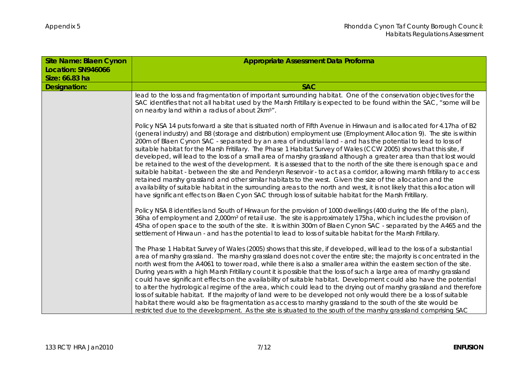| Site Name: Blaen Cynon | Appropriate Assessment Data Proforma                                                                                                                                                                                                                                                                                                                                                                                                                                                                                                                                                                                                                                                                                                                                                                                                                                                                                                                                                                                                                                                                                                                                                                        |
|------------------------|-------------------------------------------------------------------------------------------------------------------------------------------------------------------------------------------------------------------------------------------------------------------------------------------------------------------------------------------------------------------------------------------------------------------------------------------------------------------------------------------------------------------------------------------------------------------------------------------------------------------------------------------------------------------------------------------------------------------------------------------------------------------------------------------------------------------------------------------------------------------------------------------------------------------------------------------------------------------------------------------------------------------------------------------------------------------------------------------------------------------------------------------------------------------------------------------------------------|
| Location: SN946066     |                                                                                                                                                                                                                                                                                                                                                                                                                                                                                                                                                                                                                                                                                                                                                                                                                                                                                                                                                                                                                                                                                                                                                                                                             |
| Size: 66.83 ha         |                                                                                                                                                                                                                                                                                                                                                                                                                                                                                                                                                                                                                                                                                                                                                                                                                                                                                                                                                                                                                                                                                                                                                                                                             |
| Designation:           | <b>SAC</b>                                                                                                                                                                                                                                                                                                                                                                                                                                                                                                                                                                                                                                                                                                                                                                                                                                                                                                                                                                                                                                                                                                                                                                                                  |
|                        | lead to the loss and fragmentation of important surrounding habitat. One of the conservation objectives for the<br>SAC identifies that not all habitat used by the Marsh Fritillary is expected to be found within the SAC, "some will be<br>on nearby land within a radius of about 2km <sup>5"</sup> .                                                                                                                                                                                                                                                                                                                                                                                                                                                                                                                                                                                                                                                                                                                                                                                                                                                                                                    |
|                        | Policy NSA 14 puts forward a site that is situated north of Fifth Avenue in Hirwaun and is allocated for 4.17ha of B2<br>(general industry) and B8 (storage and distribution) employment use (Employment Allocation 9). The site is within<br>200m of Blaen Cynon SAC - separated by an area of industrial land - and has the potential to lead to loss of<br>suitable habitat for the Marsh Fritillary. The Phase 1 Habitat Survey of Wales (CCW 2005) shows that this site, if<br>developed, will lead to the loss of a small area of marshy grassland although a greater area than that lost would<br>be retained to the west of the development. It is assessed that to the north of the site there is enough space and<br>suitable habitat - between the site and Penderyn Reservoir - to act as a corridor, allowing marsh fritillary to access<br>retained marshy grassland and other similar habitats to the west. Given the size of the allocation and the<br>availability of suitable habitat in the surrounding areas to the north and west, it is not likely that this allocation will<br>have significant effects on Blaen Cyon SAC through loss of suitable habitat for the Marsh Fritillary. |
|                        | Policy NSA 8 identifies land South of Hirwaun for the provision of 1000 dwellings (400 during the life of the plan),<br>36ha of employment and 2,000m <sup>2</sup> of retail use. The site is approximately 175ha, which includes the provision of<br>45ha of open space to the south of the site. It is within 300m of Blaen Cynon SAC - separated by the A465 and the<br>settlement of Hirwaun - and has the potential to lead to loss of suitable habitat for the Marsh Fritillary.                                                                                                                                                                                                                                                                                                                                                                                                                                                                                                                                                                                                                                                                                                                      |
|                        | The Phase 1 Habitat Survey of Wales (2005) shows that this site, if developed, will lead to the loss of a substantial<br>area of marshy grassland. The marshy grassland does not cover the entire site; the majority is concentrated in the<br>north west from the A4061 to tower road, while there is also a smaller area within the eastern section of the site.<br>During years with a high Marsh Fritillary count it is possible that the loss of such a large area of marshy grassland<br>could have significant effects on the availability of suitable habitat. Development could also have the potential<br>to alter the hydrological regime of the area, which could lead to the drying out of marshy grassland and therefore<br>loss of suitable habitat. If the majority of land were to be developed not only would there be a loss of suitable<br>habitat there would also be fragmentation as access to marshy grassland to the south of the site would be<br>restricted due to the development. As the site is situated to the south of the marshy grassland comprising SAC                                                                                                                  |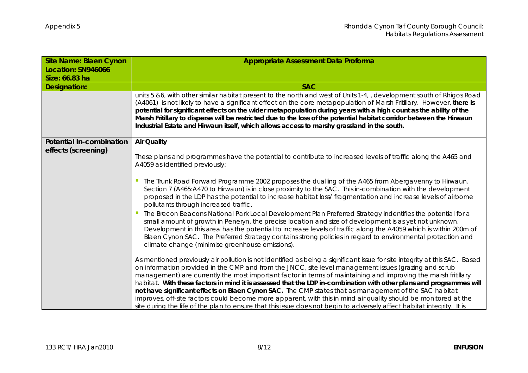| Site Name: Blaen Cynon   | Appropriate Assessment Data Proforma                                                                                                                                                                                                                                                                                                                                                                                                                                                                                                                                                                                                                                                                                                                                                                                               |
|--------------------------|------------------------------------------------------------------------------------------------------------------------------------------------------------------------------------------------------------------------------------------------------------------------------------------------------------------------------------------------------------------------------------------------------------------------------------------------------------------------------------------------------------------------------------------------------------------------------------------------------------------------------------------------------------------------------------------------------------------------------------------------------------------------------------------------------------------------------------|
| Location: SN946066       |                                                                                                                                                                                                                                                                                                                                                                                                                                                                                                                                                                                                                                                                                                                                                                                                                                    |
| Size: 66.83 ha           |                                                                                                                                                                                                                                                                                                                                                                                                                                                                                                                                                                                                                                                                                                                                                                                                                                    |
| Designation:             | <b>SAC</b>                                                                                                                                                                                                                                                                                                                                                                                                                                                                                                                                                                                                                                                                                                                                                                                                                         |
|                          | units 5 &6, with other similar habitat present to the north and west of Units 1-4,, development south of Rhigos Road<br>(A4061) is not likely to have a significant effect on the core metapopulation of Marsh Fritillary. However, there is<br>potential for significant effects on the wider metapopulation during years with a high count as the ability of the<br>Marsh Fritillary to disperse will be restricted due to the loss of the potential habitat corridor between the Hirwaun<br>Industrial Estate and Hirwaun itself, which allows access to marshy grassland in the south.                                                                                                                                                                                                                                         |
| Potential In-combination | Air Quality                                                                                                                                                                                                                                                                                                                                                                                                                                                                                                                                                                                                                                                                                                                                                                                                                        |
| effects (screening)      | These plans and programmes have the potential to contribute to increased levels of traffic along the A465 and<br>A4059 as identified previously:                                                                                                                                                                                                                                                                                                                                                                                                                                                                                                                                                                                                                                                                                   |
|                          | The Trunk Road Forward Programme 2002 proposes the dualling of the A465 from Abergavenny to Hirwaun.<br>Section 7 (A465:A470 to Hirwaun) is in close proximity to the SAC. This in-combination with the development<br>proposed in the LDP has the potential to increase habitat loss/fragmentation and increase levels of airborne<br>pollutants through increased traffic.                                                                                                                                                                                                                                                                                                                                                                                                                                                       |
|                          | The Brecon Beacons National Park Local Development Plan Preferred Strategy indentifies the potential for a<br>small amount of growth in Peneryn, the precise location and size of development is as yet not unknown.<br>Development in this area has the potential to increase levels of traffic along the A4059 which is within 200m of<br>Blaen Cynon SAC. The Preferred Strategy contains strong policies in regard to environmental protection and<br>climate change (minimise greenhouse emissions).                                                                                                                                                                                                                                                                                                                          |
|                          | As mentioned previously air pollution is not identified as being a significant issue for site integrity at this SAC. Based<br>on information provided in the CMP and from the JNCC, site level management issues (grazing and scrub<br>management) are currently the most important factor in terms of maintaining and improving the marsh fritillary<br>habitat. With these factors in mind it is assessed that the LDP in-combination with other plans and programmes will<br>not have significant effects on Blaen Cynon SAC. The CMP states that as management of the SAC habitat<br>improves, off-site factors could become more apparent, with this in mind air quality should be monitored at the<br>site during the life of the plan to ensure that this issue does not begin to adversely affect habitat integrity. It is |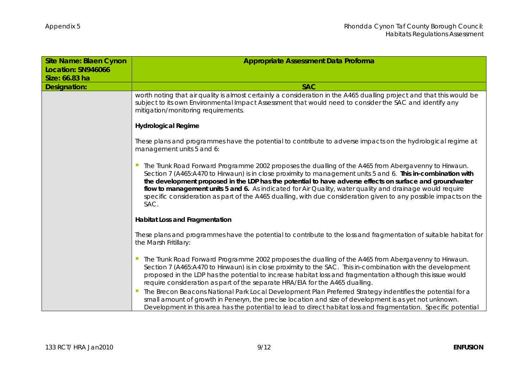| Site Name: Blaen Cynon               | Appropriate Assessment Data Proforma                                                                                                                                                                                                                                                                                                                                                                                                                                                                                                                                     |
|--------------------------------------|--------------------------------------------------------------------------------------------------------------------------------------------------------------------------------------------------------------------------------------------------------------------------------------------------------------------------------------------------------------------------------------------------------------------------------------------------------------------------------------------------------------------------------------------------------------------------|
| Location: SN946066<br>Size: 66.83 ha |                                                                                                                                                                                                                                                                                                                                                                                                                                                                                                                                                                          |
| Designation:                         | <b>SAC</b>                                                                                                                                                                                                                                                                                                                                                                                                                                                                                                                                                               |
|                                      | worth noting that air quality is almost certainly a consideration in the A465 dualling project and that this would be<br>subject to its own Environmental Impact Assessment that would need to consider the SAC and identify any<br>mitigation/monitoring requirements.                                                                                                                                                                                                                                                                                                  |
|                                      | <b>Hydrological Regime</b>                                                                                                                                                                                                                                                                                                                                                                                                                                                                                                                                               |
|                                      | These plans and programmes have the potential to contribute to adverse impacts on the hydrological regime at<br>management units 5 and 6:                                                                                                                                                                                                                                                                                                                                                                                                                                |
|                                      | The Trunk Road Forward Programme 2002 proposes the dualling of the A465 from Abergavenny to Hirwaun.<br>Section 7 (A465:A470 to Hirwaun) is in close proximity to management units 5 and 6. This in-combination with<br>the development proposed in the LDP has the potential to have adverse effects on surface and groundwater<br>flow to management units 5 and 6. As indicated for Air Quality, water quality and drainage would require<br>specific consideration as part of the A465 dualling, with due consideration given to any possible impacts on the<br>SAC. |
|                                      | Habitat Loss and Fragmentation                                                                                                                                                                                                                                                                                                                                                                                                                                                                                                                                           |
|                                      | These plans and programmes have the potential to contribute to the loss and fragmentation of suitable habitat for<br>the Marsh Fritillary:                                                                                                                                                                                                                                                                                                                                                                                                                               |
|                                      | The Trunk Road Forward Programme 2002 proposes the dualling of the A465 from Abergavenny to Hirwaun.<br>Section 7 (A465:A470 to Hirwaun) is in close proximity to the SAC. This in-combination with the development<br>proposed in the LDP has the potential to increase habitat loss and fragmentation although this issue would<br>require consideration as part of the separate HRA/EIA for the A465 dualling.                                                                                                                                                        |
|                                      | The Brecon Beacons National Park Local Development Plan Preferred Strategy indentifies the potential for a<br>small amount of growth in Peneryn, the precise location and size of development is as yet not unknown.<br>Development in this area has the potential to lead to direct habitat loss and fragmentation. Specific potential                                                                                                                                                                                                                                  |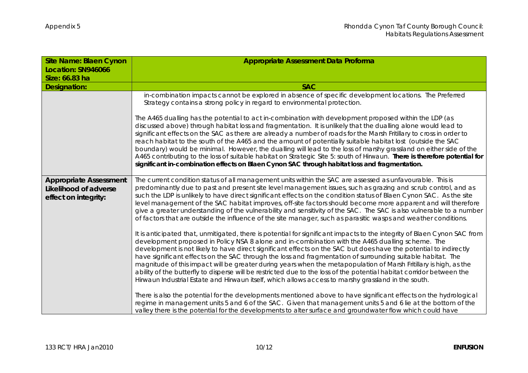| Site Name: Blaen Cynon                                                         | Appropriate Assessment Data Proforma                                                                                                                                                                                                                                                                                                                                                                                                                                                                                                                                                                                                                                                                                                                                                                                  |
|--------------------------------------------------------------------------------|-----------------------------------------------------------------------------------------------------------------------------------------------------------------------------------------------------------------------------------------------------------------------------------------------------------------------------------------------------------------------------------------------------------------------------------------------------------------------------------------------------------------------------------------------------------------------------------------------------------------------------------------------------------------------------------------------------------------------------------------------------------------------------------------------------------------------|
| Location: SN946066                                                             |                                                                                                                                                                                                                                                                                                                                                                                                                                                                                                                                                                                                                                                                                                                                                                                                                       |
| Size: 66.83 ha                                                                 |                                                                                                                                                                                                                                                                                                                                                                                                                                                                                                                                                                                                                                                                                                                                                                                                                       |
| Designation:                                                                   | <b>SAC</b>                                                                                                                                                                                                                                                                                                                                                                                                                                                                                                                                                                                                                                                                                                                                                                                                            |
|                                                                                | in-combination impacts cannot be explored in absence of specific development locations. The Preferred<br>Strategy contains a strong policy in regard to environmental protection.                                                                                                                                                                                                                                                                                                                                                                                                                                                                                                                                                                                                                                     |
|                                                                                | The A465 dualling has the potential to act in-combination with development proposed within the LDP (as<br>discussed above) through habitat loss and fragmentation. It is unlikely that the dualling alone would lead to<br>significant effects on the SAC as there are already a number of roads for the Marsh Fritillary to cross in order to<br>reach habitat to the south of the A465 and the amount of potentially suitable habitat lost (outside the SAC<br>boundary) would be minimal. However, the dualling will lead to the loss of marshy grassland on either side of the<br>A465 contributing to the loss of suitable habitat on Strategic Site 5: south of Hirwaun. There is therefore potential for<br>significant in-combination effects on Blaen Cynon SAC through habitat loss and fragmentation.      |
| <b>Appropriate Assessment</b><br>Likelihood of adverse<br>effect on integrity: | The current condition status of all management units within the SAC are assessed as unfavourable. This is<br>predominantly due to past and present site level management issues, such as grazing and scrub control, and as<br>such the LDP is unlikely to have direct significant effects on the condition status of Blaen Cynon SAC. As the site<br>level management of the SAC habitat improves, off-site factors should become more apparent and will therefore<br>give a greater understanding of the vulnerability and sensitivity of the SAC. The SAC is also vulnerable to a number<br>of factors that are outside the influence of the site manager, such as parasitic wasps and weather conditions.                                                                                                          |
|                                                                                | It is anticipated that, unmitigated, there is potential for significant impacts to the integrity of Blaen Cynon SAC from<br>development proposed in Policy NSA 8 alone and in-combination with the A465 dualling scheme. The<br>development is not likely to have direct significant effects on the SAC but does have the potential to indirectly<br>have significant effects on the SAC through the loss and fragmentation of surrounding suitable habitat. The<br>magnitude of this impact will be greater during years when the metapopulation of Marsh Fritillary is high, as the<br>ability of the butterfly to disperse will be restricted due to the loss of the potential habitat corridor between the<br>Hirwaun Industrial Estate and Hirwaun itself, which allows access to marshy grassland in the south. |
|                                                                                | There is also the potential for the developments mentioned above to have significant effects on the hydrological<br>regime in management units 5 and 6 of the SAC. Given that management units 5 and 6 lie at the bottom of the<br>valley there is the potential for the developments to alter surface and groundwater flow which could have                                                                                                                                                                                                                                                                                                                                                                                                                                                                          |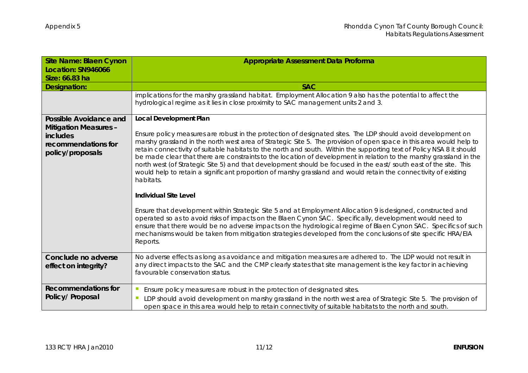| Site Name: Blaen Cynon<br>Location: SN946066                                                                  | Appropriate Assessment Data Proforma                                                                                                                                                                                                                                                                                                                                                                                                                                                                                                                                                                                                                                                                                                                                                                                                                                                                                                                                                                                                                                                                                                                                                                                                                                |
|---------------------------------------------------------------------------------------------------------------|---------------------------------------------------------------------------------------------------------------------------------------------------------------------------------------------------------------------------------------------------------------------------------------------------------------------------------------------------------------------------------------------------------------------------------------------------------------------------------------------------------------------------------------------------------------------------------------------------------------------------------------------------------------------------------------------------------------------------------------------------------------------------------------------------------------------------------------------------------------------------------------------------------------------------------------------------------------------------------------------------------------------------------------------------------------------------------------------------------------------------------------------------------------------------------------------------------------------------------------------------------------------|
| Size: 66.83 ha<br>Designation:                                                                                | <b>SAC</b>                                                                                                                                                                                                                                                                                                                                                                                                                                                                                                                                                                                                                                                                                                                                                                                                                                                                                                                                                                                                                                                                                                                                                                                                                                                          |
|                                                                                                               | implications for the marshy grassland habitat. Employment Allocation 9 also has the potential to affect the<br>hydrological regime as it lies in close proximity to SAC management units 2 and 3.                                                                                                                                                                                                                                                                                                                                                                                                                                                                                                                                                                                                                                                                                                                                                                                                                                                                                                                                                                                                                                                                   |
| Possible Avoidance and<br><b>Mitigation Measures -</b><br>includes<br>recommendations for<br>policy/proposals | Local Development Plan<br>Ensure policy measures are robust in the protection of designated sites. The LDP should avoid development on<br>marshy grassland in the north west area of Strategic Site 5. The provision of open space in this area would help to<br>retain connectivity of suitable habitats to the north and south. Within the supporting text of Policy NSA 8 it should<br>be made clear that there are constraints to the location of development in relation to the marshy grassland in the<br>north west (of Strategic Site 5) and that development should be focused in the east/ south east of the site. This<br>would help to retain a significant proportion of marshy grassland and would retain the connectivity of existing<br>habitats.<br>Individual Site Level<br>Ensure that development within Strategic Site 5 and at Employment Allocation 9 is designed, constructed and<br>operated so as to avoid risks of impacts on the Blaen Cynon SAC. Specifically, development would need to<br>ensure that there would be no adverse impacts on the hydrological regime of Blaen Cynon SAC. Specifics of such<br>mechanisms would be taken from mitigation strategies developed from the conclusions of site specific HRA/EIA<br>Reports. |
| Conclude no adverse<br>effect on integrity?                                                                   | No adverse effects as long as avoidance and mitigation measures are adhered to. The LDP would not result in<br>any direct impacts to the SAC and the CMP clearly states that site management is the key factor in achieving<br>favourable conservation status.                                                                                                                                                                                                                                                                                                                                                                                                                                                                                                                                                                                                                                                                                                                                                                                                                                                                                                                                                                                                      |
| Recommendations for<br>Policy/ Proposal                                                                       | Ensure policy measures are robust in the protection of designated sites.<br>LDP should avoid development on marshy grassland in the north west area of Strategic Site 5. The provision of<br>open space in this area would help to retain connectivity of suitable habitats to the north and south.                                                                                                                                                                                                                                                                                                                                                                                                                                                                                                                                                                                                                                                                                                                                                                                                                                                                                                                                                                 |